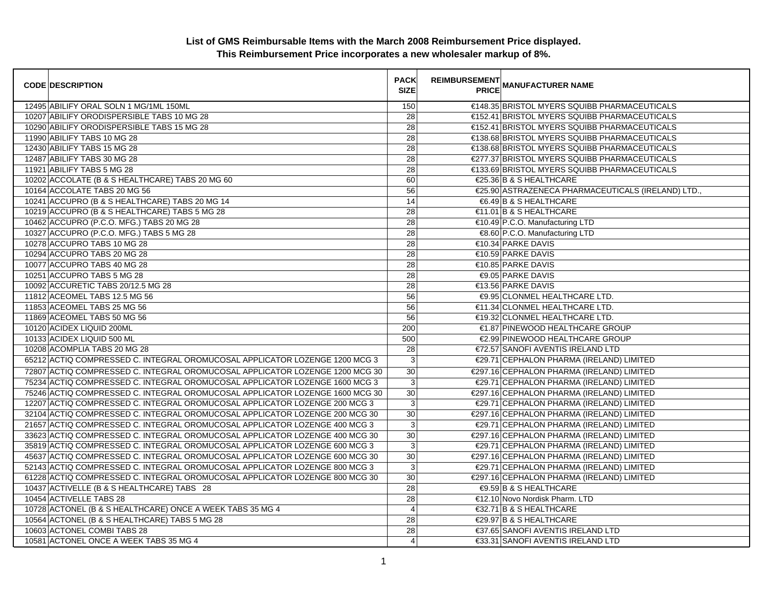| <b>CODE DESCRIPTION</b>                                                      | <b>PACK</b><br><b>SIZE</b> | <b>REIMBURSEMENT</b><br><b>PRICE</b> | <b>MANUFACTURER NAME</b>                           |
|------------------------------------------------------------------------------|----------------------------|--------------------------------------|----------------------------------------------------|
| 12495 ABILIFY ORAL SOLN 1 MG/1ML 150ML                                       | 150                        |                                      | €148.35 BRISTOL MYERS SQUIBB PHARMACEUTICALS       |
| 10207 ABILIFY ORODISPERSIBLE TABS 10 MG 28                                   | 28                         |                                      | €152.41 BRISTOL MYERS SQUIBB PHARMACEUTICALS       |
| 10290 ABILIFY ORODISPERSIBLE TABS 15 MG 28                                   | $\overline{28}$            |                                      | €152.41 BRISTOL MYERS SQUIBB PHARMACEUTICALS       |
| 11990 ABILIFY TABS 10 MG 28                                                  | 28                         |                                      | €138.68 BRISTOL MYERS SQUIBB PHARMACEUTICALS       |
| 12430 ABILIFY TABS 15 MG 28                                                  | 28                         |                                      | €138.68 BRISTOL MYERS SQUIBB PHARMACEUTICALS       |
| 12487 ABILIFY TABS 30 MG 28                                                  | 28                         |                                      | €277.37 BRISTOL MYERS SQUIBB PHARMACEUTICALS       |
| 11921 ABILIFY TABS 5 MG 28                                                   | 28                         |                                      | €133.69 BRISTOL MYERS SQUIBB PHARMACEUTICALS       |
| 10202 ACCOLATE (B & S HEALTHCARE) TABS 20 MG 60                              | 60                         |                                      | €25.36 B & S HEALTHCARE                            |
| 10164 ACCOLATE TABS 20 MG 56                                                 | 56                         |                                      | €25.90 ASTRAZENECA PHARMACEUTICALS (IRELAND) LTD., |
| 10241 ACCUPRO (B & S HEALTHCARE) TABS 20 MG 14                               | 14                         |                                      | €6.49 B & S HEALTHCARE                             |
| 10219 ACCUPRO (B & S HEALTHCARE) TABS 5 MG 28                                | 28                         |                                      | €11.01 B & S HEALTHCARE                            |
| 10462 ACCUPRO (P.C.O. MFG.) TABS 20 MG 28                                    | 28                         |                                      | €10.49 P.C.O. Manufacturing LTD                    |
| 10327 ACCUPRO (P.C.O. MFG.) TABS 5 MG 28                                     | 28                         |                                      | €8.60 P.C.O. Manufacturing LTD                     |
| 10278 ACCUPRO TABS 10 MG 28                                                  | 28                         |                                      | €10.34 PARKE DAVIS                                 |
| 10294 ACCUPRO TABS 20 MG 28                                                  | 28                         |                                      | €10.59 PARKE DAVIS                                 |
| 10077 ACCUPRO TABS 40 MG 28                                                  | 28                         |                                      | €10.85 PARKE DAVIS                                 |
| 10251 ACCUPRO TABS 5 MG 28                                                   | 28                         |                                      | €9.05 PARKE DAVIS                                  |
| 10092 ACCURETIC TABS 20/12.5 MG 28                                           | 28                         |                                      | €13.56 PARKE DAVIS                                 |
| 11812 ACEOMEL TABS 12.5 MG 56                                                | 56                         |                                      | €9.95 CLONMEL HEALTHCARE LTD.                      |
| 11853 ACEOMEL TABS 25 MG 56                                                  | 56                         |                                      | €11.34 CLONMEL HEALTHCARE LTD.                     |
| 11869 ACEOMEL TABS 50 MG 56                                                  | 56                         |                                      | €19.32 CLONMEL HEALTHCARE LTD.                     |
| 10120 ACIDEX LIQUID 200ML                                                    | 200                        |                                      | €1.87 PINEWOOD HEALTHCARE GROUP                    |
| 10133 ACIDEX LIQUID 500 ML                                                   | 500                        |                                      | €2.99 PINEWOOD HEALTHCARE GROUP                    |
| 10208 ACOMPLIA TABS 20 MG 28                                                 | 28                         |                                      | €72.57 SANOFI AVENTIS IRELAND LTD                  |
| 65212 ACTIQ COMPRESSED C. INTEGRAL OROMUCOSAL APPLICATOR LOZENGE 1200 MCG 3  | $\mathbf{3}$               |                                      | €29.71 CEPHALON PHARMA (IRELAND) LIMITED           |
| 72807 ACTIQ COMPRESSED C. INTEGRAL OROMUCOSAL APPLICATOR LOZENGE 1200 MCG 30 | 30                         |                                      | €297.16 CEPHALON PHARMA (IRELAND) LIMITED          |
| 75234 ACTIQ COMPRESSED C. INTEGRAL OROMUCOSAL APPLICATOR LOZENGE 1600 MCG 3  | $\mathbf{3}$               |                                      | €29.71 CEPHALON PHARMA (IRELAND) LIMITED           |
| 75246 ACTIQ COMPRESSED C. INTEGRAL OROMUCOSAL APPLICATOR LOZENGE 1600 MCG 30 | $\overline{30}$            |                                      | €297.16 CEPHALON PHARMA (IRELAND) LIMITED          |
| 12207 ACTIQ COMPRESSED C. INTEGRAL OROMUCOSAL APPLICATOR LOZENGE 200 MCG 3   | $\mathbf{3}$               |                                      | €29.71 CEPHALON PHARMA (IRELAND) LIMITED           |
| 32104 ACTIQ COMPRESSED C. INTEGRAL OROMUCOSAL APPLICATOR LOZENGE 200 MCG 30  | 30                         |                                      | €297.16 CEPHALON PHARMA (IRELAND) LIMITED          |
| 21657 ACTIQ COMPRESSED C. INTEGRAL OROMUCOSAL APPLICATOR LOZENGE 400 MCG 3   | 3                          |                                      | €29.71 CEPHALON PHARMA (IRELAND) LIMITED           |
| 33623 ACTIQ COMPRESSED C. INTEGRAL OROMUCOSAL APPLICATOR LOZENGE 400 MCG 30  | 30                         |                                      | €297.16 CEPHALON PHARMA (IRELAND) LIMITED          |
| 35819 ACTIQ COMPRESSED C. INTEGRAL OROMUCOSAL APPLICATOR LOZENGE 600 MCG 3   | $\mathsf 3$                |                                      | €29.71 CEPHALON PHARMA (IRELAND) LIMITED           |
| 45637 ACTIQ COMPRESSED C. INTEGRAL OROMUCOSAL APPLICATOR LOZENGE 600 MCG 30  | 30                         |                                      | €297.16 CEPHALON PHARMA (IRELAND) LIMITED          |
| 52143 ACTIQ COMPRESSED C. INTEGRAL OROMUCOSAL APPLICATOR LOZENGE 800 MCG 3   | $\mathbf{3}$               |                                      | €29.71 CEPHALON PHARMA (IRELAND) LIMITED           |
| 61228 ACTIQ COMPRESSED C. INTEGRAL OROMUCOSAL APPLICATOR LOZENGE 800 MCG 30  | 30                         |                                      | €297.16 CEPHALON PHARMA (IRELAND) LIMITED          |
| 10437 ACTIVELLE (B & S HEALTHCARE) TABS 28                                   | 28                         |                                      | €9.59 B & S HEALTHCARE                             |
| 10454 ACTIVELLE TABS 28                                                      | 28                         |                                      | €12.10 Novo Nordisk Pharm. LTD                     |
| 10728 ACTONEL (B & S HEALTHCARE) ONCE A WEEK TABS 35 MG 4                    | $\overline{a}$             |                                      | €32.71 B & S HEALTHCARE                            |
| 10564 ACTONEL (B & S HEALTHCARE) TABS 5 MG 28                                | 28                         |                                      | €29.97 B & S HEALTHCARE                            |
| 10603 ACTONEL COMBI TABS 28                                                  | 28                         |                                      | €37.65 SANOFI AVENTIS IRELAND LTD                  |
| 10581 ACTONEL ONCE A WEEK TABS 35 MG 4                                       | $\overline{4}$             |                                      | €33.31 SANOFI AVENTIS IRELAND LTD                  |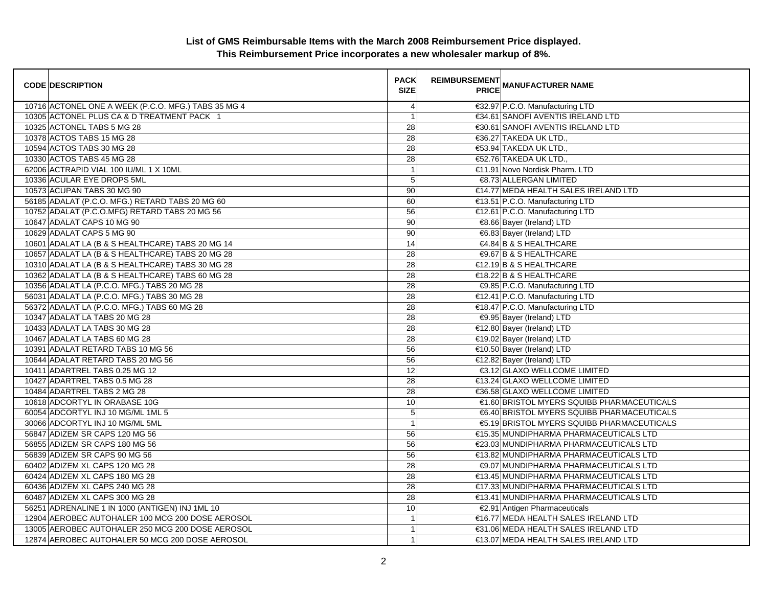| <b>CODE DESCRIPTION</b>                             | <b>PACK</b><br><b>SIZE</b> | <b>REIMBURSEMENT</b> | <b>---------</b><br>PRICE MANUFACTURER NAME |
|-----------------------------------------------------|----------------------------|----------------------|---------------------------------------------|
| 10716 ACTONEL ONE A WEEK (P.C.O. MFG.) TABS 35 MG 4 | 4                          |                      | €32.97 P.C.O. Manufacturing LTD             |
| 10305 ACTONEL PLUS CA & D TREATMENT PACK 1          | 1                          |                      | €34.61 SANOFI AVENTIS IRELAND LTD           |
| 10325 ACTONEL TABS 5 MG 28                          | 28                         |                      | €30.61 SANOFI AVENTIS IRELAND LTD           |
| 10378 ACTOS TABS 15 MG 28                           | 28                         |                      | €36.27 TAKEDA UK LTD.,                      |
| 10594 ACTOS TABS 30 MG 28                           | 28                         |                      | €53.94 TAKEDA UK LTD.,                      |
| 10330 ACTOS TABS 45 MG 28                           | $\overline{28}$            |                      | €52.76 TAKEDA UK LTD.,                      |
| 62006 ACTRAPID VIAL 100 IU/ML 1 X 10ML              | $\overline{1}$             |                      | €11.91 Novo Nordisk Pharm. LTD              |
| 10336 ACULAR EYE DROPS 5ML                          | 5                          |                      | €8.73 ALLERGAN LIMITED                      |
| 10573 ACUPAN TABS 30 MG 90                          | 90                         |                      | €14.77 MEDA HEALTH SALES IRELAND LTD        |
| 56185 ADALAT (P.C.O. MFG.) RETARD TABS 20 MG 60     | 60                         |                      | €13.51 P.C.O. Manufacturing LTD             |
| 10752 ADALAT (P.C.O.MFG) RETARD TABS 20 MG 56       | 56                         |                      | €12.61 P.C.O. Manufacturing LTD             |
| 10647 ADALAT CAPS 10 MG 90                          | 90                         |                      | €8.66 Bayer (Ireland) LTD                   |
| 10629 ADALAT CAPS 5 MG 90                           | 90                         |                      | €6.83 Bayer (Ireland) LTD                   |
| 10601 ADALAT LA (B & S HEALTHCARE) TABS 20 MG 14    | 14                         |                      | €4.84 B & S HEALTHCARE                      |
| 10657 ADALAT LA (B & S HEALTHCARE) TABS 20 MG 28    | 28                         |                      | €9.67 B & S HEALTHCARE                      |
| 10310 ADALAT LA (B & S HEALTHCARE) TABS 30 MG 28    | 28                         |                      | $€12.19$ B & S HEALTHCARE                   |
| 10362 ADALAT LA (B & S HEALTHCARE) TABS 60 MG 28    | 28                         |                      | €18.22 B & S HEALTHCARE                     |
| 10356 ADALAT LA (P.C.O. MFG.) TABS 20 MG 28         | 28                         |                      | €9.85 P.C.O. Manufacturing LTD              |
| 56031 ADALAT LA (P.C.O. MFG.) TABS 30 MG 28         | 28                         |                      | €12.41 P.C.O. Manufacturing LTD             |
| 56372 ADALAT LA (P.C.O. MFG.) TABS 60 MG 28         | 28                         |                      | €18.47 P.C.O. Manufacturing LTD             |
| 10347 ADALAT LA TABS 20 MG 28                       | $\overline{28}$            |                      | €9.95 Bayer (Ireland) LTD                   |
| 10433 ADALAT LA TABS 30 MG 28                       | 28                         |                      | €12.80 Bayer (Ireland) LTD                  |
| 10467 ADALAT LA TABS 60 MG 28                       | 28                         |                      | €19.02 Bayer (Ireland) LTD                  |
| 10391 ADALAT RETARD TABS 10 MG 56                   | 56                         |                      | €10.50 Bayer (Ireland) LTD                  |
| 10644 ADALAT RETARD TABS 20 MG 56                   | 56                         |                      | €12.82 Bayer (Ireland) LTD                  |
| 10411 ADARTREL TABS 0.25 MG 12                      | 12                         |                      | €3.12 GLAXO WELLCOME LIMITED                |
| 10427 ADARTREL TABS 0.5 MG 28                       | 28                         |                      | €13.24 GLAXO WELLCOME LIMITED               |
| 10484 ADARTREL TABS 2 MG 28                         | 28                         |                      | €36.58 GLAXO WELLCOME LIMITED               |
| 10618 ADCORTYL IN ORABASE 10G                       | 10                         |                      | €1.60 BRISTOL MYERS SQUIBB PHARMACEUTICALS  |
| 60054 ADCORTYL INJ 10 MG/ML 1ML 5                   | 5                          |                      | €6.40 BRISTOL MYERS SQUIBB PHARMACEUTICALS  |
| 30066 ADCORTYL INJ 10 MG/ML 5ML                     | $\overline{1}$             |                      | €5.19 BRISTOL MYERS SQUIBB PHARMACEUTICALS  |
| 56847 ADIZEM SR CAPS 120 MG 56                      | 56                         |                      | €15.35 MUNDIPHARMA PHARMACEUTICALS LTD      |
| 56855 ADIZEM SR CAPS 180 MG 56                      | 56                         |                      | €23.03 MUNDIPHARMA PHARMACEUTICALS LTD      |
| 56839 ADIZEM SR CAPS 90 MG 56                       | 56                         |                      | €13.82 MUNDIPHARMA PHARMACEUTICALS LTD      |
| 60402 ADIZEM XL CAPS 120 MG 28                      | $\overline{28}$            |                      | €9.07 MUNDIPHARMA PHARMACEUTICALS LTD       |
| 60424 ADIZEM XL CAPS 180 MG 28                      | 28                         |                      | €13.45 MUNDIPHARMA PHARMACEUTICALS LTD      |
| 60436 ADIZEM XL CAPS 240 MG 28                      | 28                         |                      | €17.33 MUNDIPHARMA PHARMACEUTICALS LTD      |
| 60487 ADIZEM XL CAPS 300 MG 28                      | 28                         |                      | €13.41 MUNDIPHARMA PHARMACEUTICALS LTD      |
| 56251 ADRENALINE 1 IN 1000 (ANTIGEN) INJ 1ML 10     | 10                         |                      | €2.91 Antigen Pharmaceuticals               |
| 12904 AEROBEC AUTOHALER 100 MCG 200 DOSE AEROSOL    | $\mathbf{1}$               |                      | €16.77 MEDA HEALTH SALES IRELAND LTD        |
| 13005 AEROBEC AUTOHALER 250 MCG 200 DOSE AEROSOL    | $\mathbf{1}$               |                      | €31.06 MEDA HEALTH SALES IRELAND LTD        |
| 12874 AEROBEC AUTOHALER 50 MCG 200 DOSE AEROSOL     | $\mathbf{1}$               |                      | €13.07 MEDA HEALTH SALES IRELAND LTD        |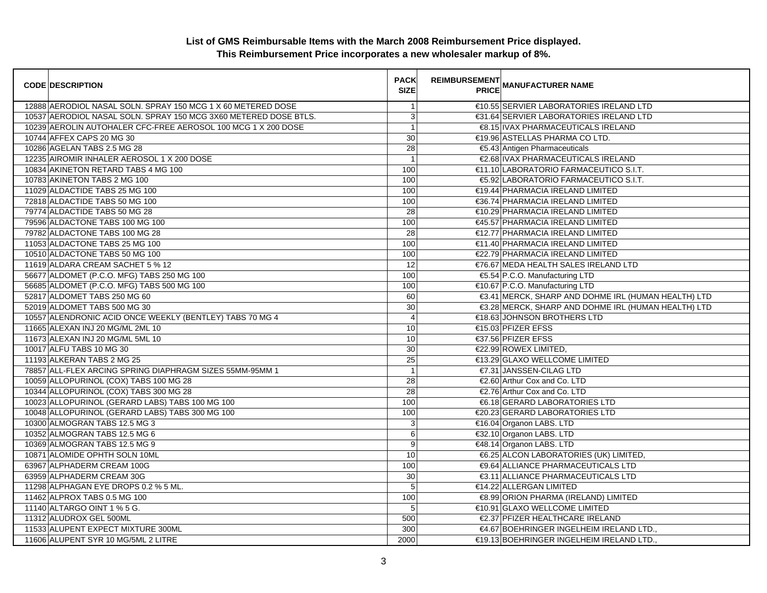| <b>CODE DESCRIPTION</b>                                          | <b>PACK</b><br><b>SIZE</b> | <b>REIMBURSEMENT</b> | <b>PRICE MANUFACTURER NAME</b>                      |
|------------------------------------------------------------------|----------------------------|----------------------|-----------------------------------------------------|
| 12888 AERODIOL NASAL SOLN. SPRAY 150 MCG 1 X 60 METERED DOSE     | $\mathbf 1$                |                      | €10.55 SERVIER LABORATORIES IRELAND LTD             |
| 10537 AERODIOL NASAL SOLN. SPRAY 150 MCG 3X60 METERED DOSE BTLS. | 3                          |                      | €31.64 SERVIER LABORATORIES IRELAND LTD             |
| 10239 AEROLIN AUTOHALER CFC-FREE AEROSOL 100 MCG 1 X 200 DOSE    | $\mathbf{1}$               |                      | €8.15 IVAX PHARMACEUTICALS IRELAND                  |
| 10744 AFFEX CAPS 20 MG 30                                        | 30                         |                      | €19.96 ASTELLAS PHARMA CO LTD.                      |
| 10286 AGELAN TABS 2.5 MG 28                                      | 28                         |                      | €5.43 Antigen Pharmaceuticals                       |
| 12235 AIROMIR INHALER AEROSOL 1 X 200 DOSE                       | $\mathbf{1}$               |                      | €2.68 IVAX PHARMACEUTICALS IRELAND                  |
| 10834 AKINETON RETARD TABS 4 MG 100                              | 100                        |                      | €11.10 LABORATORIO FARMACEUTICO S.I.T.              |
| 10783 AKINETON TABS 2 MG 100                                     | 100                        |                      | €5.92 LABORATORIO FARMACEUTICO S.I.T.               |
| 11029 ALDACTIDE TABS 25 MG 100                                   | 100                        |                      | €19.44 PHARMACIA IRELAND LIMITED                    |
| 72818 ALDACTIDE TABS 50 MG 100                                   | 100                        |                      | €36.74 PHARMACIA IRELAND LIMITED                    |
| 79774 ALDACTIDE TABS 50 MG 28                                    | $\overline{28}$            |                      | €10.29 PHARMACIA IRELAND LIMITED                    |
| 79596 ALDACTONE TABS 100 MG 100                                  | 100                        |                      | €45.57 PHARMACIA IRELAND LIMITED                    |
| 79782 ALDACTONE TABS 100 MG 28                                   | 28                         |                      | €12.77 PHARMACIA IRELAND LIMITED                    |
| 11053 ALDACTONE TABS 25 MG 100                                   | 100                        |                      | €11.40 PHARMACIA IRELAND LIMITED                    |
| 10510 ALDACTONE TABS 50 MG 100                                   | 100                        |                      | €22.79 PHARMACIA IRELAND LIMITED                    |
| 11619 ALDARA CREAM SACHET 5 % 12                                 | $\overline{12}$            |                      | €76.67 MEDA HEALTH SALES IRELAND LTD                |
| 56677 ALDOMET (P.C.O. MFG) TABS 250 MG 100                       | 100                        |                      | €5.54 P.C.O. Manufacturing LTD                      |
| 56685 ALDOMET (P.C.O. MFG) TABS 500 MG 100                       | 100                        |                      | €10.67 P.C.O. Manufacturing LTD                     |
| 52817 ALDOMET TABS 250 MG 60                                     | 60                         |                      | €3.41 MERCK, SHARP AND DOHME IRL (HUMAN HEALTH) LTD |
| 52019 ALDOMET TABS 500 MG 30                                     | 30                         |                      | €3.28 MERCK, SHARP AND DOHME IRL (HUMAN HEALTH) LTD |
| 10557 ALENDRONIC ACID ONCE WEEKLY (BENTLEY) TABS 70 MG 4         | $\overline{4}$             |                      | €18.63 JOHNSON BROTHERS LTD                         |
| 11665 ALEXAN INJ 20 MG/ML 2ML 10                                 | 10                         |                      | €15.03 PFIZER EFSS                                  |
| 11673 ALEXAN INJ 20 MG/ML 5ML 10                                 | 10                         |                      | €37.56 PFIZER EFSS                                  |
| 10017 ALFU TABS 10 MG 30                                         | 30                         |                      | €22.99 ROWEX LIMITED,                               |
| 11193 ALKERAN TABS 2 MG 25                                       | 25                         |                      | €13.29 GLAXO WELLCOME LIMITED                       |
| 78857 ALL-FLEX ARCING SPRING DIAPHRAGM SIZES 55MM-95MM 1         | $\mathbf{1}$               |                      | €7.31 JANSSEN-CILAG LTD                             |
| 10059 ALLOPURINOL (COX) TABS 100 MG 28                           | 28                         |                      | €2.60 Arthur Cox and Co. LTD                        |
| 10344 ALLOPURINOL (COX) TABS 300 MG 28                           | 28                         |                      | €2.76 Arthur Cox and Co. LTD                        |
| 10023 ALLOPURINOL (GERARD LABS) TABS 100 MG 100                  | 100                        |                      | €6.18 GERARD LABORATORIES LTD                       |
| 10048 ALLOPURINOL (GERARD LABS) TABS 300 MG 100                  | 100                        |                      | €20.23 GERARD LABORATORIES LTD                      |
| 10300 ALMOGRAN TABS 12.5 MG 3                                    | 3                          |                      | €16.04 Organon LABS. LTD                            |
| 10352 ALMOGRAN TABS 12.5 MG 6                                    | 6                          |                      | €32.10 Organon LABS. LTD                            |
| 10369 ALMOGRAN TABS 12.5 MG 9                                    | 9                          |                      | €48.14 Organon LABS. LTD                            |
| 10871 ALOMIDE OPHTH SOLN 10ML                                    | 10                         |                      | €6.25 ALCON LABORATORIES (UK) LIMITED,              |
| 63967 ALPHADERM CREAM 100G                                       | 100                        |                      | €9.64 ALLIANCE PHARMACEUTICALS LTD                  |
| 63959 ALPHADERM CREAM 30G                                        | 30                         |                      | €3.11 ALLIANCE PHARMACEUTICALS LTD                  |
| 11298 ALPHAGAN EYE DROPS 0.2 % 5 ML.                             | 5                          |                      | €14.22 ALLERGAN LIMITED                             |
| 11462 ALPROX TABS 0.5 MG 100                                     | 100                        |                      | €8.99 ORION PHARMA (IRELAND) LIMITED                |
| 11140 ALTARGO OINT 1 % 5 G.                                      | 5                          |                      | €10.91 GLAXO WELLCOME LIMITED                       |
| 11312 ALUDROX GEL 500ML                                          | 500                        |                      | €2.37 PFIZER HEALTHCARE IRELAND                     |
| 11533 ALUPENT EXPECT MIXTURE 300ML                               | 300                        |                      | €4.67 BOEHRINGER INGELHEIM IRELAND LTD.,            |
| 11606 ALUPENT SYR 10 MG/5ML 2 LITRE                              | 2000                       |                      | €19.13 BOEHRINGER INGELHEIM IRELAND LTD.            |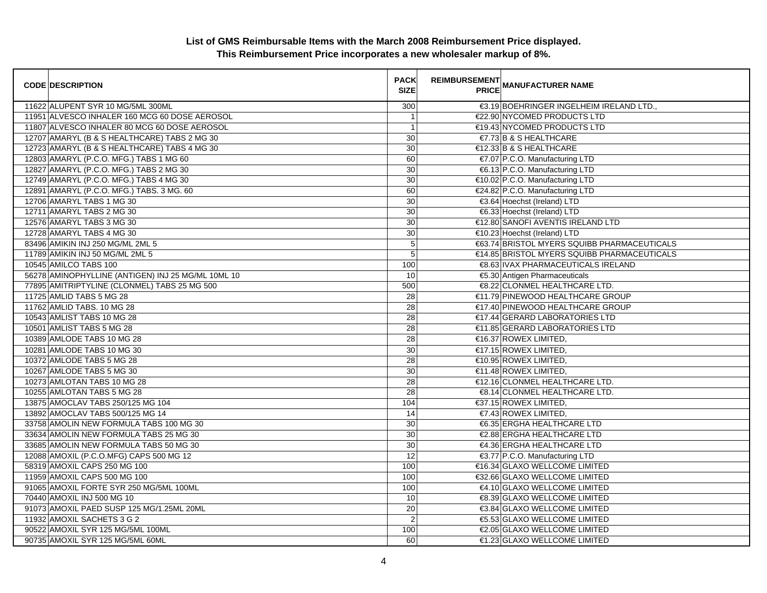| <b>CODE DESCRIPTION</b>                            | <b>PACK</b><br><b>SIZE</b> | <b>REIMBURSEMENT</b><br><b>PRICE</b> | <b>MANUFACTURER NAME</b>                    |
|----------------------------------------------------|----------------------------|--------------------------------------|---------------------------------------------|
| 11622 ALUPENT SYR 10 MG/5ML 300ML                  | 300                        |                                      | €3.19 BOEHRINGER INGELHEIM IRELAND LTD.,    |
| 11951 ALVESCO INHALER 160 MCG 60 DOSE AEROSOL      | $\overline{1}$             |                                      | €22.90 NYCOMED PRODUCTS LTD                 |
| 11807 ALVESCO INHALER 80 MCG 60 DOSE AEROSOL       | $\overline{1}$             |                                      | €19.43 NYCOMED PRODUCTS LTD                 |
| 12707 AMARYL (B & S HEALTHCARE) TABS 2 MG 30       | 30                         |                                      | $\epsilon$ 7.73 B & S HEALTHCARE            |
| 12723 AMARYL (B & S HEALTHCARE) TABS 4 MG 30       | 30                         |                                      | €12.33 B & S HEALTHCARE                     |
| 12803 AMARYL (P.C.O. MFG.) TABS 1 MG 60            | 60                         |                                      | €7.07 P.C.O. Manufacturing LTD              |
| 12827 AMARYL (P.C.O. MFG.) TABS 2 MG 30            | 30                         |                                      | €6.13 P.C.O. Manufacturing LTD              |
| 12749 AMARYL (P.C.O. MFG.) TABS 4 MG 30            | 30                         |                                      | €10.02 P.C.O. Manufacturing LTD             |
| 12891 AMARYL (P.C.O. MFG.) TABS. 3 MG. 60          | 60                         |                                      | €24.82 P.C.O. Manufacturing LTD             |
| 12706 AMARYL TABS 1 MG 30                          | 30                         |                                      | €3.64 Hoechst (Ireland) LTD                 |
| 12711 AMARYL TABS 2 MG 30                          | 30                         |                                      | €6.33 Hoechst (Ireland) LTD                 |
| 12576 AMARYL TABS 3 MG 30                          | 30                         |                                      | €12.80 SANOFI AVENTIS IRELAND LTD           |
| 12728 AMARYL TABS 4 MG 30                          | 30                         |                                      | €10.23 Hoechst (Ireland) LTD                |
| 83496 AMIKIN INJ 250 MG/ML 2ML 5                   | 5                          |                                      | €63.74 BRISTOL MYERS SQUIBB PHARMACEUTICALS |
| 11789 AMIKIN INJ 50 MG/ML 2ML 5                    | 5                          |                                      | €14.85 BRISTOL MYERS SQUIBB PHARMACEUTICALS |
| 10545 AMILCO TABS 100                              | 100                        |                                      | €8.63 IVAX PHARMACEUTICALS IRELAND          |
| 56278 AMINOPHYLLINE (ANTIGEN) INJ 25 MG/ML 10ML 10 | 10                         |                                      | €5.30 Antigen Pharmaceuticals               |
| 77895 AMITRIPTYLINE (CLONMEL) TABS 25 MG 500       | 500                        |                                      | €8.22 CLONMEL HEALTHCARE LTD.               |
| 11725 AMLID TABS 5 MG 28                           | 28                         |                                      | €11.79 PINEWOOD HEALTHCARE GROUP            |
| 11762 AMLID TABS. 10 MG 28                         | 28                         |                                      | €17.40 PINEWOOD HEALTHCARE GROUP            |
| 10543 AMLIST TABS 10 MG 28                         | 28                         |                                      | €17.44 GERARD LABORATORIES LTD              |
| 10501 AMLIST TABS 5 MG 28                          | 28                         |                                      | €11.85 GERARD LABORATORIES LTD              |
| 10389 AMLODE TABS 10 MG 28                         | 28                         |                                      | €16.37 ROWEX LIMITED,                       |
| 10281 AMLODE TABS 10 MG 30                         | 30                         |                                      | $€17.15$ ROWEX LIMITED,                     |
| 10372 AMLODE TABS 5 MG 28                          | 28                         |                                      | €10.95 ROWEX LIMITED,                       |
| 10267 AMLODE TABS 5 MG 30                          | 30                         |                                      | €11.48 ROWEX LIMITED,                       |
| 10273 AMLOTAN TABS 10 MG 28                        | 28                         |                                      | €12.16 CLONMEL HEALTHCARE LTD.              |
| 10255 AMLOTAN TABS 5 MG 28                         | 28                         |                                      | €8.14 CLONMEL HEALTHCARE LTD.               |
| 13875 AMOCLAV TABS 250/125 MG 104                  | 104                        |                                      | €37.15 ROWEX LIMITED,                       |
| 13892 AMOCLAV TABS 500/125 MG 14                   | 14                         |                                      | €7.43 ROWEX LIMITED,                        |
| 33758 AMOLIN NEW FORMULA TABS 100 MG 30            | 30                         |                                      | €6.35 ERGHA HEALTHCARE LTD                  |
| 33634 AMOLIN NEW FORMULA TABS 25 MG 30             | 30                         |                                      | €2.88 ERGHA HEALTHCARE LTD                  |
| 33685 AMOLIN NEW FORMULA TABS 50 MG 30             | 30                         |                                      | €4.36 ERGHA HEALTHCARE LTD                  |
| 12088 AMOXIL (P.C.O.MFG) CAPS 500 MG 12            | 12                         |                                      | €3.77 P.C.O. Manufacturing LTD              |
| 58319 AMOXIL CAPS 250 MG 100                       | 100                        |                                      | €16.34 GLAXO WELLCOME LIMITED               |
| 11959 AMOXIL CAPS 500 MG 100                       | 100                        |                                      | €32.66 GLAXO WELLCOME LIMITED               |
| 91065 AMOXIL FORTE SYR 250 MG/5ML 100ML            | 100                        |                                      | €4.10 GLAXO WELLCOME LIMITED                |
| 70440 AMOXIL INJ 500 MG 10                         | 10                         |                                      | €8.39 GLAXO WELLCOME LIMITED                |
| 91073 AMOXIL PAED SUSP 125 MG/1.25ML 20ML          | 20                         |                                      | €3.84 GLAXO WELLCOME LIMITED                |
| 11932 AMOXIL SACHETS 3 G 2                         | $\overline{2}$             |                                      | €5.53 GLAXO WELLCOME LIMITED                |
| 90522 AMOXIL SYR 125 MG/5ML 100ML                  | 100                        |                                      | €2.05 GLAXO WELLCOME LIMITED                |
| 90735 AMOXIL SYR 125 MG/5ML 60ML                   | 60                         |                                      | €1.23 GLAXO WELLCOME LIMITED                |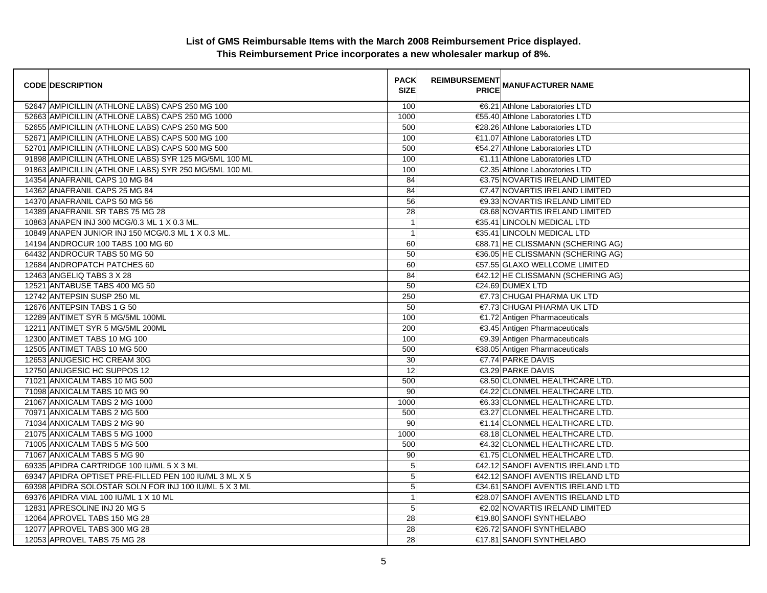| <b>CODE DESCRIPTION</b>                                | <b>PACK</b><br><b>SIZE</b> | <b>REIMBURSEMENT</b> | <b>PRICE MANUFACTURER NAME</b>    |
|--------------------------------------------------------|----------------------------|----------------------|-----------------------------------|
| 52647 AMPICILLIN (ATHLONE LABS) CAPS 250 MG 100        | 100                        |                      | €6.21 Athlone Laboratories LTD    |
| 52663 AMPICILLIN (ATHLONE LABS) CAPS 250 MG 1000       | 1000                       |                      | €55.40 Athlone Laboratories LTD   |
| 52655 AMPICILLIN (ATHLONE LABS) CAPS 250 MG 500        | 500                        |                      | €28.26 Athlone Laboratories LTD   |
| 52671 AMPICILLIN (ATHLONE LABS) CAPS 500 MG 100        | 100                        |                      | €11.07 Athlone Laboratories LTD   |
| 52701 AMPICILLIN (ATHLONE LABS) CAPS 500 MG 500        | 500                        |                      | €54.27 Athlone Laboratories LTD   |
| 91898 AMPICILLIN (ATHLONE LABS) SYR 125 MG/5ML 100 ML  | 100                        |                      | €1.11 Athlone Laboratories LTD    |
| 91863 AMPICILLIN (ATHLONE LABS) SYR 250 MG/5ML 100 ML  | 100                        |                      | €2.35 Athlone Laboratories LTD    |
| 14354 ANAFRANIL CAPS 10 MG 84                          | 84                         |                      | €3.75 NOVARTIS IRELAND LIMITED    |
| 14362 ANAFRANIL CAPS 25 MG 84                          | 84                         |                      | €7.47 NOVARTIS IRELAND LIMITED    |
| 14370 ANAFRANIL CAPS 50 MG 56                          | 56                         |                      | €9.33 NOVARTIS IRELAND LIMITED    |
| 14389 ANAFRANIL SR TABS 75 MG 28                       | $\overline{28}$            |                      | €8.68 NOVARTIS IRELAND LIMITED    |
| 10863 ANAPEN INJ 300 MCG/0.3 ML 1 X 0.3 ML.            | $\overline{1}$             |                      | €35.41 LINCOLN MEDICAL LTD        |
| 10849 ANAPEN JUNIOR INJ 150 MCG/0.3 ML 1 X 0.3 ML.     | $\mathbf{1}$               |                      | €35.41 LINCOLN MEDICAL LTD        |
| 14194 ANDROCUR 100 TABS 100 MG 60                      | 60                         |                      | €88.71 HE CLISSMANN (SCHERING AG) |
| 64432 ANDROCUR TABS 50 MG 50                           | 50                         |                      | €36.05 HE CLISSMANN (SCHERING AG) |
| 12684 ANDROPATCH PATCHES 60                            | 60                         |                      | €57.55 GLAXO WELLCOME LIMITED     |
| 12463 ANGELIQ TABS 3 X 28                              | 84                         |                      | €42.12 HE CLISSMANN (SCHERING AG) |
| 12521 ANTABUSE TABS 400 MG 50                          | 50                         |                      | €24.69 DUMEX LTD                  |
| 12742 ANTEPSIN SUSP 250 ML                             | 250                        |                      | €7.73 CHUGAI PHARMA UK LTD        |
| 12676 ANTEPSIN TABS 1 G 50                             | 50                         |                      | €7.73 CHUGAI PHARMA UK LTD        |
| 12289 ANTIMET SYR 5 MG/5ML 100ML                       | 100                        |                      | €1.72 Antigen Pharmaceuticals     |
| 12211 ANTIMET SYR 5 MG/5ML 200ML                       | 200                        |                      | €3.45 Antigen Pharmaceuticals     |
| 12300 ANTIMET TABS 10 MG 100                           | 100                        |                      | €9.39 Antigen Pharmaceuticals     |
| 12505 ANTIMET TABS 10 MG 500                           | 500                        |                      | €38.05 Antigen Pharmaceuticals    |
| 12653 ANUGESIC HC CREAM 30G                            | 30                         |                      | €7.74 PARKE DAVIS                 |
| 12750 ANUGESIC HC SUPPOS 12                            | 12                         |                      | €3.29 PARKE DAVIS                 |
| 71021 ANXICALM TABS 10 MG 500                          | 500                        |                      | €8.50 CLONMEL HEALTHCARE LTD.     |
| 71098 ANXICALM TABS 10 MG 90                           | 90                         |                      | €4.22 CLONMEL HEALTHCARE LTD.     |
| 21067 ANXICALM TABS 2 MG 1000                          | 1000                       |                      | €6.33 CLONMEL HEALTHCARE LTD.     |
| 70971 ANXICALM TABS 2 MG 500                           | 500                        |                      | €3.27 CLONMEL HEALTHCARE LTD.     |
| 71034 ANXICALM TABS 2 MG 90                            | 90                         |                      | €1.14 CLONMEL HEALTHCARE LTD.     |
| 21075 ANXICALM TABS 5 MG 1000                          | 1000                       |                      | €8.18 CLONMEL HEALTHCARE LTD.     |
| 71005 ANXICALM TABS 5 MG 500                           | 500                        |                      | €4.32 CLONMEL HEALTHCARE LTD.     |
| 71067 ANXICALM TABS 5 MG 90                            | 90                         |                      | €1.75 CLONMEL HEALTHCARE LTD.     |
| 69335 APIDRA CARTRIDGE 100 IU/ML 5 X 3 ML              | 5                          |                      | €42.12 SANOFI AVENTIS IRELAND LTD |
| 69347 APIDRA OPTISET PRE-FILLED PEN 100 IU/ML 3 ML X 5 | $\overline{5}$             |                      | €42.12 SANOFI AVENTIS IRELAND LTD |
| 69398 APIDRA SOLOSTAR SOLN FOR INJ 100 IU/ML 5 X 3 ML  | 5                          |                      | €34.61 SANOFI AVENTIS IRELAND LTD |
| 69376 APIDRA VIAL 100 IU/ML 1 X 10 ML                  | $\mathbf{1}$               |                      | €28.07 SANOFI AVENTIS IRELAND LTD |
| 12831 APRESOLINE INJ 20 MG 5                           | 5                          |                      | €2.02 NOVARTIS IRELAND LIMITED    |
| 12064 APROVEL TABS 150 MG 28                           | 28                         |                      | €19.80 SANOFI SYNTHELABO          |
| 12077 APROVEL TABS 300 MG 28                           | 28                         |                      | €26.72 SANOFI SYNTHELABO          |
| 12053 APROVEL TABS 75 MG 28                            | 28                         |                      | €17.81 SANOFI SYNTHELABO          |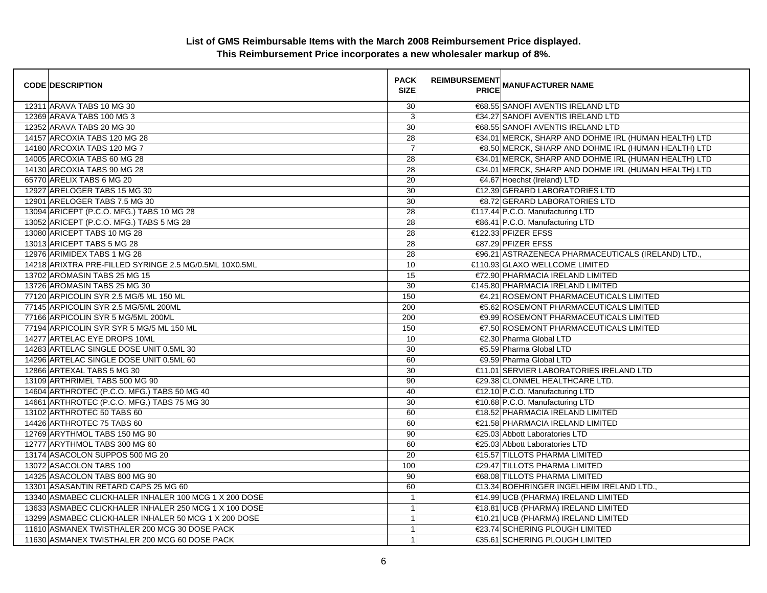| <b>CODE DESCRIPTION</b>                                | <b>PACK</b><br><b>SIZE</b> | REIMBURSEMENT<br>ANANUFACTURER NAME                  |
|--------------------------------------------------------|----------------------------|------------------------------------------------------|
| 12311 ARAVA TABS 10 MG 30                              | 30                         | €68.55 SANOFI AVENTIS IRELAND LTD                    |
| 12369 ARAVA TABS 100 MG 3                              | 3                          | €34.27 SANOFI AVENTIS IRELAND LTD                    |
| 12352 ARAVA TABS 20 MG 30                              | 30                         | €68.55 SANOFI AVENTIS IRELAND LTD                    |
| 14157 ARCOXIA TABS 120 MG 28                           | 28                         | €34.01 MERCK, SHARP AND DOHME IRL (HUMAN HEALTH) LTD |
| 14180 ARCOXIA TABS 120 MG 7                            | $\overline{7}$             | €8.50 MERCK, SHARP AND DOHME IRL (HUMAN HEALTH) LTD  |
| 14005 ARCOXIA TABS 60 MG 28                            | 28                         | €34.01 MERCK, SHARP AND DOHME IRL (HUMAN HEALTH) LTD |
| 14130 ARCOXIA TABS 90 MG 28                            | 28                         | €34.01 MERCK, SHARP AND DOHME IRL (HUMAN HEALTH) LTD |
| 65770 ARELIX TABS 6 MG 20                              | 20                         | €4.67 Hoechst (Ireland) LTD                          |
| 12927 ARELOGER TABS 15 MG 30                           | 30                         | €12.39 GERARD LABORATORIES LTD                       |
| 12901 ARELOGER TABS 7.5 MG 30                          | 30                         | €8.72 GERARD LABORATORIES LTD                        |
| 13094 ARICEPT (P.C.O. MFG.) TABS 10 MG 28              | 28                         | €117.44 P.C.O. Manufacturing LTD                     |
| 13052 ARICEPT (P.C.O. MFG.) TABS 5 MG 28               | 28                         | €86.41 P.C.O. Manufacturing LTD                      |
| 13080 ARICEPT TABS 10 MG 28                            | 28                         | €122.33 PFIZER EFSS                                  |
| 13013 ARICEPT TABS 5 MG 28                             | 28                         | €87.29 PFIZER EFSS                                   |
| 12976 ARIMIDEX TABS 1 MG 28                            | 28                         | €96.21 ASTRAZENECA PHARMACEUTICALS (IRELAND) LTD.,   |
| 14218 ARIXTRA PRE-FILLED SYRINGE 2.5 MG/0.5ML 10X0.5ML | 10                         | €110.93 GLAXO WELLCOME LIMITED                       |
| 13702 AROMASIN TABS 25 MG 15                           | 15                         | €72.90 PHARMACIA IRELAND LIMITED                     |
| 13726 AROMASIN TABS 25 MG 30                           | 30                         | €145.80 PHARMACIA IRELAND LIMITED                    |
| 77120 ARPICOLIN SYR 2.5 MG/5 ML 150 ML                 | 150                        | €4.21 ROSEMONT PHARMACEUTICALS LIMITED               |
| 77145 ARPICOLIN SYR 2.5 MG/5ML 200ML                   | 200                        | €5.62 ROSEMONT PHARMACEUTICALS LIMITED               |
| 77166 ARPICOLIN SYR 5 MG/5ML 200ML                     | 200                        | €9.99 ROSEMONT PHARMACEUTICALS LIMITED               |
| 77194 ARPICOLIN SYR SYR 5 MG/5 ML 150 ML               | 150                        | €7.50 ROSEMONT PHARMACEUTICALS LIMITED               |
| 14277 ARTELAC EYE DROPS 10ML                           | 10                         | €2.30 Pharma Global LTD                              |
| 14283 ARTELAC SINGLE DOSE UNIT 0.5ML 30                | 30                         | €5.59 Pharma Global LTD                              |
| 14296 ARTELAC SINGLE DOSE UNIT 0.5ML 60                | 60                         | €9.59 Pharma Global LTD                              |
| 12866 ARTEXAL TABS 5 MG 30                             | 30                         | €11.01 SERVIER LABORATORIES IRELAND LTD              |
| 13109 ARTHRIMEL TABS 500 MG 90                         | 90                         | €29.38 CLONMEL HEALTHCARE LTD.                       |
| 14604 ARTHROTEC (P.C.O. MFG.) TABS 50 MG 40            | 40                         | €12.10 P.C.O. Manufacturing LTD                      |
| 14661 ARTHROTEC (P.C.O. MFG.) TABS 75 MG 30            | 30                         | €10.68 P.C.O. Manufacturing LTD                      |
| 13102 ARTHROTEC 50 TABS 60                             | 60                         | €18.52 PHARMACIA IRELAND LIMITED                     |
| 14426 ARTHROTEC 75 TABS 60                             | 60                         | €21.58 PHARMACIA IRELAND LIMITED                     |
| 12769 ARYTHMOL TABS 150 MG 90                          | 90                         | €25.03 Abbott Laboratories LTD                       |
| 12777 ARYTHMOL TABS 300 MG 60                          | 60                         | €25.03 Abbott Laboratories LTD                       |
| 13174 ASACOLON SUPPOS 500 MG 20                        | 20                         | €15.57 TILLOTS PHARMA LIMITED                        |
| 13072 ASACOLON TABS 100                                | 100                        | €29.47 TILLOTS PHARMA LIMITED                        |
| 14325 ASACOLON TABS 800 MG 90                          | 90                         | €68.08 TILLOTS PHARMA LIMITED                        |
| 13301 ASASANTIN RETARD CAPS 25 MG 60                   | 60                         | €13.34 BOEHRINGER INGELHEIM IRELAND LTD.,            |
| 13340 ASMABEC CLICKHALER INHALER 100 MCG 1 X 200 DOSE  | $\mathbf{1}$               | €14.99 UCB (PHARMA) IRELAND LIMITED                  |
| 13633 ASMABEC CLICKHALER INHALER 250 MCG 1 X 100 DOSE  | $\mathbf{1}$               | €18.81 UCB (PHARMA) IRELAND LIMITED                  |
| 13299 ASMABEC CLICKHALER INHALER 50 MCG 1 X 200 DOSE   | $\overline{1}$             | €10.21 UCB (PHARMA) IRELAND LIMITED                  |
| 11610 ASMANEX TWISTHALER 200 MCG 30 DOSE PACK          | $\mathbf{1}$               | €23.74 SCHERING PLOUGH LIMITED                       |
| 11630 ASMANEX TWISTHALER 200 MCG 60 DOSE PACK          | $\mathbf{1}$               | €35.61 SCHERING PLOUGH LIMITED                       |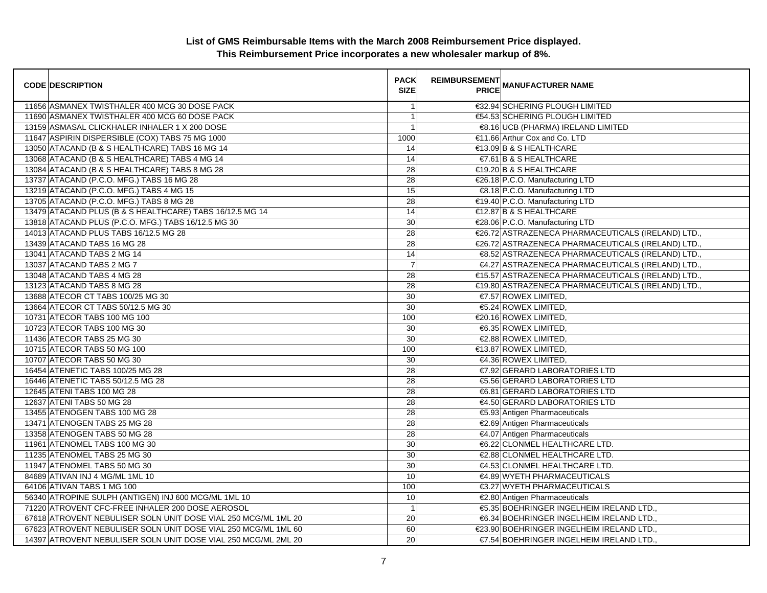| <b>CODE DESCRIPTION</b>                                        | <b>PACK</b><br><b>SIZE</b> | <b>REIMBURSEMENT</b> | <b>PRICE MANUFACTURER NAME</b>                     |
|----------------------------------------------------------------|----------------------------|----------------------|----------------------------------------------------|
| 11656 ASMANEX TWISTHALER 400 MCG 30 DOSE PACK                  | $\overline{1}$             |                      | €32.94 SCHERING PLOUGH LIMITED                     |
| 11690 ASMANEX TWISTHALER 400 MCG 60 DOSE PACK                  | $\overline{1}$             |                      | €54.53 SCHERING PLOUGH LIMITED                     |
| 13159 ASMASAL CLICKHALER INHALER 1 X 200 DOSE                  | $\overline{1}$             |                      | €8.16 UCB (PHARMA) IRELAND LIMITED                 |
| 11647 ASPIRIN DISPERSIBLE (COX) TABS 75 MG 1000                | 1000                       |                      | €11.66 Arthur Cox and Co. LTD                      |
| 13050 ATACAND (B & S HEALTHCARE) TABS 16 MG 14                 | 14                         |                      | €13.09 B & S HEALTHCARE                            |
| 13068 ATACAND (B & S HEALTHCARE) TABS 4 MG 14                  | 14                         |                      | $\in$ 7.61 B & S HEALTHCARE                        |
| 13084 ATACAND (B & S HEALTHCARE) TABS 8 MG 28                  | $\overline{28}$            |                      | €19.20 B & S HEALTHCARE                            |
| 13737 ATACAND (P.C.O. MFG.) TABS 16 MG 28                      | 28                         |                      | €26.18 P.C.O. Manufacturing LTD                    |
| 13219 ATACAND (P.C.O. MFG.) TABS 4 MG 15                       | 15                         |                      | €8.18 P.C.O. Manufacturing LTD                     |
| 13705 ATACAND (P.C.O. MFG.) TABS 8 MG 28                       | 28                         |                      | €19.40 P.C.O. Manufacturing LTD                    |
| 13479 ATACAND PLUS (B & S HEALTHCARE) TABS 16/12.5 MG 14       | 14                         |                      | €12.87 B & S HEALTHCARE                            |
| 13818 ATACAND PLUS (P.C.O. MFG.) TABS 16/12.5 MG 30            | 30                         |                      | €28.06 P.C.O. Manufacturing LTD                    |
| 14013 ATACAND PLUS TABS 16/12.5 MG 28                          | 28                         |                      | €26.72 ASTRAZENECA PHARMACEUTICALS (IRELAND) LTD., |
| 13439 ATACAND TABS 16 MG 28                                    | 28                         |                      | €26.72 ASTRAZENECA PHARMACEUTICALS (IRELAND) LTD., |
| 13041 ATACAND TABS 2 MG 14                                     | 14                         |                      | €8.52 ASTRAZENECA PHARMACEUTICALS (IRELAND) LTD.,  |
| 13037 ATACAND TABS 2 MG 7                                      | $\overline{7}$             |                      | €4.27 ASTRAZENECA PHARMACEUTICALS (IRELAND) LTD.,  |
| 13048 ATACAND TABS 4 MG 28                                     | 28                         |                      | €15.57 ASTRAZENECA PHARMACEUTICALS (IRELAND) LTD., |
| 13123 ATACAND TABS 8 MG 28                                     | 28                         |                      | €19.80 ASTRAZENECA PHARMACEUTICALS (IRELAND) LTD., |
| 13688 ATECOR CT TABS 100/25 MG 30                              | 30                         |                      | €7.57 ROWEX LIMITED,                               |
| 13664 ATECOR CT TABS 50/12.5 MG 30                             | 30                         |                      | €5.24 ROWEX LIMITED,                               |
| 10731 ATECOR TABS 100 MG 100                                   | 100                        |                      | €20.16 ROWEX LIMITED,                              |
| 10723 ATECOR TABS 100 MG 30                                    | 30                         |                      | €6.35 ROWEX LIMITED,                               |
| 11436 ATECOR TABS 25 MG 30                                     | 30                         |                      | €2.88 ROWEX LIMITED,                               |
| 10715 ATECOR TABS 50 MG 100                                    | 100                        |                      | €13.87 ROWEX LIMITED,                              |
| 10707 ATECOR TABS 50 MG 30                                     | $\overline{30}$            |                      | €4.36 ROWEX LIMITED,                               |
| 16454 ATENETIC TABS 100/25 MG 28                               | 28                         |                      | €7.92 GERARD LABORATORIES LTD                      |
| 16446 ATENETIC TABS 50/12.5 MG 28                              | 28                         |                      | €5.56 GERARD LABORATORIES LTD                      |
| 12645 ATENI TABS 100 MG 28                                     | 28                         |                      | €6.81 GERARD LABORATORIES LTD                      |
| 12637 ATENI TABS 50 MG 28                                      | 28                         |                      | €4.50 GERARD LABORATORIES LTD                      |
| 13455 ATENOGEN TABS 100 MG 28                                  | 28                         |                      | €5.93 Antigen Pharmaceuticals                      |
| 13471 ATENOGEN TABS 25 MG 28                                   | 28                         |                      | €2.69 Antigen Pharmaceuticals                      |
| 13358 ATENOGEN TABS 50 MG 28                                   | 28                         |                      | €4.07 Antigen Pharmaceuticals                      |
| 11961 ATENOMEL TABS 100 MG 30                                  | 30                         |                      | €6.22 CLONMEL HEALTHCARE LTD.                      |
| 11235 ATENOMEL TABS 25 MG 30                                   | 30                         |                      | €2.88 CLONMEL HEALTHCARE LTD.                      |
| 11947 ATENOMEL TABS 50 MG 30                                   | 30                         |                      | €4.53 CLONMEL HEALTHCARE LTD.                      |
| 84689 ATIVAN INJ 4 MG/ML 1ML 10                                | 10                         |                      | €4.89 WYETH PHARMACEUTICALS                        |
| 64106 ATIVAN TABS 1 MG 100                                     | 100                        |                      | €3.27 WYETH PHARMACEUTICALS                        |
| 56340 ATROPINE SULPH (ANTIGEN) INJ 600 MCG/ML 1ML 10           | 10                         |                      | €2.80 Antigen Pharmaceuticals                      |
| 71220 ATROVENT CFC-FREE INHALER 200 DOSE AEROSOL               | $\overline{1}$             |                      | €5.35 BOEHRINGER INGELHEIM IRELAND LTD.,           |
| 67618 ATROVENT NEBULISER SOLN UNIT DOSE VIAL 250 MCG/ML 1ML 20 | 20                         |                      | €6.34 BOEHRINGER INGELHEIM IRELAND LTD.,           |
| 67623 ATROVENT NEBULISER SOLN UNIT DOSE VIAL 250 MCG/ML 1ML 60 | 60                         |                      | €23.90 BOEHRINGER INGELHEIM IRELAND LTD.,          |
| 14397 ATROVENT NEBULISER SOLN UNIT DOSE VIAL 250 MCG/ML 2ML 20 | 20                         |                      | €7.54 BOEHRINGER INGELHEIM IRELAND LTD.,           |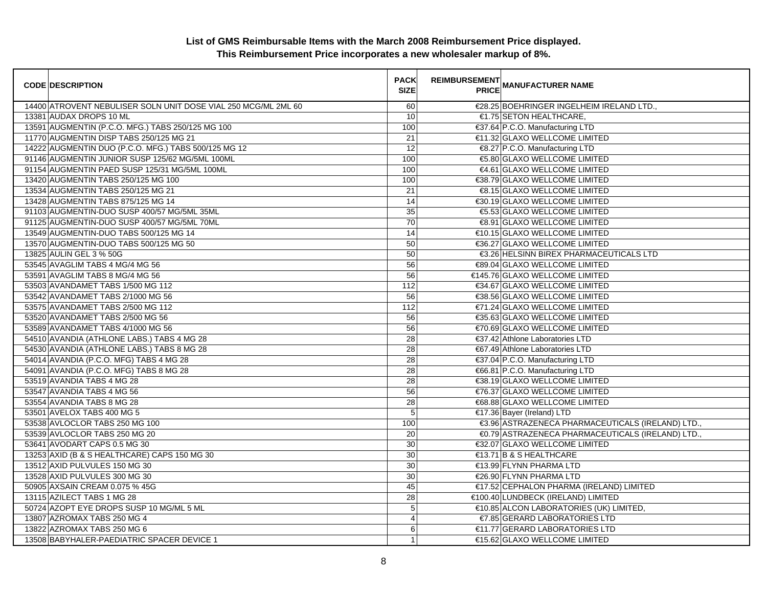| <b>CODE DESCRIPTION</b>                                        | <b>PACK</b><br><b>SIZE</b> | <b>REIMBURSEMENT</b><br>--------   MANUFACTURER NAME<br>  PRICE |  |
|----------------------------------------------------------------|----------------------------|-----------------------------------------------------------------|--|
| 14400 ATROVENT NEBULISER SOLN UNIT DOSE VIAL 250 MCG/ML 2ML 60 | 60                         | €28.25 BOEHRINGER INGELHEIM IRELAND LTD.,                       |  |
| 13381 AUDAX DROPS 10 ML                                        | 10                         | €1.75 SETON HEALTHCARE,                                         |  |
| 13591 AUGMENTIN (P.C.O. MFG.) TABS 250/125 MG 100              | 100                        | €37.64 P.C.O. Manufacturing LTD                                 |  |
| 11770 AUGMENTIN DISP TABS 250/125 MG 21                        | 21                         | €11.32 GLAXO WELLCOME LIMITED                                   |  |
| 14222 AUGMENTIN DUO (P.C.O. MFG.) TABS 500/125 MG 12           | 12                         | €8.27 P.C.O. Manufacturing LTD                                  |  |
| 91146 AUGMENTIN JUNIOR SUSP 125/62 MG/5ML 100ML                | 100                        | €5.80 GLAXO WELLCOME LIMITED                                    |  |
| 91154 AUGMENTIN PAED SUSP 125/31 MG/5ML 100ML                  | 100                        | €4.61 GLAXO WELLCOME LIMITED                                    |  |
| 13420 AUGMENTIN TABS 250/125 MG 100                            | 100                        | €38.79 GLAXO WELLCOME LIMITED                                   |  |
| 13534 AUGMENTIN TABS 250/125 MG 21                             | 21                         | €8.15 GLAXO WELLCOME LIMITED                                    |  |
| 13428 AUGMENTIN TABS 875/125 MG 14                             | 14                         | €30.19 GLAXO WELLCOME LIMITED                                   |  |
| 91103 AUGMENTIN-DUO SUSP 400/57 MG/5ML 35ML                    | 35                         | €5.53 GLAXO WELLCOME LIMITED                                    |  |
| 91125 AUGMENTIN-DUO SUSP 400/57 MG/5ML 70ML                    | $\overline{70}$            | €8.91 GLAXO WELLCOME LIMITED                                    |  |
| 13549 AUGMENTIN-DUO TABS 500/125 MG 14                         | 14                         | €10.15 GLAXO WELLCOME LIMITED                                   |  |
| 13570 AUGMENTIN-DUO TABS 500/125 MG 50                         | 50                         | €36.27 GLAXO WELLCOME LIMITED                                   |  |
| 13825 AULIN GEL 3 % 50G                                        | 50                         | €3.26 HELSINN BIREX PHARMACEUTICALS LTD                         |  |
| 53545 AVAGLIM TABS 4 MG/4 MG 56                                | 56                         | €89.04 GLAXO WELLCOME LIMITED                                   |  |
| 53591 AVAGLIM TABS 8 MG/4 MG 56                                | 56                         | €145.76 GLAXO WELLCOME LIMITED                                  |  |
| 53503 AVANDAMET TABS 1/500 MG 112                              | 112                        | €34.67 GLAXO WELLCOME LIMITED                                   |  |
| 53542 AVANDAMET TABS 2/1000 MG 56                              | 56                         | €38.56 GLAXO WELLCOME LIMITED                                   |  |
| 53575 AVANDAMET TABS 2/500 MG 112                              | 112                        | €71.24 GLAXO WELLCOME LIMITED                                   |  |
| 53520 AVANDAMET TABS 2/500 MG 56                               | 56                         | €35.63 GLAXO WELLCOME LIMITED                                   |  |
| 53589 AVANDAMET TABS 4/1000 MG 56                              | 56                         | €70.69 GLAXO WELLCOME LIMITED                                   |  |
| 54510 AVANDIA (ATHLONE LABS.) TABS 4 MG 28                     | 28                         | €37.42 Athlone Laboratories LTD                                 |  |
| 54530 AVANDIA (ATHLONE LABS.) TABS 8 MG 28                     | 28                         | €67.49 Athlone Laboratories LTD                                 |  |
| 54014 AVANDIA (P.C.O. MFG) TABS 4 MG 28                        | 28                         | €37.04 P.C.O. Manufacturing LTD                                 |  |
| 54091 AVANDIA (P.C.O. MFG) TABS 8 MG 28                        | 28                         | €66.81 P.C.O. Manufacturing LTD                                 |  |
| 53519 AVANDIA TABS 4 MG 28                                     | 28                         | €38.19 GLAXO WELLCOME LIMITED                                   |  |
| 53547 AVANDIA TABS 4 MG 56                                     | 56                         | €76.37 GLAXO WELLCOME LIMITED                                   |  |
| 53554 AVANDIA TABS 8 MG 28                                     | 28                         | €68.88 GLAXO WELLCOME LIMITED                                   |  |
| 53501 AVELOX TABS 400 MG 5                                     | 5                          | €17.36 Bayer (Ireland) LTD                                      |  |
| 53538 AVLOCLOR TABS 250 MG 100                                 | 100                        | €3.96 ASTRAZENECA PHARMACEUTICALS (IRELAND) LTD.,               |  |
| 53539 AVLOCLOR TABS 250 MG 20                                  | 20                         | €0.79 ASTRAZENECA PHARMACEUTICALS (IRELAND) LTD.                |  |
| 53641 AVODART CAPS 0.5 MG 30                                   | 30                         | €32.07 GLAXO WELLCOME LIMITED                                   |  |
| 13253 AXID (B & S HEALTHCARE) CAPS 150 MG 30                   | 30                         | €13.71 B & S HEALTHCARE                                         |  |
| 13512 AXID PULVULES 150 MG 30                                  | 30                         | €13.99 FLYNN PHARMA LTD                                         |  |
| 13528 AXID PULVULES 300 MG 30                                  | 30                         | €26.90 FLYNN PHARMA LTD                                         |  |
| 50905 AXSAIN CREAM 0.075 % 45G                                 | 45                         | €17.52 CEPHALON PHARMA (IRELAND) LIMITED                        |  |
| 13115 AZILECT TABS 1 MG 28                                     | 28                         | €100.40 LUNDBECK (IRELAND) LIMITED                              |  |
| 50724 AZOPT EYE DROPS SUSP 10 MG/ML 5 ML                       | 5                          | €10.85 ALCON LABORATORIES (UK) LIMITED,                         |  |
| 13807 AZROMAX TABS 250 MG 4                                    | $\overline{4}$             | €7.85 GERARD LABORATORIES LTD                                   |  |
| 13822 AZROMAX TABS 250 MG 6                                    | 6                          | €11.77 GERARD LABORATORIES LTD                                  |  |
| 13508 BABYHALER-PAEDIATRIC SPACER DEVICE 1                     | $\mathbf{1}$               | €15.62 GLAXO WELLCOME LIMITED                                   |  |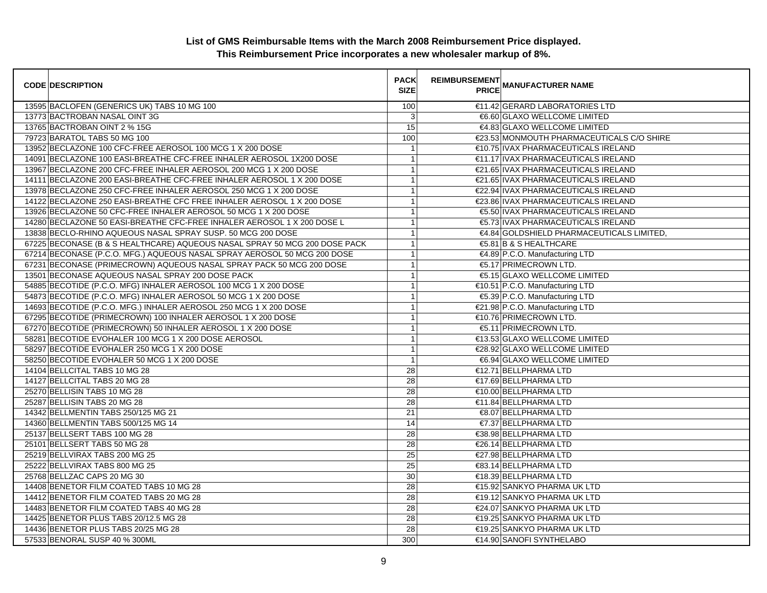| <b>CODE DESCRIPTION</b>                                                    | <b>PACK</b><br><b>SIZE</b> | <b>REIMBURSEMENT</b> | <b>PRICE MANUFACTURER NAME</b>            |
|----------------------------------------------------------------------------|----------------------------|----------------------|-------------------------------------------|
| 13595 BACLOFEN (GENERICS UK) TABS 10 MG 100                                | 100                        |                      | €11.42 GERARD LABORATORIES LTD            |
| 13773 BACTROBAN NASAL OINT 3G                                              | 3                          |                      | €6.60 GLAXO WELLCOME LIMITED              |
| 13765 BACTROBAN OINT 2 % 15G                                               | 15                         |                      | €4.83 GLAXO WELLCOME LIMITED              |
| 79723 BARATOL TABS 50 MG 100                                               | 100                        |                      | €23.53 MONMOUTH PHARMACEUTICALS C/O SHIRE |
| 13952 BECLAZONE 100 CFC-FREE AEROSOL 100 MCG 1 X 200 DOSE                  | $\mathbf{1}$               |                      | €10.75 IVAX PHARMACEUTICALS IRELAND       |
| 14091 BECLAZONE 100 EASI-BREATHE CFC-FREE INHALER AEROSOL 1X200 DOSE       | $\mathbf{1}$               |                      | €11.17 IVAX PHARMACEUTICALS IRELAND       |
| 13967 BECLAZONE 200 CFC-FREE INHALER AEROSOL 200 MCG 1 X 200 DOSE          | $\mathbf{1}$               |                      | €21.65 IVAX PHARMACEUTICALS IRELAND       |
| 14111 BECLAZONE 200 EASI-BREATHE CFC-FREE INHALER AEROSOL 1 X 200 DOSE     | $\mathbf{1}$               |                      | €21.65 IVAX PHARMACEUTICALS IRELAND       |
| 13978 BECLAZONE 250 CFC-FREE INHALER AEROSOL 250 MCG 1 X 200 DOSE          | $\mathbf{1}$               |                      | €22.94 IVAX PHARMACEUTICALS IRELAND       |
| 14122 BECLAZONE 250 EASI-BREATHE CFC FREE INHALER AEROSOL 1 X 200 DOSE     | $\overline{1}$             |                      | €23.86 IVAX PHARMACEUTICALS IRELAND       |
| 13926 BECLAZONE 50 CFC-FREE INHALER AEROSOL 50 MCG 1 X 200 DOSE            | $\mathbf{1}$               |                      | €5.50 IVAX PHARMACEUTICALS IRELAND        |
| 14280 BECLAZONE 50 EASI-BREATHE CFC-FREE INHALER AEROSOL 1 X 200 DOSE L    | $\mathbf{1}$               |                      | €5.73 IVAX PHARMACEUTICALS IRELAND        |
| 13838 BECLO-RHINO AQUEOUS NASAL SPRAY SUSP. 50 MCG 200 DOSE                | $\mathbf{1}$               |                      | €4.84 GOLDSHIELD PHARMACEUTICALS LIMITED, |
| 67225 BECONASE (B & S HEALTHCARE) AQUEOUS NASAL SPRAY 50 MCG 200 DOSE PACK | $\mathbf{1}$               |                      | €5.81 B & S HEALTHCARE                    |
| 67214 BECONASE (P.C.O. MFG.) AQUEOUS NASAL SPRAY AEROSOL 50 MCG 200 DOSE   | $\mathbf{1}$               |                      | €4.89 P.C.O. Manufacturing LTD            |
| 67231 BECONASE (PRIMECROWN) AQUEOUS NASAL SPRAY PACK 50 MCG 200 DOSE       | $\overline{1}$             |                      | €5.17 PRIMECROWN LTD.                     |
| 13501 BECONASE AQUEOUS NASAL SPRAY 200 DOSE PACK                           | $\overline{1}$             |                      | €5.15 GLAXO WELLCOME LIMITED              |
| 54885 BECOTIDE (P.C.O. MFG) INHALER AEROSOL 100 MCG 1 X 200 DOSE           | $\mathbf{1}$               |                      | €10.51 P.C.O. Manufacturing LTD           |
| 54873 BECOTIDE (P.C.O. MFG) INHALER AEROSOL 50 MCG 1 X 200 DOSE            | $\overline{1}$             |                      | €5.39 P.C.O. Manufacturing LTD            |
| 14693 BECOTIDE (P.C.O. MFG.) INHALER AEROSOL 250 MCG 1 X 200 DOSE          | $\mathbf 1$                |                      | €21.98 P.C.O. Manufacturing LTD           |
| 67295 BECOTIDE (PRIMECROWN) 100 INHALER AEROSOL 1 X 200 DOSE               | $\mathbf{1}$               |                      | €10.76 PRIMECROWN LTD.                    |
| 67270 BECOTIDE (PRIMECROWN) 50 INHALER AEROSOL 1 X 200 DOSE                | $\overline{1}$             |                      | €5.11 PRIMECROWN LTD.                     |
| 58281 BECOTIDE EVOHALER 100 MCG 1 X 200 DOSE AEROSOL                       | $\mathbf{1}$               |                      | €13.53 GLAXO WELLCOME LIMITED             |
| 58297 BECOTIDE EVOHALER 250 MCG 1 X 200 DOSE                               | $\mathbf{1}$               |                      | €28.92 GLAXO WELLCOME LIMITED             |
| 58250 BECOTIDE EVOHALER 50 MCG 1 X 200 DOSE                                | $\overline{1}$             |                      | €6.94 GLAXO WELLCOME LIMITED              |
| 14104 BELLCITAL TABS 10 MG 28                                              | 28                         |                      | €12.71 BELLPHARMA LTD                     |
| 14127 BELLCITAL TABS 20 MG 28                                              | 28                         |                      | €17.69 BELLPHARMA LTD                     |
| 25270 BELLISIN TABS 10 MG 28                                               | 28                         |                      | €10.00 BELLPHARMA LTD                     |
| 25287 BELLISIN TABS 20 MG 28                                               | 28                         |                      | €11.84 BELLPHARMA LTD                     |
| 14342 BELLMENTIN TABS 250/125 MG 21                                        | 21                         |                      | €8.07 BELLPHARMA LTD                      |
| 14360 BELLMENTIN TABS 500/125 MG 14                                        | 14                         |                      | €7.37 BELLPHARMA LTD                      |
| 25137 BELLSERT TABS 100 MG 28                                              | 28                         |                      | €38.98 BELLPHARMA LTD                     |
| 25101 BELLSERT TABS 50 MG 28                                               | $\overline{28}$            |                      | €26.14 BELLPHARMA LTD                     |
| 25219 BELLVIRAX TABS 200 MG 25                                             | 25                         |                      | €27.98 BELLPHARMA LTD                     |
| 25222 BELLVIRAX TABS 800 MG 25                                             | $\overline{25}$            |                      | €83.14 BELLPHARMA LTD                     |
| 25768 BELLZAC CAPS 20 MG 30                                                | 30                         |                      | €18.39 BELLPHARMA LTD                     |
| 14408 BENETOR FILM COATED TABS 10 MG 28                                    | 28                         |                      | €15.92 SANKYO PHARMA UK LTD               |
| 14412 BENETOR FILM COATED TABS 20 MG 28                                    | 28                         |                      | €19.12 SANKYO PHARMA UK LTD               |
| 14483 BENETOR FILM COATED TABS 40 MG 28                                    | $\overline{28}$            |                      | €24.07 SANKYO PHARMA UK LTD               |
| 14425 BENETOR PLUS TABS 20/12.5 MG 28                                      | 28                         |                      | €19.25 SANKYO PHARMA UK LTD               |
| 14436 BENETOR PLUS TABS 20/25 MG 28                                        | 28                         |                      | €19.25 SANKYO PHARMA UK LTD               |
| 57533 BENORAL SUSP 40 % 300ML                                              | 300                        |                      | €14.90 SANOFI SYNTHELABO                  |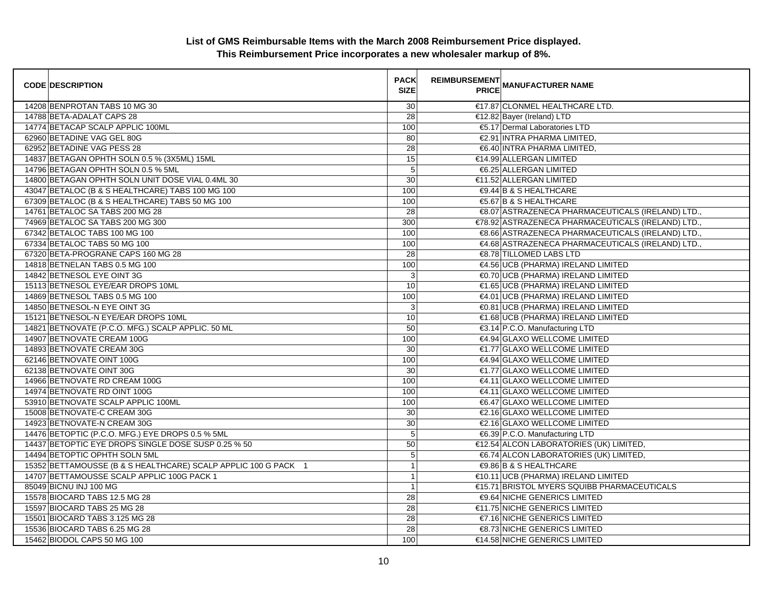| <b>CODE DESCRIPTION</b>                                        | <b>PACK</b><br><b>SIZE</b> | <b>REIMBURSEMENT</b> | <b>---------</b><br>PRICE MANUFACTURER NAME        |
|----------------------------------------------------------------|----------------------------|----------------------|----------------------------------------------------|
| 14208 BENPROTAN TABS 10 MG 30                                  | 30                         |                      | €17.87 CLONMEL HEALTHCARE LTD.                     |
| 14788 BETA-ADALAT CAPS 28                                      | $\overline{28}$            |                      | €12.82 Bayer (Ireland) LTD                         |
| 14774 BETACAP SCALP APPLIC 100ML                               | 100                        |                      | €5.17 Dermal Laboratories LTD                      |
| 62960 BETADINE VAG GEL 80G                                     | 80                         |                      | €2.91 INTRA PHARMA LIMITED.                        |
| 62952 BETADINE VAG PESS 28                                     | 28                         |                      | €6.40 INTRA PHARMA LIMITED,                        |
| 14837 BETAGAN OPHTH SOLN 0.5 % (3X5ML) 15ML                    | 15                         |                      | €14.99 ALLERGAN LIMITED                            |
| 14796 BETAGAN OPHTH SOLN 0.5 % 5ML                             | 5                          |                      | €6.25 ALLERGAN LIMITED                             |
| 14800 BETAGAN OPHTH SOLN UNIT DOSE VIAL 0.4ML 30               | 30                         |                      | €11.52 ALLERGAN LIMITED                            |
| 43047 BETALOC (B & S HEALTHCARE) TABS 100 MG 100               | 100                        |                      | €9.44 B & S HEALTHCARE                             |
| 67309 BETALOC (B & S HEALTHCARE) TABS 50 MG 100                | 100                        |                      | €5.67 B & S HEALTHCARE                             |
| 14761 BETALOC SA TABS 200 MG 28                                | 28                         |                      | €8.07 ASTRAZENECA PHARMACEUTICALS (IRELAND) LTD.,  |
| 74969 BETALOC SA TABS 200 MG 300                               | 300                        |                      | €78.92 ASTRAZENECA PHARMACEUTICALS (IRELAND) LTD., |
| 67342 BETALOC TABS 100 MG 100                                  | 100                        |                      | €8.66 ASTRAZENECA PHARMACEUTICALS (IRELAND) LTD.,  |
| 67334 BETALOC TABS 50 MG 100                                   | 100                        |                      | €4.68 ASTRAZENECA PHARMACEUTICALS (IRELAND) LTD.,  |
| 67320 BETA-PROGRANE CAPS 160 MG 28                             | 28                         |                      | €8.78 TILLOMED LABS LTD                            |
| 14818 BETNELAN TABS 0.5 MG 100                                 | 100                        |                      | €4.56 UCB (PHARMA) IRELAND LIMITED                 |
| 14842 BETNESOL EYE OINT 3G                                     | 3                          |                      | €0.70 UCB (PHARMA) IRELAND LIMITED                 |
| 15113 BETNESOL EYE/EAR DROPS 10ML                              | 10                         |                      | €1.65 UCB (PHARMA) IRELAND LIMITED                 |
| 14869 BETNESOL TABS 0.5 MG 100                                 | 100                        |                      | €4.01 UCB (PHARMA) IRELAND LIMITED                 |
| 14850 BETNESOL-N EYE OINT 3G                                   | 3                          |                      | €0.81 UCB (PHARMA) IRELAND LIMITED                 |
| 15121 BETNESOL-N EYE/EAR DROPS 10ML                            | 10                         |                      | €1.68 UCB (PHARMA) IRELAND LIMITED                 |
| 14821 BETNOVATE (P.C.O. MFG.) SCALP APPLIC. 50 ML              | 50                         |                      | €3.14 P.C.O. Manufacturing LTD                     |
| 14907 BETNOVATE CREAM 100G                                     | 100                        |                      | €4.94 GLAXO WELLCOME LIMITED                       |
| 14893 BETNOVATE CREAM 30G                                      | 30                         |                      | €1.77 GLAXO WELLCOME LIMITED                       |
| 62146 BETNOVATE OINT 100G                                      | 100                        |                      | €4.94 GLAXO WELLCOME LIMITED                       |
| 62138 BETNOVATE OINT 30G                                       | 30                         |                      | €1.77 GLAXO WELLCOME LIMITED                       |
| 14966 BETNOVATE RD CREAM 100G                                  | 100                        |                      | €4.11 GLAXO WELLCOME LIMITED                       |
| 14974 BETNOVATE RD OINT 100G                                   | 100                        |                      | €4.11 GLAXO WELLCOME LIMITED                       |
| 53910 BETNOVATE SCALP APPLIC 100ML                             | 100                        |                      | €6.47 GLAXO WELLCOME LIMITED                       |
| 15008 BETNOVATE-C CREAM 30G                                    | 30                         |                      | €2.16 GLAXO WELLCOME LIMITED                       |
| 14923 BETNOVATE-N CREAM 30G                                    | 30                         |                      | €2.16 GLAXO WELLCOME LIMITED                       |
| 14476 BETOPTIC (P.C.O. MFG.) EYE DROPS 0.5 % 5ML               | 5                          |                      | €6.39 P.C.O. Manufacturing LTD                     |
| 14437 BETOPTIC EYE DROPS SINGLE DOSE SUSP 0.25 % 50            | 50                         |                      | €12.54 ALCON LABORATORIES (UK) LIMITED,            |
| 14494 BETOPTIC OPHTH SOLN 5ML                                  | $\mathbf 5$                |                      | €6.74 ALCON LABORATORIES (UK) LIMITED,             |
| 15352 BETTAMOUSSE (B & S HEALTHCARE) SCALP APPLIC 100 G PACK 1 | 1                          |                      | <b>€9.86 B &amp; S HEALTHCARE</b>                  |
| 14707 BETTAMOUSSE SCALP APPLIC 100G PACK 1                     | $\overline{1}$             |                      | €10.11 UCB (PHARMA) IRELAND LIMITED                |
| 85049 BICNU INJ 100 MG                                         | $\mathbf{1}$               |                      | €15.71 BRISTOL MYERS SQUIBB PHARMACEUTICALS        |
| 15578 BIOCARD TABS 12.5 MG 28                                  | 28                         |                      | <b>€9.64 NICHE GENERICS LIMITED</b>                |
| 15597 BIOCARD TABS 25 MG 28                                    | $\overline{28}$            |                      | €11.75 NICHE GENERICS LIMITED                      |
| 15501 BIOCARD TABS 3.125 MG 28                                 | 28                         |                      | €7.16 NICHE GENERICS LIMITED                       |
| 15536 BIOCARD TABS 6.25 MG 28                                  | 28                         |                      | <b>€8.73 NICHE GENERICS LIMITED</b>                |
| 15462 BIODOL CAPS 50 MG 100                                    | 100                        |                      | €14.58 NICHE GENERICS LIMITED                      |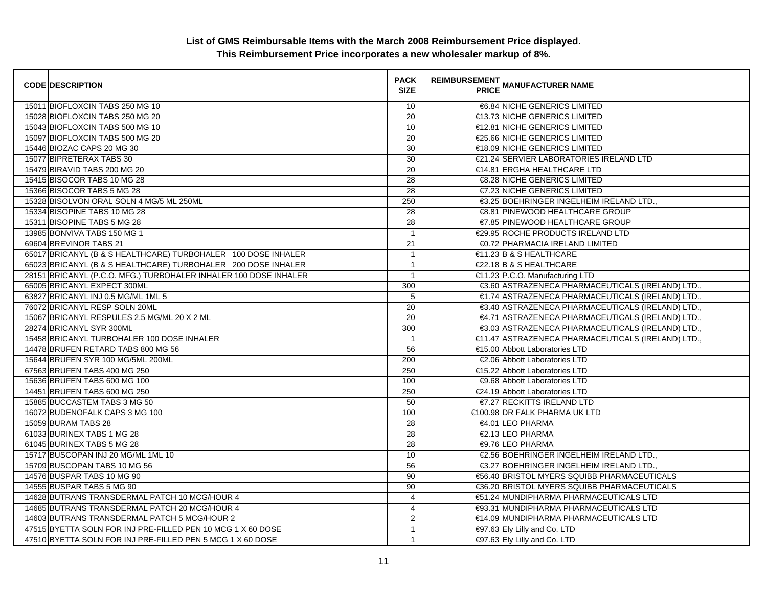| <b>CODE DESCRIPTION</b>                                          | <b>PACK</b><br><b>SIZE</b> | <b>REIMBURSEMENT</b><br><b>--------   MANUFACTURER NAME</b><br>PRICE |
|------------------------------------------------------------------|----------------------------|----------------------------------------------------------------------|
| 15011 BIOFLOXCIN TABS 250 MG 10                                  | 10                         | <b>€6.84 NICHE GENERICS LIMITED</b>                                  |
| 15028 BIOFLOXCIN TABS 250 MG 20                                  | 20                         | €13.73 NICHE GENERICS LIMITED                                        |
| 15043 BIOFLOXCIN TABS 500 MG 10                                  | 10                         | €12.81 NICHE GENERICS LIMITED                                        |
| 15097 BIOFLOXCIN TABS 500 MG 20                                  | 20                         | €25.66 NICHE GENERICS LIMITED                                        |
| 15446 BIOZAC CAPS 20 MG 30                                       | $30\,$                     | €18.09 NICHE GENERICS LIMITED                                        |
| 15077 BIPRETERAX TABS 30                                         | 30                         | €21.24 SERVIER LABORATORIES IRELAND LTD                              |
| 15479 BIRAVID TABS 200 MG 20                                     | 20                         | €14.81 ERGHA HEALTHCARE LTD                                          |
| 15415 BISOCOR TABS 10 MG 28                                      | $\overline{28}$            | <b>€8.28 NICHE GENERICS LIMITED</b>                                  |
| 15366 BISOCOR TABS 5 MG 28                                       | 28                         | €7.23 NICHE GENERICS LIMITED                                         |
| 15328 BISOLVON ORAL SOLN 4 MG/5 ML 250ML                         | 250                        | €3.25 BOEHRINGER INGELHEIM IRELAND LTD.,                             |
| 15334 BISOPINE TABS 10 MG 28                                     | 28                         | €8.81 PINEWOOD HEALTHCARE GROUP                                      |
| 15311 BISOPINE TABS 5 MG 28                                      | $\overline{28}$            | €7.85 PINEWOOD HEALTHCARE GROUP                                      |
| 13985 BONVIVA TABS 150 MG 1                                      | $\overline{1}$             | €29.95 ROCHE PRODUCTS IRELAND LTD                                    |
| 69604 BREVINOR TABS 21                                           | 21                         | €0.72 PHARMACIA IRELAND LIMITED                                      |
| 65017 BRICANYL (B & S HEALTHCARE) TURBOHALER 100 DOSE INHALER    | $\mathbf{1}$               | $\in$ 1.23 B & S HEALTHCARE                                          |
| 65023 BRICANYL (B & S HEALTHCARE) TURBOHALER 200 DOSE INHALER    | $\mathbf{1}$               | €22.18 B & S HEALTHCARE                                              |
| 28151 BRICANYL (P.C.O. MFG.) TURBOHALER INHALER 100 DOSE INHALER | $\mathbf{1}$               | €11.23 P.C.O. Manufacturing LTD                                      |
| 65005 BRICANYL EXPECT 300ML                                      | 300                        | €3.60 ASTRAZENECA PHARMACEUTICALS (IRELAND) LTD.,                    |
| 63827 BRICANYL INJ 0.5 MG/ML 1ML 5                               | 5                          | €1.74 ASTRAZENECA PHARMACEUTICALS (IRELAND) LTD.,                    |
| 76072 BRICANYL RESP SOLN 20ML                                    | 20                         | €3.40 ASTRAZENECA PHARMACEUTICALS (IRELAND) LTD.,                    |
| 15067 BRICANYL RESPULES 2.5 MG/ML 20 X 2 ML                      | $\overline{20}$            | €4.71 ASTRAZENECA PHARMACEUTICALS (IRELAND) LTD.,                    |
| 28274 BRICANYL SYR 300ML                                         | 300                        | €3.03 ASTRAZENECA PHARMACEUTICALS (IRELAND) LTD.,                    |
| 15458 BRICANYL TURBOHALER 100 DOSE INHALER                       | $\overline{1}$             | €11.47 ASTRAZENECA PHARMACEUTICALS (IRELAND) LTD.,                   |
| 14478 BRUFEN RETARD TABS 800 MG 56                               | 56                         | €15.00 Abbott Laboratories LTD                                       |
| 15644 BRUFEN SYR 100 MG/5ML 200ML                                | 200                        | €2.06 Abbott Laboratories LTD                                        |
| 67563 BRUFEN TABS 400 MG 250                                     | 250                        | €15.22 Abbott Laboratories LTD                                       |
| 15636 BRUFEN TABS 600 MG 100                                     | 100                        | €9.68 Abbott Laboratories LTD                                        |
| 14451 BRUFEN TABS 600 MG 250                                     | 250                        | €24.19 Abbott Laboratories LTD                                       |
| 15885 BUCCASTEM TABS 3 MG 50                                     | 50                         | €7.27 RECKITTS IRELAND LTD                                           |
| 16072 BUDENOFALK CAPS 3 MG 100                                   | 100                        | €100.98 DR FALK PHARMA UK LTD                                        |
| 15059 BURAM TABS 28                                              | 28                         | €4.01 LEO PHARMA                                                     |
| 61033 BURINEX TABS 1 MG 28                                       | 28                         | €2.13 LEO PHARMA                                                     |
| 61045 BURINEX TABS 5 MG 28                                       | 28                         | €9.76 LEO PHARMA                                                     |
| 15717 BUSCOPAN INJ 20 MG/ML 1ML 10                               | 10                         | €2.56 BOEHRINGER INGELHEIM IRELAND LTD.,                             |
| 15709 BUSCOPAN TABS 10 MG 56                                     | 56                         | €3.27 BOEHRINGER INGELHEIM IRELAND LTD.,                             |
| 14576 BUSPAR TABS 10 MG 90                                       | 90                         | €56.40 BRISTOL MYERS SQUIBB PHARMACEUTICALS                          |
| 14555 BUSPAR TABS 5 MG 90                                        | 90                         | €36.20 BRISTOL MYERS SQUIBB PHARMACEUTICALS                          |
| 14628 BUTRANS TRANSDERMAL PATCH 10 MCG/HOUR 4                    | $\overline{4}$             | €51.24 MUNDIPHARMA PHARMACEUTICALS LTD                               |
| 14685 BUTRANS TRANSDERMAL PATCH 20 MCG/HOUR 4                    | $\overline{4}$             | €93.31 MUNDIPHARMA PHARMACEUTICALS LTD                               |
| 14603 BUTRANS TRANSDERMAL PATCH 5 MCG/HOUR 2                     | $\overline{\mathbf{c}}$    | €14.09 MUNDIPHARMA PHARMACEUTICALS LTD                               |
| 47515 BYETTA SOLN FOR INJ PRE-FILLED PEN 10 MCG 1 X 60 DOSE      | $\mathbf{1}$               | €97.63 Ely Lilly and Co. LTD                                         |
| 47510 BYETTA SOLN FOR INJ PRE-FILLED PEN 5 MCG 1 X 60 DOSE       | 1                          | €97.63 Ely Lilly and Co. LTD                                         |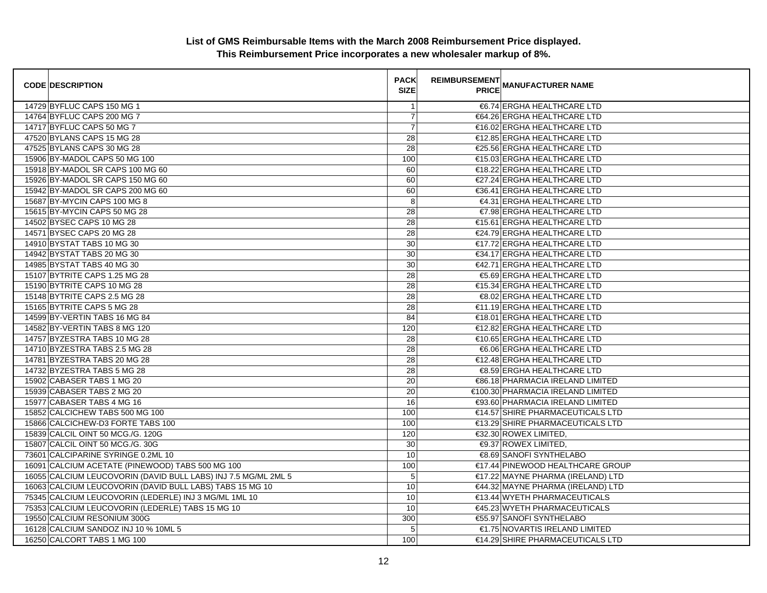| <b>CODE DESCRIPTION</b>                                        | <b>PACK</b><br><b>SIZE</b> | <b>REIMBURSEMENT</b> | <b>PRICE MANUFACTURER NAME</b>    |
|----------------------------------------------------------------|----------------------------|----------------------|-----------------------------------|
| 14729 BYFLUC CAPS 150 MG 1                                     | $\overline{1}$             |                      | €6.74 ERGHA HEALTHCARE LTD        |
| 14764 BYFLUC CAPS 200 MG 7                                     | $\boldsymbol{7}$           |                      | €64.26 ERGHA HEALTHCARE LTD       |
| 14717 BYFLUC CAPS 50 MG 7                                      | $\overline{7}$             |                      | €16.02 ERGHA HEALTHCARE LTD       |
| 47520 BYLANS CAPS 15 MG 28                                     | 28                         |                      | €12.85 ERGHA HEALTHCARE LTD       |
| 47525 BYLANS CAPS 30 MG 28                                     | 28                         |                      | €25.56 ERGHA HEALTHCARE LTD       |
| 15906 BY-MADOL CAPS 50 MG 100                                  | 100                        |                      | €15.03 ERGHA HEALTHCARE LTD       |
| 15918 BY-MADOL SR CAPS 100 MG 60                               | 60                         |                      | €18.22 ERGHA HEALTHCARE LTD       |
| 15926 BY-MADOL SR CAPS 150 MG 60                               | 60                         |                      | €27.24 ERGHA HEALTHCARE LTD       |
| 15942 BY-MADOL SR CAPS 200 MG 60                               | 60                         |                      | €36.41 ERGHA HEALTHCARE LTD       |
| 15687 BY-MYCIN CAPS 100 MG 8                                   | 8                          |                      | €4.31 ERGHA HEALTHCARE LTD        |
| 15615 BY-MYCIN CAPS 50 MG 28                                   | 28                         |                      | €7.98 ERGHA HEALTHCARE LTD        |
| 14502 BYSEC CAPS 10 MG 28                                      | 28                         |                      | €15.61 ERGHA HEALTHCARE LTD       |
| 14571 BYSEC CAPS 20 MG 28                                      | 28                         |                      | €24.79 ERGHA HEALTHCARE LTD       |
| 14910 BYSTAT TABS 10 MG 30                                     | 30                         |                      | €17.72 ERGHA HEALTHCARE LTD       |
| 14942 BYSTAT TABS 20 MG 30                                     | 30                         |                      | €34.17 ERGHA HEALTHCARE LTD       |
| 14985 BYSTAT TABS 40 MG 30                                     | 30                         |                      | €42.71 ERGHA HEALTHCARE LTD       |
| 15107 BYTRITE CAPS 1.25 MG 28                                  | 28                         |                      | €5.69 ERGHA HEALTHCARE LTD        |
| 15190 BYTRITE CAPS 10 MG 28                                    | $\overline{28}$            |                      | €15.34 ERGHA HEALTHCARE LTD       |
| 15148 BYTRITE CAPS 2.5 MG 28                                   | 28                         |                      | €8.02 ERGHA HEALTHCARE LTD        |
| 15165 BYTRITE CAPS 5 MG 28                                     | 28                         |                      | €11.19 ERGHA HEALTHCARE LTD       |
| 14599 BY-VERTIN TABS 16 MG 84                                  | 84                         |                      | €18.01 ERGHA HEALTHCARE LTD       |
| 14582 BY-VERTIN TABS 8 MG 120                                  | 120                        |                      | €12.82 ERGHA HEALTHCARE LTD       |
| 14757 BYZESTRA TABS 10 MG 28                                   | 28                         |                      | €10.65 ERGHA HEALTHCARE LTD       |
| 14710 BYZESTRA TABS 2.5 MG 28                                  | 28                         |                      | €6.06 ERGHA HEALTHCARE LTD        |
| 14781 BYZESTRA TABS 20 MG 28                                   | 28                         |                      | €12.48 ERGHA HEALTHCARE LTD       |
| 14732 BYZESTRA TABS 5 MG 28                                    | 28                         |                      | €8.59 ERGHA HEALTHCARE LTD        |
| 15902 CABASER TABS 1 MG 20                                     | 20                         |                      | €86.18 PHARMACIA IRELAND LIMITED  |
| 15939 CABASER TABS 2 MG 20                                     | 20                         |                      | €100.30 PHARMACIA IRELAND LIMITED |
| 15977 CABASER TABS 4 MG 16                                     | 16                         |                      | €93.60 PHARMACIA IRELAND LIMITED  |
| 15852 CALCICHEW TABS 500 MG 100                                | 100                        |                      | €14.57 SHIRE PHARMACEUTICALS LTD  |
| 15866 CALCICHEW-D3 FORTE TABS 100                              | 100                        |                      | €13.29 SHIRE PHARMACEUTICALS LTD  |
| 15839 CALCIL OINT 50 MCG./G. 120G                              | 120                        |                      | €32.30 ROWEX LIMITED,             |
| 15807 CALCIL OINT 50 MCG./G. 30G                               | 30                         |                      | €9.37 ROWEX LIMITED,              |
| 73601 CALCIPARINE SYRINGE 0.2ML 10                             | 10                         |                      | €8.69 SANOFI SYNTHELABO           |
| 16091 CALCIUM ACETATE (PINEWOOD) TABS 500 MG 100               | 100                        |                      | €17.44 PINEWOOD HEALTHCARE GROUP  |
| 16055 CALCIUM LEUCOVORIN (DAVID BULL LABS) INJ 7.5 MG/ML 2ML 5 | 5                          |                      | €17.22 MAYNE PHARMA (IRELAND) LTD |
| 16063 CALCIUM LEUCOVORIN (DAVID BULL LABS) TABS 15 MG 10       | 10                         |                      | €44.32 MAYNE PHARMA (IRELAND) LTD |
| 75345 CALCIUM LEUCOVORIN (LEDERLE) INJ 3 MG/ML 1ML 10          | 10                         |                      | €13.44 WYETH PHARMACEUTICALS      |
| 75353 CALCIUM LEUCOVORIN (LEDERLE) TABS 15 MG 10               | 10                         |                      | €45.23 WYETH PHARMACEUTICALS      |
| 19550 CALCIUM RESONIUM 300G                                    | 300                        |                      | €55.97 SANOFI SYNTHELABO          |
| 16128 CALCIUM SANDOZ INJ 10 % 10ML 5                           | 5                          |                      | €1.75 NOVARTIS IRELAND LIMITED    |
| 16250 CALCORT TABS 1 MG 100                                    | 100                        |                      | €14.29 SHIRE PHARMACEUTICALS LTD  |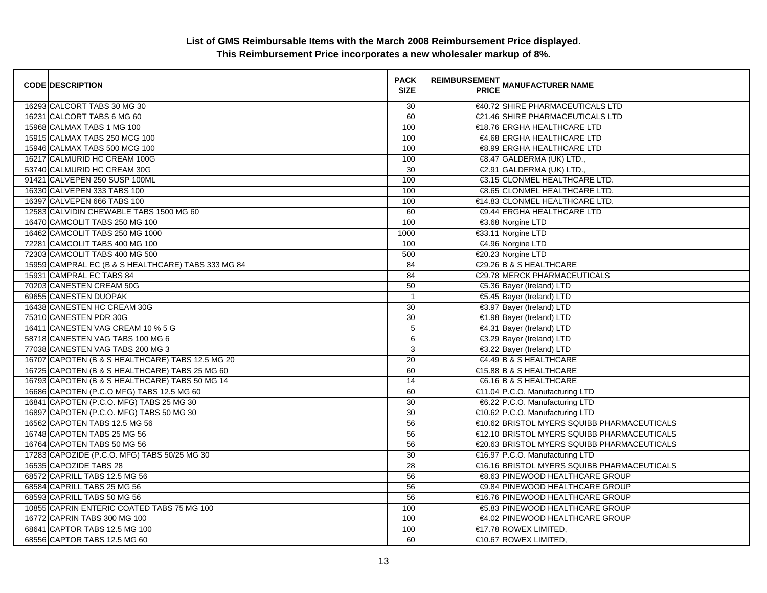| <b>CODE DESCRIPTION</b>                            | <b>PACK</b><br><b>SIZE</b> | <b>REIMBURSEMENT</b> | PRICE MANUFACTURER NAME                     |
|----------------------------------------------------|----------------------------|----------------------|---------------------------------------------|
| 16293 CALCORT TABS 30 MG 30                        | 30                         |                      | €40.72 SHIRE PHARMACEUTICALS LTD            |
| 16231 CALCORT TABS 6 MG 60                         | 60                         |                      | €21.46 SHIRE PHARMACEUTICALS LTD            |
| 15968 CALMAX TABS 1 MG 100                         | 100                        |                      | €18.76 ERGHA HEALTHCARE LTD                 |
| 15915 CALMAX TABS 250 MCG 100                      | 100                        |                      | €4.68 ERGHA HEALTHCARE LTD                  |
| 15946 CALMAX TABS 500 MCG 100                      | 100                        |                      | €8.99 ERGHA HEALTHCARE LTD                  |
| 16217 CALMURID HC CREAM 100G                       | 100                        |                      | €8.47 GALDERMA (UK) LTD.,                   |
| 53740 CALMURID HC CREAM 30G                        | 30                         |                      | €2.91 GALDERMA (UK) LTD.,                   |
| 91421 CALVEPEN 250 SUSP 100ML                      | 100                        |                      | €3.15 CLONMEL HEALTHCARE LTD.               |
| 16330 CALVEPEN 333 TABS 100                        | 100                        |                      | €8.65 CLONMEL HEALTHCARE LTD.               |
| 16397 CALVEPEN 666 TABS 100                        | 100                        |                      | €14.83 CLONMEL HEALTHCARE LTD.              |
| 12583 CALVIDIN CHEWABLE TABS 1500 MG 60            | 60                         |                      | €9.44 ERGHA HEALTHCARE LTD                  |
| 16470 CAMCOLIT TABS 250 MG 100                     | 100                        |                      | €3.68 Norgine LTD                           |
| 16462 CAMCOLIT TABS 250 MG 1000                    | 1000                       |                      | €33.11 Norgine LTD                          |
| 72281 CAMCOLIT TABS 400 MG 100                     | 100                        |                      | €4.96 Norgine LTD                           |
| 72303 CAMCOLIT TABS 400 MG 500                     | 500                        |                      | €20.23 Norgine LTD                          |
| 15959 CAMPRAL EC (B & S HEALTHCARE) TABS 333 MG 84 | 84                         |                      | €29.26 B & S HEALTHCARE                     |
| 15931 CAMPRAL EC TABS 84                           | 84                         |                      | €29.78 MERCK PHARMACEUTICALS                |
| 70203 CANESTEN CREAM 50G                           | 50                         |                      | €5.36 Bayer (Ireland) LTD                   |
| 69655 CANESTEN DUOPAK                              | $\overline{1}$             |                      | €5.45 Bayer (Ireland) LTD                   |
| 16438 CANESTEN HC CREAM 30G                        | 30                         |                      | €3.97 Bayer (Ireland) LTD                   |
| 75310 CANESTEN PDR 30G                             | 30                         |                      | €1.98 Bayer (Ireland) LTD                   |
| 16411 CANESTEN VAG CREAM 10 % 5 G                  | $\overline{5}$             |                      | €4.31 Bayer (Ireland) LTD                   |
| 58718 CANESTEN VAG TABS 100 MG 6                   | 6                          |                      | €3.29 Bayer (Ireland) LTD                   |
| 77038 CANESTEN VAG TABS 200 MG 3                   | 3                          |                      | €3.22 Bayer (Ireland) LTD                   |
| 16707 CAPOTEN (B & S HEALTHCARE) TABS 12.5 MG 20   | 20                         |                      | €4.49 B & S HEALTHCARE                      |
| 16725 CAPOTEN (B & S HEALTHCARE) TABS 25 MG 60     | 60                         |                      | €15.88 B & S HEALTHCARE                     |
| 16793 CAPOTEN (B & S HEALTHCARE) TABS 50 MG 14     | 14                         |                      | €6.16 B & S HEALTHCARE                      |
| 16686 CAPOTEN (P.C.O MFG) TABS 12.5 MG 60          | 60                         |                      | €11.04 P.C.O. Manufacturing LTD             |
| 16841 CAPOTEN (P.C.O. MFG) TABS 25 MG 30           | 30                         |                      | €6.22 P.C.O. Manufacturing LTD              |
| 16897 CAPOTEN (P.C.O. MFG) TABS 50 MG 30           | 30                         |                      | €10.62 P.C.O. Manufacturing LTD             |
| 16562 CAPOTEN TABS 12.5 MG 56                      | 56                         |                      | €10.62 BRISTOL MYERS SQUIBB PHARMACEUTICALS |
| 16748 CAPOTEN TABS 25 MG 56                        | 56                         |                      | €12.10 BRISTOL MYERS SQUIBB PHARMACEUTICALS |
| 16764 CAPOTEN TABS 50 MG 56                        | 56                         |                      | €20.63 BRISTOL MYERS SQUIBB PHARMACEUTICALS |
| 17283 CAPOZIDE (P.C.O. MFG) TABS 50/25 MG 30       | 30                         |                      | €16.97 P.C.O. Manufacturing LTD             |
| 16535 CAPOZIDE TABS 28                             | $\overline{28}$            |                      | €16.16 BRISTOL MYERS SQUIBB PHARMACEUTICALS |
| 68572 CAPRILL TABS 12.5 MG 56                      | 56                         |                      | €8.63 PINEWOOD HEALTHCARE GROUP             |
| 68584 CAPRILL TABS 25 MG 56                        | 56                         |                      | €9.84 PINEWOOD HEALTHCARE GROUP             |
| 68593 CAPRILL TABS 50 MG 56                        | 56                         |                      | €16.76 PINEWOOD HEALTHCARE GROUP            |
| 10855 CAPRIN ENTERIC COATED TABS 75 MG 100         | 100                        |                      | €5.83 PINEWOOD HEALTHCARE GROUP             |
| 16772 CAPRIN TABS 300 MG 100                       | 100                        |                      | €4.02 PINEWOOD HEALTHCARE GROUP             |
| 68641 CAPTOR TABS 12.5 MG 100                      | 100                        |                      | €17.78 ROWEX LIMITED,                       |
| 68556 CAPTOR TABS 12.5 MG 60                       | 60                         |                      | €10.67 ROWEX LIMITED                        |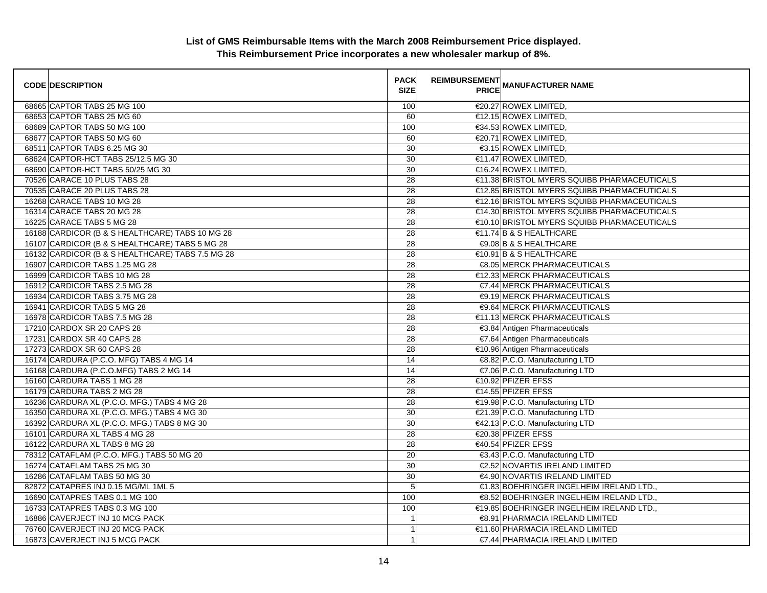| <b>CODE DESCRIPTION</b>                          | <b>PACK</b><br><b>SIZE</b> | <b>REIMBURSEMENT</b> | <b>PRICE MANUFACTURER NAME</b>              |
|--------------------------------------------------|----------------------------|----------------------|---------------------------------------------|
| 68665 CAPTOR TABS 25 MG 100                      | 100                        |                      | €20.27 ROWEX LIMITED,                       |
| 68653 CAPTOR TABS 25 MG 60                       | 60                         |                      | €12.15 ROWEX LIMITED,                       |
| 68689 CAPTOR TABS 50 MG 100                      | 100                        |                      | €34.53 ROWEX LIMITED.                       |
| 68677 CAPTOR TABS 50 MG 60                       | 60                         |                      | €20.71 ROWEX LIMITED.                       |
| 68511 CAPTOR TABS 6.25 MG 30                     | 30                         |                      | €3.15 ROWEX LIMITED,                        |
| 68624 CAPTOR-HCT TABS 25/12.5 MG 30              | 30                         |                      | €11.47 ROWEX LIMITED.                       |
| 68690 CAPTOR-HCT TABS 50/25 MG 30                | 30                         |                      | €16.24 ROWEX LIMITED,                       |
| 70526 CARACE 10 PLUS TABS 28                     | 28                         |                      | €11.38 BRISTOL MYERS SQUIBB PHARMACEUTICALS |
| 70535 CARACE 20 PLUS TABS 28                     | 28                         |                      | €12.85 BRISTOL MYERS SQUIBB PHARMACEUTICALS |
| 16268 CARACE TABS 10 MG 28                       | 28                         |                      | €12.16 BRISTOL MYERS SQUIBB PHARMACEUTICALS |
| 16314 CARACE TABS 20 MG 28                       | $\overline{28}$            |                      | €14.30 BRISTOL MYERS SQUIBB PHARMACEUTICALS |
| 16225 CARACE TABS 5 MG 28                        | 28                         |                      | €10.10 BRISTOL MYERS SQUIBB PHARMACEUTICALS |
| 16188 CARDICOR (B & S HEALTHCARE) TABS 10 MG 28  | 28                         |                      | $\in$ 1.74 B & S HEALTHCARE                 |
| 16107 CARDICOR (B & S HEALTHCARE) TABS 5 MG 28   | 28                         |                      | €9.08 B & S HEALTHCARE                      |
| 16132 CARDICOR (B & S HEALTHCARE) TABS 7.5 MG 28 | 28                         |                      | €10.91 B & S HEALTHCARE                     |
| 16907 CARDICOR TABS 1.25 MG 28                   | $\overline{28}$            |                      | €8.05 MERCK PHARMACEUTICALS                 |
| 16999 CARDICOR TABS 10 MG 28                     | $\overline{28}$            |                      | €12.33 MERCK PHARMACEUTICALS                |
| 16912 CARDICOR TABS 2.5 MG 28                    | 28                         |                      | €7.44 MERCK PHARMACEUTICALS                 |
| 16934 CARDICOR TABS 3.75 MG 28                   | 28                         |                      | €9.19 MERCK PHARMACEUTICALS                 |
| 16941 CARDICOR TABS 5 MG 28                      | 28                         |                      | €9.64 MERCK PHARMACEUTICALS                 |
| 16978 CARDICOR TABS 7.5 MG 28                    | 28                         |                      | €11.13 MERCK PHARMACEUTICALS                |
| 17210 CARDOX SR 20 CAPS 28                       | 28                         |                      | €3.84 Antigen Pharmaceuticals               |
| 17231 CARDOX SR 40 CAPS 28                       | 28                         |                      | €7.64 Antigen Pharmaceuticals               |
| 17273 CARDOX SR 60 CAPS 28                       | $\overline{28}$            |                      | €10.96 Antigen Pharmaceuticals              |
| 16174 CARDURA (P.C.O. MFG) TABS 4 MG 14          | 14                         |                      | €8.82 P.C.O. Manufacturing LTD              |
| 16168 CARDURA (P.C.O.MFG) TABS 2 MG 14           | 14                         |                      | €7.06 P.C.O. Manufacturing LTD              |
| 16160 CARDURA TABS 1 MG 28                       | 28                         |                      | €10.92 PFIZER EFSS                          |
| 16179 CARDURA TABS 2 MG 28                       | 28                         |                      | €14.55 PFIZER EFSS                          |
| 16236 CARDURA XL (P.C.O. MFG.) TABS 4 MG 28      | 28                         |                      | €19.98 P.C.O. Manufacturing LTD             |
| 16350 CARDURA XL (P.C.O. MFG.) TABS 4 MG 30      | 30                         |                      | €21.39 P.C.O. Manufacturing LTD             |
| 16392 CARDURA XL (P.C.O. MFG.) TABS 8 MG 30      | 30                         |                      | €42.13 P.C.O. Manufacturing LTD             |
| 16101 CARDURA XL TABS 4 MG 28                    | 28                         |                      | €20.38 PFIZER EFSS                          |
| 16122 CARDURA XL TABS 8 MG 28                    | 28                         |                      | €40.54 PFIZER EFSS                          |
| 78312 CATAFLAM (P.C.O. MFG.) TABS 50 MG 20       | 20                         |                      | €3.43 P.C.O. Manufacturing LTD              |
| 16274 CATAFLAM TABS 25 MG 30                     | 30                         |                      | €2.52 NOVARTIS IRELAND LIMITED              |
| 16286 CATAFLAM TABS 50 MG 30                     | 30                         |                      | €4.90 NOVARTIS IRELAND LIMITED              |
| 82872 CATAPRES INJ 0.15 MG/ML 1ML 5              | 5                          |                      | €1.83 BOEHRINGER INGELHEIM IRELAND LTD.,    |
| 16690 CATAPRES TABS 0.1 MG 100                   | 100                        |                      | €8.52 BOEHRINGER INGELHEIM IRELAND LTD.,    |
| 16733 CATAPRES TABS 0.3 MG 100                   | 100                        |                      | €19.85 BOEHRINGER INGELHEIM IRELAND LTD.,   |
| 16886 CAVERJECT INJ 10 MCG PACK                  | $\overline{1}$             |                      | €8.91 PHARMACIA IRELAND LIMITED             |
| 76760 CAVERJECT INJ 20 MCG PACK                  | $\mathbf{1}$               |                      | €11.60 PHARMACIA IRELAND LIMITED            |
| 16873 CAVERJECT INJ 5 MCG PACK                   | $\mathbf{1}$               |                      | €7.44 PHARMACIA IRELAND LIMITED             |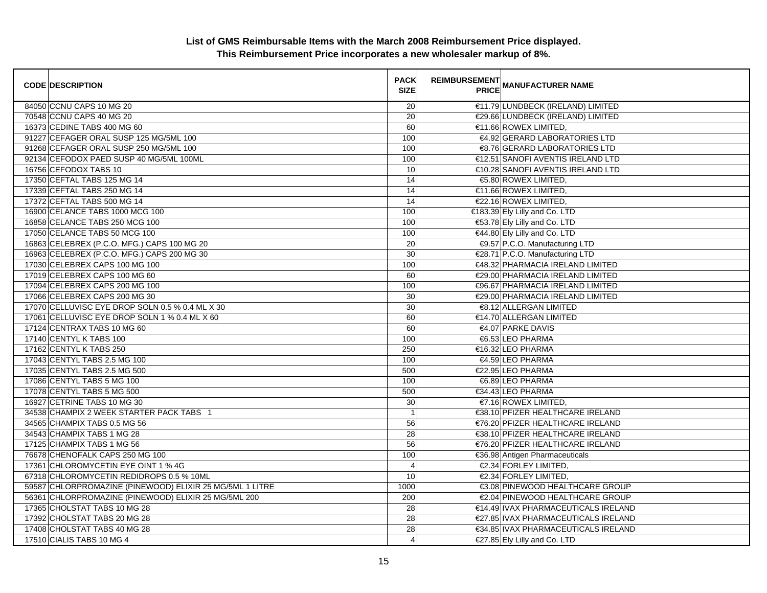| <b>CODE DESCRIPTION</b>                                  | <b>PACK</b><br><b>SIZE</b> | REIMBURSEMENT<br>ANANUFACTURER NAME |
|----------------------------------------------------------|----------------------------|-------------------------------------|
| 84050 CCNU CAPS 10 MG 20                                 | 20                         | €11.79 LUNDBECK (IRELAND) LIMITED   |
| 70548 CCNU CAPS 40 MG 20                                 | 20                         | €29.66 LUNDBECK (IRELAND) LIMITED   |
| 16373 CEDINE TABS 400 MG 60                              | 60                         | €11.66 ROWEX LIMITED,               |
| 91227 CEFAGER ORAL SUSP 125 MG/5ML 100                   | 100                        | €4.92 GERARD LABORATORIES LTD       |
| 91268 CEFAGER ORAL SUSP 250 MG/5ML 100                   | 100                        | €8.76 GERARD LABORATORIES LTD       |
| 92134 CEFODOX PAED SUSP 40 MG/5ML 100ML                  | 100                        | €12.51 SANOFI AVENTIS IRELAND LTD   |
| 16756 CEFODOX TABS 10                                    | 10                         | €10.28 SANOFI AVENTIS IRELAND LTD   |
| 17350 CEFTAL TABS 125 MG 14                              | 14                         | €5.80 ROWEX LIMITED,                |
| 17339 CEFTAL TABS 250 MG 14                              | 14                         | €11.66 ROWEX LIMITED,               |
| 17372 CEFTAL TABS 500 MG 14                              | 14                         | €22.16 ROWEX LIMITED,               |
| 16900 CELANCE TABS 1000 MCG 100                          | 100                        | €183.39 Ely Lilly and Co. LTD       |
| 16858 CELANCE TABS 250 MCG 100                           | 100                        | €53.78 Ely Lilly and Co. LTD        |
| 17050 CELANCE TABS 50 MCG 100                            | 100                        | €44.80 Ely Lilly and Co. LTD        |
| 16863 CELEBREX (P.C.O. MFG.) CAPS 100 MG 20              | 20                         | €9.57 P.C.O. Manufacturing LTD      |
| 16963 CELEBREX (P.C.O. MFG.) CAPS 200 MG 30              | 30                         | €28.71 P.C.O. Manufacturing LTD     |
| 17030 CELEBREX CAPS 100 MG 100                           | 100                        | €48.32 PHARMACIA IRELAND LIMITED    |
| 17019 CELEBREX CAPS 100 MG 60                            | 60                         | €29.00 PHARMACIA IRELAND LIMITED    |
| 17094 CELEBREX CAPS 200 MG 100                           | 100                        | €96.67 PHARMACIA IRELAND LIMITED    |
| 17066 CELEBREX CAPS 200 MG 30                            | 30                         | €29.00 PHARMACIA IRELAND LIMITED    |
| 17070 CELLUVISC EYE DROP SOLN 0.5 % 0.4 ML X 30          | $\overline{30}$            | €8.12 ALLERGAN LIMITED              |
| 17061 CELLUVISC EYE DROP SOLN 1 % 0.4 ML X 60            | 60                         | €14.70 ALLERGAN LIMITED             |
| 17124 CENTRAX TABS 10 MG 60                              | 60                         | €4.07 PARKE DAVIS                   |
| 17140 CENTYL K TABS 100                                  | 100                        | €6.53 LEO PHARMA                    |
| 17162 CENTYL K TABS 250                                  | 250                        | €16.32 LEO PHARMA                   |
| 17043 CENTYL TABS 2.5 MG 100                             | 100                        | €4.59 LEO PHARMA                    |
| 17035 CENTYL TABS 2.5 MG 500                             | 500                        | €22.95 LEO PHARMA                   |
| 17086 CENTYL TABS 5 MG 100                               | 100                        | €6.89 LEO PHARMA                    |
| 17078 CENTYL TABS 5 MG 500                               | 500                        | €34.43 LEO PHARMA                   |
| 16927 CETRINE TABS 10 MG 30                              | 30                         | $€7.16$ ROWEX LIMITED,              |
| 34538 CHAMPIX 2 WEEK STARTER PACK TABS 1                 | $\mathbf{1}$               | €38.10 PFIZER HEALTHCARE IRELAND    |
| 34565 CHAMPIX TABS 0.5 MG 56                             | 56                         | €76.20 PFIZER HEALTHCARE IRELAND    |
| 34543 CHAMPIX TABS 1 MG 28                               | 28                         | €38.10 PFIZER HEALTHCARE IRELAND    |
| 17125 CHAMPIX TABS 1 MG 56                               | 56                         | €76.20 PFIZER HEALTHCARE IRELAND    |
| 76678 CHENOFALK CAPS 250 MG 100                          | 100                        | €36.98 Antigen Pharmaceuticals      |
| 17361 CHLOROMYCETIN EYE OINT 1 % 4G                      | $\overline{4}$             | €2.34 FORLEY LIMITED,               |
| 67318 CHLOROMYCETIN REDIDROPS 0.5 % 10ML                 | 10                         | €2.34 FORLEY LIMITED,               |
| 59587 CHLORPROMAZINE (PINEWOOD) ELIXIR 25 MG/5ML 1 LITRE | 1000                       | €3.08 PINEWOOD HEALTHCARE GROUP     |
| 56361 CHLORPROMAZINE (PINEWOOD) ELIXIR 25 MG/5ML 200     | 200                        | €2.04 PINEWOOD HEALTHCARE GROUP     |
| 17365 CHOLSTAT TABS 10 MG 28                             | 28                         | €14.49 IVAX PHARMACEUTICALS IRELAND |
| 17392 CHOLSTAT TABS 20 MG 28                             | 28                         | €27.85 IVAX PHARMACEUTICALS IRELAND |
| 17408 CHOLSTAT TABS 40 MG 28                             | 28                         | €34.85 IVAX PHARMACEUTICALS IRELAND |
| 17510 CIALIS TABS 10 MG 4                                | 4                          | €27.85 Ely Lilly and Co. LTD        |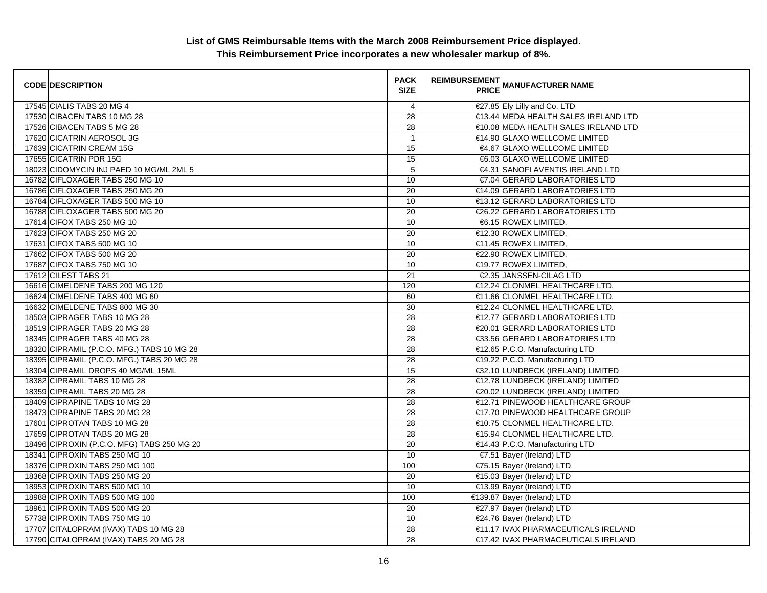| <b>CODE DESCRIPTION</b>                    | <b>PACK</b><br><b>SIZE</b> | <b>REIMBURSEMENT</b> | <b>PRICE MANUFACTURER NAME</b>       |
|--------------------------------------------|----------------------------|----------------------|--------------------------------------|
| 17545 CIALIS TABS 20 MG 4                  | 4                          |                      | €27.85 Ely Lilly and Co. LTD         |
| 17530 CIBACEN TABS 10 MG 28                | $\overline{28}$            |                      | €13.44 MEDA HEALTH SALES IRELAND LTD |
| 17526 CIBACEN TABS 5 MG 28                 | 28                         |                      | €10.08 MEDA HEALTH SALES IRELAND LTD |
| 17620 CICATRIN AEROSOL 3G                  | $\mathbf{1}$               |                      | €14.90 GLAXO WELLCOME LIMITED        |
| 17639 CICATRIN CREAM 15G                   | 15                         |                      | €4.67 GLAXO WELLCOME LIMITED         |
| 17655 CICATRIN PDR 15G                     | 15                         |                      | €6.03 GLAXO WELLCOME LIMITED         |
| 18023 CIDOMYCIN INJ PAED 10 MG/ML 2ML 5    | 5                          |                      | €4.31 SANOFI AVENTIS IRELAND LTD     |
| 16782 CIFLOXAGER TABS 250 MG 10            | 10                         |                      | €7.04 GERARD LABORATORIES LTD        |
| 16786 CIFLOXAGER TABS 250 MG 20            | 20                         |                      | €14.09 GERARD LABORATORIES LTD       |
| 16784 CIFLOXAGER TABS 500 MG 10            | 10                         |                      | €13.12 GERARD LABORATORIES LTD       |
| 16788 CIFLOXAGER TABS 500 MG 20            | 20                         |                      | €26.22 GERARD LABORATORIES LTD       |
| 17614 CIFOX TABS 250 MG 10                 | 10                         |                      | €6.15 ROWEX LIMITED,                 |
| 17623 CIFOX TABS 250 MG 20                 | 20                         |                      | €12.30 ROWEX LIMITED,                |
| 17631 CIFOX TABS 500 MG 10                 | 10                         |                      | €11.45 ROWEX LIMITED,                |
| 17662 CIFOX TABS 500 MG 20                 | 20                         |                      | €22.90 ROWEX LIMITED,                |
| 17687 CIFOX TABS 750 MG 10                 | 10                         |                      | €19.77 ROWEX LIMITED,                |
| 17612 CILEST TABS 21                       | 21                         |                      | €2.35 JANSSEN-CILAG LTD              |
| 16616 CIMELDENE TABS 200 MG 120            | 120                        |                      | €12.24 CLONMEL HEALTHCARE LTD.       |
| 16624 CIMELDENE TABS 400 MG 60             | 60                         |                      | €11.66 CLONMEL HEALTHCARE LTD.       |
| 16632 CIMELDENE TABS 800 MG 30             | 30                         |                      | €12.24 CLONMEL HEALTHCARE LTD.       |
| 18503 CIPRAGER TABS 10 MG 28               | 28                         |                      | €12.77 GERARD LABORATORIES LTD       |
| 18519 CIPRAGER TABS 20 MG 28               | 28                         |                      | €20.01 GERARD LABORATORIES LTD       |
| 18345 CIPRAGER TABS 40 MG 28               | 28                         |                      | €33.56 GERARD LABORATORIES LTD       |
| 18320 CIPRAMIL (P.C.O. MFG.) TABS 10 MG 28 | 28                         |                      | €12.65 P.C.O. Manufacturing LTD      |
| 18395 CIPRAMIL (P.C.O. MFG.) TABS 20 MG 28 | $\overline{28}$            |                      | €19.22 P.C.O. Manufacturing LTD      |
| 18304 CIPRAMIL DROPS 40 MG/ML 15ML         | 15                         |                      | €32.10 LUNDBECK (IRELAND) LIMITED    |
| 18382 CIPRAMIL TABS 10 MG 28               | 28                         |                      | €12.78 LUNDBECK (IRELAND) LIMITED    |
| 18359 CIPRAMIL TABS 20 MG 28               | 28                         |                      | €20.02 LUNDBECK (IRELAND) LIMITED    |
| 18409 CIPRAPINE TABS 10 MG 28              | 28                         |                      | €12.71 PINEWOOD HEALTHCARE GROUP     |
| 18473 CIPRAPINE TABS 20 MG 28              | 28                         |                      | €17.70 PINEWOOD HEALTHCARE GROUP     |
| 17601 CIPROTAN TABS 10 MG 28               | 28                         |                      | €10.75 CLONMEL HEALTHCARE LTD.       |
| 17659 CIPROTAN TABS 20 MG 28               | 28                         |                      | €15.94 CLONMEL HEALTHCARE LTD.       |
| 18496 CIPROXIN (P.C.O. MFG) TABS 250 MG 20 | 20                         |                      | €14.43 P.C.O. Manufacturing LTD      |
| 18341 CIPROXIN TABS 250 MG 10              | 10                         |                      | €7.51 Bayer (Ireland) LTD            |
| 18376 CIPROXIN TABS 250 MG 100             | 100                        |                      | €75.15 Bayer (Ireland) LTD           |
| 18368 CIPROXIN TABS 250 MG 20              | $\overline{20}$            |                      | €15.03 Bayer (Ireland) LTD           |
| 18953 CIPROXIN TABS 500 MG 10              | 10                         |                      | €13.99 Bayer (Ireland) LTD           |
| 18988 CIPROXIN TABS 500 MG 100             | 100                        |                      | €139.87 Bayer (Ireland) LTD          |
| 18961 CIPROXIN TABS 500 MG 20              | $\overline{20}$            |                      | €27.97 Bayer (Ireland) LTD           |
| 57738 CIPROXIN TABS 750 MG 10              | 10                         |                      | €24.76 Bayer (Ireland) LTD           |
| 17707 CITALOPRAM (IVAX) TABS 10 MG 28      | 28                         |                      | €11.17 IVAX PHARMACEUTICALS IRELAND  |
| 17790 CITALOPRAM (IVAX) TABS 20 MG 28      | 28                         |                      | €17.42 IVAX PHARMACEUTICALS IRELAND  |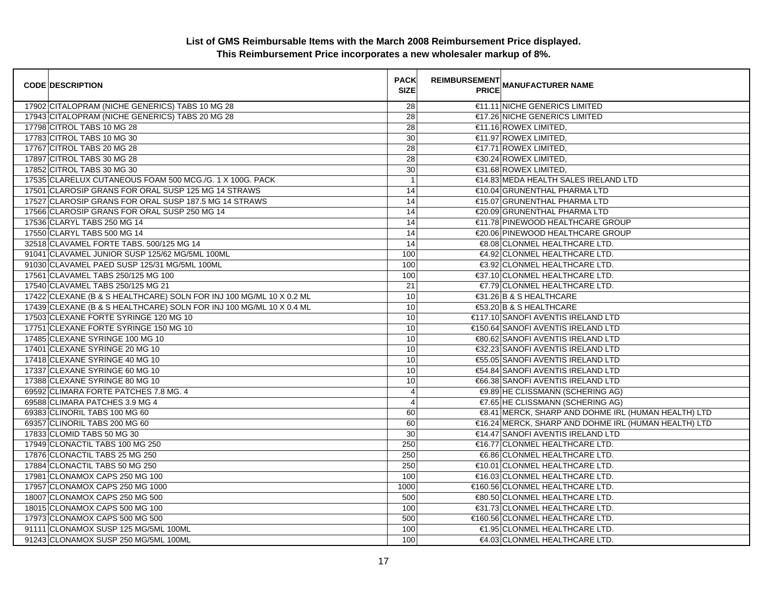| <b>CODE DESCRIPTION</b>                                             | <b>PACK</b><br><b>SIZE</b> | <b>REIMBURSEMENT</b><br><b>---------</b><br>PRICE MANUFACTURER NAME |
|---------------------------------------------------------------------|----------------------------|---------------------------------------------------------------------|
| 17902 CITALOPRAM (NICHE GENERICS) TABS 10 MG 28                     | 28                         | €11.11 NICHE GENERICS LIMITED                                       |
| 17943 CITALOPRAM (NICHE GENERICS) TABS 20 MG 28                     | $\overline{28}$            | €17.26 NICHE GENERICS LIMITED                                       |
| 17798 CITROL TABS 10 MG 28                                          | 28                         | €11.16 ROWEX LIMITED,                                               |
| 17783 CITROL TABS 10 MG 30                                          | 30                         | €11.97 ROWEX LIMITED,                                               |
| 17767 CITROL TABS 20 MG 28                                          | 28                         | €17.71 ROWEX LIMITED,                                               |
| 17897 CITROL TABS 30 MG 28                                          | 28                         | €30.24 ROWEX LIMITED,                                               |
| 17852 CITROL TABS 30 MG 30                                          | 30                         | €31.68 ROWEX LIMITED,                                               |
| 17535 CLARELUX CUTANEOUS FOAM 500 MCG./G. 1 X 100G. PACK            | $\overline{1}$             | €14.83 MEDA HEALTH SALES IRELAND LTD                                |
| 17501 CLAROSIP GRANS FOR ORAL SUSP 125 MG 14 STRAWS                 | 14                         | €10.04 GRUNENTHAL PHARMA LTD                                        |
| 17527 CLAROSIP GRANS FOR ORAL SUSP 187.5 MG 14 STRAWS               | 14                         | €15.07 GRUNENTHAL PHARMA LTD                                        |
| 17566 CLAROSIP GRANS FOR ORAL SUSP 250 MG 14                        | 14                         | €20.09 GRUNENTHAL PHARMA LTD                                        |
| 17536 CLARYL TABS 250 MG 14                                         | 14                         | €11.78 PINEWOOD HEALTHCARE GROUP                                    |
| 17550 CLARYL TABS 500 MG 14                                         | 14                         | €20.06 PINEWOOD HEALTHCARE GROUP                                    |
| 32518 CLAVAMEL FORTE TABS. 500/125 MG 14                            | 14                         | €8.08 CLONMEL HEALTHCARE LTD.                                       |
| 91041 CLAVAMEL JUNIOR SUSP 125/62 MG/5ML 100ML                      | 100                        | €4.92 CLONMEL HEALTHCARE LTD.                                       |
| 91030 CLAVAMEL PAED SUSP 125/31 MG/5ML 100ML                        | 100                        | €3.92 CLONMEL HEALTHCARE LTD.                                       |
| 17561 CLAVAMEL TABS 250/125 MG 100                                  | 100                        | €37.10 CLONMEL HEALTHCARE LTD.                                      |
| 17540 CLAVAMEL TABS 250/125 MG 21                                   | 21                         | €7.79 CLONMEL HEALTHCARE LTD.                                       |
| 17422 CLEXANE (B & S HEALTHCARE) SOLN FOR INJ 100 MG/ML 10 X 0.2 ML | 10                         | €31.26 B & S HEALTHCARE                                             |
| 17439 CLEXANE (B & S HEALTHCARE) SOLN FOR INJ 100 MG/ML 10 X 0.4 ML | 10                         | €53.20 B & S HEALTHCARE                                             |
| 17503 CLEXANE FORTE SYRINGE 120 MG 10                               | 10                         | €117.10 SANOFI AVENTIS IRELAND LTD                                  |
| 17751 CLEXANE FORTE SYRINGE 150 MG 10                               | 10                         | €150.64 SANOFI AVENTIS IRELAND LTD                                  |
| 17485 CLEXANE SYRINGE 100 MG 10                                     | 10                         | €80.62 SANOFI AVENTIS IRELAND LTD                                   |
| 17401 CLEXANE SYRINGE 20 MG 10                                      | 10                         | €32.23 SANOFI AVENTIS IRELAND LTD                                   |
| 17418 CLEXANE SYRINGE 40 MG 10                                      | 10                         | €55.05 SANOFI AVENTIS IRELAND LTD                                   |
| 17337 CLEXANE SYRINGE 60 MG 10                                      | 10                         | €54.84 SANOFI AVENTIS IRELAND LTD                                   |
| 17388 CLEXANE SYRINGE 80 MG 10                                      | 10                         | €66.38 SANOFI AVENTIS IRELAND LTD                                   |
| 69592 CLIMARA FORTE PATCHES 7.8 MG. 4                               | 4                          | €9.89 HE CLISSMANN (SCHERING AG)                                    |
| 69588 CLIMARA PATCHES 3.9 MG 4                                      | 4                          | €7.65 HE CLISSMANN (SCHERING AG)                                    |
| 69383 CLINORIL TABS 100 MG 60                                       | 60                         | €8.41 MERCK, SHARP AND DOHME IRL (HUMAN HEALTH) LTD                 |
| 69357 CLINORIL TABS 200 MG 60                                       | 60                         | €16.24 MERCK, SHARP AND DOHME IRL (HUMAN HEALTH) LTD                |
| 17833 CLOMID TABS 50 MG 30                                          | 30                         | €14.47 SANOFI AVENTIS IRELAND LTD                                   |
| 17949 CLONACTIL TABS 100 MG 250                                     | 250                        | €16.77 CLONMEL HEALTHCARE LTD.                                      |
| 17876 CLONACTIL TABS 25 MG 250                                      | 250                        | €6.86 CLONMEL HEALTHCARE LTD.                                       |
| 17884 CLONACTIL TABS 50 MG 250                                      | 250                        | €10.01 CLONMEL HEALTHCARE LTD.                                      |
| 17981 CLONAMOX CAPS 250 MG 100                                      | 100                        | €16.03 CLONMEL HEALTHCARE LTD.                                      |
| 17957 CLONAMOX CAPS 250 MG 1000                                     | 1000                       | €160.56 CLONMEL HEALTHCARE LTD.                                     |
| 18007 CLONAMOX CAPS 250 MG 500                                      | 500                        | €80.50 CLONMEL HEALTHCARE LTD.                                      |
| 18015 CLONAMOX CAPS 500 MG 100                                      | 100                        | €31.73 CLONMEL HEALTHCARE LTD.                                      |
| 17973 CLONAMOX CAPS 500 MG 500                                      | 500                        | €160.56 CLONMEL HEALTHCARE LTD.                                     |
| 91111 CLONAMOX SUSP 125 MG/5ML 100ML                                | 100                        | €1.95 CLONMEL HEALTHCARE LTD.                                       |
| 91243 CLONAMOX SUSP 250 MG/5ML 100ML                                | 100                        | €4.03 CLONMEL HEALTHCARE LTD.                                       |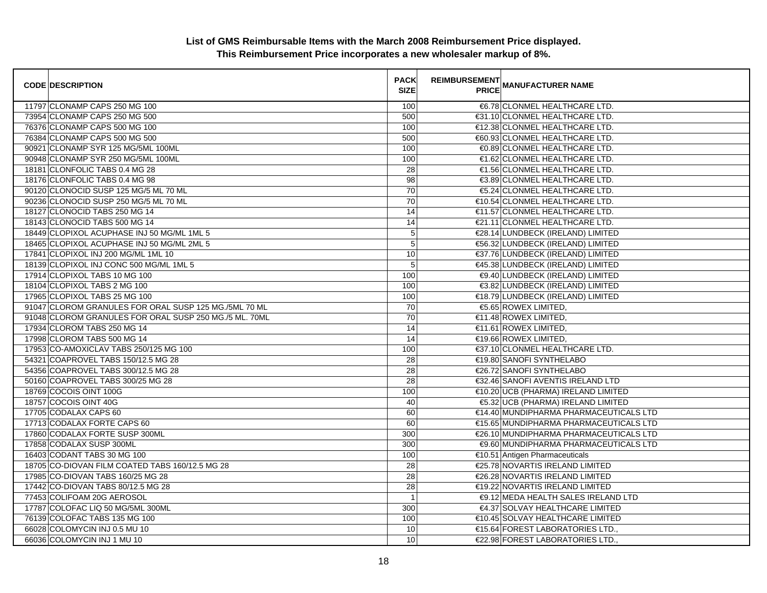| <b>CODE DESCRIPTION</b>                                | <b>PACK</b><br><b>SIZE</b> | <b>REIMBURSEMENT</b> | <b>PRICE MANUFACTURER NAME</b>         |
|--------------------------------------------------------|----------------------------|----------------------|----------------------------------------|
| 11797 CLONAMP CAPS 250 MG 100                          | 100                        |                      | €6.78 CLONMEL HEALTHCARE LTD.          |
| 73954 CLONAMP CAPS 250 MG 500                          | 500                        |                      | €31.10 CLONMEL HEALTHCARE LTD.         |
| 76376 CLONAMP CAPS 500 MG 100                          | 100                        |                      | €12.38 CLONMEL HEALTHCARE LTD.         |
| 76384 CLONAMP CAPS 500 MG 500                          | 500                        |                      | €60.93 CLONMEL HEALTHCARE LTD.         |
| 90921 CLONAMP SYR 125 MG/5ML 100ML                     | 100                        |                      | €0.89 CLONMEL HEALTHCARE LTD.          |
| 90948 CLONAMP SYR 250 MG/5ML 100ML                     | 100                        |                      | €1.62 CLONMEL HEALTHCARE LTD.          |
| 18181 CLONFOLIC TABS 0.4 MG 28                         | 28                         |                      | €1.56 CLONMEL HEALTHCARE LTD.          |
| 18176 CLONFOLIC TABS 0.4 MG 98                         | 98                         |                      | €3.89 CLONMEL HEALTHCARE LTD.          |
| 90120 CLONOCID SUSP 125 MG/5 ML 70 ML                  | 70                         |                      | €5.24 CLONMEL HEALTHCARE LTD.          |
| 90236 CLONOCID SUSP 250 MG/5 ML 70 ML                  | 70                         |                      | €10.54 CLONMEL HEALTHCARE LTD.         |
| 18127 CLONOCID TABS 250 MG 14                          | 14                         |                      | €11.57 CLONMEL HEALTHCARE LTD.         |
| 18143 CLONOCID TABS 500 MG 14                          | 14                         |                      | €21.11 CLONMEL HEALTHCARE LTD.         |
| 18449 CLOPIXOL ACUPHASE INJ 50 MG/ML 1ML 5             | $\mathbf 5$                |                      | €28.14 LUNDBECK (IRELAND) LIMITED      |
| 18465 CLOPIXOL ACUPHASE INJ 50 MG/ML 2ML 5             | $\overline{5}$             |                      | €56.32 LUNDBECK (IRELAND) LIMITED      |
| 17841 CLOPIXOL INJ 200 MG/ML 1ML 10                    | 10                         |                      | €37.76 LUNDBECK (IRELAND) LIMITED      |
| 18139 CLOPIXOL INJ CONC 500 MG/ML 1ML 5                | $\sqrt{5}$                 |                      | €45.38 LUNDBECK (IRELAND) LIMITED      |
| 17914 CLOPIXOL TABS 10 MG 100                          | 100                        |                      | €9.40 LUNDBECK (IRELAND) LIMITED       |
| 18104 CLOPIXOL TABS 2 MG 100                           | 100                        |                      | €3.82 LUNDBECK (IRELAND) LIMITED       |
| 17965 CLOPIXOL TABS 25 MG 100                          | 100                        |                      | €18.79 LUNDBECK (IRELAND) LIMITED      |
| 91047 CLOROM GRANULES FOR ORAL SUSP 125 MG./5ML 70 ML  | 70                         |                      | €5.65 ROWEX LIMITED,                   |
| 91048 CLOROM GRANULES FOR ORAL SUSP 250 MG./5 ML. 70ML | $\overline{70}$            |                      | €11.48 ROWEX LIMITED,                  |
| 17934 CLOROM TABS 250 MG 14                            | 14                         |                      | €11.61 ROWEX LIMITED,                  |
| 17998 CLOROM TABS 500 MG 14                            | 14                         |                      | €19.66 ROWEX LIMITED,                  |
| 17953 CO-AMOXICLAV TABS 250/125 MG 100                 | 100                        |                      | €37.10 CLONMEL HEALTHCARE LTD.         |
| 54321 COAPROVEL TABS 150/12.5 MG 28                    | 28                         |                      | €19.80 SANOFI SYNTHELABO               |
| 54356 COAPROVEL TABS 300/12.5 MG 28                    | 28                         |                      | €26.72 SANOFI SYNTHELABO               |
| 50160 COAPROVEL TABS 300/25 MG 28                      | 28                         |                      | €32.46 SANOFI AVENTIS IRELAND LTD      |
| 18769 COCOIS OINT 100G                                 | 100                        |                      | €10.20 UCB (PHARMA) IRELAND LIMITED    |
| 18757 COCOIS OINT 40G                                  | 40                         |                      | €5.32 UCB (PHARMA) IRELAND LIMITED     |
| 17705 CODALAX CAPS 60                                  | 60                         |                      | €14.40 MUNDIPHARMA PHARMACEUTICALS LTD |
| 17713 CODALAX FORTE CAPS 60                            | 60                         |                      | €15.65 MUNDIPHARMA PHARMACEUTICALS LTD |
| 17860 CODALAX FORTE SUSP 300ML                         | 300                        |                      | €26.10 MUNDIPHARMA PHARMACEUTICALS LTD |
| 17858 CODALAX SUSP 300ML                               | 300                        |                      | €9.60 MUNDIPHARMA PHARMACEUTICALS LTD  |
| 16403 CODANT TABS 30 MG 100                            | 100                        |                      | €10.51 Antigen Pharmaceuticals         |
| 18705 CO-DIOVAN FILM COATED TABS 160/12.5 MG 28        | 28                         |                      | €25.78 NOVARTIS IRELAND LIMITED        |
| 17985 CO-DIOVAN TABS 160/25 MG 28                      | $\overline{28}$            |                      | €26.28 NOVARTIS IRELAND LIMITED        |
| 17442 CO-DIOVAN TABS 80/12.5 MG 28                     | 28                         |                      | €19.22 NOVARTIS IRELAND LIMITED        |
| 77453 COLIFOAM 20G AEROSOL                             | $\overline{1}$             |                      | €9.12 MEDA HEALTH SALES IRELAND LTD    |
| 17787 COLOFAC LIQ 50 MG/5ML 300ML                      | 300                        |                      | €4.37 SOLVAY HEALTHCARE LIMITED        |
| 76139 COLOFAC TABS 135 MG 100                          | 100                        |                      | €10.45 SOLVAY HEALTHCARE LIMITED       |
| 66028 COLOMYCIN INJ 0.5 MU 10                          | 10                         |                      | €15.64 FOREST LABORATORIES LTD.,       |
| 66036 COLOMYCIN INJ 1 MU 10                            | 10                         |                      | €22.98 FOREST LABORATORIES LTD.,       |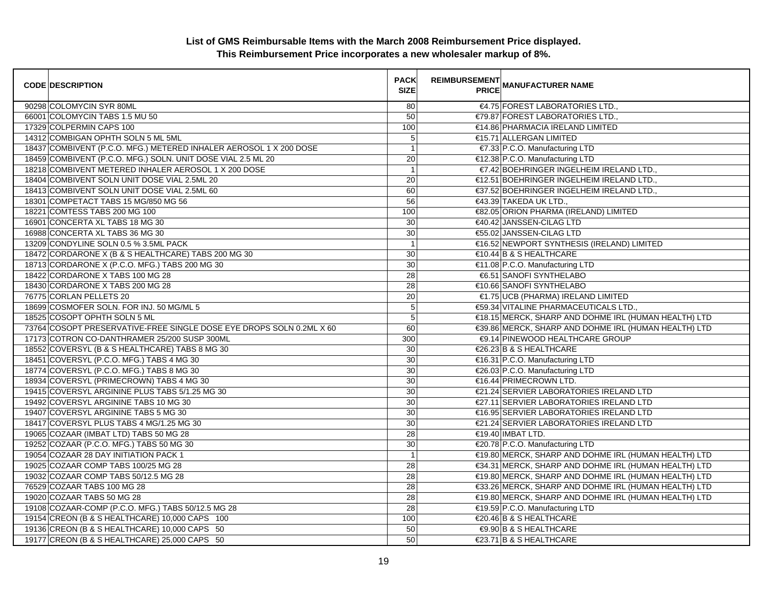| <b>CODE DESCRIPTION</b>                                              | <b>PACK</b><br><b>SIZE</b> | <b>REIMBURSEMENT</b><br><b>PRICE</b> | <b>MANUFACTURER NAME</b>                             |
|----------------------------------------------------------------------|----------------------------|--------------------------------------|------------------------------------------------------|
| 90298 COLOMYCIN SYR 80ML                                             | 80                         |                                      | €4.75 FOREST LABORATORIES LTD                        |
| 66001 COLOMYCIN TABS 1.5 MU 50                                       | 50                         |                                      | €79.87 FOREST LABORATORIES LTD                       |
| 17329 COLPERMIN CAPS 100                                             | 100                        |                                      | €14.86 PHARMACIA IRELAND LIMITED                     |
| 14312 COMBIGAN OPHTH SOLN 5 ML 5ML                                   | $\mathbf 5$                |                                      | €15.71 ALLERGAN LIMITED                              |
| 18437 COMBIVENT (P.C.O. MFG.) METERED INHALER AEROSOL 1 X 200 DOSE   | $\overline{1}$             |                                      | €7.33 P.C.O. Manufacturing LTD                       |
| 18459 COMBIVENT (P.C.O. MFG.) SOLN. UNIT DOSE VIAL 2.5 ML 20         | 20                         |                                      | €12.38 P.C.O. Manufacturing LTD                      |
| 18218 COMBIVENT METERED INHALER AEROSOL 1 X 200 DOSE                 | $\overline{1}$             |                                      | €7.42 BOEHRINGER INGELHEIM IRELAND LTD.,             |
| 18404 COMBIVENT SOLN UNIT DOSE VIAL 2.5ML 20                         | 20                         |                                      | €12.51 BOEHRINGER INGELHEIM IRELAND LTD.,            |
| 18413 COMBIVENT SOLN UNIT DOSE VIAL 2.5ML 60                         | 60                         |                                      | €37.52 BOEHRINGER INGELHEIM IRELAND LTD.,            |
| 18301 COMPETACT TABS 15 MG/850 MG 56                                 | 56                         |                                      | €43.39 TAKEDA UK LTD.,                               |
| 18221 COMTESS TABS 200 MG 100                                        | 100                        |                                      | €82.05 ORION PHARMA (IRELAND) LIMITED                |
| 16901 CONCERTA XL TABS 18 MG 30                                      | 30                         |                                      | €40.42 JANSSEN-CILAG LTD                             |
| 16988 CONCERTA XL TABS 36 MG 30                                      | 30                         |                                      | €55.02 JANSSEN-CILAG LTD                             |
| 13209 CONDYLINE SOLN 0.5 % 3.5ML PACK                                | $\overline{1}$             |                                      | €16.52 NEWPORT SYNTHESIS (IRELAND) LIMITED           |
| 18472 CORDARONE X (B & S HEALTHCARE) TABS 200 MG 30                  | 30                         |                                      | $\in$ 10.44 B & S HEALTHCARE                         |
| 18713 CORDARONE X (P.C.O. MFG.) TABS 200 MG 30                       | $\overline{30}$            |                                      | €11.08 P.C.O. Manufacturing LTD                      |
| 18422 CORDARONE X TABS 100 MG 28                                     | 28                         |                                      | €6.51 SANOFI SYNTHELABO                              |
| 18430 CORDARONE X TABS 200 MG 28                                     | 28                         |                                      | €10.66 SANOFI SYNTHELABO                             |
| 76775 CORLAN PELLETS 20                                              | 20                         |                                      | €1.75 UCB (PHARMA) IRELAND LIMITED                   |
| 18699 COSMOFER SOLN. FOR INJ. 50 MG/ML 5                             | $\overline{5}$             |                                      | €59.34 VITALINE PHARMACEUTICALS LTD.,                |
| 18525 COSOPT OPHTH SOLN 5 ML                                         | $\overline{5}$             |                                      | €18.15 MERCK, SHARP AND DOHME IRL (HUMAN HEALTH) LTD |
| 73764 COSOPT PRESERVATIVE-FREE SINGLE DOSE EYE DROPS SOLN 0.2ML X 60 | 60                         |                                      | €39.86 MERCK, SHARP AND DOHME IRL (HUMAN HEALTH) LTD |
| 17173 COTRON CO-DANTHRAMER 25/200 SUSP 300ML                         | 300                        |                                      | <b>€9.14 PINEWOOD HEALTHCARE GROUP</b>               |
| 18552 COVERSYL (B & S HEALTHCARE) TABS 8 MG 30                       | 30                         |                                      | €26.23 B & S HEALTHCARE                              |
| 18451 COVERSYL (P.C.O. MFG.) TABS 4 MG 30                            | 30                         |                                      | €16.31 P.C.O. Manufacturing LTD                      |
| 18774 COVERSYL (P.C.O. MFG.) TABS 8 MG 30                            | $\overline{30}$            |                                      | €26.03 P.C.O. Manufacturing LTD                      |
| 18934 COVERSYL (PRIMECROWN) TABS 4 MG 30                             | 30                         |                                      | €16.44 PRIMECROWN LTD.                               |
| 19415 COVERSYL ARGININE PLUS TABS 5/1.25 MG 30                       | 30                         |                                      | €21.24 SERVIER LABORATORIES IRELAND LTD              |
| 19492 COVERSYL ARGININE TABS 10 MG 30                                | 30                         |                                      | €27.11 SERVIER LABORATORIES IRELAND LTD              |
| 19407 COVERSYL ARGININE TABS 5 MG 30                                 | 30                         |                                      | €16.95 SERVIER LABORATORIES IRELAND LTD              |
| 18417 COVERSYL PLUS TABS 4 MG/1.25 MG 30                             | 30                         |                                      | €21.24 SERVIER LABORATORIES IRELAND LTD              |
| 19065 COZAAR (IMBAT LTD) TABS 50 MG 28                               | 28                         |                                      | €19.40 IMBAT LTD.                                    |
| 19252 COZAAR (P.C.O. MFG.) TABS 50 MG 30                             | 30                         |                                      | €20.78 P.C.O. Manufacturing LTD                      |
| 19054 COZAAR 28 DAY INITIATION PACK 1                                | $\overline{1}$             |                                      | €19.80 MERCK, SHARP AND DOHME IRL (HUMAN HEALTH) LTD |
| 19025 COZAAR COMP TABS 100/25 MG 28                                  | 28                         |                                      | €34.31 MERCK, SHARP AND DOHME IRL (HUMAN HEALTH) LTD |
| 19032 COZAAR COMP TABS 50/12.5 MG 28                                 | 28                         |                                      | €19.80 MERCK, SHARP AND DOHME IRL (HUMAN HEALTH) LTD |
| 76529 COZAAR TABS 100 MG 28                                          | 28                         |                                      | €33.26 MERCK, SHARP AND DOHME IRL (HUMAN HEALTH) LTD |
| 19020 COZAAR TABS 50 MG 28                                           | 28                         |                                      | €19.80 MERCK, SHARP AND DOHME IRL (HUMAN HEALTH) LTD |
| 19108 COZAAR-COMP (P.C.O. MFG.) TABS 50/12.5 MG 28                   | 28                         |                                      | €19.59 P.C.O. Manufacturing LTD                      |
| 19154 CREON (B & S HEALTHCARE) 10,000 CAPS 100                       | 100                        |                                      | €20.46 B & S HEALTHCARE                              |
| 19136 CREON (B & S HEALTHCARE) 10,000 CAPS 50                        | 50                         |                                      | €9.90 B & S HEALTHCARE                               |
| 19177 CREON (B & S HEALTHCARE) 25,000 CAPS 50                        | 50                         |                                      | €23.71 B & S HEALTHCARE                              |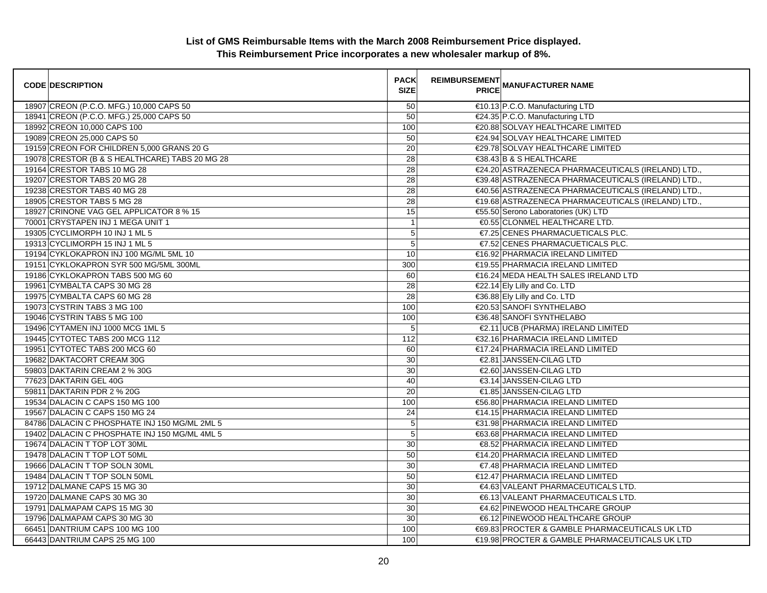| <b>CODE DESCRIPTION</b>                        | <b>PACK</b><br><b>SIZE</b> | REIMBURSEMENT<br>PRIOR MANUFACTURER NAME           |
|------------------------------------------------|----------------------------|----------------------------------------------------|
| 18907 CREON (P.C.O. MFG.) 10,000 CAPS 50       | 50                         | €10.13 P.C.O. Manufacturing LTD                    |
| 18941 CREON (P.C.O. MFG.) 25,000 CAPS 50       | 50                         | €24.35 P.C.O. Manufacturing LTD                    |
| 18992 CREON 10,000 CAPS 100                    | 100                        | €20.88 SOLVAY HEALTHCARE LIMITED                   |
| 19089 CREON 25,000 CAPS 50                     | 50                         | €24.94 SOLVAY HEALTHCARE LIMITED                   |
| 19159 CREON FOR CHILDREN 5,000 GRANS 20 G      | 20                         | €29.78 SOLVAY HEALTHCARE LIMITED                   |
| 19078 CRESTOR (B & S HEALTHCARE) TABS 20 MG 28 | 28                         | €38.43 B & S HEALTHCARE                            |
| 19164 CRESTOR TABS 10 MG 28                    | 28                         | €24.20 ASTRAZENECA PHARMACEUTICALS (IRELAND) LTD., |
| 19207 CRESTOR TABS 20 MG 28                    | 28                         | €39.48 ASTRAZENECA PHARMACEUTICALS (IRELAND) LTD., |
| 19238 CRESTOR TABS 40 MG 28                    | 28                         | €40.56 ASTRAZENECA PHARMACEUTICALS (IRELAND) LTD., |
| 18905 CRESTOR TABS 5 MG 28                     | 28                         | €19.68 ASTRAZENECA PHARMACEUTICALS (IRELAND) LTD.  |
| 18927 CRINONE VAG GEL APPLICATOR 8 % 15        | 15                         | €55.50 Serono Laboratories (UK) LTD                |
| 70001 CRYSTAPEN INJ 1 MEGA UNIT 1              | $\mathbf{1}$               | €0.55 CLONMEL HEALTHCARE LTD.                      |
| 19305 CYCLIMORPH 10 INJ 1 ML 5                 | 5                          | €7.25 CENES PHARMACUETICALS PLC.                   |
| 19313 CYCLIMORPH 15 INJ 1 ML 5                 | 5                          | €7.52 CENES PHARMACUETICALS PLC.                   |
| 19194 CYKLOKAPRON INJ 100 MG/ML 5ML 10         | 10                         | €16.92 PHARMACIA IRELAND LIMITED                   |
| 19151 CYKLOKAPRON SYR 500 MG/5ML 300ML         | 300                        | €19.55 PHARMACIA IRELAND LIMITED                   |
| 19186 CYKLOKAPRON TABS 500 MG 60               | 60                         | €16.24 MEDA HEALTH SALES IRELAND LTD               |
| 19961 CYMBALTA CAPS 30 MG 28                   | 28                         | €22.14 Ely Lilly and Co. LTD                       |
| 19975 CYMBALTA CAPS 60 MG 28                   | 28                         | €36.88 Ely Lilly and Co. LTD                       |
| 19073 CYSTRIN TABS 3 MG 100                    | 100                        | €20.53 SANOFI SYNTHELABO                           |
| 19046 CYSTRIN TABS 5 MG 100                    | 100                        | €36.48 SANOFI SYNTHELABO                           |
| 19496 CYTAMEN INJ 1000 MCG 1ML 5               | 5                          | €2.11 UCB (PHARMA) IRELAND LIMITED                 |
| 19445 CYTOTEC TABS 200 MCG 112                 | 112                        | €32.16 PHARMACIA IRELAND LIMITED                   |
| 19951 CYTOTEC TABS 200 MCG 60                  | 60                         | €17.24 PHARMACIA IRELAND LIMITED                   |
| 19682 DAKTACORT CREAM 30G                      | 30                         | €2.81 JANSSEN-CILAG LTD                            |
| 59803 DAKTARIN CREAM 2 % 30G                   | 30                         | €2.60 JANSSEN-CILAG LTD                            |
| 77623 DAKTARIN GEL 40G                         | 40                         | €3.14 JANSSEN-CILAG LTD                            |
| 59811 DAKTARIN PDR 2 % 20G                     | 20                         | €1.85 JANSSEN-CILAG LTD                            |
| 19534 DALACIN C CAPS 150 MG 100                | 100                        | €56.80 PHARMACIA IRELAND LIMITED                   |
| 19567 DALACIN C CAPS 150 MG 24                 | 24                         | €14.15 PHARMACIA IRELAND LIMITED                   |
| 84786 DALACIN C PHOSPHATE INJ 150 MG/ML 2ML 5  | $\mathbf 5$                | €31.98 PHARMACIA IRELAND LIMITED                   |
| 19402 DALACIN C PHOSPHATE INJ 150 MG/ML 4ML 5  | $\overline{5}$             | €63.68 PHARMACIA IRELAND LIMITED                   |
| 19674 DALACIN T TOP LOT 30ML                   | 30                         | €8.52 PHARMACIA IRELAND LIMITED                    |
| 19478 DALACIN T TOP LOT 50ML                   | 50                         | €14.20 PHARMACIA IRELAND LIMITED                   |
| 19666 DALACIN T TOP SOLN 30ML                  | 30                         | €7.48 PHARMACIA IRELAND LIMITED                    |
| 19484 DALACIN T TOP SOLN 50ML                  | 50                         | €12.47 PHARMACIA IRELAND LIMITED                   |
| 19712 DALMANE CAPS 15 MG 30                    | 30                         | €4.63 VALEANT PHARMACEUTICALS LTD.                 |
| 19720 DALMANE CAPS 30 MG 30                    | 30                         | €6.13 VALEANT PHARMACEUTICALS LTD.                 |
| 19791 DALMAPAM CAPS 15 MG 30                   | 30                         | €4.62 PINEWOOD HEALTHCARE GROUP                    |
| 19796 DALMAPAM CAPS 30 MG 30                   | 30                         | €6.12 PINEWOOD HEALTHCARE GROUP                    |
| 66451 DANTRIUM CAPS 100 MG 100                 | 100                        | €69.83 PROCTER & GAMBLE PHARMACEUTICALS UK LTD     |
| 66443 DANTRIUM CAPS 25 MG 100                  | 100                        | €19.98 PROCTER & GAMBLE PHARMACEUTICALS UK LTD     |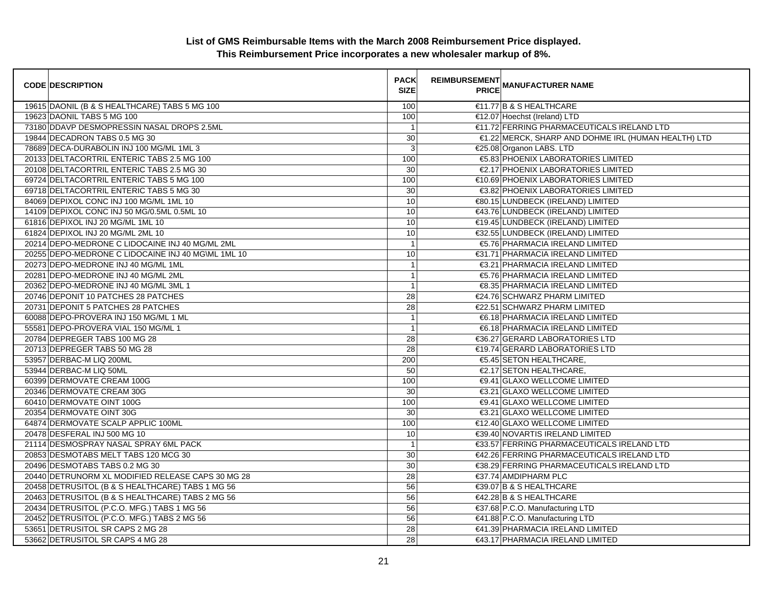| <b>CODE DESCRIPTION</b>                            | <b>PACK</b><br><b>SIZE</b> | <b>REIMBURSEMENT</b><br><b>PRICE</b> | <b>MANUFACTURER NAME</b>                            |
|----------------------------------------------------|----------------------------|--------------------------------------|-----------------------------------------------------|
| 19615 DAONIL (B & S HEALTHCARE) TABS 5 MG 100      | 100                        |                                      | $\in$ 1.77 B & S HEALTHCARE                         |
| 19623 DAONIL TABS 5 MG 100                         | 100                        |                                      | €12.07 Hoechst (Ireland) LTD                        |
| 73180 DDAVP DESMOPRESSIN NASAL DROPS 2.5ML         | $\overline{1}$             |                                      | €11.72 FERRING PHARMACEUTICALS IRELAND LTD          |
| 19844 DECADRON TABS 0.5 MG 30                      | 30                         |                                      | €1.22 MERCK, SHARP AND DOHME IRL (HUMAN HEALTH) LTD |
| 78689 DECA-DURABOLIN INJ 100 MG/ML 1ML 3           | 3                          |                                      | €25.08 Organon LABS. LTD                            |
| 20133 DELTACORTRIL ENTERIC TABS 2.5 MG 100         | 100                        |                                      | €5.83 PHOENIX LABORATORIES LIMITED                  |
| 20108 DELTACORTRIL ENTERIC TABS 2.5 MG 30          | 30                         |                                      | €2.17 PHOENIX LABORATORIES LIMITED                  |
| 69724 DELTACORTRIL ENTERIC TABS 5 MG 100           | 100                        |                                      | €10.69 PHOENIX LABORATORIES LIMITED                 |
| 69718 DELTACORTRIL ENTERIC TABS 5 MG 30            | $\overline{30}$            |                                      | €3.82 PHOENIX LABORATORIES LIMITED                  |
| 84069 DEPIXOL CONC INJ 100 MG/ML 1ML 10            | 10                         |                                      | €80.15 LUNDBECK (IRELAND) LIMITED                   |
| 14109 DEPIXOL CONC INJ 50 MG/0.5ML 0.5ML 10        | 10                         |                                      | €43.76 LUNDBECK (IRELAND) LIMITED                   |
| 61816 DEPIXOL INJ 20 MG/ML 1ML 10                  | 10                         |                                      | €19.45 LUNDBECK (IRELAND) LIMITED                   |
| 61824 DEPIXOL INJ 20 MG/ML 2ML 10                  | 10                         |                                      | €32.55 LUNDBECK (IRELAND) LIMITED                   |
| 20214 DEPO-MEDRONE C LIDOCAINE INJ 40 MG/ML 2ML    | $\overline{1}$             |                                      | €5.76 PHARMACIA IRELAND LIMITED                     |
| 20255 DEPO-MEDRONE C LIDOCAINE INJ 40 MG\ML 1ML 10 | 10                         |                                      | €31.71 PHARMACIA IRELAND LIMITED                    |
| 20273 DEPO-MEDRONE INJ 40 MG/ML 1ML                | $\overline{1}$             |                                      | €3.21 PHARMACIA IRELAND LIMITED                     |
| 20281 DEPO-MEDRONE INJ 40 MG/ML 2ML                | $\overline{1}$             |                                      | €5.76 PHARMACIA IRELAND LIMITED                     |
| 20362 DEPO-MEDRONE INJ 40 MG/ML 3ML 1              | $\overline{1}$             |                                      | €8.35 PHARMACIA IRELAND LIMITED                     |
| 20746 DEPONIT 10 PATCHES 28 PATCHES                | 28                         |                                      | €24.76 SCHWARZ PHARM LIMITED                        |
| 20731 DEPONIT 5 PATCHES 28 PATCHES                 | $\overline{28}$            |                                      | €22.51 SCHWARZ PHARM LIMITED                        |
| 60088 DEPO-PROVERA INJ 150 MG/ML 1 ML              | $\overline{1}$             |                                      | €6.18 PHARMACIA IRELAND LIMITED                     |
| 55581 DEPO-PROVERA VIAL 150 MG/ML 1                | $\overline{1}$             |                                      | €6.18 PHARMACIA IRELAND LIMITED                     |
| 20784 DEPREGER TABS 100 MG 28                      | 28                         |                                      | €36.27 GERARD LABORATORIES LTD                      |
| 20713 DEPREGER TABS 50 MG 28                       | 28                         |                                      | €19.74 GERARD LABORATORIES LTD                      |
| 53957 DERBAC-M LIQ 200ML                           | 200                        |                                      | €5.45 SETON HEALTHCARE,                             |
| 53944 DERBAC-M LIQ 50ML                            | 50                         |                                      | €2.17 SETON HEALTHCARE,                             |
| 60399 DERMOVATE CREAM 100G                         | 100                        |                                      | €9.41 GLAXO WELLCOME LIMITED                        |
| 20346 DERMOVATE CREAM 30G                          | 30                         |                                      | €3.21 GLAXO WELLCOME LIMITED                        |
| 60410 DERMOVATE OINT 100G                          | 100                        |                                      | €9.41 GLAXO WELLCOME LIMITED                        |
| 20354 DERMOVATE OINT 30G                           | 30                         |                                      | €3.21 GLAXO WELLCOME LIMITED                        |
| 64874 DERMOVATE SCALP APPLIC 100ML                 | 100                        |                                      | €12.40 GLAXO WELLCOME LIMITED                       |
| 20478 DESFERAL INJ 500 MG 10                       | 10                         |                                      | €39.40 NOVARTIS IRELAND LIMITED                     |
| 21114 DESMOSPRAY NASAL SPRAY 6ML PACK              | $\overline{1}$             |                                      | €33.57 FERRING PHARMACEUTICALS IRELAND LTD          |
| 20853 DESMOTABS MELT TABS 120 MCG 30               | 30                         |                                      | €42.26 FERRING PHARMACEUTICALS IRELAND LTD          |
| 20496 DESMOTABS TABS 0.2 MG 30                     | 30                         |                                      | €38.29 FERRING PHARMACEUTICALS IRELAND LTD          |
| 20440 DETRUNORM XL MODIFIED RELEASE CAPS 30 MG 28  | 28                         |                                      | €37.74 AMDIPHARM PLC                                |
| 20458 DETRUSITOL (B & S HEALTHCARE) TABS 1 MG 56   | 56                         |                                      | €39.07 B & S HEALTHCARE                             |
| 20463 DETRUSITOL (B & S HEALTHCARE) TABS 2 MG 56   | 56                         |                                      | €42.28 B & S HEALTHCARE                             |
| 20434 DETRUSITOL (P.C.O. MFG.) TABS 1 MG 56        | 56                         |                                      | €37.68 P.C.O. Manufacturing LTD                     |
| 20452 DETRUSITOL (P.C.O. MFG.) TABS 2 MG 56        | 56                         |                                      | €41.88 P.C.O. Manufacturing LTD                     |
| 53651 DETRUSITOL SR CAPS 2 MG 28                   | 28                         |                                      | €41.39 PHARMACIA IRELAND LIMITED                    |
| 53662 DETRUSITOL SR CAPS 4 MG 28                   | 28                         |                                      | €43.17 PHARMACIA IRELAND LIMITED                    |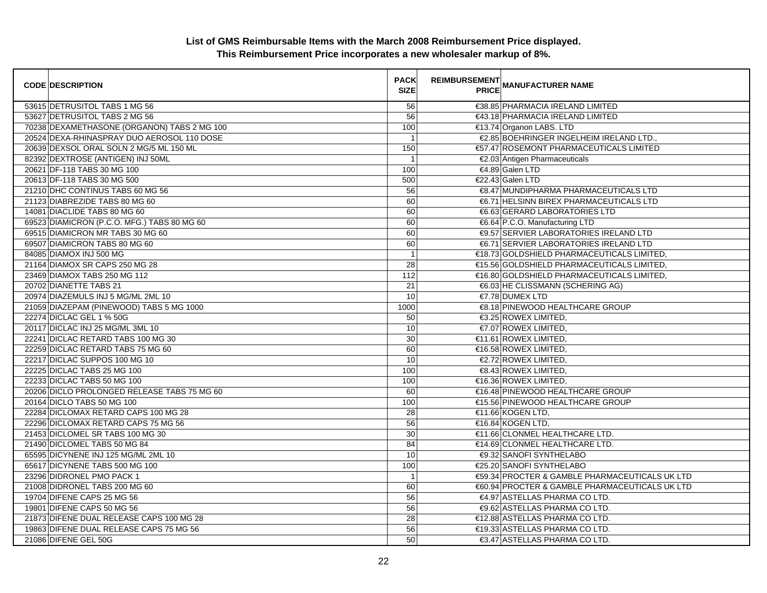| <b>CODE DESCRIPTION</b>                     | <b>PACK</b><br><b>SIZE</b> | <b>REIMBURSEMENT</b><br><b>PRICE MANUFACTURER NAME</b> |
|---------------------------------------------|----------------------------|--------------------------------------------------------|
| 53615 DETRUSITOL TABS 1 MG 56               | 56                         | €38.85 PHARMACIA IRELAND LIMITED                       |
| 53627 DETRUSITOL TABS 2 MG 56               | 56                         | €43.18 PHARMACIA IRELAND LIMITED                       |
| 70238 DEXAMETHASONE (ORGANON) TABS 2 MG 100 | 100                        | €13.74 Organon LABS. LTD                               |
| 20524 DEXA-RHINASPRAY DUO AEROSOL 110 DOSE  | $\overline{1}$             | €2.85 BOEHRINGER INGELHEIM IRELAND LTD.,               |
| 20639 DEXSOL ORAL SOLN 2 MG/5 ML 150 ML     | 150                        | €57.47 ROSEMONT PHARMACEUTICALS LIMITED                |
| 82392 DEXTROSE (ANTIGEN) INJ 50ML           | $\overline{1}$             | €2.03 Antigen Pharmaceuticals                          |
| 20621 DF-118 TABS 30 MG 100                 | 100                        | €4.89 Galen LTD                                        |
| 20613 DF-118 TABS 30 MG 500                 | 500                        | €22.43 Galen LTD                                       |
| 21210 DHC CONTINUS TABS 60 MG 56            | 56                         | €8.47 MUNDIPHARMA PHARMACEUTICALS LTD                  |
| 21123 DIABREZIDE TABS 80 MG 60              | 60                         | €6.71 HELSINN BIREX PHARMACEUTICALS LTD                |
| 14081 DIACLIDE TABS 80 MG 60                | 60                         | €6.63 GERARD LABORATORIES LTD                          |
| 69523 DIAMICRON (P.C.O. MFG.) TABS 80 MG 60 | 60                         | €6.64 P.C.O. Manufacturing LTD                         |
| 69515 DIAMICRON MR TABS 30 MG 60            | 60                         | <b>€9.57 SERVIER LABORATORIES IRELAND LTD</b>          |
| 69507 DIAMICRON TABS 80 MG 60               | 60                         | €6.71 SERVIER LABORATORIES IRELAND LTD                 |
| 84085 DIAMOX INJ 500 MG                     | $\mathbf{1}$               | €18.73 GOLDSHIELD PHARMACEUTICALS LIMITED,             |
| 21164 DIAMOX SR CAPS 250 MG 28              | $\overline{28}$            | €15.56 GOLDSHIELD PHARMACEUTICALS LIMITED,             |
| 23469 DIAMOX TABS 250 MG 112                | 112                        | €16.80 GOLDSHIELD PHARMACEUTICALS LIMITED,             |
| 20702 DIANETTE TABS 21                      | 21                         | €6.03 HE CLISSMANN (SCHERING AG)                       |
| 20974 DIAZEMULS INJ 5 MG/ML 2ML 10          | 10                         | €7.78 DUMEX LTD                                        |
| 21059 DIAZEPAM (PINEWOOD) TABS 5 MG 1000    | 1000                       | €8.18 PINEWOOD HEALTHCARE GROUP                        |
| 22274 DICLAC GEL 1 % 50G                    | 50                         | €3.25 ROWEX LIMITED,                                   |
| 20117 DICLAC INJ 25 MG/ML 3ML 10            | $10$                       | €7.07 ROWEX LIMITED,                                   |
| 22241 DICLAC RETARD TABS 100 MG 30          | 30                         | €11.61 ROWEX LIMITED,                                  |
| 22259 DICLAC RETARD TABS 75 MG 60           | 60                         | €16.58 ROWEX LIMITED,                                  |
| 22217 DICLAC SUPPOS 100 MG 10               | 10                         | €2.72 ROWEX LIMITED,                                   |
| 22225 DICLAC TABS 25 MG 100                 | 100                        | €8.43 ROWEX LIMITED,                                   |
| 22233 DICLAC TABS 50 MG 100                 | 100                        | €16.36 ROWEX LIMITED,                                  |
| 20206 DICLO PROLONGED RELEASE TABS 75 MG 60 | 60                         | €16.48 PINEWOOD HEALTHCARE GROUP                       |
| 20164 DICLO TABS 50 MG 100                  | 100                        | €15.56 PINEWOOD HEALTHCARE GROUP                       |
| 22284 DICLOMAX RETARD CAPS 100 MG 28        | 28                         | €11.66 KOGEN LTD,                                      |
| 22296 DICLOMAX RETARD CAPS 75 MG 56         | 56                         | €16.84 KOGEN LTD,                                      |
| 21453 DICLOMEL SR TABS 100 MG 30            | 30                         | €11.66 CLONMEL HEALTHCARE LTD.                         |
| 21490 DICLOMEL TABS 50 MG 84                | 84                         | €14.69 CLONMEL HEALTHCARE LTD.                         |
| 65595 DICYNENE INJ 125 MG/ML 2ML 10         | 10                         | <b>€9.32 SANOFI SYNTHELABO</b>                         |
| 65617 DICYNENE TABS 500 MG 100              | 100                        | €25.20 SANOFI SYNTHELABO                               |
| 23296 DIDRONEL PMO PACK 1                   | $\overline{1}$             | €59.34 PROCTER & GAMBLE PHARMACEUTICALS UK LTD         |
| 21008 DIDRONEL TABS 200 MG 60               | 60                         | €60.94 PROCTER & GAMBLE PHARMACEUTICALS UK LTD         |
| 19704 DIFENE CAPS 25 MG 56                  | 56                         | €4.97 ASTELLAS PHARMA CO LTD.                          |
| 19801 DIFENE CAPS 50 MG 56                  | 56                         | €9.62 ASTELLAS PHARMA CO LTD.                          |
| 21873 DIFENE DUAL RELEASE CAPS 100 MG 28    | 28                         | €12.88 ASTELLAS PHARMA CO LTD.                         |
| 19863 DIFENE DUAL RELEASE CAPS 75 MG 56     | 56                         | €19.33 ASTELLAS PHARMA CO LTD.                         |
| 21086 DIFENE GEL 50G                        | 50                         | €3.47 ASTELLAS PHARMA CO LTD.                          |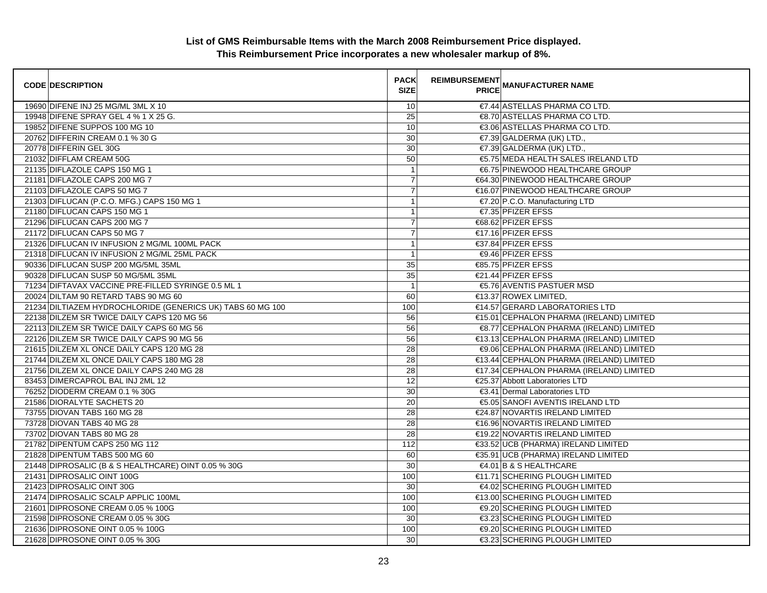| <b>CODE DESCRIPTION</b>                                    | <b>PACK</b><br><b>SIZE</b> | <b>REIMBURSEMENT</b> | <b>---------</b><br>PRICE MANUFACTURER NAME |
|------------------------------------------------------------|----------------------------|----------------------|---------------------------------------------|
| 19690 DIFENE INJ 25 MG/ML 3ML X 10                         | 10                         |                      | €7.44 ASTELLAS PHARMA CO LTD.               |
| 19948 DIFENE SPRAY GEL 4 % 1 X 25 G.                       | $\overline{25}$            |                      | €8.70 ASTELLAS PHARMA CO LTD.               |
| 19852 DIFENE SUPPOS 100 MG 10                              | 10                         |                      | €3.06 ASTELLAS PHARMA CO LTD.               |
| 20762 DIFFERIN CREAM 0.1 % 30 G                            | 30                         |                      | €7.39 GALDERMA (UK) LTD.,                   |
| 20778 DIFFERIN GEL 30G                                     | 30                         |                      | €7.39 GALDERMA (UK) LTD.,                   |
| 21032 DIFFLAM CREAM 50G                                    | 50                         |                      | €5.75 MEDA HEALTH SALES IRELAND LTD         |
| 21135 DIFLAZOLE CAPS 150 MG 1                              | $\overline{1}$             |                      | €6.75 PINEWOOD HEALTHCARE GROUP             |
| 21181 DIFLAZOLE CAPS 200 MG 7                              | $\overline{7}$             |                      | €64.30 PINEWOOD HEALTHCARE GROUP            |
| 21103 DIFLAZOLE CAPS 50 MG 7                               | $\overline{7}$             |                      | €16.07 PINEWOOD HEALTHCARE GROUP            |
| 21303 DIFLUCAN (P.C.O. MFG.) CAPS 150 MG 1                 | $\mathbf{1}$               |                      | €7.20 P.C.O. Manufacturing LTD              |
| 21180 DIFLUCAN CAPS 150 MG 1                               | 1                          |                      | €7.35 PFIZER EFSS                           |
| 21296 DIFLUCAN CAPS 200 MG 7                               | $\overline{7}$             |                      | €68.62 PFIZER EFSS                          |
| 21172 DIFLUCAN CAPS 50 MG 7                                | $\overline{7}$             |                      | €17.16 PFIZER EFSS                          |
| 21326 DIFLUCAN IV INFUSION 2 MG/ML 100ML PACK              | $\overline{1}$             |                      | €37.84 PFIZER EFSS                          |
| 21318 DIFLUCAN IV INFUSION 2 MG/ML 25ML PACK               | $\overline{1}$             |                      | <b>€9.46 PFIZER EFSS</b>                    |
| 90336 DIFLUCAN SUSP 200 MG/5ML 35ML                        | 35                         |                      | €85.75 PFIZER EFSS                          |
| 90328 DIFLUCAN SUSP 50 MG/5ML 35ML                         | 35                         |                      | €21.44 PFIZER EFSS                          |
| 71234 DIFTAVAX VACCINE PRE-FILLED SYRINGE 0.5 ML 1         | $\overline{1}$             |                      | €5.76 AVENTIS PASTUER MSD                   |
| 20024 DILTAM 90 RETARD TABS 90 MG 60                       | 60                         |                      | €13.37 ROWEX LIMITED,                       |
| 21234 DILTIAZEM HYDROCHLORIDE (GENERICS UK) TABS 60 MG 100 | 100                        |                      | €14.57 GERARD LABORATORIES LTD              |
| 22138 DILZEM SR TWICE DAILY CAPS 120 MG 56                 | 56                         |                      | €15.01 CEPHALON PHARMA (IRELAND) LIMITED    |
| 22113 DILZEM SR TWICE DAILY CAPS 60 MG 56                  | 56                         |                      | €8.77 CEPHALON PHARMA (IRELAND) LIMITED     |
| 22126 DILZEM SR TWICE DAILY CAPS 90 MG 56                  | 56                         |                      | €13.13 CEPHALON PHARMA (IRELAND) LIMITED    |
| 21615 DILZEM XL ONCE DAILY CAPS 120 MG 28                  | 28                         |                      | €9.06 CEPHALON PHARMA (IRELAND) LIMITED     |
| 21744 DILZEM XL ONCE DAILY CAPS 180 MG 28                  | 28                         |                      | €13.44 CEPHALON PHARMA (IRELAND) LIMITED    |
| 21756 DILZEM XL ONCE DAILY CAPS 240 MG 28                  | 28                         |                      | €17.34 CEPHALON PHARMA (IRELAND) LIMITED    |
| 83453 DIMERCAPROL BAL INJ 2ML 12                           | 12                         |                      | €25.37 Abbott Laboratories LTD              |
| 76252 DIODERM CREAM 0.1 % 30G                              | 30                         |                      | €3.41 Dermal Laboratories LTD               |
| 21586 DIORALYTE SACHETS 20                                 | 20                         |                      | €5.05 SANOFI AVENTIS IRELAND LTD            |
| 73755 DIOVAN TABS 160 MG 28                                | 28                         |                      | €24.87 NOVARTIS IRELAND LIMITED             |
| 73728 DIOVAN TABS 40 MG 28                                 | 28                         |                      | €16.96 NOVARTIS IRELAND LIMITED             |
| 73702 DIOVAN TABS 80 MG 28                                 | 28                         |                      | €19.22 NOVARTIS IRELAND LIMITED             |
| 21782 DIPENTUM CAPS 250 MG 112                             | 112                        |                      | €33.52 UCB (PHARMA) IRELAND LIMITED         |
| 21828 DIPENTUM TABS 500 MG 60                              | 60                         |                      | €35.91 UCB (PHARMA) IRELAND LIMITED         |
| 21448 DIPROSALIC (B & S HEALTHCARE) OINT 0.05 % 30G        | 30                         |                      | $64.01$ B & S HEALTHCARE                    |
| 21431 DIPROSALIC OINT 100G                                 | 100                        |                      | €11.71 SCHERING PLOUGH LIMITED              |
| 21423 DIPROSALIC OINT 30G                                  | 30                         |                      | €4.02 SCHERING PLOUGH LIMITED               |
| 21474 DIPROSALIC SCALP APPLIC 100ML                        | 100                        |                      | €13.00 SCHERING PLOUGH LIMITED              |
| 21601 DIPROSONE CREAM 0.05 % 100G                          | 100                        |                      | <b>€9.20 SCHERING PLOUGH LIMITED</b>        |
| 21598 DIPROSONE CREAM 0.05 % 30G                           | 30                         |                      | €3.23 SCHERING PLOUGH LIMITED               |
| 21636 DIPROSONE OINT 0.05 % 100G                           | 100                        |                      | <b>€9.20 SCHERING PLOUGH LIMITED</b>        |
| 21628 DIPROSONE OINT 0.05 % 30G                            | 30                         |                      | €3.23 SCHERING PLOUGH LIMITED               |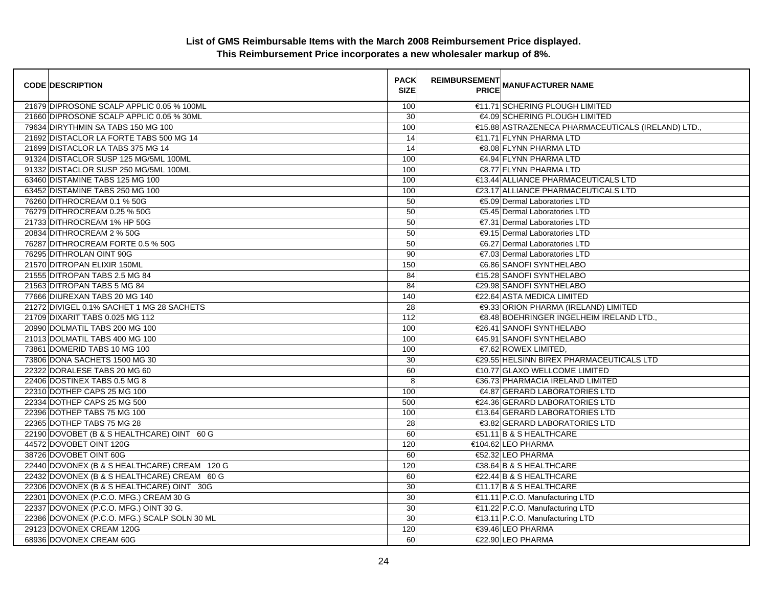| <b>CODE DESCRIPTION</b>                      | <b>PACK</b><br><b>SIZE</b> | <b>REIMBURSEMENT</b><br><b>PRICE</b> | <b>MANUFACTURER NAME</b>                           |
|----------------------------------------------|----------------------------|--------------------------------------|----------------------------------------------------|
| 21679 DIPROSONE SCALP APPLIC 0.05 % 100ML    | 100                        |                                      | €11.71 SCHERING PLOUGH LIMITED                     |
| 21660 DIPROSONE SCALP APPLIC 0.05 % 30ML     | 30                         |                                      | €4.09 SCHERING PLOUGH LIMITED                      |
| 79634 DIRYTHMIN SA TABS 150 MG 100           | 100                        |                                      | €15.88 ASTRAZENECA PHARMACEUTICALS (IRELAND) LTD., |
| 21692 DISTACLOR LA FORTE TABS 500 MG 14      | 14                         |                                      | €11.71 FLYNN PHARMA LTD                            |
| 21699 DISTACLOR LA TABS 375 MG 14            | 14                         |                                      | €8.08 FLYNN PHARMA LTD                             |
| 91324 DISTACLOR SUSP 125 MG/5ML 100ML        | 100                        |                                      | €4.94 FLYNN PHARMA LTD                             |
| 91332 DISTACLOR SUSP 250 MG/5ML 100ML        | 100                        |                                      | €8.77 FLYNN PHARMA LTD                             |
| 63460 DISTAMINE TABS 125 MG 100              | 100                        |                                      | €13.44 ALLIANCE PHARMACEUTICALS LTD                |
| 63452 DISTAMINE TABS 250 MG 100              | 100                        |                                      | €23.17 ALLIANCE PHARMACEUTICALS LTD                |
| 76260 DITHROCREAM 0.1 % 50G                  | 50                         |                                      | €5.09 Dermal Laboratories LTD                      |
| 76279 DITHROCREAM 0.25 % 50G                 | 50                         |                                      | €5.45 Dermal Laboratories LTD                      |
| 21733 DITHROCREAM 1% HP 50G                  | 50                         |                                      | €7.31 Dermal Laboratories LTD                      |
| 20834 DITHROCREAM 2 % 50G                    | 50                         |                                      | €9.15 Dermal Laboratories LTD                      |
| 76287 DITHROCREAM FORTE 0.5 % 50G            | 50                         |                                      | €6.27 Dermal Laboratories LTD                      |
| 76295 DITHROLAN OINT 90G                     | 90                         |                                      | €7.03 Dermal Laboratories LTD                      |
| 21570 DITROPAN ELIXIR 150ML                  | 150                        |                                      | €6.86 SANOFI SYNTHELABO                            |
| 21555 DITROPAN TABS 2.5 MG 84                | 84                         |                                      | €15.28 SANOFI SYNTHELABO                           |
| 21563 DITROPAN TABS 5 MG 84                  | 84                         |                                      | €29.98 SANOFI SYNTHELABO                           |
| 77666 DIUREXAN TABS 20 MG 140                | 140                        |                                      | €22.64 ASTA MEDICA LIMITED                         |
| 21272 DIVIGEL 0.1% SACHET 1 MG 28 SACHETS    | 28                         |                                      | €9.33 ORION PHARMA (IRELAND) LIMITED               |
| 21709 DIXARIT TABS 0.025 MG 112              | $\frac{1}{112}$            |                                      | €8.48 BOEHRINGER INGELHEIM IRELAND LTD.,           |
| 20990 DOLMATIL TABS 200 MG 100               | 100                        |                                      | €26.41 SANOFI SYNTHELABO                           |
| 21013 DOLMATIL TABS 400 MG 100               | 100                        |                                      | €45.91 SANOFI SYNTHELABO                           |
| 73861 DOMERID TABS 10 MG 100                 | 100                        |                                      | €7.62 ROWEX LIMITED,                               |
| 73806 DONA SACHETS 1500 MG 30                | 30                         |                                      | €29.55 HELSINN BIREX PHARMACEUTICALS LTD           |
| 22322 DORALESE TABS 20 MG 60                 | 60                         |                                      | €10.77 GLAXO WELLCOME LIMITED                      |
| 22406 DOSTINEX TABS 0.5 MG 8                 | 8                          |                                      | €36.73 PHARMACIA IRELAND LIMITED                   |
| 22310 DOTHEP CAPS 25 MG 100                  | 100                        |                                      | €4.87 GERARD LABORATORIES LTD                      |
| 22334 DOTHEP CAPS 25 MG 500                  | 500                        |                                      | €24.36 GERARD LABORATORIES LTD                     |
| 22396 DOTHEP TABS 75 MG 100                  | 100                        |                                      | €13.64 GERARD LABORATORIES LTD                     |
| 22365 DOTHEP TABS 75 MG 28                   | 28                         |                                      | €3.82 GERARD LABORATORIES LTD                      |
| 22190 DOVOBET (B & S HEALTHCARE) OINT 60 G   | 60                         |                                      | €51.11 B & S HEALTHCARE                            |
| 44572 DOVOBET OINT 120G                      | 120                        |                                      | €104.62 LEO PHARMA                                 |
| 38726 DOVOBET OINT 60G                       | 60                         |                                      | €52.32 LEO PHARMA                                  |
| 22440 DOVONEX (B & S HEALTHCARE) CREAM 120 G | 120                        |                                      | €38.64 B & S HEALTHCARE                            |
| 22432 DOVONEX (B & S HEALTHCARE) CREAM 60 G  | 60                         |                                      | €22.44 B & S HEALTHCARE                            |
| 22306 DOVONEX (B & S HEALTHCARE) OINT 30G    | 30                         |                                      | €11.17 B & S HEALTHCARE                            |
| 22301 DOVONEX (P.C.O. MFG.) CREAM 30 G       | 30                         |                                      | €11.11 P.C.O. Manufacturing LTD                    |
| 22337 DOVONEX (P.C.O. MFG.) OINT 30 G.       | 30                         |                                      | €11.22 P.C.O. Manufacturing LTD                    |
| 22386 DOVONEX (P.C.O. MFG.) SCALP SOLN 30 ML | 30                         |                                      | €13.11 P.C.O. Manufacturing LTD                    |
| 29123 DOVONEX CREAM 120G                     | 120                        |                                      | €39.46 LEO PHARMA                                  |
| 68936 DOVONEX CREAM 60G                      | 60                         |                                      | €22.90 LEO PHARMA                                  |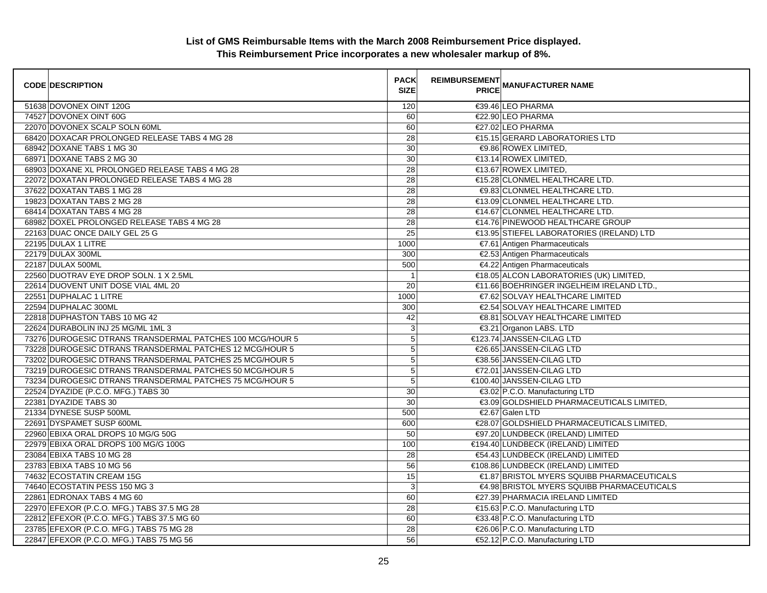| <b>CODE DESCRIPTION</b>                        |                                                           | <b>PACK</b><br><b>SIZE</b> | <b>REIMBURSEMENT</b> | <b>PRICE MANUFACTURER NAME</b>             |
|------------------------------------------------|-----------------------------------------------------------|----------------------------|----------------------|--------------------------------------------|
| 51638 DOVONEX OINT 120G                        |                                                           | 120                        |                      | €39.46 LEO PHARMA                          |
| 74527 DOVONEX OINT 60G                         |                                                           | 60                         |                      | €22.90 LEO PHARMA                          |
| 22070 DOVONEX SCALP SOLN 60ML                  |                                                           | 60                         |                      | €27.02 LEO PHARMA                          |
| 68420 DOXACAR PROLONGED RELEASE TABS 4 MG 28   |                                                           | 28                         |                      | €15.15 GERARD LABORATORIES LTD             |
| 68942 DOXANE TABS 1 MG 30                      |                                                           | 30                         |                      | €9.86 ROWEX LIMITED,                       |
| 68971 DOXANE TABS 2 MG 30                      |                                                           | 30                         |                      | €13.14 ROWEX LIMITED,                      |
| 68903 DOXANE XL PROLONGED RELEASE TABS 4 MG 28 |                                                           | 28                         |                      | €13.67 ROWEX LIMITED,                      |
| 22072 DOXATAN PROLONGED RELEASE TABS 4 MG 28   |                                                           | 28                         |                      | €15.28 CLONMEL HEALTHCARE LTD.             |
| 37622 DOXATAN TABS 1 MG 28                     |                                                           | 28                         |                      | €9.83 CLONMEL HEALTHCARE LTD.              |
| 19823 DOXATAN TABS 2 MG 28                     |                                                           | 28                         |                      | €13.09 CLONMEL HEALTHCARE LTD.             |
| 68414 DOXATAN TABS 4 MG 28                     |                                                           | $\overline{28}$            |                      | €14.67 CLONMEL HEALTHCARE LTD.             |
| 68982 DOXEL PROLONGED RELEASE TABS 4 MG 28     |                                                           | 28                         |                      | €14.76 PINEWOOD HEALTHCARE GROUP           |
| 22163 DUAC ONCE DAILY GEL 25 G                 |                                                           | 25                         |                      | €13.95 STIEFEL LABORATORIES (IRELAND) LTD  |
| 22195 DULAX 1 LITRE                            |                                                           | 1000                       |                      | €7.61 Antigen Pharmaceuticals              |
| 22179 DULAX 300ML                              |                                                           | 300                        |                      | €2.53 Antigen Pharmaceuticals              |
| 22187 DULAX 500ML                              |                                                           | 500                        |                      | €4.22 Antigen Pharmaceuticals              |
| 22560 DUOTRAV EYE DROP SOLN. 1 X 2.5ML         |                                                           | $\overline{1}$             |                      | €18.05 ALCON LABORATORIES (UK) LIMITED,    |
| 22614 DUOVENT UNIT DOSE VIAL 4ML 20            |                                                           | 20                         |                      | €11.66 BOEHRINGER INGELHEIM IRELAND LTD.,  |
| 22551 DUPHALAC 1 LITRE                         |                                                           | 1000                       |                      | €7.62 SOLVAY HEALTHCARE LIMITED            |
| 22594 DUPHALAC 300ML                           |                                                           | 300                        |                      | €2.54 SOLVAY HEALTHCARE LIMITED            |
| 22818 DUPHASTON TABS 10 MG 42                  |                                                           | 42                         |                      | €8.81 SOLVAY HEALTHCARE LIMITED            |
| 22624 DURABOLIN INJ 25 MG/ML 1ML 3             |                                                           | 3                          |                      | €3.21 Organon LABS. LTD                    |
|                                                | 73276 DUROGESIC DTRANS TRANSDERMAL PATCHES 100 MCG/HOUR 5 | 5                          |                      | €123.74 JANSSEN-CILAG LTD                  |
|                                                | 73228 DUROGESIC DTRANS TRANSDERMAL PATCHES 12 MCG/HOUR 5  | $\mathbf 5$                |                      | €26.65 JANSSEN-CILAG LTD                   |
|                                                | 73202 DUROGESIC DTRANS TRANSDERMAL PATCHES 25 MCG/HOUR 5  | 5                          |                      | €38.56 JANSSEN-CILAG LTD                   |
|                                                | 73219 DUROGESIC DTRANS TRANSDERMAL PATCHES 50 MCG/HOUR 5  | $\overline{5}$             |                      | €72.01 JANSSEN-CILAG LTD                   |
|                                                | 73234 DUROGESIC DTRANS TRANSDERMAL PATCHES 75 MCG/HOUR 5  | 5                          |                      | €100.40 JANSSEN-CILAG LTD                  |
| 22524 DYAZIDE (P.C.O. MFG.) TABS 30            |                                                           | 30                         |                      | €3.02 P.C.O. Manufacturing LTD             |
| 22381 DYAZIDE TABS 30                          |                                                           | 30                         |                      | €3.09 GOLDSHIELD PHARMACEUTICALS LIMITED.  |
| 21334 DYNESE SUSP 500ML                        |                                                           | 500                        |                      | €2.67 Galen LTD                            |
| 22691 DYSPAMET SUSP 600ML                      |                                                           | 600                        |                      | €28.07 GOLDSHIELD PHARMACEUTICALS LIMITED, |
| 22960 EBIXA ORAL DROPS 10 MG/G 50G             |                                                           | 50                         |                      | €97.20 LUNDBECK (IRELAND) LIMITED          |
| 22979 EBIXA ORAL DROPS 100 MG/G 100G           |                                                           | 100                        |                      | €194.40 LUNDBECK (IRELAND) LIMITED         |
| 23084 EBIXA TABS 10 MG 28                      |                                                           | 28                         |                      | €54.43 LUNDBECK (IRELAND) LIMITED          |
| 23783 EBIXA TABS 10 MG 56                      |                                                           | 56                         |                      | €108.86 LUNDBECK (IRELAND) LIMITED         |
| 74632 ECOSTATIN CREAM 15G                      |                                                           | 15                         |                      | €1.87 BRISTOL MYERS SQUIBB PHARMACEUTICALS |
| 74640 ECOSTATIN PESS 150 MG 3                  |                                                           | 3                          |                      | €4.98 BRISTOL MYERS SQUIBB PHARMACEUTICALS |
| 22861 EDRONAX TABS 4 MG 60                     |                                                           | 60                         |                      | €27.39 PHARMACIA IRELAND LIMITED           |
| 22970 EFEXOR (P.C.O. MFG.) TABS 37.5 MG 28     |                                                           | 28                         |                      | €15.63 P.C.O. Manufacturing LTD            |
| 22812 EFEXOR (P.C.O. MFG.) TABS 37.5 MG 60     |                                                           | 60                         |                      | €33.48 P.C.O. Manufacturing LTD            |
| 23785 EFEXOR (P.C.O. MFG.) TABS 75 MG 28       |                                                           | 28                         |                      | €26.06 P.C.O. Manufacturing LTD            |
| 22847 EFEXOR (P.C.O. MFG.) TABS 75 MG 56       |                                                           | 56                         |                      | €52.12 P.C.O. Manufacturing LTD            |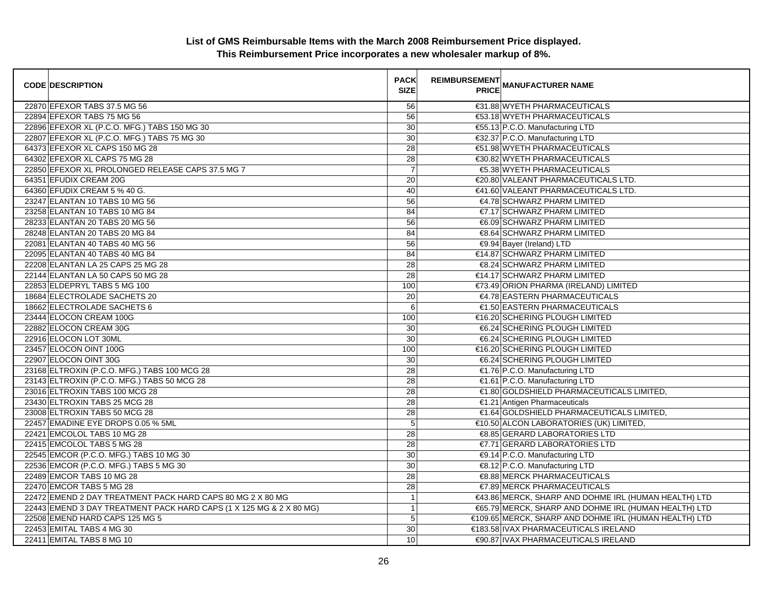| <b>CODE DESCRIPTION</b>                                             | <b>PACK</b><br><b>SIZE</b> | REIMBURSEMENT<br>PRICE MANUFACTURER NAME              |
|---------------------------------------------------------------------|----------------------------|-------------------------------------------------------|
| 22870 EFEXOR TABS 37.5 MG 56                                        | 56                         | €31.88 WYETH PHARMACEUTICALS                          |
| 22894 EFEXOR TABS 75 MG 56                                          | 56                         | €53.18 WYETH PHARMACEUTICALS                          |
| 22896 EFEXOR XL (P.C.O. MFG.) TABS 150 MG 30                        | 30                         | €55.13 P.C.O. Manufacturing LTD                       |
| 22807 EFEXOR XL (P.C.O. MFG.) TABS 75 MG 30                         | 30                         | €32.37 P.C.O. Manufacturing LTD                       |
| 64373 EFEXOR XL CAPS 150 MG 28                                      | 28                         | €51.98 WYETH PHARMACEUTICALS                          |
| 64302 EFEXOR XL CAPS 75 MG 28                                       | $\overline{28}$            | €30.82 WYETH PHARMACEUTICALS                          |
| 22850 EFEXOR XL PROLONGED RELEASE CAPS 37.5 MG 7                    | $\overline{7}$             | €5.38 WYETH PHARMACEUTICALS                           |
| 64351 EFUDIX CREAM 20G                                              | 20                         | €20.80 VALEANT PHARMACEUTICALS LTD.                   |
| 64360 EFUDIX CREAM 5 % 40 G.                                        | 40                         | €41.60 VALEANT PHARMACEUTICALS LTD.                   |
| 23247 ELANTAN 10 TABS 10 MG 56                                      | 56                         | €4.78 SCHWARZ PHARM LIMITED                           |
| 23258 ELANTAN 10 TABS 10 MG 84                                      | 84                         | €7.17 SCHWARZ PHARM LIMITED                           |
| 28233 ELANTAN 20 TABS 20 MG 56                                      | 56                         | €6.09 SCHWARZ PHARM LIMITED                           |
| 28248 ELANTAN 20 TABS 20 MG 84                                      | 84                         | €8.64 SCHWARZ PHARM LIMITED                           |
| 22081 ELANTAN 40 TABS 40 MG 56                                      | 56                         | €9.94 Bayer (Ireland) LTD                             |
| 22095 ELANTAN 40 TABS 40 MG 84                                      | 84                         | €14.87 SCHWARZ PHARM LIMITED                          |
| 22208 ELANTAN LA 25 CAPS 25 MG 28                                   | 28                         | €8.24 SCHWARZ PHARM LIMITED                           |
| 22144 ELANTAN LA 50 CAPS 50 MG 28                                   | 28                         | €14.17 SCHWARZ PHARM LIMITED                          |
| 22853 ELDEPRYL TABS 5 MG 100                                        | 100                        | €73.49 ORION PHARMA (IRELAND) LIMITED                 |
| 18684 ELECTROLADE SACHETS 20                                        | $\overline{20}$            | €4.78 EASTERN PHARMACEUTICALS                         |
| 18662 ELECTROLADE SACHETS 6                                         | 6                          | €1.50 EASTERN PHARMACEUTICALS                         |
| 23444 ELOCON CREAM 100G                                             | 100                        | €16.20 SCHERING PLOUGH LIMITED                        |
| 22882 ELOCON CREAM 30G                                              | $\overline{30}$            | €6.24 SCHERING PLOUGH LIMITED                         |
| 22916 ELOCON LOT 30ML                                               | 30                         | €6.24 SCHERING PLOUGH LIMITED                         |
| 23457 ELOCON OINT 100G                                              | 100                        | €16.20 SCHERING PLOUGH LIMITED                        |
| 22907 ELOCON OINT 30G                                               | 30                         | €6.24 SCHERING PLOUGH LIMITED                         |
| 23168 ELTROXIN (P.C.O. MFG.) TABS 100 MCG 28                        | 28                         | €1.76 P.C.O. Manufacturing LTD                        |
| 23143 ELTROXIN (P.C.O. MFG.) TABS 50 MCG 28                         | $\overline{28}$            | €1.61 P.C.O. Manufacturing LTD                        |
| 23016 ELTROXIN TABS 100 MCG 28                                      | 28                         | €1.80 GOLDSHIELD PHARMACEUTICALS LIMITED,             |
| 23430 ELTROXIN TABS 25 MCG 28                                       | 28                         | €1.21 Antigen Pharmaceuticals                         |
| 23008 ELTROXIN TABS 50 MCG 28                                       | $\overline{28}$            | €1.64 GOLDSHIELD PHARMACEUTICALS LIMITED,             |
| 22457 EMADINE EYE DROPS 0.05 % 5ML                                  | $\overline{5}$             | €10.50 ALCON LABORATORIES (UK) LIMITED,               |
| 22421 EMCOLOL TABS 10 MG 28                                         | 28                         | €8.85 GERARD LABORATORIES LTD                         |
| 22415 EMCOLOL TABS 5 MG 28                                          | 28                         | €7.71 GERARD LABORATORIES LTD                         |
| 22545 EMCOR (P.C.O. MFG.) TABS 10 MG 30                             | 30                         | €9.14 P.C.O. Manufacturing LTD                        |
| 22536 EMCOR (P.C.O. MFG.) TABS 5 MG 30                              | 30                         | €8.12 P.C.O. Manufacturing LTD                        |
| 22489 EMCOR TABS 10 MG 28                                           | $\overline{28}$            | €8.88 MERCK PHARMACEUTICALS                           |
| 22470 EMCOR TABS 5 MG 28                                            | $\overline{28}$            | €7.89 MERCK PHARMACEUTICALS                           |
| 22472 EMEND 2 DAY TREATMENT PACK HARD CAPS 80 MG 2 X 80 MG          | $\mathbf{1}$               | €43.86 MERCK, SHARP AND DOHME IRL (HUMAN HEALTH) LTD  |
| 22443 EMEND 3 DAY TREATMENT PACK HARD CAPS (1 X 125 MG & 2 X 80 MG) | $\mathbf{1}$               | €65.79 MERCK, SHARP AND DOHME IRL (HUMAN HEALTH) LTD  |
| 22508 EMEND HARD CAPS 125 MG 5                                      | 5                          | €109.65 MERCK, SHARP AND DOHME IRL (HUMAN HEALTH) LTD |
| 22453 EMITAL TABS 4 MG 30                                           | 30                         | €183.58 IVAX PHARMACEUTICALS IRELAND                  |
| 22411 EMITAL TABS 8 MG 10                                           | 10                         | €90.87 IVAX PHARMACEUTICALS IRELAND                   |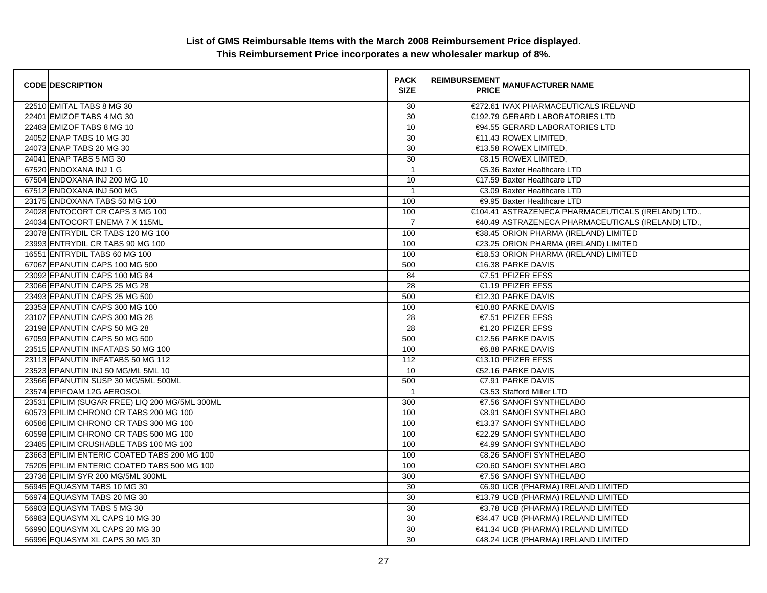| <b>CODE DESCRIPTION</b>                |                                                | <b>PACK</b><br><b>SIZE</b> | <b>REIMBURSEMENT</b> | <b>PRICE MANUFACTURER NAME</b>                      |
|----------------------------------------|------------------------------------------------|----------------------------|----------------------|-----------------------------------------------------|
| 22510 EMITAL TABS 8 MG 30              |                                                | 30                         |                      | €272.61 IVAX PHARMACEUTICALS IRELAND                |
| 22401 EMIZOF TABS 4 MG 30              |                                                | $\overline{30}$            |                      | €192.79 GERARD LABORATORIES LTD                     |
| 22483 EMIZOF TABS 8 MG 10              |                                                | 10                         |                      | €94.55 GERARD LABORATORIES LTD                      |
| 24052 ENAP TABS 10 MG 30               |                                                | 30                         |                      | €11.43 ROWEX LIMITED,                               |
| 24073 ENAP TABS 20 MG 30               |                                                | 30                         |                      | €13.58 ROWEX LIMITED,                               |
| 24041 ENAP TABS 5 MG 30                |                                                | 30                         |                      | €8.15 ROWEX LIMITED,                                |
| 67520 ENDOXANA INJ 1 G                 |                                                | $\overline{1}$             |                      | €5.36 Baxter Healthcare LTD                         |
| 67504 ENDOXANA INJ 200 MG 10           |                                                | 10                         |                      | €17.59 Baxter Healthcare LTD                        |
| 67512 ENDOXANA INJ 500 MG              |                                                | $\mathbf{1}$               |                      | €3.09 Baxter Healthcare LTD                         |
| 23175 ENDOXANA TABS 50 MG 100          |                                                | 100                        |                      | €9.95 Baxter Healthcare LTD                         |
| 24028 ENTOCORT CR CAPS 3 MG 100        |                                                | 100                        |                      | €104.41 ASTRAZENECA PHARMACEUTICALS (IRELAND) LTD., |
| 24034 ENTOCORT ENEMA 7 X 115ML         |                                                | $\overline{7}$             |                      | €40.49 ASTRAZENECA PHARMACEUTICALS (IRELAND) LTD.,  |
| 23078 ENTRYDIL CR TABS 120 MG 100      |                                                | 100                        |                      | €38.45 ORION PHARMA (IRELAND) LIMITED               |
| 23993 ENTRYDIL CR TABS 90 MG 100       |                                                | 100                        |                      | €23.25 ORION PHARMA (IRELAND) LIMITED               |
| 16551 ENTRYDIL TABS 60 MG 100          |                                                | 100                        |                      | €18.53 ORION PHARMA (IRELAND) LIMITED               |
| 67067 EPANUTIN CAPS 100 MG 500         |                                                | 500                        |                      | €16.38 PARKE DAVIS                                  |
| 23092 EPANUTIN CAPS 100 MG 84          |                                                | 84                         |                      | $€7.51$ PFIZER EFSS                                 |
| 23066 EPANUTIN CAPS 25 MG 28           |                                                | 28                         |                      | €1.19 PFIZER EFSS                                   |
| 23493 EPANUTIN CAPS 25 MG 500          |                                                | 500                        |                      | €12.30 PARKE DAVIS                                  |
| 23353 EPANUTIN CAPS 300 MG 100         |                                                | 100                        |                      | €10.80 PARKE DAVIS                                  |
| 23107 EPANUTIN CAPS 300 MG 28          |                                                | 28                         |                      | €7.51 PFIZER EFSS                                   |
| 23198 EPANUTIN CAPS 50 MG 28           |                                                | 28                         |                      | €1.20 PFIZER EFSS                                   |
| 67059 EPANUTIN CAPS 50 MG 500          |                                                | 500                        |                      | €12.56 PARKE DAVIS                                  |
| 23515 EPANUTIN INFATABS 50 MG 100      |                                                | 100                        |                      | €6.88 PARKE DAVIS                                   |
| 23113 EPANUTIN INFATABS 50 MG 112      |                                                | 112                        |                      | €13.10 PFIZER EFSS                                  |
| 23523 EPANUTIN INJ 50 MG/ML 5ML 10     |                                                | 10                         |                      | €52.16 PARKE DAVIS                                  |
| 23566 EPANUTIN SUSP 30 MG/5ML 500ML    |                                                | 500                        |                      | €7.91 PARKE DAVIS                                   |
| 23574 EPIFOAM 12G AEROSOL              |                                                | $\mathbf{1}$               |                      | €3.53 Stafford Miller LTD                           |
|                                        | 23531 EPILIM (SUGAR FREE) LIQ 200 MG/5ML 300ML | 300                        |                      | €7.56 SANOFI SYNTHELABO                             |
| 60573 EPILIM CHRONO CR TABS 200 MG 100 |                                                | 100                        |                      | €8.91 SANOFI SYNTHELABO                             |
| 60586 EPILIM CHRONO CR TABS 300 MG 100 |                                                | 100                        |                      | €13.37 SANOFI SYNTHELABO                            |
| 60598 EPILIM CHRONO CR TABS 500 MG 100 |                                                | 100                        |                      | €22.29 SANOFI SYNTHELABO                            |
| 23485 EPILIM CRUSHABLE TABS 100 MG 100 |                                                | 100                        |                      | €4.99 SANOFI SYNTHELABO                             |
|                                        | 23663 EPILIM ENTERIC COATED TABS 200 MG 100    | 100                        |                      | €8.26 SANOFI SYNTHELABO                             |
|                                        | 75205 EPILIM ENTERIC COATED TABS 500 MG 100    | 100                        |                      | €20.60 SANOFI SYNTHELABO                            |
| 23736 EPILIM SYR 200 MG/5ML 300ML      |                                                | 300                        |                      | €7.56 SANOFI SYNTHELABO                             |
| 56945 EQUASYM TABS 10 MG 30            |                                                | 30                         |                      | €6.90 UCB (PHARMA) IRELAND LIMITED                  |
| 56974 EQUASYM TABS 20 MG 30            |                                                | 30                         |                      | €13.79 UCB (PHARMA) IRELAND LIMITED                 |
| 56903 EQUASYM TABS 5 MG 30             |                                                | 30                         |                      | €3.78 UCB (PHARMA) IRELAND LIMITED                  |
| 56983 EQUASYM XL CAPS 10 MG 30         |                                                | 30                         |                      | €34.47 UCB (PHARMA) IRELAND LIMITED                 |
| 56990 EQUASYM XL CAPS 20 MG 30         |                                                | 30                         |                      | €41.34 UCB (PHARMA) IRELAND LIMITED                 |
| 56996 EQUASYM XL CAPS 30 MG 30         |                                                | 30                         |                      | €48.24 UCB (PHARMA) IRELAND LIMITED                 |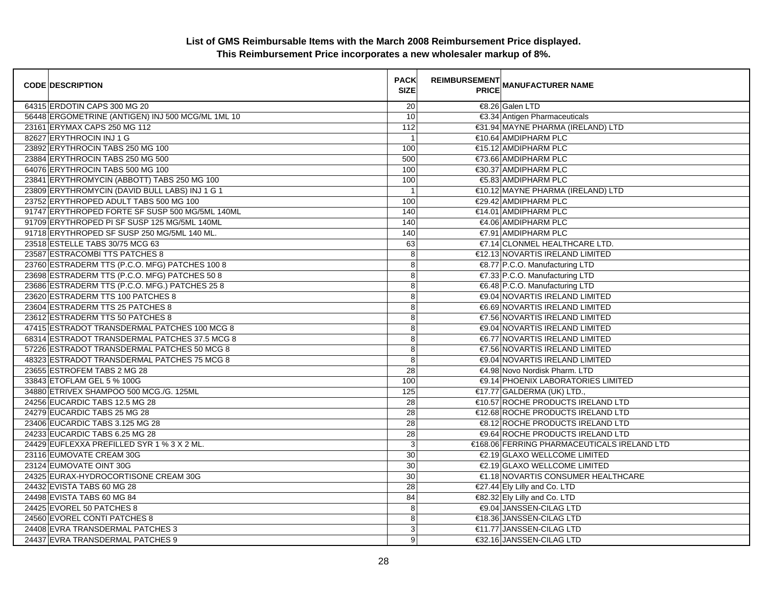| <b>CODE DESCRIPTION</b>                           | <b>PACK</b><br><b>SIZE</b> | <b>REIMBURSEMENT</b> | <b>---------</b><br>PRICE MANUFACTURER NAME |
|---------------------------------------------------|----------------------------|----------------------|---------------------------------------------|
| 64315 ERDOTIN CAPS 300 MG 20                      | 20                         |                      | €8.26 Galen LTD                             |
| 56448 ERGOMETRINE (ANTIGEN) INJ 500 MCG/ML 1ML 10 | 10                         |                      | €3.34 Antigen Pharmaceuticals               |
| 23161 ERYMAX CAPS 250 MG 112                      | 112                        |                      | €31.94 MAYNE PHARMA (IRELAND) LTD           |
| 82627 ERYTHROCIN INJ 1 G                          | $\overline{1}$             |                      | €10.64 AMDIPHARM PLC                        |
| 23892 ERYTHROCIN TABS 250 MG 100                  | 100                        |                      | €15.12 AMDIPHARM PLC                        |
| 23884 ERYTHROCIN TABS 250 MG 500                  | 500                        |                      | €73.66 AMDIPHARM PLC                        |
| 64076 ERYTHROCIN TABS 500 MG 100                  | 100                        |                      | €30.37 AMDIPHARM PLC                        |
| 23841 ERYTHROMYCIN (ABBOTT) TABS 250 MG 100       | 100                        |                      | €5.83 AMDIPHARM PLC                         |
| 23809 ERYTHROMYCIN (DAVID BULL LABS) INJ 1 G 1    | $\overline{1}$             |                      | €10.12 MAYNE PHARMA (IRELAND) LTD           |
| 23752 ERYTHROPED ADULT TABS 500 MG 100            | 100                        |                      | €29.42 AMDIPHARM PLC                        |
| 91747 ERYTHROPED FORTE SF SUSP 500 MG/5ML 140ML   | 140                        |                      | €14.01 AMDIPHARM PLC                        |
| 91709 ERYTHROPED PI SF SUSP 125 MG/5ML 140ML      | 140                        |                      | €4.06 AMDIPHARM PLC                         |
| 91718 ERYTHROPED SF SUSP 250 MG/5ML 140 ML.       | 140                        |                      | €7.91 AMDIPHARM PLC                         |
| 23518 ESTELLE TABS 30/75 MCG 63                   | 63                         |                      | €7.14 CLONMEL HEALTHCARE LTD.               |
| 23587 ESTRACOMBI TTS PATCHES 8                    | 8                          |                      | €12.13 NOVARTIS IRELAND LIMITED             |
| 23760 ESTRADERM TTS (P.C.O. MFG) PATCHES 100 8    | 8                          |                      | €8.77 P.C.O. Manufacturing LTD              |
| 23698 ESTRADERM TTS (P.C.O. MFG) PATCHES 50 8     | 8                          |                      | €7.33 P.C.O. Manufacturing LTD              |
| 23686 ESTRADERM TTS (P.C.O. MFG.) PATCHES 25 8    | 8                          |                      | €6.48 P.C.O. Manufacturing LTD              |
| 23620 ESTRADERM TTS 100 PATCHES 8                 | 8                          |                      | €9.04 NOVARTIS IRELAND LIMITED              |
| 23604 ESTRADERM TTS 25 PATCHES 8                  | 8                          |                      | €6.69 NOVARTIS IRELAND LIMITED              |
| 23612 ESTRADERM TTS 50 PATCHES 8                  | 8                          |                      | €7.56 NOVARTIS IRELAND LIMITED              |
| 47415 ESTRADOT TRANSDERMAL PATCHES 100 MCG 8      | 8                          |                      | €9.04 NOVARTIS IRELAND LIMITED              |
| 68314 ESTRADOT TRANSDERMAL PATCHES 37.5 MCG 8     | 8                          |                      | €6.77 NOVARTIS IRELAND LIMITED              |
| 57226 ESTRADOT TRANSDERMAL PATCHES 50 MCG 8       | 8                          |                      | €7.56 NOVARTIS IRELAND LIMITED              |
| 48323 ESTRADOT TRANSDERMAL PATCHES 75 MCG 8       | 8                          |                      | <b>€9.04 NOVARTIS IRELAND LIMITED</b>       |
| 23655 ESTROFEM TABS 2 MG 28                       | 28                         |                      | €4.98 Novo Nordisk Pharm, LTD               |
| 33843 ETOFLAM GEL 5 % 100G                        | 100                        |                      | €9.14 PHOENIX LABORATORIES LIMITED          |
| 34880 ETRIVEX SHAMPOO 500 MCG./G. 125ML           | 125                        |                      | €17.77 GALDERMA (UK) LTD.,                  |
| 24256 EUCARDIC TABS 12.5 MG 28                    | 28                         |                      | €10.57 ROCHE PRODUCTS IRELAND LTD           |
| 24279 EUCARDIC TABS 25 MG 28                      | 28                         |                      | €12.68 ROCHE PRODUCTS IRELAND LTD           |
| 23406 EUCARDIC TABS 3.125 MG 28                   | 28                         |                      | €8.12 ROCHE PRODUCTS IRELAND LTD            |
| 24233 EUCARDIC TABS 6.25 MG 28                    | 28                         |                      | €9.64 ROCHE PRODUCTS IRELAND LTD            |
| 24429 EUFLEXXA PREFILLED SYR 1 % 3 X 2 ML.        | 3                          |                      | €168.06 FERRING PHARMACEUTICALS IRELAND LTD |
| 23116 EUMOVATE CREAM 30G                          | 30                         |                      | €2.19 GLAXO WELLCOME LIMITED                |
| 23124 EUMOVATE OINT 30G                           | 30                         |                      | €2.19 GLAXO WELLCOME LIMITED                |
| 24325 EURAX-HYDROCORTISONE CREAM 30G              | 30                         |                      | €1.18 NOVARTIS CONSUMER HEALTHCARE          |
| 24432 EVISTA TABS 60 MG 28                        | 28                         |                      | €27.44 Ely Lilly and Co. LTD                |
| 24498 EVISTA TABS 60 MG 84                        | 84                         |                      | €82.32 Ely Lilly and Co. LTD                |
| 24425 EVOREL 50 PATCHES 8                         | 8                          |                      | €9.04 JANSSEN-CILAG LTD                     |
| 24560 EVOREL CONTI PATCHES 8                      | 8                          |                      | €18.36 JANSSEN-CILAG LTD                    |
| 24408 EVRA TRANSDERMAL PATCHES 3                  | 3                          |                      | €11.77 JANSSEN-CILAG LTD                    |
| 24437 EVRA TRANSDERMAL PATCHES 9                  | 9                          |                      | €32.16 JANSSEN-CILAG LTD                    |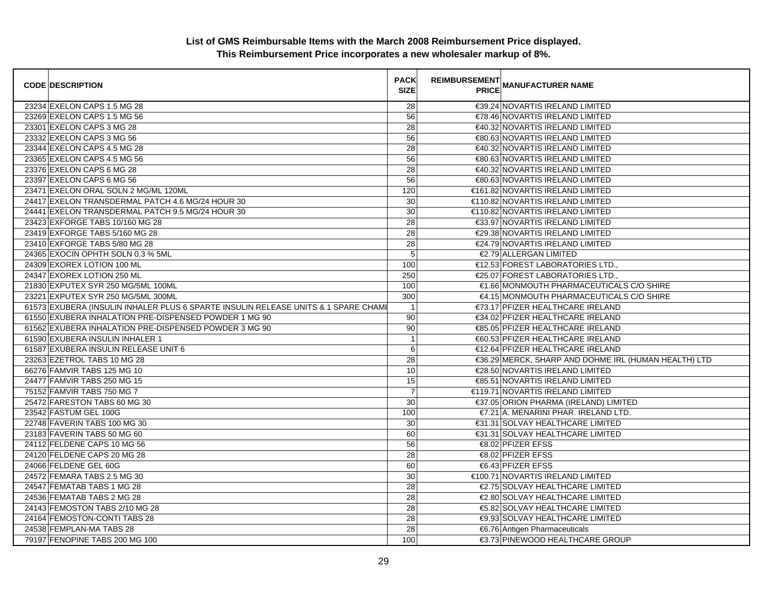| <b>CODE DESCRIPTION</b>                                                            | <b>PACK</b><br><b>SIZE</b> | <b>REIMBURSEMENT</b> | <b>PRICE MANUFACTURER NAME</b>                       |
|------------------------------------------------------------------------------------|----------------------------|----------------------|------------------------------------------------------|
| 23234 EXELON CAPS 1.5 MG 28                                                        | 28                         |                      | €39.24 NOVARTIS IRELAND LIMITED                      |
| 23269 EXELON CAPS 1.5 MG 56                                                        | 56                         |                      | €78.46 NOVARTIS IRELAND LIMITED                      |
| 23301 EXELON CAPS 3 MG 28                                                          | 28                         |                      | €40.32 NOVARTIS IRELAND LIMITED                      |
| 23332 EXELON CAPS 3 MG 56                                                          | 56                         |                      | €80.63 NOVARTIS IRELAND LIMITED                      |
| 23344 EXELON CAPS 4.5 MG 28                                                        | 28                         |                      | €40.32 NOVARTIS IRELAND LIMITED                      |
| 23365 EXELON CAPS 4.5 MG 56                                                        | 56                         |                      | €80.63 NOVARTIS IRELAND LIMITED                      |
| 23376 EXELON CAPS 6 MG 28                                                          | 28                         |                      | €40.32 NOVARTIS IRELAND LIMITED                      |
| 23397 EXELON CAPS 6 MG 56                                                          | 56                         |                      | €80.63 NOVARTIS IRELAND LIMITED                      |
| 23471 EXELON ORAL SOLN 2 MG/ML 120ML                                               | 120                        |                      | €161.82 NOVARTIS IRELAND LIMITED                     |
| 24417 EXELON TRANSDERMAL PATCH 4.6 MG/24 HOUR 30                                   | 30                         |                      | €110.82 NOVARTIS IRELAND LIMITED                     |
| 24441 EXELON TRANSDERMAL PATCH 9.5 MG/24 HOUR 30                                   | 30                         |                      | €110.82 NOVARTIS IRELAND LIMITED                     |
| 23423 EXFORGE TABS 10/160 MG 28                                                    | 28                         |                      | €33.97 NOVARTIS IRELAND LIMITED                      |
| 23419 EXFORGE TABS 5/160 MG 28                                                     | 28                         |                      | €29.38 NOVARTIS IRELAND LIMITED                      |
| 23410 EXFORGE TABS 5/80 MG 28                                                      | 28                         |                      | €24.79 NOVARTIS IRELAND LIMITED                      |
| 24365 EXOCIN OPHTH SOLN 0.3 % 5ML                                                  | 5                          |                      | €2.79 ALLERGAN LIMITED                               |
| 24309 EXOREX LOTION 100 ML                                                         | 100                        |                      | €12.53 FOREST LABORATORIES LTD.,                     |
| 24347 EXOREX LOTION 250 ML                                                         | 250                        |                      | €25.07 FOREST LABORATORIES LTD.,                     |
| 21830 EXPUTEX SYR 250 MG/5ML 100ML                                                 | 100                        |                      | €1.66 MONMOUTH PHARMACEUTICALS C/O SHIRE             |
| 23221 EXPUTEX SYR 250 MG/5ML 300ML                                                 | 300                        |                      | €4.15 MONMOUTH PHARMACEUTICALS C/O SHIRE             |
| 61573 EXUBERA (INSULIN INHALER PLUS 6 SPARTE INSULIN RELEASE UNITS & 1 SPARE CHAME | $\overline{1}$             |                      | €73.17 PFIZER HEALTHCARE IRELAND                     |
| 61550 EXUBERA INHALATION PRE-DISPENSED POWDER 1 MG 90                              | 90                         |                      | €34.02 PFIZER HEALTHCARE IRELAND                     |
| 61562 EXUBERA INHALATION PRE-DISPENSED POWDER 3 MG 90                              | 90                         |                      | €85.05 PFIZER HEALTHCARE IRELAND                     |
| 61590 EXUBERA INSULIN INHALER 1                                                    | $\overline{1}$             |                      | €60.53 PFIZER HEALTHCARE IRELAND                     |
| 61587 EXUBERA INSULIN RELEASE UNIT 6                                               | 6                          |                      | €12.64 PFIZER HEALTHCARE IRELAND                     |
| 23263 EZETROL TABS 10 MG 28                                                        | 28                         |                      | €36.29 MERCK, SHARP AND DOHME IRL (HUMAN HEALTH) LTD |
| 66276 FAMVIR TABS 125 MG 10                                                        | 10                         |                      | €28.50 NOVARTIS IRELAND LIMITED                      |
| 24477 FAMVIR TABS 250 MG 15                                                        | 15                         |                      | €85.51 NOVARTIS IRELAND LIMITED                      |
| 75152 FAMVIR TABS 750 MG 7                                                         | $\overline{7}$             |                      | €119.71 NOVARTIS IRELAND LIMITED                     |
| 25472 FARESTON TABS 60 MG 30                                                       | 30                         |                      | €37.05 ORION PHARMA (IRELAND) LIMITED                |
| 23542 FASTUM GEL 100G                                                              | 100                        |                      | €7.21 A. MENARINI PHAR. IRELAND LTD.                 |
| 22748 FAVERIN TABS 100 MG 30                                                       | 30                         |                      | €31.31 SOLVAY HEALTHCARE LIMITED                     |
| 23183 FAVERIN TABS 50 MG 60                                                        | 60                         |                      | €31.31 SOLVAY HEALTHCARE LIMITED                     |
| 24112 FELDENE CAPS 10 MG 56                                                        | 56                         |                      | €8.02 PFIZER EFSS                                    |
| 24120 FELDENE CAPS 20 MG 28                                                        | 28                         |                      | €8.02 PFIZER EFSS                                    |
| 24066 FELDENE GEL 60G                                                              | 60                         |                      | €6.43 PFIZER EFSS                                    |
| 24572 FEMARA TABS 2.5 MG 30                                                        | 30                         |                      | €100.71 NOVARTIS IRELAND LIMITED                     |
| 24547 FEMATAB TABS 1 MG 28                                                         | 28                         |                      | €2.75 SOLVAY HEALTHCARE LIMITED                      |
| 24536 FEMATAB TABS 2 MG 28                                                         | 28                         |                      | €2.80 SOLVAY HEALTHCARE LIMITED                      |
| 24143 FEMOSTON TABS 2/10 MG 28                                                     | 28                         |                      | €5.82 SOLVAY HEALTHCARE LIMITED                      |
| 24164 FEMOSTON-CONTI TABS 28                                                       | 28                         |                      | €9.93 SOLVAY HEALTHCARE LIMITED                      |
| 24538 FEMPLAN-MA TABS 28                                                           | 28                         |                      | €6.76 Antigen Pharmaceuticals                        |
| 79197 FENOPINE TABS 200 MG 100                                                     | 100                        |                      | €3.73 PINEWOOD HEALTHCARE GROUP                      |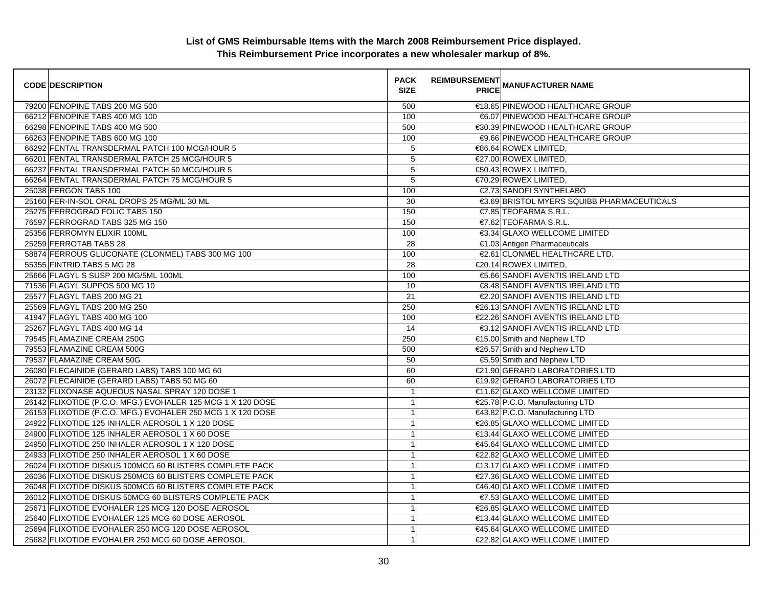| <b>CODE DESCRIPTION</b>                                     | <b>PACK</b><br><b>SIZE</b> | <b>REIMBURSEMENT</b> | <b>PRICE MANUFACTURER NAME</b>             |
|-------------------------------------------------------------|----------------------------|----------------------|--------------------------------------------|
| 79200 FENOPINE TABS 200 MG 500                              | 500                        |                      | €18.65 PINEWOOD HEALTHCARE GROUP           |
| 66212 FENOPINE TABS 400 MG 100                              | 100                        |                      | €6.07 PINEWOOD HEALTHCARE GROUP            |
| 66298 FENOPINE TABS 400 MG 500                              | 500                        |                      | €30.39 PINEWOOD HEALTHCARE GROUP           |
| 66263 FENOPINE TABS 600 MG 100                              | 100                        |                      | €9.66 PINEWOOD HEALTHCARE GROUP            |
| 66292 FENTAL TRANSDERMAL PATCH 100 MCG/HOUR 5               | 5                          |                      | €86.64 ROWEX LIMITED,                      |
| 66201 FENTAL TRANSDERMAL PATCH 25 MCG/HOUR 5                | 5                          |                      | €27.00 ROWEX LIMITED,                      |
| 66237 FENTAL TRANSDERMAL PATCH 50 MCG/HOUR 5                | 5                          |                      | €50.43 ROWEX LIMITED.                      |
| 66264 FENTAL TRANSDERMAL PATCH 75 MCG/HOUR 5                | 5                          |                      | €70.29 ROWEX LIMITED,                      |
| 25038 FERGON TABS 100                                       | 100                        |                      | €2.73 SANOFI SYNTHELABO                    |
| 25160 FER-IN-SOL ORAL DROPS 25 MG/ML 30 ML                  | 30                         |                      | €3.69 BRISTOL MYERS SQUIBB PHARMACEUTICALS |
| 25275 FERROGRAD FOLIC TABS 150                              | 150                        |                      | $\epsilon$ 7.85 TEOFARMA S.R.L.            |
| 76597 FERROGRAD TABS 325 MG 150                             | 150                        |                      | €7.62 TEOFARMA S.R.L.                      |
| 25356 FERROMYN ELIXIR 100ML                                 | 100                        |                      | €3.34 GLAXO WELLCOME LIMITED               |
| 25259 FERROTAB TABS 28                                      | 28                         |                      | €1.03 Antigen Pharmaceuticals              |
| 58874 FERROUS GLUCONATE (CLONMEL) TABS 300 MG 100           | 100                        |                      | €2.61 CLONMEL HEALTHCARE LTD.              |
| 55355 FINTRID TABS 5 MG 28                                  | 28                         |                      | €20.14 ROWEX LIMITED,                      |
| 25666 FLAGYL S SUSP 200 MG/5ML 100ML                        | 100                        |                      | €5.66 SANOFI AVENTIS IRELAND LTD           |
| 71536 FLAGYL SUPPOS 500 MG 10                               | 10                         |                      | €8.48 SANOFI AVENTIS IRELAND LTD           |
| 25577 FLAGYL TABS 200 MG 21                                 | 21                         |                      | €2.20 SANOFI AVENTIS IRELAND LTD           |
| 25569 FLAGYL TABS 200 MG 250                                | 250                        |                      | €26.13 SANOFI AVENTIS IRELAND LTD          |
| 41947 FLAGYL TABS 400 MG 100                                | 100                        |                      | €22.26 SANOFI AVENTIS IRELAND LTD          |
| 25267 FLAGYL TABS 400 MG 14                                 | $\overline{14}$            |                      | €3.12 SANOFI AVENTIS IRELAND LTD           |
| 79545 FLAMAZINE CREAM 250G                                  | 250                        |                      | €15.00 Smith and Nephew LTD                |
| 79553 FLAMAZINE CREAM 500G                                  | 500                        |                      | €26.57 Smith and Nephew LTD                |
| 79537 FLAMAZINE CREAM 50G                                   | 50                         |                      | €5.59 Smith and Nephew LTD                 |
| 26080 FLECAINIDE (GERARD LABS) TABS 100 MG 60               | 60                         |                      | €21.90 GERARD LABORATORIES LTD             |
| 26072 FLECAINIDE (GERARD LABS) TABS 50 MG 60                | 60                         |                      | €19.92 GERARD LABORATORIES LTD             |
| 23132 FLIXONASE AQUEOUS NASAL SPRAY 120 DOSE 1              | $\overline{1}$             |                      | €11.62 GLAXO WELLCOME LIMITED              |
| 26142 FLIXOTIDE (P.C.O. MFG.) EVOHALER 125 MCG 1 X 120 DOSE | $\overline{1}$             |                      | €25.78 P.C.O. Manufacturing LTD            |
| 26153 FLIXOTIDE (P.C.O. MFG.) EVOHALER 250 MCG 1 X 120 DOSE | $\mathbf{1}$               |                      | €43.82 P.C.O. Manufacturing LTD            |
| 24922 FLIXOTIDE 125 INHALER AEROSOL 1 X 120 DOSE            | $\mathbf{1}$               |                      | €26.85 GLAXO WELLCOME LIMITED              |
| 24900 FLIXOTIDE 125 INHALER AEROSOL 1 X 60 DOSE             | 1                          |                      | €13.44 GLAXO WELLCOME LIMITED              |
| 24950 FLIXOTIDE 250 INHALER AEROSOL 1 X 120 DOSE            | $\mathbf{1}$               |                      | €45.64 GLAXO WELLCOME LIMITED              |
| 24933 FLIXOTIDE 250 INHALER AEROSOL 1 X 60 DOSE             | $\mathbf{1}$               |                      | €22.82 GLAXO WELLCOME LIMITED              |
| 26024 FLIXOTIDE DISKUS 100MCG 60 BLISTERS COMPLETE PACK     | 1                          |                      | €13.17 GLAXO WELLCOME LIMITED              |
| 26036 FLIXOTIDE DISKUS 250MCG 60 BLISTERS COMPLETE PACK     | $\overline{1}$             |                      | €27.36 GLAXO WELLCOME LIMITED              |
| 26048 FLIXOTIDE DISKUS 500MCG 60 BLISTERS COMPLETE PACK     | $\mathbf{1}$               |                      | €46.40 GLAXO WELLCOME LIMITED              |
| 26012 FLIXOTIDE DISKUS 50MCG 60 BLISTERS COMPLETE PACK      | 1                          |                      | €7.53 GLAXO WELLCOME LIMITED               |
| 25671 FLIXOTIDE EVOHALER 125 MCG 120 DOSE AEROSOL           | $\overline{1}$             |                      | €26.85 GLAXO WELLCOME LIMITED              |
| 25640 FLIXOTIDE EVOHALER 125 MCG 60 DOSE AEROSOL            | $\mathbf{1}$               |                      | €13.44 GLAXO WELLCOME LIMITED              |
| 25694 FLIXOTIDE EVOHALER 250 MCG 120 DOSE AEROSOL           | 1                          |                      | €45.64 GLAXO WELLCOME LIMITED              |
| 25682 FLIXOTIDE EVOHALER 250 MCG 60 DOSE AEROSOL            | $\mathbf{1}$               |                      | €22.82 GLAXO WELLCOME LIMITED              |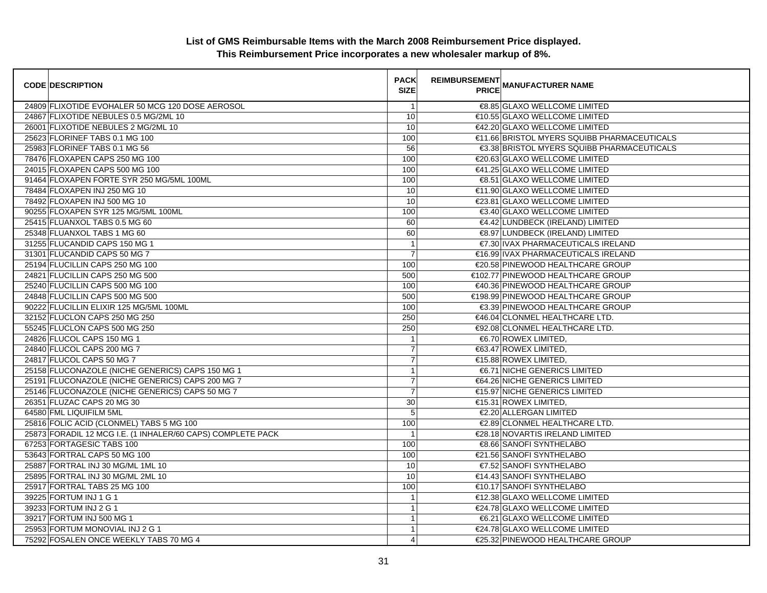| <b>CODE DESCRIPTION</b>                                     | <b>PACK</b><br><b>SIZE</b> | <b>REIMBURSEMENT</b> | <b>PRICE MANUFACTURER NAME</b>              |
|-------------------------------------------------------------|----------------------------|----------------------|---------------------------------------------|
| 24809 FLIXOTIDE EVOHALER 50 MCG 120 DOSE AEROSOL            | $\overline{1}$             |                      | €8.85 GLAXO WELLCOME LIMITED                |
| 24867 FLIXOTIDE NEBULES 0.5 MG/2ML 10                       | 10                         |                      | €10.55 GLAXO WELLCOME LIMITED               |
| 26001 FLIXOTIDE NEBULES 2 MG/2ML 10                         | 10                         |                      | €42.20 GLAXO WELLCOME LIMITED               |
| 25623 FLORINEF TABS 0.1 MG 100                              | 100                        |                      | €11.66 BRISTOL MYERS SQUIBB PHARMACEUTICALS |
| 25983 FLORINEF TABS 0.1 MG 56                               | 56                         |                      | €3.38 BRISTOL MYERS SQUIBB PHARMACEUTICALS  |
| 78476 FLOXAPEN CAPS 250 MG 100                              | 100                        |                      | €20.63 GLAXO WELLCOME LIMITED               |
| 24015 FLOXAPEN CAPS 500 MG 100                              | 100                        |                      | €41.25 GLAXO WELLCOME LIMITED               |
| 91464 FLOXAPEN FORTE SYR 250 MG/5ML 100ML                   | 100                        |                      | €8.51 GLAXO WELLCOME LIMITED                |
| 78484 FLOXAPEN INJ 250 MG 10                                | 10                         |                      | €11.90 GLAXO WELLCOME LIMITED               |
| 78492 FLOXAPEN INJ 500 MG 10                                | 10                         |                      | €23.81 GLAXO WELLCOME LIMITED               |
| 90255 FLOXAPEN SYR 125 MG/5ML 100ML                         | 100                        |                      | €3.40 GLAXO WELLCOME LIMITED                |
| 25415 FLUANXOL TABS 0.5 MG 60                               | 60                         |                      | €4.42 LUNDBECK (IRELAND) LIMITED            |
| 25348 FLUANXOL TABS 1 MG 60                                 | 60                         |                      | €8.97 LUNDBECK (IRELAND) LIMITED            |
| 31255 FLUCANDID CAPS 150 MG 1                               | $\overline{1}$             |                      | €7.30 IVAX PHARMACEUTICALS IRELAND          |
| 31301 FLUCANDID CAPS 50 MG 7                                | $\overline{7}$             |                      | €16.99 IVAX PHARMACEUTICALS IRELAND         |
| 25194 FLUCILLIN CAPS 250 MG 100                             | 100                        |                      | €20.58 PINEWOOD HEALTHCARE GROUP            |
| 24821 FLUCILLIN CAPS 250 MG 500                             | 500                        |                      | €102.77 PINEWOOD HEALTHCARE GROUP           |
| 25240 FLUCILLIN CAPS 500 MG 100                             | 100                        |                      | €40.36 PINEWOOD HEALTHCARE GROUP            |
| 24848 FLUCILLIN CAPS 500 MG 500                             | 500                        |                      | €198.99 PINEWOOD HEALTHCARE GROUP           |
| 90222 FLUCILLIN ELIXIR 125 MG/5ML 100ML                     | 100                        |                      | €3.39 PINEWOOD HEALTHCARE GROUP             |
| 32152 FLUCLON CAPS 250 MG 250                               | 250                        |                      | €46.04 CLONMEL HEALTHCARE LTD.              |
| 55245 FLUCLON CAPS 500 MG 250                               | 250                        |                      | €92.08 CLONMEL HEALTHCARE LTD.              |
| 24826 FLUCOL CAPS 150 MG 1                                  | $\mathbf{1}$               |                      | €6.70 ROWEX LIMITED,                        |
| 24840 FLUCOL CAPS 200 MG 7                                  | $\boldsymbol{7}$           |                      | €63.47 ROWEX LIMITED,                       |
| 24817 FLUCOL CAPS 50 MG 7                                   | $\overline{7}$             |                      | €15.88 ROWEX LIMITED,                       |
| 25158 FLUCONAZOLE (NICHE GENERICS) CAPS 150 MG 1            | $\mathbf{1}$               |                      | <b>€6.71 NICHE GENERICS LIMITED</b>         |
| 25191 FLUCONAZOLE (NICHE GENERICS) CAPS 200 MG 7            | $\overline{7}$             |                      | €64.26 NICHE GENERICS LIMITED               |
| 25146 FLUCONAZOLE (NICHE GENERICS) CAPS 50 MG 7             | $\overline{7}$             |                      | €15.97 NICHE GENERICS LIMITED               |
| 26351 FLUZAC CAPS 20 MG 30                                  | 30                         |                      | €15.31 ROWEX LIMITED,                       |
| 64580 FML LIQUIFILM 5ML                                     | 5                          |                      | €2.20 ALLERGAN LIMITED                      |
| 25816 FOLIC ACID (CLONMEL) TABS 5 MG 100                    | 100                        |                      | €2.89 CLONMEL HEALTHCARE LTD.               |
| 25873 FORADIL 12 MCG I.E. (1 INHALER/60 CAPS) COMPLETE PACK | $\overline{\mathbf{1}}$    |                      | €28.18 NOVARTIS IRELAND LIMITED             |
| 67253 FORTAGESIC TABS 100                                   | 100                        |                      | €8.66 SANOFI SYNTHELABO                     |
| 53643 FORTRAL CAPS 50 MG 100                                | 100                        |                      | €21.56 SANOFI SYNTHELABO                    |
| 25887 FORTRAL INJ 30 MG/ML 1ML 10                           | 10                         |                      | €7.52 SANOFI SYNTHELABO                     |
| 25895 FORTRAL INJ 30 MG/ML 2ML 10                           | 10                         |                      | €14.43 SANOFI SYNTHELABO                    |
| 25917 FORTRAL TABS 25 MG 100                                | 100                        |                      | €10.17 SANOFI SYNTHELABO                    |
| 39225 FORTUM INJ 1 G 1                                      | $\mathbf{1}$               |                      | €12.38 GLAXO WELLCOME LIMITED               |
| 39233 FORTUM INJ 2 G 1                                      | $\mathbf{1}$               |                      | €24.78 GLAXO WELLCOME LIMITED               |
| 39217 FORTUM INJ 500 MG 1                                   | $\mathbf{1}$               |                      | €6.21 GLAXO WELLCOME LIMITED                |
| 25953 FORTUM MONOVIAL INJ 2 G 1                             | $\mathbf{1}$               |                      | €24.78 GLAXO WELLCOME LIMITED               |
| 75292 FOSALEN ONCE WEEKLY TABS 70 MG 4                      | 4                          |                      | €25.32 PINEWOOD HEALTHCARE GROUP            |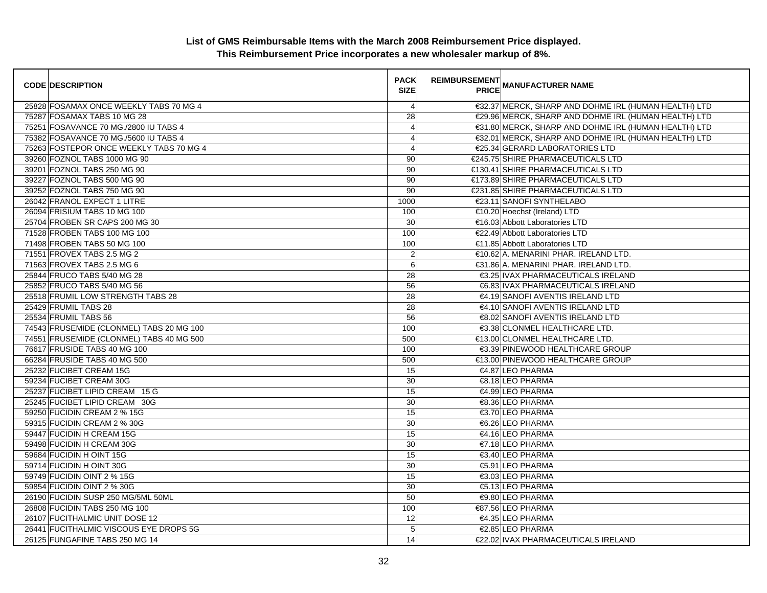| <b>CODE DESCRIPTION</b>                  | <b>PACK</b><br><b>SIZE</b> | <b>REIMBURSEMENT</b> | <b>PRICE MANUFACTURER NAME</b>                       |
|------------------------------------------|----------------------------|----------------------|------------------------------------------------------|
| 25828 FOSAMAX ONCE WEEKLY TABS 70 MG 4   | $\overline{4}$             |                      | €32.37 MERCK, SHARP AND DOHME IRL (HUMAN HEALTH) LTD |
| 75287 FOSAMAX TABS 10 MG 28              | 28                         |                      | €29.96 MERCK, SHARP AND DOHME IRL (HUMAN HEALTH) LTD |
| 75251 FOSAVANCE 70 MG./2800 IU TABS 4    | $\overline{4}$             |                      | €31.80 MERCK, SHARP AND DOHME IRL (HUMAN HEALTH) LTD |
| 75382 FOSAVANCE 70 MG./5600 IU TABS 4    | 4                          |                      | €32.01 MERCK, SHARP AND DOHME IRL (HUMAN HEALTH) LTD |
| 75263 FOSTEPOR ONCE WEEKLY TABS 70 MG 4  | 4                          |                      | €25.34 GERARD LABORATORIES LTD                       |
| 39260 FOZNOL TABS 1000 MG 90             | 90                         |                      | €245.75 SHIRE PHARMACEUTICALS LTD                    |
| 39201 FOZNOL TABS 250 MG 90              | 90                         |                      | €130.41 SHIRE PHARMACEUTICALS LTD                    |
| 39227 FOZNOL TABS 500 MG 90              | 90                         |                      | €173.89 SHIRE PHARMACEUTICALS LTD                    |
| 39252 FOZNOL TABS 750 MG 90              | 90                         |                      | €231.85 SHIRE PHARMACEUTICALS LTD                    |
| 26042 FRANOL EXPECT 1 LITRE              | 1000                       |                      | €23.11 SANOFI SYNTHELABO                             |
| 26094 FRISIUM TABS 10 MG 100             | 100                        |                      | €10.20 Hoechst (Ireland) LTD                         |
| 25704 FROBEN SR CAPS 200 MG 30           | 30                         |                      | €16.03 Abbott Laboratories LTD                       |
| 71528 FROBEN TABS 100 MG 100             | 100                        |                      | €22.49 Abbott Laboratories LTD                       |
| 71498 FROBEN TABS 50 MG 100              | 100                        |                      | €11.85 Abbott Laboratories LTD                       |
| 71551 FROVEX TABS 2.5 MG 2               | $\overline{2}$             |                      | €10.62 A. MENARINI PHAR. IRELAND LTD.                |
| 71563 FROVEX TABS 2.5 MG 6               | 6                          |                      | €31.86 A. MENARINI PHAR. IRELAND LTD.                |
| 25844 FRUCO TABS 5/40 MG 28              | 28                         |                      | €3.25 IVAX PHARMACEUTICALS IRELAND                   |
| 25852 FRUCO TABS 5/40 MG 56              | 56                         |                      | €6.83 IVAX PHARMACEUTICALS IRELAND                   |
| 25518 FRUMIL LOW STRENGTH TABS 28        | 28                         |                      | €4.19 SANOFI AVENTIS IRELAND LTD                     |
| 25429 FRUMIL TABS 28                     | 28                         |                      | €4.10 SANOFI AVENTIS IRELAND LTD                     |
| 25534 FRUMIL TABS 56                     | 56                         |                      | €8.02 SANOFI AVENTIS IRELAND LTD                     |
| 74543 FRUSEMIDE (CLONMEL) TABS 20 MG 100 | 100                        |                      | €3.38 CLONMEL HEALTHCARE LTD.                        |
| 74551 FRUSEMIDE (CLONMEL) TABS 40 MG 500 | 500                        |                      | €13.00 CLONMEL HEALTHCARE LTD.                       |
| 76617 FRUSIDE TABS 40 MG 100             | 100                        |                      | €3.39 PINEWOOD HEALTHCARE GROUP                      |
| 66284 FRUSIDE TABS 40 MG 500             | 500                        |                      | €13.00 PINEWOOD HEALTHCARE GROUP                     |
| 25232 FUCIBET CREAM 15G                  | 15                         |                      | €4.87 LEO PHARMA                                     |
| 59234 FUCIBET CREAM 30G                  | 30                         |                      | €8.18 LEO PHARMA                                     |
| 25237 FUCIBET LIPID CREAM 15 G           | 15                         |                      | €4.99 LEO PHARMA                                     |
| 25245 FUCIBET LIPID CREAM 30G            | 30                         |                      | €8.36 LEO PHARMA                                     |
| 59250 FUCIDIN CREAM 2 % 15G              | 15                         |                      | €3.70 LEO PHARMA                                     |
| 59315 FUCIDIN CREAM 2 % 30G              | 30                         |                      | €6.26 LEO PHARMA                                     |
| 59447 FUCIDIN H CREAM 15G                | 15                         |                      | €4.16 LEO PHARMA                                     |
| 59498 FUCIDIN H CREAM 30G                | 30                         |                      | $\epsilon$ 7.18 LEO PHARMA                           |
| 59684 FUCIDIN H OINT 15G                 | 15                         |                      | €3.40 LEO PHARMA                                     |
| 59714 FUCIDIN HOINT 30G                  | 30                         |                      | €5.91 LEO PHARMA                                     |
| 59749 FUCIDIN OINT 2 % 15G               | 15                         |                      | €3.03 LEO PHARMA                                     |
| 59854 FUCIDIN OINT 2 % 30G               | 30                         |                      | €5.13 LEO PHARMA                                     |
| 26190 FUCIDIN SUSP 250 MG/5ML 50ML       | 50                         |                      | €9.80 LEO PHARMA                                     |
| 26808 FUCIDIN TABS 250 MG 100            | 100                        |                      | €87.56 LEO PHARMA                                    |
| 26107 FUCITHALMIC UNIT DOSE 12           | 12                         |                      | €4.35 LEO PHARMA                                     |
| 26441 FUCITHALMIC VISCOUS EYE DROPS 5G   | $5\phantom{.0}$            |                      | €2.85 LEO PHARMA                                     |
| 26125 FUNGAFINE TABS 250 MG 14           | 14                         |                      | €22.02 IVAX PHARMACEUTICALS IRELAND                  |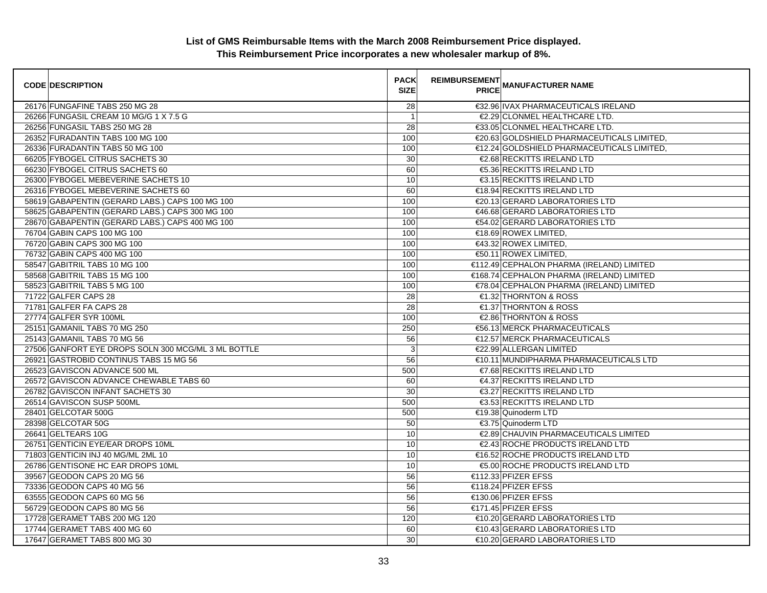| <b>CODE DESCRIPTION</b>                             | <b>PACK</b><br><b>SIZE</b> | <b>REIMBURSEMENT</b> | <b>---------</b><br>PRICE MANUFACTURER NAME |
|-----------------------------------------------------|----------------------------|----------------------|---------------------------------------------|
| 26176 FUNGAFINE TABS 250 MG 28                      | 28                         |                      | €32.96 IVAX PHARMACEUTICALS IRELAND         |
| 26266 FUNGASIL CREAM 10 MG/G 1 X 7.5 G              |                            |                      | €2.29 CLONMEL HEALTHCARE LTD.               |
| 26256 FUNGASIL TABS 250 MG 28                       | 28                         |                      | €33.05 CLONMEL HEALTHCARE LTD.              |
| 26352 FURADANTIN TABS 100 MG 100                    | 100                        |                      | €20.63 GOLDSHIELD PHARMACEUTICALS LIMITED,  |
| 26336 FURADANTIN TABS 50 MG 100                     | 100                        |                      | €12.24 GOLDSHIELD PHARMACEUTICALS LIMITED,  |
| 66205 FYBOGEL CITRUS SACHETS 30                     | 30                         |                      | €2.68 RECKITTS IRELAND LTD                  |
| 66230 FYBOGEL CITRUS SACHETS 60                     | 60                         |                      | €5.36 RECKITTS IRELAND LTD                  |
| 26300 FYBOGEL MEBEVERINE SACHETS 10                 | 10                         |                      | <b>€3.15 RECKITTS IRELAND LTD</b>           |
| 26316 FYBOGEL MEBEVERINE SACHETS 60                 | 60                         |                      | €18.94 RECKITTS IRELAND LTD                 |
| 58619 GABAPENTIN (GERARD LABS.) CAPS 100 MG 100     | 100                        |                      | €20.13 GERARD LABORATORIES LTD              |
| 58625 GABAPENTIN (GERARD LABS.) CAPS 300 MG 100     | 100                        |                      | €46.68 GERARD LABORATORIES LTD              |
| 28670 GABAPENTIN (GERARD LABS.) CAPS 400 MG 100     | 100                        |                      | €54.02 GERARD LABORATORIES LTD              |
| 76704 GABIN CAPS 100 MG 100                         | 100                        |                      | €18.69 ROWEX LIMITED,                       |
| 76720 GABIN CAPS 300 MG 100                         | 100                        |                      | €43.32 ROWEX LIMITED,                       |
| 76732 GABIN CAPS 400 MG 100                         | 100                        |                      | €50.11 ROWEX LIMITED,                       |
| 58547 GABITRIL TABS 10 MG 100                       | 100                        |                      | €112.49 CEPHALON PHARMA (IRELAND) LIMITED   |
| 58568 GABITRIL TABS 15 MG 100                       | 100                        |                      | €168.74 CEPHALON PHARMA (IRELAND) LIMITED   |
| 58523 GABITRIL TABS 5 MG 100                        | 100                        |                      | €78.04 CEPHALON PHARMA (IRELAND) LIMITED    |
| 71722 GALFER CAPS 28                                | 28                         |                      | €1.32 THORNTON & ROSS                       |
| 71781 GALFER FA CAPS 28                             | 28                         |                      | €1.37 THORNTON & ROSS                       |
| 27774 GALFER SYR 100ML                              | 100                        |                      | €2.86 THORNTON & ROSS                       |
| 25151 GAMANIL TABS 70 MG 250                        | 250                        |                      | €56.13 MERCK PHARMACEUTICALS                |
| 25143 GAMANIL TABS 70 MG 56                         | 56                         |                      | €12.57 MERCK PHARMACEUTICALS                |
| 27506 GANFORT EYE DROPS SOLN 300 MCG/ML 3 ML BOTTLE | $\mathsf 3$                |                      | €22.99 ALLERGAN LIMITED                     |
| 26921 GASTROBID CONTINUS TABS 15 MG 56              | 56                         |                      | €10.11 MUNDIPHARMA PHARMACEUTICALS LTD      |
| 26523 GAVISCON ADVANCE 500 ML                       | 500                        |                      | €7.68 RECKITTS IRELAND LTD                  |
| 26572 GAVISCON ADVANCE CHEWABLE TABS 60             | 60                         |                      | €4.37 RECKITTS IRELAND LTD                  |
| 26782 GAVISCON INFANT SACHETS 30                    | 30                         |                      | €3.27 RECKITTS IRELAND LTD                  |
| 26514 GAVISCON SUSP 500ML                           | 500                        |                      | €3.53 RECKITTS IRELAND LTD                  |
| 28401 GELCOTAR 500G                                 | 500                        |                      | €19.38 Quinoderm LTD                        |
| 28398 GELCOTAR 50G                                  | 50                         |                      | €3.75 Quinoderm LTD                         |
| 26641 GELTEARS 10G                                  | 10                         |                      | €2.89 CHAUVIN PHARMACEUTICALS LIMITED       |
| 26751 GENTICIN EYE/EAR DROPS 10ML                   | 10                         |                      | €2.43 ROCHE PRODUCTS IRELAND LTD            |
| 71803 GENTICIN INJ 40 MG/ML 2ML 10                  | 10                         |                      | €16.52 ROCHE PRODUCTS IRELAND LTD           |
| 26786 GENTISONE HC EAR DROPS 10ML                   | 10                         |                      | €5.00 ROCHE PRODUCTS IRELAND LTD            |
| 39567 GEODON CAPS 20 MG 56                          | 56                         |                      | €112.33 PFIZER EFSS                         |
| 73336 GEODON CAPS 40 MG 56                          | 56                         |                      | €118.24 PFIZER EFSS                         |
| 63555 GEODON CAPS 60 MG 56                          | 56                         |                      | €130.06 PFIZER EFSS                         |
| 56729 GEODON CAPS 80 MG 56                          | 56                         |                      | €171.45 PFIZER EFSS                         |
| 17728 GERAMET TABS 200 MG 120                       | 120                        |                      | €10.20 GERARD LABORATORIES LTD              |
| 17744 GERAMET TABS 400 MG 60                        | 60                         |                      | €10.43 GERARD LABORATORIES LTD              |
| 17647 GERAMET TABS 800 MG 30                        | 30                         |                      | €10.20 GERARD LABORATORIES LTD              |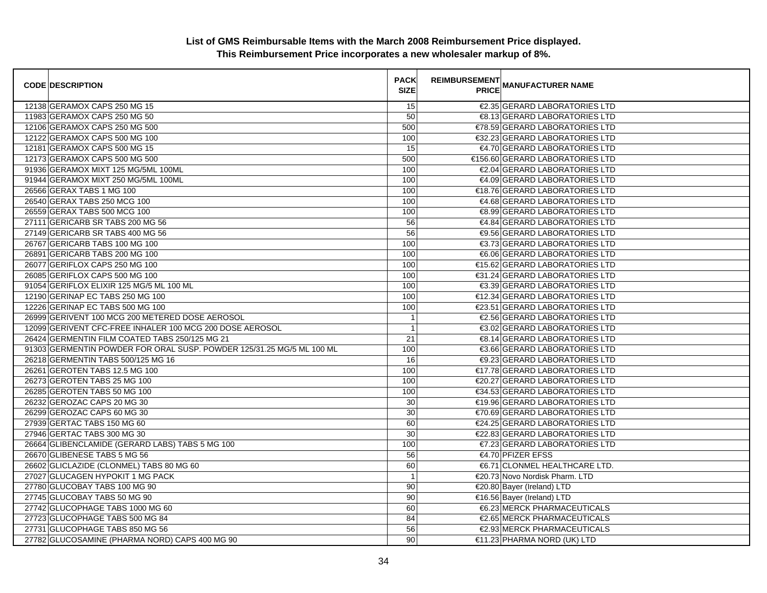| <b>CODE DESCRIPTION</b>                                               | <b>PACK</b><br><b>SIZE</b> | <b>REIMBURSEMENT</b> | <b>-</b> """" MANUFACTURER NAME<br>PRICE |
|-----------------------------------------------------------------------|----------------------------|----------------------|------------------------------------------|
| 12138 GERAMOX CAPS 250 MG 15                                          | 15                         |                      | €2.35 GERARD LABORATORIES LTD            |
| 11983 GERAMOX CAPS 250 MG 50                                          | 50                         |                      | €8.13 GERARD LABORATORIES LTD            |
| 12106 GERAMOX CAPS 250 MG 500                                         | 500                        |                      | €78.59 GERARD LABORATORIES LTD           |
| 12122 GERAMOX CAPS 500 MG 100                                         | 100                        |                      | €32.23 GERARD LABORATORIES LTD           |
| 12181 GERAMOX CAPS 500 MG 15                                          | 15                         |                      | €4.70 GERARD LABORATORIES LTD            |
| 12173 GERAMOX CAPS 500 MG 500                                         | 500                        |                      | €156.60 GERARD LABORATORIES LTD          |
| 91936 GERAMOX MIXT 125 MG/5ML 100ML                                   | 100                        |                      | €2.04 GERARD LABORATORIES LTD            |
| 91944 GERAMOX MIXT 250 MG/5ML 100ML                                   | 100                        |                      | €4.09 GERARD LABORATORIES LTD            |
| 26566 GERAX TABS 1 MG 100                                             | 100                        |                      | €18.76 GERARD LABORATORIES LTD           |
| 26540 GERAX TABS 250 MCG 100                                          | 100                        |                      | €4.68 GERARD LABORATORIES LTD            |
| 26559 GERAX TABS 500 MCG 100                                          | 100                        |                      | €8.99 GERARD LABORATORIES LTD            |
| 27111 GERICARB SR TABS 200 MG 56                                      | 56                         |                      | €4.84 GERARD LABORATORIES LTD            |
| 27149 GERICARB SR TABS 400 MG 56                                      | 56                         |                      | €9.56 GERARD LABORATORIES LTD            |
| 26767 GERICARB TABS 100 MG 100                                        | 100                        |                      | €3.73 GERARD LABORATORIES LTD            |
| 26891 GERICARB TABS 200 MG 100                                        | 100                        |                      | €6.06 GERARD LABORATORIES LTD            |
| 26077 GERIFLOX CAPS 250 MG 100                                        | 100                        |                      | €15.62 GERARD LABORATORIES LTD           |
| 26085 GERIFLOX CAPS 500 MG 100                                        | 100                        |                      | €31.24 GERARD LABORATORIES LTD           |
| 91054 GERIFLOX ELIXIR 125 MG/5 ML 100 ML                              | 100                        |                      | €3.39 GERARD LABORATORIES LTD            |
| 12190 GERINAP EC TABS 250 MG 100                                      | 100                        |                      | €12.34 GERARD LABORATORIES LTD           |
| 12226 GERINAP EC TABS 500 MG 100                                      | 100                        |                      | €23.51 GERARD LABORATORIES LTD           |
| 26999 GERIVENT 100 MCG 200 METERED DOSE AEROSOL                       | $\mathbf{1}$               |                      | €2.56 GERARD LABORATORIES LTD            |
| 12099 GERIVENT CFC-FREE INHALER 100 MCG 200 DOSE AEROSOL              | $\mathbf{1}$               |                      | €3.02 GERARD LABORATORIES LTD            |
| 26424 GERMENTIN FILM COATED TABS 250/125 MG 21                        | 21                         |                      | €8.14 GERARD LABORATORIES LTD            |
| 91303 GERMENTIN POWDER FOR ORAL SUSP. POWDER 125/31.25 MG/5 ML 100 ML | 100                        |                      | €3.66 GERARD LABORATORIES LTD            |
| 26218 GERMENTIN TABS 500/125 MG 16                                    | 16                         |                      | <b>€9.23 GERARD LABORATORIES LTD</b>     |
| 26261 GEROTEN TABS 12.5 MG 100                                        | 100                        |                      | €17.78 GERARD LABORATORIES LTD           |
| 26273 GEROTEN TABS 25 MG 100                                          | 100                        |                      | €20.27 GERARD LABORATORIES LTD           |
| 26285 GEROTEN TABS 50 MG 100                                          | 100                        |                      | €34.53 GERARD LABORATORIES LTD           |
| 26232 GEROZAC CAPS 20 MG 30                                           | 30                         |                      | €19.96 GERARD LABORATORIES LTD           |
| 26299 GEROZAC CAPS 60 MG 30                                           | 30                         |                      | €70.69 GERARD LABORATORIES LTD           |
| 27939 GERTAC TABS 150 MG 60                                           | 60                         |                      | €24.25 GERARD LABORATORIES LTD           |
| 27946 GERTAC TABS 300 MG 30                                           | 30                         |                      | €22.83 GERARD LABORATORIES LTD           |
| 26664 GLIBENCLAMIDE (GERARD LABS) TABS 5 MG 100                       | 100                        |                      | €7.23 GERARD LABORATORIES LTD            |
| 26670 GLIBENESE TABS 5 MG 56                                          | 56                         |                      | €4.70 PFIZER EFSS                        |
| 26602 GLICLAZIDE (CLONMEL) TABS 80 MG 60                              | 60                         |                      | €6.71 CLONMEL HEALTHCARE LTD.            |
| 27027 GLUCAGEN HYPOKIT 1 MG PACK                                      | $\mathbf{1}$               |                      | €20.73 Novo Nordisk Pharm. LTD           |
| 27780 GLUCOBAY TABS 100 MG 90                                         | 90                         |                      | €20.80 Bayer (Ireland) LTD               |
| 27745 GLUCOBAY TABS 50 MG 90                                          | 90                         |                      | €16.56 Bayer (Ireland) LTD               |
| 27742 GLUCOPHAGE TABS 1000 MG 60                                      | 60                         |                      | €6.23 MERCK PHARMACEUTICALS              |
| 27723 GLUCOPHAGE TABS 500 MG 84                                       | 84                         |                      | €2.65 MERCK PHARMACEUTICALS              |
| 27731 GLUCOPHAGE TABS 850 MG 56                                       | 56                         |                      | €2.93 MERCK PHARMACEUTICALS              |
| 27782 GLUCOSAMINE (PHARMA NORD) CAPS 400 MG 90                        | 90                         |                      | €11.23 PHARMA NORD (UK) LTD              |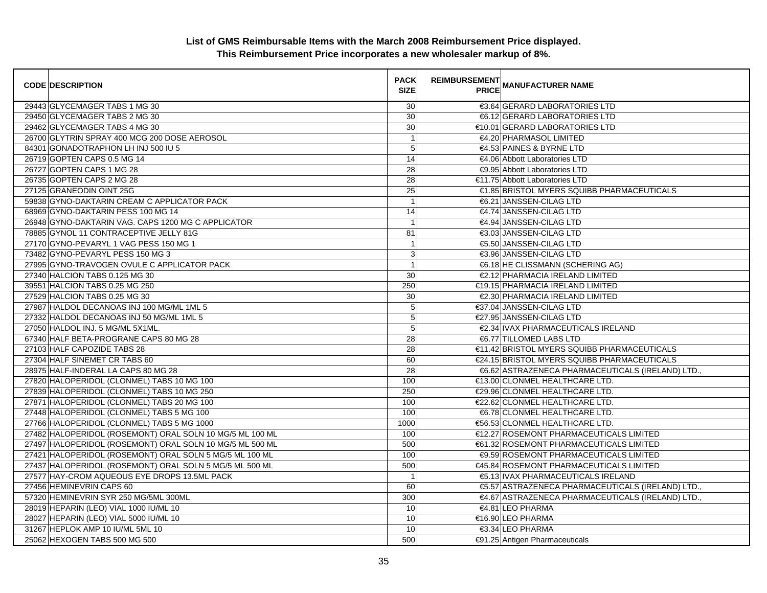| <b>CODE DESCRIPTION</b>                                  | <b>PACK</b><br><b>SIZE</b> | <b>REIMBURSEMENT</b> | --------   MANUFACTURER NAME<br>  PRICE           |
|----------------------------------------------------------|----------------------------|----------------------|---------------------------------------------------|
| 29443 GLYCEMAGER TABS 1 MG 30                            | 30                         |                      | €3.64 GERARD LABORATORIES LTD                     |
| 29450 GLYCEMAGER TABS 2 MG 30                            | 30                         |                      | €6.12 GERARD LABORATORIES LTD                     |
| 29462 GLYCEMAGER TABS 4 MG 30                            | 30                         |                      | €10.01 GERARD LABORATORIES LTD                    |
| 26700 GLYTRIN SPRAY 400 MCG 200 DOSE AEROSOL             | $\overline{1}$             |                      | €4.20 PHARMASOL LIMITED                           |
| 84301 GONADOTRAPHON LH INJ 500 IU 5                      | $\mathbf 5$                |                      | €4.53 PAINES & BYRNE LTD                          |
| 26719 GOPTEN CAPS 0.5 MG 14                              | 14                         |                      | €4.06 Abbott Laboratories LTD                     |
| 26727 GOPTEN CAPS 1 MG 28                                | 28                         |                      | €9.95 Abbott Laboratories LTD                     |
| 26735 GOPTEN CAPS 2 MG 28                                | 28                         |                      | €11.75 Abbott Laboratories LTD                    |
| 27125 GRANEODIN OINT 25G                                 | $\overline{25}$            |                      | €1.85 BRISTOL MYERS SQUIBB PHARMACEUTICALS        |
| 59838 GYNO-DAKTARIN CREAM C APPLICATOR PACK              | $\mathbf{1}$               |                      | €6.21 JANSSEN-CILAG LTD                           |
| 68969 GYNO-DAKTARIN PESS 100 MG 14                       | 14                         |                      | €4.74 JANSSEN-CILAG LTD                           |
| 26948 GYNO-DAKTARIN VAG. CAPS 1200 MG C APPLICATOR       | $\mathbf{1}$               |                      | €4.94 JANSSEN-CILAG LTD                           |
| 78885 GYNOL 11 CONTRACEPTIVE JELLY 81G                   | 81                         |                      | €3.03 JANSSEN-CILAG LTD                           |
| 27170 GYNO-PEVARYL 1 VAG PESS 150 MG 1                   | $\mathbf{1}$               |                      | €5.50 JANSSEN-CILAG LTD                           |
| 73482 GYNO-PEVARYL PESS 150 MG 3                         | 3                          |                      | €3.96 JANSSEN-CILAG LTD                           |
| 27995 GYNO-TRAVOGEN OVULE C APPLICATOR PACK              | $\mathbf{1}$               |                      | €6.18 HE CLISSMANN (SCHERING AG)                  |
| 27340 HALCION TABS 0.125 MG 30                           | 30                         |                      | €2.12 PHARMACIA IRELAND LIMITED                   |
| 39551 HALCION TABS 0.25 MG 250                           | 250                        |                      | €19.15 PHARMACIA IRELAND LIMITED                  |
| 27529 HALCION TABS 0.25 MG 30                            | $\overline{30}$            |                      | €2.30 PHARMACIA IRELAND LIMITED                   |
| 27987 HALDOL DECANOAS INJ 100 MG/ML 1ML 5                | 5                          |                      | €37.04 JANSSEN-CILAG LTD                          |
| 27332 HALDOL DECANOAS INJ 50 MG/ML 1ML 5                 | 5                          |                      | €27.95 JANSSEN-CILAG LTD                          |
| 27050 HALDOL INJ. 5 MG/ML 5X1ML.                         | 5                          |                      | €2.34 IVAX PHARMACEUTICALS IRELAND                |
| 67340 HALF BETA-PROGRANE CAPS 80 MG 28                   | 28                         |                      | €6.77 TILLOMED LABS LTD                           |
| 27103 HALF CAPOZIDE TABS 28                              | 28                         |                      | €11.42 BRISTOL MYERS SQUIBB PHARMACEUTICALS       |
| 27304 HALF SINEMET CR TABS 60                            | 60                         |                      | €24.15 BRISTOL MYERS SQUIBB PHARMACEUTICALS       |
| 28975 HALF-INDERAL LA CAPS 80 MG 28                      | 28                         |                      | €6.62 ASTRAZENECA PHARMACEUTICALS (IRELAND) LTD., |
| 27820 HALOPERIDOL (CLONMEL) TABS 10 MG 100               | 100                        |                      | €13.00 CLONMEL HEALTHCARE LTD.                    |
| 27839 HALOPERIDOL (CLONMEL) TABS 10 MG 250               | 250                        |                      | €29.96 CLONMEL HEALTHCARE LTD.                    |
| 27871 HALOPERIDOL (CLONMEL) TABS 20 MG 100               | 100                        |                      | €22.62 CLONMEL HEALTHCARE LTD.                    |
| 27448 HALOPERIDOL (CLONMEL) TABS 5 MG 100                | 100                        |                      | €6.78 CLONMEL HEALTHCARE LTD.                     |
| 27766 HALOPERIDOL (CLONMEL) TABS 5 MG 1000               | 1000                       |                      | €56.53 CLONMEL HEALTHCARE LTD.                    |
| 27482 HALOPERIDOL (ROSEMONT) ORAL SOLN 10 MG/5 ML 100 ML | 100                        |                      | €12.27 ROSEMONT PHARMACEUTICALS LIMITED           |
| 27497 HALOPERIDOL (ROSEMONT) ORAL SOLN 10 MG/5 ML 500 ML | 500                        |                      | €61.32 ROSEMONT PHARMACEUTICALS LIMITED           |
| 27421 HALOPERIDOL (ROSEMONT) ORAL SOLN 5 MG/5 ML 100 ML  | 100                        |                      | €9.59 ROSEMONT PHARMACEUTICALS LIMITED            |
| 27437 HALOPERIDOL (ROSEMONT) ORAL SOLN 5 MG/5 ML 500 ML  | 500                        |                      | €45.84 ROSEMONT PHARMACEUTICALS LIMITED           |
| 27577 HAY-CROM AQUEOUS EYE DROPS 13.5ML PACK             | $\overline{1}$             |                      | €5.13 IVAX PHARMACEUTICALS IRELAND                |
| 27456 HEMINEVRIN CAPS 60                                 | 60                         |                      | €5.57 ASTRAZENECA PHARMACEUTICALS (IRELAND) LTD., |
| 57320 HEMINEVRIN SYR 250 MG/5ML 300ML                    | 300                        |                      | €4.67 ASTRAZENECA PHARMACEUTICALS (IRELAND) LTD.  |
| 28019 HEPARIN (LEO) VIAL 1000 IU/ML 10                   | 10                         |                      | €4.81 LEO PHARMA                                  |
| 28027 HEPARIN (LEO) VIAL 5000 IU/ML 10                   | 10                         |                      | €16.90 LEO PHARMA                                 |
| 31267 HEPLOK AMP 10 IU/ML 5ML 10                         | 10                         |                      | €3.34 LEO PHARMA                                  |
| 25062 HEXOGEN TABS 500 MG 500                            | 500                        |                      | €91.25 Antigen Pharmaceuticals                    |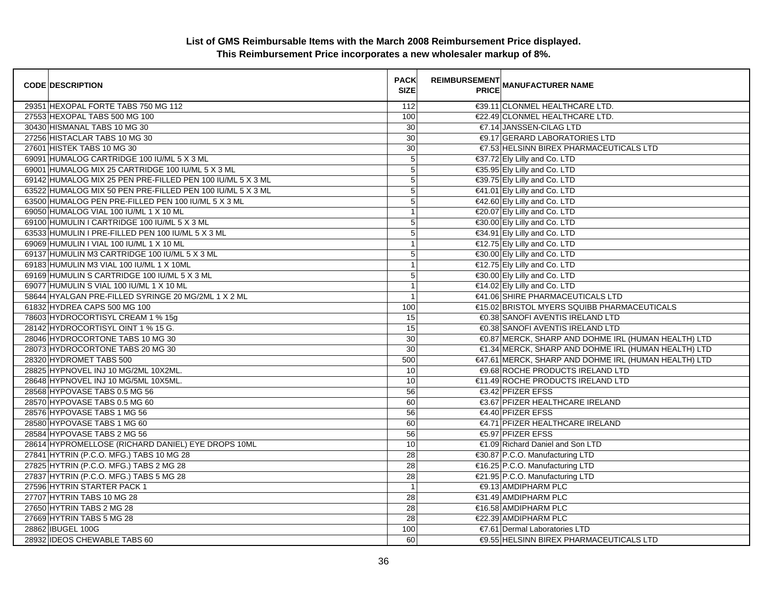| <b>CODE DESCRIPTION</b>                                    | <b>PACK</b><br><b>SIZE</b> | <b>REIMBURSEMENT</b> | <b>PRICE MANUFACTURER NAME</b>                       |
|------------------------------------------------------------|----------------------------|----------------------|------------------------------------------------------|
| 29351 HEXOPAL FORTE TABS 750 MG 112                        | 112                        |                      | €39.11 CLONMEL HEALTHCARE LTD.                       |
| 27553 HEXOPAL TABS 500 MG 100                              | 100                        |                      | €22.49 CLONMEL HEALTHCARE LTD.                       |
| 30430 HISMANAL TABS 10 MG 30                               | 30                         |                      | €7.14 JANSSEN-CILAG LTD                              |
| 27256 HISTACLAR TABS 10 MG 30                              | 30                         |                      | <b>€9.17 GERARD LABORATORIES LTD</b>                 |
| 27601 HISTEK TABS 10 MG 30                                 | 30                         |                      | €7.53 HELSINN BIREX PHARMACEUTICALS LTD              |
| 69091 HUMALOG CARTRIDGE 100 IU/ML 5 X 3 ML                 | $\sqrt{5}$                 |                      | €37.72 Ely Lilly and Co. LTD                         |
| 69001 HUMALOG MIX 25 CARTRIDGE 100 IU/ML 5 X 3 ML          | 5                          |                      | €35.95 Ely Lilly and Co. LTD                         |
| 69142 HUMALOG MIX 25 PEN PRE-FILLED PEN 100 IU/ML 5 X 3 ML | $\overline{5}$             |                      | €39.75 Ely Lilly and Co. LTD                         |
| 63522 HUMALOG MIX 50 PEN PRE-FILLED PEN 100 IU/ML 5 X 3 ML | 5                          |                      | €41.01 Ely Lilly and Co. LTD                         |
| 63500 HUMALOG PEN PRE-FILLED PEN 100 IU/ML 5 X 3 ML        | 5                          |                      | €42.60 Ely Lilly and Co. LTD                         |
| 69050 HUMALOG VIAL 100 IU/ML 1 X 10 ML                     | 1                          |                      | €20.07 Ely Lilly and Co. LTD                         |
| 69100 HUMULIN I CARTRIDGE 100 IU/ML 5 X 3 ML               | 5                          |                      | €30.00 Ely Lilly and Co. LTD                         |
| 63533 HUMULIN I PRE-FILLED PEN 100 IU/ML 5 X 3 ML          | $\mathbf 5$                |                      | €34.91 Ely Lilly and Co. LTD                         |
| 69069 HUMULIN I VIAL 100 IU/ML 1 X 10 ML                   | $\overline{1}$             |                      | €12.75 Ely Lilly and Co. LTD                         |
| 69137 HUMULIN M3 CARTRIDGE 100 IU/ML 5 X 3 ML              | 5                          |                      | €30.00 Ely Lilly and Co. LTD                         |
| 69183 HUMULIN M3 VIAL 100 IU/ML 1 X 10ML                   | $\overline{1}$             |                      | €12.75 Ely Lilly and Co. LTD                         |
| 69169 HUMULIN S CARTRIDGE 100 IU/ML 5 X 3 ML               | $\mathbf 5$                |                      | €30.00 Ely Lilly and Co. LTD                         |
| 69077 HUMULIN S VIAL 100 IU/ML 1 X 10 ML                   | $\mathbf{1}$               |                      | €14.02 Ely Lilly and Co. LTD                         |
| 58644 HYALGAN PRE-FILLED SYRINGE 20 MG/2ML 1 X 2 ML        | 1                          |                      | €41.06 SHIRE PHARMACEUTICALS LTD                     |
| 61832 HYDREA CAPS 500 MG 100                               | 100                        |                      | €15.02 BRISTOL MYERS SQUIBB PHARMACEUTICALS          |
| 78603 HYDROCORTISYL CREAM 1 % 15g                          | 15                         |                      | €0.38 SANOFI AVENTIS IRELAND LTD                     |
| 28142 HYDROCORTISYL OINT 1 % 15 G.                         | 15                         |                      | €0.38 SANOFI AVENTIS IRELAND LTD                     |
| 28046 HYDROCORTONE TABS 10 MG 30                           | 30                         |                      | €0.87 MERCK, SHARP AND DOHME IRL (HUMAN HEALTH) LTD  |
| 28073 HYDROCORTONE TABS 20 MG 30                           | 30                         |                      | €1.34 MERCK, SHARP AND DOHME IRL (HUMAN HEALTH) LTD  |
| 28320 HYDROMET TABS 500                                    | 500                        |                      | €47.61 MERCK, SHARP AND DOHME IRL (HUMAN HEALTH) LTD |
| 28825 HYPNOVEL INJ 10 MG/2ML 10X2ML.                       | 10                         |                      | <b>€9.68 ROCHE PRODUCTS IRELAND LTD</b>              |
| 28648 HYPNOVEL INJ 10 MG/5ML 10X5ML.                       | 10                         |                      | €11.49 ROCHE PRODUCTS IRELAND LTD                    |
| 28568 HYPOVASE TABS 0.5 MG 56                              | 56                         |                      | €3.42 PFIZER EFSS                                    |
| 28570 HYPOVASE TABS 0.5 MG 60                              | 60                         |                      | €3.67 PFIZER HEALTHCARE IRELAND                      |
| 28576 HYPOVASE TABS 1 MG 56                                | 56                         |                      | €4.40 PFIZER EFSS                                    |
| 28580 HYPOVASE TABS 1 MG 60                                | 60                         |                      | €4.71 PFIZER HEALTHCARE IRELAND                      |
| 28584 HYPOVASE TABS 2 MG 56                                | 56                         |                      | €5.97 PFIZER EFSS                                    |
| 28614 HYPROMELLOSE (RICHARD DANIEL) EYE DROPS 10ML         | 10                         |                      | €1.09 Richard Daniel and Son LTD                     |
| 27841 HYTRIN (P.C.O. MFG.) TABS 10 MG 28                   | 28                         |                      | €30.87 P.C.O. Manufacturing LTD                      |
| 27825 HYTRIN (P.C.O. MFG.) TABS 2 MG 28                    | 28                         |                      | €16.25 P.C.O. Manufacturing LTD                      |
| 27837 HYTRIN (P.C.O. MFG.) TABS 5 MG 28                    | 28                         |                      | €21.95 P.C.O. Manufacturing LTD                      |
| 27596 HYTRIN STARTER PACK 1                                | $\mathbf{1}$               |                      | <b>€9.13 AMDIPHARM PLC</b>                           |
| 27707 HYTRIN TABS 10 MG 28                                 | 28                         |                      | €31.49 AMDIPHARM PLC                                 |
| 27650 HYTRIN TABS 2 MG 28                                  | $\overline{28}$            |                      | €16.58 AMDIPHARM PLC                                 |
| 27669 HYTRIN TABS 5 MG 28                                  | 28                         |                      | €22.39 AMDIPHARM PLC                                 |
| 28862 IBUGEL 100G                                          | 100                        |                      | €7.61 Dermal Laboratories LTD                        |
| 28932 IDEOS CHEWABLE TABS 60                               | 60                         |                      | €9.55 HELSINN BIREX PHARMACEUTICALS LTD              |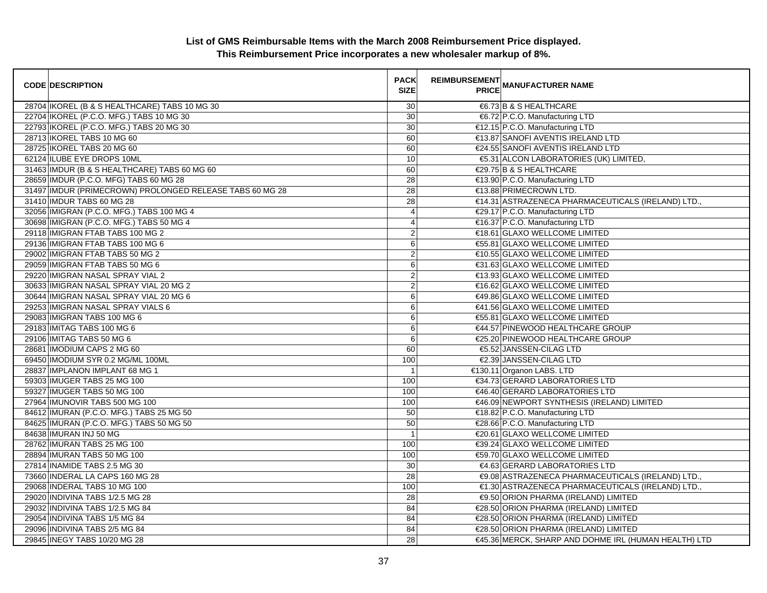| <b>CODE DESCRIPTION</b>                                  | <b>PACK</b><br><b>SIZE</b> | <b>REIMBURSEMENT</b> | <b>PRICE MANUFACTURER NAME</b>                       |
|----------------------------------------------------------|----------------------------|----------------------|------------------------------------------------------|
| 28704 IKOREL (B & S HEALTHCARE) TABS 10 MG 30            | 30                         |                      | €6.73 B & S HEALTHCARE                               |
| 22704 IKOREL (P.C.O. MFG.) TABS 10 MG 30                 | 30                         |                      | €6.72 P.C.O. Manufacturing LTD                       |
| 22793 IKOREL (P.C.O. MFG.) TABS 20 MG 30                 | 30                         |                      | €12.15 P.C.O. Manufacturing LTD                      |
| 28713 IKOREL TABS 10 MG 60                               | 60                         |                      | €13.87 SANOFI AVENTIS IRELAND LTD                    |
| 28725 IKOREL TABS 20 MG 60                               | 60                         |                      | €24.55 SANOFI AVENTIS IRELAND LTD                    |
| 62124 ILUBE EYE DROPS 10ML                               | 10                         |                      | €5.31 ALCON LABORATORIES (UK) LIMITED,               |
| 31463 IMDUR (B & S HEALTHCARE) TABS 60 MG 60             | 60                         |                      | €29.75 B & S HEALTHCARE                              |
| 28659 IMDUR (P.C.O. MFG) TABS 60 MG 28                   | 28                         |                      | €13.90 P.C.O. Manufacturing LTD                      |
| 31497 IMDUR (PRIMECROWN) PROLONGED RELEASE TABS 60 MG 28 | 28                         |                      | €13.88 PRIMECROWN LTD.                               |
| 31410 IMDUR TABS 60 MG 28                                | 28                         |                      | €14.31 ASTRAZENECA PHARMACEUTICALS (IRELAND) LTD.,   |
| 32056 IMIGRAN (P.C.O. MFG.) TABS 100 MG 4                | $\overline{4}$             |                      | €29.17 P.C.O. Manufacturing LTD                      |
| 30698 IMIGRAN (P.C.O. MFG.) TABS 50 MG 4                 | $\overline{4}$             |                      | €16.37 P.C.O. Manufacturing LTD                      |
| 29118 IMIGRAN FTAB TABS 100 MG 2                         | $\overline{c}$             |                      | €18.61 GLAXO WELLCOME LIMITED                        |
| 29136 IMIGRAN FTAB TABS 100 MG 6                         | 6                          |                      | €55.81 GLAXO WELLCOME LIMITED                        |
| 29002 IMIGRAN FTAB TABS 50 MG 2                          | $\overline{c}$             |                      | €10.55 GLAXO WELLCOME LIMITED                        |
| 29059 IMIGRAN FTAB TABS 50 MG 6                          | 6                          |                      | €31.63 GLAXO WELLCOME LIMITED                        |
| 29220 IMIGRAN NASAL SPRAY VIAL 2                         | $\overline{2}$             |                      | €13.93 GLAXO WELLCOME LIMITED                        |
| 30633 IMIGRAN NASAL SPRAY VIAL 20 MG 2                   | $\overline{c}$             |                      | €16.62 GLAXO WELLCOME LIMITED                        |
| 30644 IMIGRAN NASAL SPRAY VIAL 20 MG 6                   | 6                          |                      | €49.86 GLAXO WELLCOME LIMITED                        |
| 29253 IMIGRAN NASAL SPRAY VIALS 6                        | 6                          |                      | €41.56 GLAXO WELLCOME LIMITED                        |
| 29083 IMIGRAN TABS 100 MG 6                              | 6                          |                      | €55.81 GLAXO WELLCOME LIMITED                        |
| 29183 IMITAG TABS 100 MG 6                               | 6                          |                      | €44.57 PINEWOOD HEALTHCARE GROUP                     |
| 29106 IMITAG TABS 50 MG 6                                | 6                          |                      | €25.20 PINEWOOD HEALTHCARE GROUP                     |
| 28681 IMODIUM CAPS 2 MG 60                               | 60                         |                      | €5.52 JANSSEN-CILAG LTD                              |
| 69450 IMODIUM SYR 0.2 MG/ML 100ML                        | 100                        |                      | €2.39 JANSSEN-CILAG LTD                              |
| 28837 IMPLANON IMPLANT 68 MG 1                           | $\overline{\phantom{a}}$   |                      | €130.11 Organon LABS. LTD                            |
| 59303 IMUGER TABS 25 MG 100                              | 100                        |                      | €34.73 GERARD LABORATORIES LTD                       |
| 59327 IMUGER TABS 50 MG 100                              | 100                        |                      | €46.40 GERARD LABORATORIES LTD                       |
| 27964 IMUNOVIR TABS 500 MG 100                           | 100                        |                      | €46.09 NEWPORT SYNTHESIS (IRELAND) LIMITED           |
| 84612 IMURAN (P.C.O. MFG.) TABS 25 MG 50                 | 50                         |                      | €18.82 P.C.O. Manufacturing LTD                      |
| 84625 IMURAN (P.C.O. MFG.) TABS 50 MG 50                 | 50                         |                      | €28.66 P.C.O. Manufacturing LTD                      |
| 84638 IMURAN INJ 50 MG                                   | $\overline{1}$             |                      | €20.61 GLAXO WELLCOME LIMITED                        |
| 28762 IMURAN TABS 25 MG 100                              | 100                        |                      | €39.24 GLAXO WELLCOME LIMITED                        |
| 28894 IMURAN TABS 50 MG 100                              | 100                        |                      | €59.70 GLAXO WELLCOME LIMITED                        |
| 27814 INAMIDE TABS 2.5 MG 30                             | 30                         |                      | €4.63 GERARD LABORATORIES LTD                        |
| 73660 INDERAL LA CAPS 160 MG 28                          | 28                         |                      | €9.08 ASTRAZENECA PHARMACEUTICALS (IRELAND) LTD.,    |
| 29068 INDERAL TABS 10 MG 100                             | 100                        |                      | €1.30 ASTRAZENECA PHARMACEUTICALS (IRELAND) LTD.,    |
| 29020 INDIVINA TABS 1/2.5 MG 28                          | 28                         |                      | €9.50 ORION PHARMA (IRELAND) LIMITED                 |
| 29032 INDIVINA TABS 1/2.5 MG 84                          | 84                         |                      | €28.50 ORION PHARMA (IRELAND) LIMITED                |
| 29054 INDIVINA TABS 1/5 MG 84                            | 84                         |                      | €28.50 ORION PHARMA (IRELAND) LIMITED                |
| 29096 INDIVINA TABS 2/5 MG 84                            | 84                         |                      | €28.50 ORION PHARMA (IRELAND) LIMITED                |
| 29845 INEGY TABS 10/20 MG 28                             | $\overline{28}$            |                      | €45.36 MERCK, SHARP AND DOHME IRL (HUMAN HEALTH) LTD |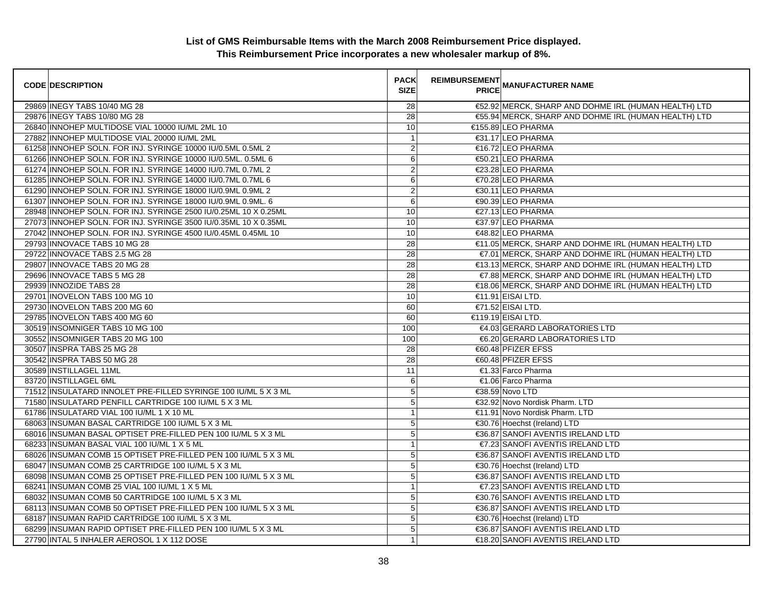| <b>CODE DESCRIPTION</b>                                         | <b>PACK</b><br><b>SIZE</b> | <b>REIMBURSEMENT</b> | <b>__</b><br>PRICE MANUFACTURER NAME                 |
|-----------------------------------------------------------------|----------------------------|----------------------|------------------------------------------------------|
| 29869 INEGY TABS 10/40 MG 28                                    | 28                         |                      | €52.92 MERCK, SHARP AND DOHME IRL (HUMAN HEALTH) LTD |
| 29876 INEGY TABS 10/80 MG 28                                    | 28                         |                      | €55.94 MERCK, SHARP AND DOHME IRL (HUMAN HEALTH) LTD |
| 26840 INNOHEP MULTIDOSE VIAL 10000 IU/ML 2ML 10                 | 10                         |                      | €155.89 LEO PHARMA                                   |
| 27882 INNOHEP MULTIDOSE VIAL 20000 IU/ML 2ML                    | $\mathbf{1}$               |                      | €31.17 LEO PHARMA                                    |
| 61258 INNOHEP SOLN. FOR INJ. SYRINGE 10000 IU/0.5ML 0.5ML 2     | 2                          |                      | €16.72 LEO PHARMA                                    |
| 61266 INNOHEP SOLN. FOR INJ. SYRINGE 10000 IU/0.5ML. 0.5ML 6    | 6                          |                      | €50.21 LEO PHARMA                                    |
| 61274 INNOHEP SOLN. FOR INJ. SYRINGE 14000 IU/0.7ML 0.7ML 2     | $\overline{2}$             |                      | €23.28 LEO PHARMA                                    |
| 61285 INNOHEP SOLN. FOR INJ. SYRINGE 14000 IU/0.7ML 0.7ML 6     | 6                          |                      | €70.28 LEO PHARMA                                    |
| 61290 INNOHEP SOLN. FOR INJ. SYRINGE 18000 IU/0.9ML 0.9ML 2     | $\mathbf{2}$               |                      | €30.11 LEO PHARMA                                    |
| 61307 INNOHEP SOLN. FOR INJ. SYRINGE 18000 IU/0.9ML 0.9ML. 6    | $\,6$                      |                      | €90.39 LEO PHARMA                                    |
| 28948 INNOHEP SOLN. FOR INJ. SYRINGE 2500 IU/0.25ML 10 X 0.25ML | 10                         |                      | €27.13 LEO PHARMA                                    |
| 27073 INNOHEP SOLN. FOR INJ. SYRINGE 3500 IU/0.35ML 10 X 0.35ML | 10                         |                      | €37.97 LEO PHARMA                                    |
| 27042 INNOHEP SOLN. FOR INJ. SYRINGE 4500 IU/0.45ML 0.45ML 10   | 10                         |                      | €48.82 LEO PHARMA                                    |
| 29793 INNOVACE TABS 10 MG 28                                    | 28                         |                      | €11.05 MERCK, SHARP AND DOHME IRL (HUMAN HEALTH) LTD |
| 29722 INNOVACE TABS 2.5 MG 28                                   | 28                         |                      | €7.01 MERCK, SHARP AND DOHME IRL (HUMAN HEALTH) LTD  |
| 29807 INNOVACE TABS 20 MG 28                                    | 28                         |                      | €13.13 MERCK, SHARP AND DOHME IRL (HUMAN HEALTH) LTD |
| 29696 INNOVACE TABS 5 MG 28                                     | 28                         |                      | €7.88 MERCK, SHARP AND DOHME IRL (HUMAN HEALTH) LTD  |
| 29939 INNOZIDE TABS 28                                          | 28                         |                      | €18.06 MERCK, SHARP AND DOHME IRL (HUMAN HEALTH) LTD |
| 29701 INOVELON TABS 100 MG 10                                   | 10                         |                      | €11.91 EISAI LTD.                                    |
| 29730 INOVELON TABS 200 MG 60                                   | 60                         |                      | $€71.52$ EISAI LTD.                                  |
| 29785 INOVELON TABS 400 MG 60                                   | 60                         |                      | €119.19 EISAI LTD.                                   |
| 30519 INSOMNIGER TABS 10 MG 100                                 | 100                        |                      | €4.03 GERARD LABORATORIES LTD                        |
| 30552 INSOMNIGER TABS 20 MG 100                                 | 100                        |                      | €6.20 GERARD LABORATORIES LTD                        |
| 30507 INSPRA TABS 25 MG 28                                      | 28                         |                      | €60.48 PFIZER EFSS                                   |
| 30542 INSPRA TABS 50 MG 28                                      | 28                         |                      | €60.48 PFIZER EFSS                                   |
| 30589 INSTILLAGEL 11ML                                          | 11                         |                      | €1.33 Farco Pharma                                   |
| 83720 INSTILLAGEL 6ML                                           | 6                          |                      | €1.06 Farco Pharma                                   |
| 71512 INSULATARD INNOLET PRE-FILLED SYRINGE 100 IU/ML 5 X 3 ML  | 5                          |                      | €38.59 Novo LTD                                      |
| 71580 INSULATARD PENFILL CARTRIDGE 100 IU/ML 5 X 3 ML           | $5\phantom{.0}$            |                      | €32.92 Novo Nordisk Pharm. LTD                       |
| 61786 INSULATARD VIAL 100 IU/ML 1 X 10 ML                       | $\mathbf{1}$               |                      | €11.91 Novo Nordisk Pharm. LTD                       |
| 68063 INSUMAN BASAL CARTRIDGE 100 IU/ML 5 X 3 ML                | 5                          |                      | €30.76 Hoechst (Ireland) LTD                         |
| 68016 INSUMAN BASAL OPTISET PRE-FILLED PEN 100 IU/ML 5 X 3 ML   | $\sqrt{5}$                 |                      | €36.87 SANOFI AVENTIS IRELAND LTD                    |
| 68233 INSUMAN BASAL VIAL 100 IU/ML 1 X 5 ML                     | $\mathbf{1}$               |                      | €7.23 SANOFI AVENTIS IRELAND LTD                     |
| 68026 INSUMAN COMB 15 OPTISET PRE-FILLED PEN 100 IU/ML 5 X 3 ML | $\sqrt{5}$                 |                      | €36.87 SANOFI AVENTIS IRELAND LTD                    |
| 68047 INSUMAN COMB 25 CARTRIDGE 100 IU/ML 5 X 3 ML              | 5                          |                      | €30.76 Hoechst (Ireland) LTD                         |
| 68098 INSUMAN COMB 25 OPTISET PRE-FILLED PEN 100 IU/ML 5 X 3 ML | 5                          |                      | €36.87 SANOFI AVENTIS IRELAND LTD                    |
| 68241 INSUMAN COMB 25 VIAL 100 IU/ML 1 X 5 ML                   | $\mathbf{1}$               |                      | €7.23 SANOFI AVENTIS IRELAND LTD                     |
| 68032 INSUMAN COMB 50 CARTRIDGE 100 IU/ML 5 X 3 ML              | $\sqrt{5}$                 |                      | €30.76 SANOFI AVENTIS IRELAND LTD                    |
| 68113 INSUMAN COMB 50 OPTISET PRE-FILLED PEN 100 IU/ML 5 X 3 ML | 5                          |                      | €36.87 SANOFI AVENTIS IRELAND LTD                    |
| 68187 INSUMAN RAPID CARTRIDGE 100 IU/ML 5 X 3 ML                | 5                          |                      | €30.76 Hoechst (Ireland) LTD                         |
| 68299 INSUMAN RAPID OPTISET PRE-FILLED PEN 100 IU/ML 5 X 3 ML   | $5\phantom{.0}$            |                      | €36.87 SANOFI AVENTIS IRELAND LTD                    |
| 27790 INTAL 5 INHALER AEROSOL 1 X 112 DOSE                      | $\mathbf{1}$               |                      | €18.20 SANOFI AVENTIS IRELAND LTD                    |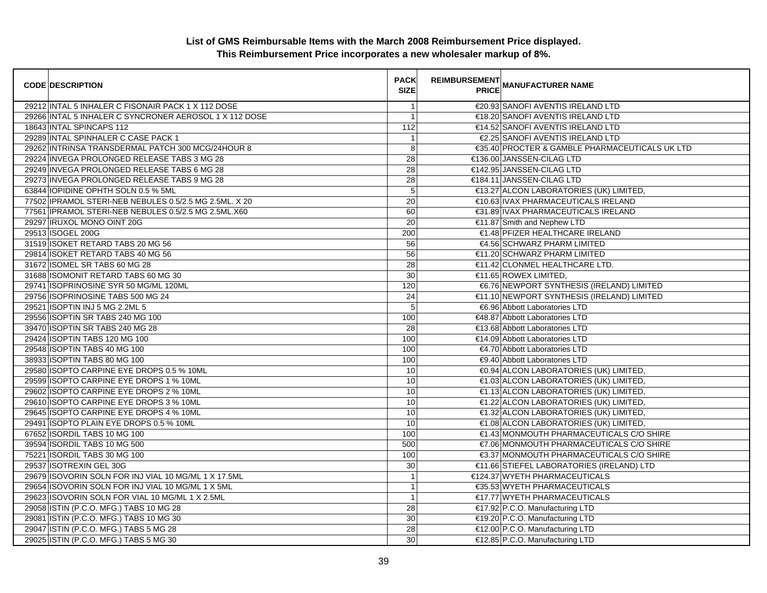| <b>CODE DESCRIPTION</b>                                | <b>PACK</b><br><b>SIZE</b> | <b>REIMBURSEMENT</b> | __ MANUFACTURER NAME<br> PRICE                 |
|--------------------------------------------------------|----------------------------|----------------------|------------------------------------------------|
| 29212 INTAL 5 INHALER C FISONAIR PACK 1 X 112 DOSE     | $\mathbf{1}$               |                      | €20.93 SANOFI AVENTIS IRELAND LTD              |
| 29266 INTAL 5 INHALER C SYNCRONER AEROSOL 1 X 112 DOSE | $\mathbf{1}$               |                      | €18.20 SANOFI AVENTIS IRELAND LTD              |
| 18643 INTAL SPINCAPS 112                               | 112                        |                      | €14.52 SANOFI AVENTIS IRELAND LTD              |
| 29289 INTAL SPINHALER C CASE PACK 1                    | $\mathbf{1}$               |                      | €2.25 SANOFI AVENTIS IRELAND LTD               |
| 29262 INTRINSA TRANSDERMAL PATCH 300 MCG/24HOUR 8      | 8                          |                      | €35.40 PROCTER & GAMBLE PHARMACEUTICALS UK LTD |
| 29224 INVEGA PROLONGED RELEASE TABS 3 MG 28            | $\overline{28}$            |                      | €136.00 JANSSEN-CILAG LTD                      |
| 29249 INVEGA PROLONGED RELEASE TABS 6 MG 28            | $\overline{28}$            |                      | €142.95 JANSSEN-CILAG LTD                      |
| 29273 INVEGA PROLONGED RELEASE TABS 9 MG 28            | $\overline{28}$            |                      | €184.11 JANSSEN-CILAG LTD                      |
| 63844   IOPIDINE OPHTH SOLN 0.5 % 5ML                  | $\sqrt{5}$                 |                      | €13.27 ALCON LABORATORIES (UK) LIMITED,        |
| 77502 IPRAMOL STERI-NEB NEBULES 0.5/2.5 MG 2.5ML. X 20 | 20                         |                      | €10.63 IVAX PHARMACEUTICALS IRELAND            |
| 77561 IPRAMOL STERI-NEB NEBULES 0.5/2.5 MG 2.5ML.X60   | 60                         |                      | €31.89 IVAX PHARMACEUTICALS IRELAND            |
| 29297 IRUXOL MONO OINT 20G                             | 20                         |                      | €11.87 Smith and Nephew LTD                    |
| 29513 ISOGEL 200G                                      | 200                        |                      | €1.48 PFIZER HEALTHCARE IRELAND                |
| 31519 ISOKET RETARD TABS 20 MG 56                      | 56                         |                      | €4.56 SCHWARZ PHARM LIMITED                    |
| 29814 ISOKET RETARD TABS 40 MG 56                      | 56                         |                      | €11.20 SCHWARZ PHARM LIMITED                   |
| 31672 ISOMEL SR TABS 60 MG 28                          | $\overline{28}$            |                      | €11.42 CLONMEL HEALTHCARE LTD.                 |
| 31688 ISOMONIT RETARD TABS 60 MG 30                    | 30                         |                      | €11.65 ROWEX LIMITED,                          |
| 29741 ISOPRINOSINE SYR 50 MG/ML 120ML                  | 120                        |                      | €6.76 NEWPORT SYNTHESIS (IRELAND) LIMITED      |
| 29756 ISOPRINOSINE TABS 500 MG 24                      | 24                         |                      | €11.10 NEWPORT SYNTHESIS (IRELAND) LIMITED     |
| 29521 ISOPTIN INJ 5 MG 2.2ML 5                         | 5                          |                      | €6.96 Abbott Laboratories LTD                  |
| 29556 ISOPTIN SR TABS 240 MG 100                       | 100                        |                      | €48.87 Abbott Laboratories LTD                 |
| 39470 ISOPTIN SR TABS 240 MG 28                        | 28                         |                      | €13.68 Abbott Laboratories LTD                 |
| 29424 ISOPTIN TABS 120 MG 100                          | 100                        |                      | €14.09 Abbott Laboratories LTD                 |
| 29548 ISOPTIN TABS 40 MG 100                           | 100                        |                      | €4.70 Abbott Laboratories LTD                  |
| 38933 ISOPTIN TABS 80 MG 100                           | 100                        |                      | €9.40 Abbott Laboratories LTD                  |
| 29580 ISOPTO CARPINE EYE DROPS 0.5 % 10ML              | 10                         |                      | €0.94 ALCON LABORATORIES (UK) LIMITED,         |
| 29599 ISOPTO CARPINE EYE DROPS 1 % 10ML                | 10                         |                      | €1.03 ALCON LABORATORIES (UK) LIMITED,         |
| 29602 ISOPTO CARPINE EYE DROPS 2 % 10ML                | 10                         |                      | €1.13 ALCON LABORATORIES (UK) LIMITED,         |
| 29610 ISOPTO CARPINE EYE DROPS 3 % 10ML                | 10                         |                      | €1.22 ALCON LABORATORIES (UK) LIMITED,         |
| 29645 ISOPTO CARPINE EYE DROPS 4 % 10ML                | 10                         |                      | €1.32 ALCON LABORATORIES (UK) LIMITED,         |
| 29491 ISOPTO PLAIN EYE DROPS 0.5 % 10ML                | 10                         |                      | €1.08 ALCON LABORATORIES (UK) LIMITED,         |
| 67652 ISORDIL TABS 10 MG 100                           | 100                        |                      | €1.43 MONMOUTH PHARMACEUTICALS C/O SHIRE       |
| 39594 ISORDIL TABS 10 MG 500                           | 500                        |                      | €7.06 MONMOUTH PHARMACEUTICALS C/O SHIRE       |
| 75221 ISORDIL TABS 30 MG 100                           | 100                        |                      | €3.37 MONMOUTH PHARMACEUTICALS C/O SHIRE       |
| 29537 ISOTREXIN GEL 30G                                | $\overline{30}$            |                      | €11.66 STIEFEL LABORATORIES (IRELAND) LTD      |
| 29679 ISOVORIN SOLN FOR INJ VIAL 10 MG/ML 1 X 17.5ML   | $\overline{1}$             |                      | €124.37 WYETH PHARMACEUTICALS                  |
| 29654 ISOVORIN SOLN FOR INJ VIAL 10 MG/ML 1 X 5ML      | $\overline{1}$             |                      | €35.53 WYETH PHARMACEUTICALS                   |
| 29623 ISOVORIN SOLN FOR VIAL 10 MG/ML 1 X 2.5ML        | $\mathbf{1}$               |                      | €17.77 WYETH PHARMACEUTICALS                   |
| 29058 ISTIN (P.C.O. MFG.) TABS 10 MG 28                | $\overline{28}$            |                      | €17.92 P.C.O. Manufacturing LTD                |
| 29081 ISTIN (P.C.O. MFG.) TABS 10 MG 30                | 30                         |                      | €19.20 P.C.O. Manufacturing LTD                |
| 29047 ISTIN (P.C.O. MFG.) TABS 5 MG 28                 | 28                         |                      | €12.00 P.C.O. Manufacturing LTD                |
| 29025 ISTIN (P.C.O. MFG.) TABS 5 MG 30                 | 30                         |                      | €12.85 P.C.O. Manufacturing LTD                |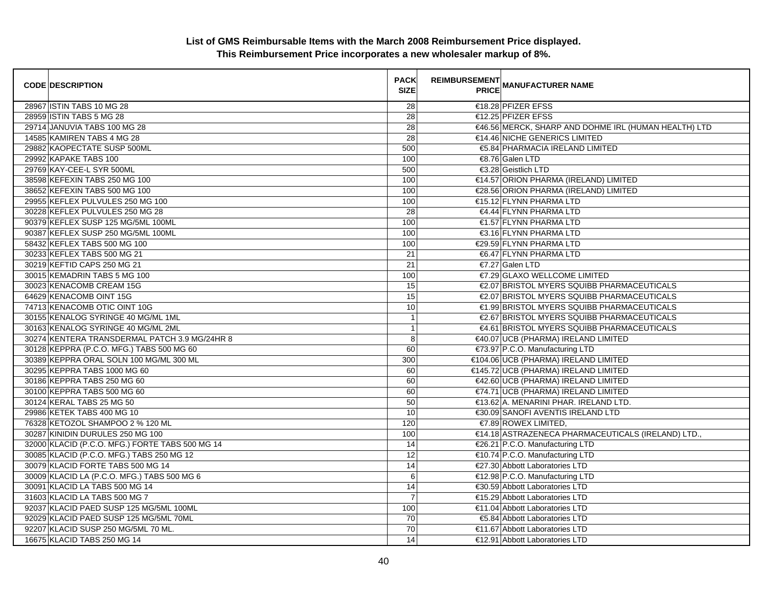| <b>CODE DESCRIPTION</b>                         | <b>PACK</b><br><b>SIZE</b> | <b>REIMBURSEMENT</b> | <b>PRICE MANUFACTURER NAME</b>                       |
|-------------------------------------------------|----------------------------|----------------------|------------------------------------------------------|
| 28967 ISTIN TABS 10 MG 28                       | 28                         |                      | €18.28 PFIZER EFSS                                   |
| 28959 ISTIN TABS 5 MG 28                        | 28                         |                      | €12.25 PFIZER EFSS                                   |
| 29714 JANUVIA TABS 100 MG 28                    | 28                         |                      | €46.56 MERCK, SHARP AND DOHME IRL (HUMAN HEALTH) LTD |
| 14585 KAMIREN TABS 4 MG 28                      | 28                         |                      | €14.46 NICHE GENERICS LIMITED                        |
| 29882 KAOPECTATE SUSP 500ML                     | 500                        |                      | €5.84 PHARMACIA IRELAND LIMITED                      |
| 29992 KAPAKE TABS 100                           | 100                        |                      | €8.76 Galen LTD                                      |
| 29769 KAY-CEE-L SYR 500ML                       | 500                        |                      | €3.28 Geistlich LTD                                  |
| 38598 KEFEXIN TABS 250 MG 100                   | 100                        |                      | €14.57 ORION PHARMA (IRELAND) LIMITED                |
| 38652 KEFEXIN TABS 500 MG 100                   | 100                        |                      | €28.56 ORION PHARMA (IRELAND) LIMITED                |
| 29955 KEFLEX PULVULES 250 MG 100                | 100                        |                      | €15.12 FLYNN PHARMA LTD                              |
| 30228 KEFLEX PULVULES 250 MG 28                 | 28                         |                      | €4.44 FLYNN PHARMA LTD                               |
| 90379 KEFLEX SUSP 125 MG/5ML 100ML              | 100                        |                      | €1.57 FLYNN PHARMA LTD                               |
| 90387 KEFLEX SUSP 250 MG/5ML 100ML              | 100                        |                      | €3.16 FLYNN PHARMA LTD                               |
| 58432 KEFLEX TABS 500 MG 100                    | 100                        |                      | €29.59 FLYNN PHARMA LTD                              |
| 30233 KEFLEX TABS 500 MG 21                     | 21                         |                      | €6.47 FLYNN PHARMA LTD                               |
| 30219 KEFTID CAPS 250 MG 21                     | 21                         |                      | €7.27 Galen LTD                                      |
| 30015 KEMADRIN TABS 5 MG 100                    | 100                        |                      | €7.29 GLAXO WELLCOME LIMITED                         |
| 30023 KENACOMB CREAM 15G                        | 15                         |                      | €2.07 BRISTOL MYERS SQUIBB PHARMACEUTICALS           |
| 64629 KENACOMB OINT 15G                         | 15                         |                      | €2.07 BRISTOL MYERS SQUIBB PHARMACEUTICALS           |
| 74713 KENACOMB OTIC OINT 10G                    | 10                         |                      | €1.99 BRISTOL MYERS SQUIBB PHARMACEUTICALS           |
| 30155 KENALOG SYRINGE 40 MG/ML 1ML              | $\mathbf{1}$               |                      | €2.67 BRISTOL MYERS SQUIBB PHARMACEUTICALS           |
| 30163 KENALOG SYRINGE 40 MG/ML 2ML              | $\overline{1}$             |                      | €4.61 BRISTOL MYERS SQUIBB PHARMACEUTICALS           |
| 30274 KENTERA TRANSDERMAL PATCH 3.9 MG/24HR 8   | 8                          |                      | €40.07 UCB (PHARMA) IRELAND LIMITED                  |
| 30128 KEPPRA (P.C.O. MFG.) TABS 500 MG 60       | 60                         |                      | €73.97 P.C.O. Manufacturing LTD                      |
| 30389 KEPPRA ORAL SOLN 100 MG/ML 300 ML         | 300                        |                      | €104.06 UCB (PHARMA) IRELAND LIMITED                 |
| 30295 KEPPRA TABS 1000 MG 60                    | 60                         |                      | €145.72 UCB (PHARMA) IRELAND LIMITED                 |
| 30186 KEPPRA TABS 250 MG 60                     | 60                         |                      | €42.60 UCB (PHARMA) IRELAND LIMITED                  |
| 30100 KEPPRA TABS 500 MG 60                     | 60                         |                      | €74.71 UCB (PHARMA) IRELAND LIMITED                  |
| 30124 KERAL TABS 25 MG 50                       | 50                         |                      | €13.62 A. MENARINI PHAR. IRELAND LTD.                |
| 29986 KETEK TABS 400 MG 10                      | 10                         |                      | €30.09 SANOFI AVENTIS IRELAND LTD                    |
| 76328 KETOZOL SHAMPOO 2 % 120 ML                | 120                        |                      | €7.89 ROWEX LIMITED,                                 |
| 30287 KINIDIN DURULES 250 MG 100                | 100                        |                      | €14.18 ASTRAZENECA PHARMACEUTICALS (IRELAND) LTD.,   |
| 32000 KLACID (P.C.O. MFG.) FORTE TABS 500 MG 14 | 14                         |                      | €26.21 P.C.O. Manufacturing LTD                      |
| 30085 KLACID (P.C.O. MFG.) TABS 250 MG 12       | 12                         |                      | €10.74 P.C.O. Manufacturing LTD                      |
| 30079 KLACID FORTE TABS 500 MG 14               | 14                         |                      | €27.30 Abbott Laboratories LTD                       |
| 30009 KLACID LA (P.C.O. MFG.) TABS 500 MG 6     | 6                          |                      | €12.98 P.C.O. Manufacturing LTD                      |
| 30091 KLACID LA TABS 500 MG 14                  | 14                         |                      | €30.59 Abbott Laboratories LTD                       |
| 31603 KLACID LA TABS 500 MG 7                   | $\overline{7}$             |                      | €15.29 Abbott Laboratories LTD                       |
| 92037 KLACID PAED SUSP 125 MG/5ML 100ML         | 100                        |                      | €11.04 Abbott Laboratories LTD                       |
| 92029 KLACID PAED SUSP 125 MG/5ML 70ML          | 70                         |                      | €5.84 Abbott Laboratories LTD                        |
| 92207 KLACID SUSP 250 MG/5ML 70 ML.             | 70                         |                      | €11.67 Abbott Laboratories LTD                       |
| 16675 KLACID TABS 250 MG 14                     | 14                         |                      | €12.91 Abbott Laboratories LTD                       |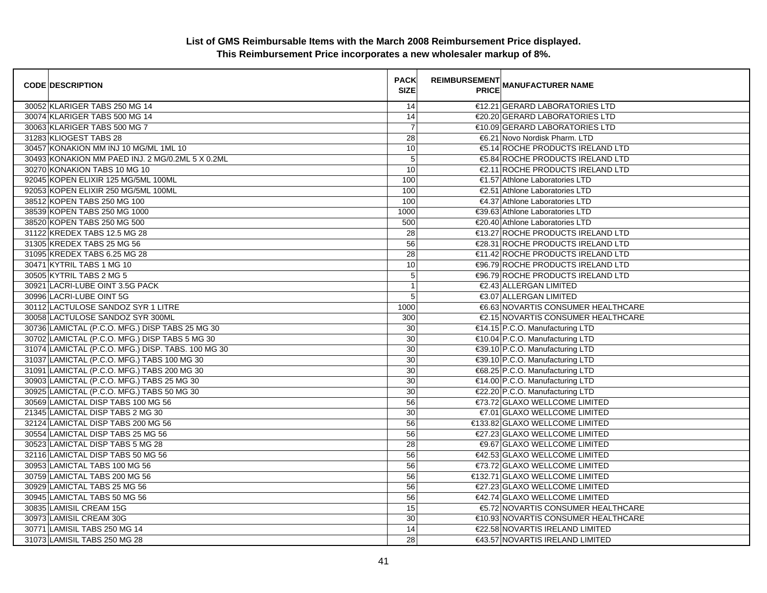| <b>CODE DESCRIPTION</b>                            | <b>PACK</b><br><b>SIZE</b> | <b>REIMBURSEMENT</b> | <b>PRICE MANUFACTURER NAME</b>      |
|----------------------------------------------------|----------------------------|----------------------|-------------------------------------|
| 30052 KLARIGER TABS 250 MG 14                      | 14                         |                      | €12.21 GERARD LABORATORIES LTD      |
| 30074 KLARIGER TABS 500 MG 14                      | $\overline{14}$            |                      | €20.20 GERARD LABORATORIES LTD      |
| 30063 KLARIGER TABS 500 MG 7                       | $\overline{7}$             |                      | €10.09 GERARD LABORATORIES LTD      |
| 31283 KLIOGEST TABS 28                             | 28                         |                      | €6.21 Novo Nordisk Pharm. LTD       |
| 30457 KONAKION MM INJ 10 MG/ML 1ML 10              | 10                         |                      | €5.14 ROCHE PRODUCTS IRELAND LTD    |
| 30493 KONAKION MM PAED INJ. 2 MG/0.2ML 5 X 0.2ML   | 5                          |                      | €5.84 ROCHE PRODUCTS IRELAND LTD    |
| 30270 KONAKION TABS 10 MG 10                       | 10                         |                      | €2.11 ROCHE PRODUCTS IRELAND LTD    |
| 92045 KOPEN ELIXIR 125 MG/5ML 100ML                | 100                        |                      | €1.57 Athlone Laboratories LTD      |
| 92053 KOPEN ELIXIR 250 MG/5ML 100ML                | 100                        |                      | €2.51 Athlone Laboratories LTD      |
| 38512 KOPEN TABS 250 MG 100                        | 100                        |                      | €4.37 Athlone Laboratories LTD      |
| 38539 KOPEN TABS 250 MG 1000                       | 1000                       |                      | €39.63 Athlone Laboratories LTD     |
| 38520 KOPEN TABS 250 MG 500                        | 500                        |                      | €20.40 Athlone Laboratories LTD     |
| 31122 KREDEX TABS 12.5 MG 28                       | 28                         |                      | €13.27 ROCHE PRODUCTS IRELAND LTD   |
| 31305 KREDEX TABS 25 MG 56                         | 56                         |                      | €28.31 ROCHE PRODUCTS IRELAND LTD   |
| 31095 KREDEX TABS 6.25 MG 28                       | $\overline{28}$            |                      | €11.42 ROCHE PRODUCTS IRELAND LTD   |
| 30471 KYTRIL TABS 1 MG 10                          | 10                         |                      | €96.79 ROCHE PRODUCTS IRELAND LTD   |
| 30505 KYTRIL TABS 2 MG 5                           | 5                          |                      | €96.79 ROCHE PRODUCTS IRELAND LTD   |
| 30921 LACRI-LUBE OINT 3.5G PACK                    | $\overline{1}$             |                      | €2.43 ALLERGAN LIMITED              |
| 30996 LACRI-LUBE OINT 5G                           | 5                          |                      | <b>€3.07 ALLERGAN LIMITED</b>       |
| 30112 LACTULOSE SANDOZ SYR 1 LITRE                 | 1000                       |                      | €6.63 NOVARTIS CONSUMER HEALTHCARE  |
| 30058 LACTULOSE SANDOZ SYR 300ML                   | 300                        |                      | €2.15 NOVARTIS CONSUMER HEALTHCARE  |
| 30736 LAMICTAL (P.C.O. MFG.) DISP TABS 25 MG 30    | 30                         |                      | €14.15 P.C.O. Manufacturing LTD     |
| 30702 LAMICTAL (P.C.O. MFG.) DISP TABS 5 MG 30     | 30                         |                      | €10.04 P.C.O. Manufacturing LTD     |
| 31074 LAMICTAL (P.C.O. MFG.) DISP. TABS. 100 MG 30 | 30                         |                      | €39.10 P.C.O. Manufacturing LTD     |
| 31037 LAMICTAL (P.C.O. MFG.) TABS 100 MG 30        | 30                         |                      | €39.10 P.C.O. Manufacturing LTD     |
| 31091 LAMICTAL (P.C.O. MFG.) TABS 200 MG 30        | 30                         |                      | €68.25 P.C.O. Manufacturing LTD     |
| 30903 LAMICTAL (P.C.O. MFG.) TABS 25 MG 30         | 30                         |                      | €14.00 P.C.O. Manufacturing LTD     |
| 30925 LAMICTAL (P.C.O. MFG.) TABS 50 MG 30         | 30                         |                      | €22.20 P.C.O. Manufacturing LTD     |
| 30569 LAMICTAL DISP TABS 100 MG 56                 | 56                         |                      | €73.72 GLAXO WELLCOME LIMITED       |
| 21345 LAMICTAL DISP TABS 2 MG 30                   | 30                         |                      | €7.01 GLAXO WELLCOME LIMITED        |
| 32124 LAMICTAL DISP TABS 200 MG 56                 | 56                         |                      | €133.82 GLAXO WELLCOME LIMITED      |
| 30554 LAMICTAL DISP TABS 25 MG 56                  | 56                         |                      | €27.23 GLAXO WELLCOME LIMITED       |
| 30523 LAMICTAL DISP TABS 5 MG 28                   | 28                         |                      | €9.67 GLAXO WELLCOME LIMITED        |
| 32116 LAMICTAL DISP TABS 50 MG 56                  | 56                         |                      | €42.53 GLAXO WELLCOME LIMITED       |
| 30953 LAMICTAL TABS 100 MG 56                      | 56                         |                      | €73.72 GLAXO WELLCOME LIMITED       |
| 30759 LAMICTAL TABS 200 MG 56                      | 56                         |                      | €132.71 GLAXO WELLCOME LIMITED      |
| 30929 LAMICTAL TABS 25 MG 56                       | 56                         |                      | €27.23 GLAXO WELLCOME LIMITED       |
| 30945 LAMICTAL TABS 50 MG 56                       | 56                         |                      | €42.74 GLAXO WELLCOME LIMITED       |
| 30835 LAMISIL CREAM 15G                            | $\overline{15}$            |                      | €5.72 NOVARTIS CONSUMER HEALTHCARE  |
| 30973 LAMISIL CREAM 30G                            | 30                         |                      | €10.93 NOVARTIS CONSUMER HEALTHCARE |
| 30771 LAMISIL TABS 250 MG 14                       | 14                         |                      | €22.58 NOVARTIS IRELAND LIMITED     |
| 31073 LAMISIL TABS 250 MG 28                       | $\overline{28}$            |                      | €43.57 NOVARTIS IRELAND LIMITED     |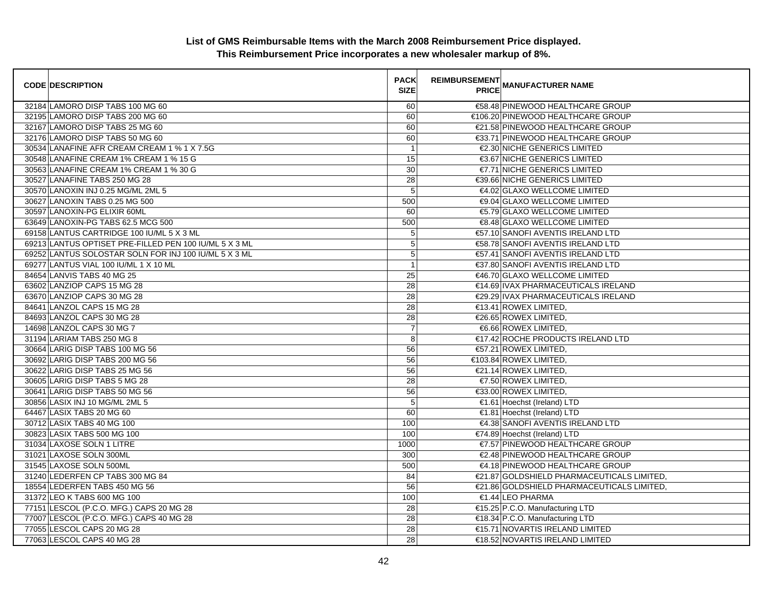| <b>CODE DESCRIPTION</b>                                | <b>PACK</b><br><b>SIZE</b> | <b>REIMBURSEMENT</b><br>--------   MANUFACTURER NAME<br>  PRICE |  |
|--------------------------------------------------------|----------------------------|-----------------------------------------------------------------|--|
| 32184 LAMORO DISP TABS 100 MG 60                       | 60                         | €58.48 PINEWOOD HEALTHCARE GROUP                                |  |
| 32195 LAMORO DISP TABS 200 MG 60                       | 60                         | €106.20 PINEWOOD HEALTHCARE GROUP                               |  |
| 32167 LAMORO DISP TABS 25 MG 60                        | 60                         | €21.58 PINEWOOD HEALTHCARE GROUP                                |  |
| 32176 LAMORO DISP TABS 50 MG 60                        | 60                         | €33.71 PINEWOOD HEALTHCARE GROUP                                |  |
| 30534 LANAFINE AFR CREAM CREAM 1 % 1 X 7.5G            | $\overline{1}$             | €2.30 NICHE GENERICS LIMITED                                    |  |
| 30548 LANAFINE CREAM 1% CREAM 1 % 15 G                 | 15                         | €3.67 NICHE GENERICS LIMITED                                    |  |
| 30563 LANAFINE CREAM 1% CREAM 1 % 30 G                 | 30                         | €7.71 NICHE GENERICS LIMITED                                    |  |
| 30527 LANAFINE TABS 250 MG 28                          | 28                         | €39.66 NICHE GENERICS LIMITED                                   |  |
| 30570 LANOXIN INJ 0.25 MG/ML 2ML 5                     | 5                          | €4.02 GLAXO WELLCOME LIMITED                                    |  |
| 30627 LANOXIN TABS 0.25 MG 500                         | 500                        | €9.04 GLAXO WELLCOME LIMITED                                    |  |
| 30597 LANOXIN-PG ELIXIR 60ML                           | 60                         | €5.79 GLAXO WELLCOME LIMITED                                    |  |
| 63649 LANOXIN-PG TABS 62.5 MCG 500                     | 500                        | €8.48 GLAXO WELLCOME LIMITED                                    |  |
| 69158 LANTUS CARTRIDGE 100 IU/ML 5 X 3 ML              | 5                          | €57.10 SANOFI AVENTIS IRELAND LTD                               |  |
| 69213 LANTUS OPTISET PRE-FILLED PEN 100 IU/ML 5 X 3 ML | 5                          | €58.78 SANOFI AVENTIS IRELAND LTD                               |  |
| 69252 LANTUS SOLOSTAR SOLN FOR INJ 100 IU/ML 5 X 3 ML  | 5                          | €57.41 SANOFI AVENTIS IRELAND LTD                               |  |
| 69277 LANTUS VIAL 100 IU/ML 1 X 10 ML                  | $\mathbf{1}$               | €37.80 SANOFI AVENTIS IRELAND LTD                               |  |
| 84654 LANVIS TABS 40 MG 25                             | 25                         | €46.70 GLAXO WELLCOME LIMITED                                   |  |
| 63602 LANZIOP CAPS 15 MG 28                            | 28                         | €14.69 IVAX PHARMACEUTICALS IRELAND                             |  |
| 63670 LANZIOP CAPS 30 MG 28                            | 28                         | €29.29 IVAX PHARMACEUTICALS IRELAND                             |  |
| 84641 LANZOL CAPS 15 MG 28                             | 28                         | $€13.41$ ROWEX LIMITED.                                         |  |
| 84693 LANZOL CAPS 30 MG 28                             | 28                         | €26.65 ROWEX LIMITED,                                           |  |
| 14698 LANZOL CAPS 30 MG 7                              | $\overline{7}$             | €6.66 ROWEX LIMITED,                                            |  |
| 31194 LARIAM TABS 250 MG 8                             | 8                          | €17.42 ROCHE PRODUCTS IRELAND LTD                               |  |
| 30664 LARIG DISP TABS 100 MG 56                        | 56                         | €57.21 ROWEX LIMITED,                                           |  |
| 30692 LARIG DISP TABS 200 MG 56                        | 56                         | €103.84 ROWEX LIMITED,                                          |  |
| 30622 LARIG DISP TABS 25 MG 56                         | 56                         | €21.14 ROWEX LIMITED,                                           |  |
| 30605 LARIG DISP TABS 5 MG 28                          | 28                         | €7.50 ROWEX LIMITED,                                            |  |
| 30641 LARIG DISP TABS 50 MG 56                         | 56                         | €33.00 ROWEX LIMITED,                                           |  |
| 30856 LASIX INJ 10 MG/ML 2ML 5                         | 5                          | €1.61 Hoechst (Ireland) LTD                                     |  |
| 64467 LASIX TABS 20 MG 60                              | 60                         | €1.81 Hoechst (Ireland) LTD                                     |  |
| 30712 LASIX TABS 40 MG 100                             | 100                        | €4.38 SANOFI AVENTIS IRELAND LTD                                |  |
| 30823 LASIX TABS 500 MG 100                            | 100                        | €74.89 Hoechst (Ireland) LTD                                    |  |
| 31034 LAXOSE SOLN 1 LITRE                              | 1000                       | €7.57 PINEWOOD HEALTHCARE GROUP                                 |  |
| 31021 LAXOSE SOLN 300ML                                | 300                        | €2.48 PINEWOOD HEALTHCARE GROUP                                 |  |
| 31545 LAXOSE SOLN 500ML                                | 500                        | €4.18 PINEWOOD HEALTHCARE GROUP                                 |  |
| 31240 LEDERFEN CP TABS 300 MG 84                       | 84                         | €21.87 GOLDSHIELD PHARMACEUTICALS LIMITED,                      |  |
| 18554 LEDERFEN TABS 450 MG 56                          | 56                         | €21.86 GOLDSHIELD PHARMACEUTICALS LIMITED,                      |  |
| 31372 LEO K TABS 600 MG 100                            | 100                        | €1.44 LEO PHARMA                                                |  |
| 77151 LESCOL (P.C.O. MFG.) CAPS 20 MG 28               | 28                         | €15.25 P.C.O. Manufacturing LTD                                 |  |
| 77007 LESCOL (P.C.O. MFG.) CAPS 40 MG 28               | 28                         | €18.34 P.C.O. Manufacturing LTD                                 |  |
| 77055 LESCOL CAPS 20 MG 28                             | $\overline{28}$            | €15.71 NOVARTIS IRELAND LIMITED                                 |  |
| 77063 LESCOL CAPS 40 MG 28                             | 28                         | €18.52 NOVARTIS IRELAND LIMITED                                 |  |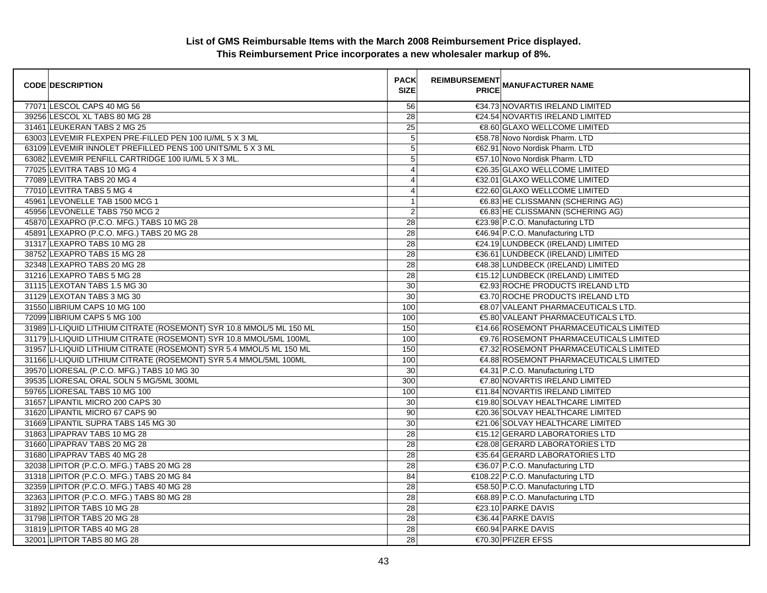| <b>CODE DESCRIPTION</b>                                              | <b>PACK</b><br><b>SIZE</b> | <b>REIMBURSEMENT</b> | <b>---------</b><br>PRICE MANUFACTURER NAME |
|----------------------------------------------------------------------|----------------------------|----------------------|---------------------------------------------|
| 77071 LESCOL CAPS 40 MG 56                                           | 56                         |                      | €34.73 NOVARTIS IRELAND LIMITED             |
| 39256 LESCOL XL TABS 80 MG 28                                        | 28                         |                      | €24.54 NOVARTIS IRELAND LIMITED             |
| 31461 LEUKERAN TABS 2 MG 25                                          | 25                         |                      | €8.60 GLAXO WELLCOME LIMITED                |
| 63003 LEVEMIR FLEXPEN PRE-FILLED PEN 100 IU/ML 5 X 3 ML              | $\overline{5}$             |                      | €58.78 Novo Nordisk Pharm. LTD              |
| 63109 LEVEMIR INNOLET PREFILLED PENS 100 UNITS/ML 5 X 3 ML           | 5                          |                      | €62.91 Novo Nordisk Pharm. LTD              |
| 63082 LEVEMIR PENFILL CARTRIDGE 100 IU/ML 5 X 3 ML.                  | $\sqrt{5}$                 |                      | €57.10 Novo Nordisk Pharm. LTD              |
| 77025 LEVITRA TABS 10 MG 4                                           | $\overline{4}$             |                      | €26.35 GLAXO WELLCOME LIMITED               |
| 77089 LEVITRA TABS 20 MG 4                                           | $\overline{4}$             |                      | €32.01 GLAXO WELLCOME LIMITED               |
| 77010 LEVITRA TABS 5 MG 4                                            | $\overline{4}$             |                      | €22.60 GLAXO WELLCOME LIMITED               |
| 45961 LEVONELLE TAB 1500 MCG 1                                       | $\mathbf{1}$               |                      | €6.83 HE CLISSMANN (SCHERING AG)            |
| 45956 LEVONELLE TABS 750 MCG 2                                       | $\overline{2}$             |                      | €6.83 HE CLISSMANN (SCHERING AG)            |
| 45870 LEXAPRO (P.C.O. MFG.) TABS 10 MG 28                            | 28                         |                      | €23.98 P.C.O. Manufacturing LTD             |
| 45891 LEXAPRO (P.C.O. MFG.) TABS 20 MG 28                            | 28                         |                      | €46.94 P.C.O. Manufacturing LTD             |
| 31317 LEXAPRO TABS 10 MG 28                                          | $\overline{28}$            |                      | €24.19 LUNDBECK (IRELAND) LIMITED           |
| 38752 LEXAPRO TABS 15 MG 28                                          | 28                         |                      | €36.61 LUNDBECK (IRELAND) LIMITED           |
| 32348 LEXAPRO TABS 20 MG 28                                          | 28                         |                      | €48.38 LUNDBECK (IRELAND) LIMITED           |
| 31216 LEXAPRO TABS 5 MG 28                                           | $\overline{28}$            |                      | €15.12 LUNDBECK (IRELAND) LIMITED           |
| 31115 LEXOTAN TABS 1.5 MG 30                                         | 30                         |                      | €2.93 ROCHE PRODUCTS IRELAND LTD            |
| 31129 LEXOTAN TABS 3 MG 30                                           | $\overline{30}$            |                      | €3.70 ROCHE PRODUCTS IRELAND LTD            |
| 31550 LIBRIUM CAPS 10 MG 100                                         | 100                        |                      | €8.07 VALEANT PHARMACEUTICALS LTD.          |
| 72099 LIBRIUM CAPS 5 MG 100                                          | 100                        |                      | €5.80 VALEANT PHARMACEUTICALS LTD.          |
| 31989 LI-LIQUID LITHIUM CITRATE (ROSEMONT) SYR 10.8 MMOL/5 ML 150 ML | 150                        |                      | €14.66 ROSEMONT PHARMACEUTICALS LIMITED     |
| 31179 LI-LIQUID LITHIUM CITRATE (ROSEMONT) SYR 10.8 MMOL/5ML 100ML   | 100                        |                      | €9.76 ROSEMONT PHARMACEUTICALS LIMITED      |
| 31957 LI-LIQUID LITHIUM CITRATE (ROSEMONT) SYR 5.4 MMOL/5 ML 150 ML  | 150                        |                      | €7.32 ROSEMONT PHARMACEUTICALS LIMITED      |
| 31166 LI-LIQUID LITHIUM CITRATE (ROSEMONT) SYR 5.4 MMOL/5ML 100ML    | 100                        |                      | €4.88 ROSEMONT PHARMACEUTICALS LIMITED      |
| 39570 LIORESAL (P.C.O. MFG.) TABS 10 MG 30                           | 30                         |                      | €4.31 P.C.O. Manufacturing LTD              |
| 39535 LIORESAL ORAL SOLN 5 MG/5ML 300ML                              | 300                        |                      | €7.80 NOVARTIS IRELAND LIMITED              |
| 59765 LIORESAL TABS 10 MG 100                                        | 100                        |                      | €11.84 NOVARTIS IRELAND LIMITED             |
| 31657 LIPANTIL MICRO 200 CAPS 30                                     | 30                         |                      | €19.80 SOLVAY HEALTHCARE LIMITED            |
| 31620 LIPANTIL MICRO 67 CAPS 90                                      | 90                         |                      | €20.36 SOLVAY HEALTHCARE LIMITED            |
| 31669 LIPANTIL SUPRA TABS 145 MG 30                                  | 30                         |                      | €21.06 SOLVAY HEALTHCARE LIMITED            |
| 31863 LIPAPRAV TABS 10 MG 28                                         | 28                         |                      | €15.12 GERARD LABORATORIES LTD              |
| 31660 LIPAPRAV TABS 20 MG 28                                         | 28                         |                      | €28.08 GERARD LABORATORIES LTD              |
| 31680 LIPAPRAV TABS 40 MG 28                                         | $\overline{28}$            |                      | €35.64 GERARD LABORATORIES LTD              |
| 32038 LIPITOR (P.C.O. MFG.) TABS 20 MG 28                            | 28                         |                      | €36.07 P.C.O. Manufacturing LTD             |
| 31318 LIPITOR (P.C.O. MFG.) TABS 20 MG 84                            | 84                         |                      | €108.22 P.C.O. Manufacturing LTD            |
| 32359 LIPITOR (P.C.O. MFG.) TABS 40 MG 28                            | 28                         |                      | €58.50 P.C.O. Manufacturing LTD             |
| 32363 LIPITOR (P.C.O. MFG.) TABS 80 MG 28                            | 28                         |                      | €68.89 P.C.O. Manufacturing LTD             |
| 31892 LIPITOR TABS 10 MG 28                                          | $\overline{28}$            |                      | €23.10 PARKE DAVIS                          |
| 31798 LIPITOR TABS 20 MG 28                                          | 28                         |                      | €36.44 PARKE DAVIS                          |
| 31819 LIPITOR TABS 40 MG 28                                          | 28                         |                      | €60.94 PARKE DAVIS                          |
| 32001 LIPITOR TABS 80 MG 28                                          | 28                         |                      | €70.30 PFIZER EFSS                          |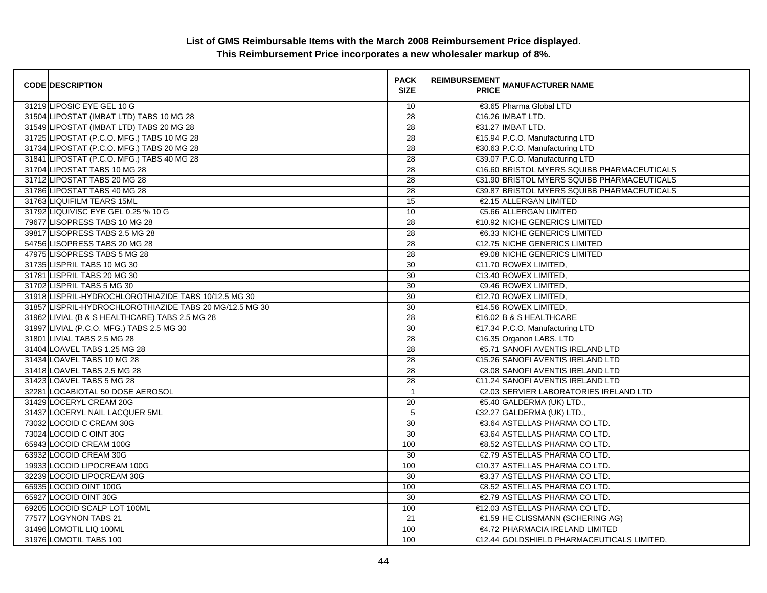| <b>CODE DESCRIPTION</b>                                 | <b>PACK</b><br><b>SIZE</b> | REIMBURSEMENT<br>ANANUFACTURER NAME         |
|---------------------------------------------------------|----------------------------|---------------------------------------------|
| 31219 LIPOSIC EYE GEL 10 G                              | 10                         | €3.65 Pharma Global LTD                     |
| 31504 LIPOSTAT (IMBAT LTD) TABS 10 MG 28                | 28                         | €16.26 IMBAT LTD.                           |
| 31549 LIPOSTAT (IMBAT LTD) TABS 20 MG 28                | 28                         | €31.27 IMBAT LTD.                           |
| 31725 LIPOSTAT (P.C.O. MFG.) TABS 10 MG 28              | $\overline{28}$            | €15.94 P.C.O. Manufacturing LTD             |
| 31734 LIPOSTAT (P.C.O. MFG.) TABS 20 MG 28              | 28                         | €30.63 P.C.O. Manufacturing LTD             |
| 31841 LIPOSTAT (P.C.O. MFG.) TABS 40 MG 28              | 28                         | €39.07 P.C.O. Manufacturing LTD             |
| 31704 LIPOSTAT TABS 10 MG 28                            | 28                         | €16.60 BRISTOL MYERS SQUIBB PHARMACEUTICALS |
| 31712 LIPOSTAT TABS 20 MG 28                            | 28                         | €31.90 BRISTOL MYERS SQUIBB PHARMACEUTICALS |
| 31786 LIPOSTAT TABS 40 MG 28                            | 28                         | €39.87 BRISTOL MYERS SQUIBB PHARMACEUTICALS |
| 31763 LIQUIFILM TEARS 15ML                              | 15                         | €2.15 ALLERGAN LIMITED                      |
| 31792 LIQUIVISC EYE GEL 0.25 % 10 G                     | 10                         | €5.66 ALLERGAN LIMITED                      |
| 79677 LISOPRESS TABS 10 MG 28                           | $\overline{28}$            | €10.92 NICHE GENERICS LIMITED               |
| 39817 LISOPRESS TABS 2.5 MG 28                          | $\overline{28}$            | <b>€6.33 NICHE GENERICS LIMITED</b>         |
| 54756 LISOPRESS TABS 20 MG 28                           | 28                         | €12.75 NICHE GENERICS LIMITED               |
| 47975 LISOPRESS TABS 5 MG 28                            | $\overline{28}$            | <b>€9.08 NICHE GENERICS LIMITED</b>         |
| 31735 LISPRIL TABS 10 MG 30                             | 30                         | €11.70 ROWEX LIMITED,                       |
| 31781 LISPRIL TABS 20 MG 30                             | 30                         | €13.40 ROWEX LIMITED,                       |
| 31702 LISPRIL TABS 5 MG 30                              | 30                         | €9.46 ROWEX LIMITED,                        |
| 31918 LISPRIL-HYDROCHLOROTHIAZIDE TABS 10/12.5 MG 30    | 30                         | €12.70 ROWEX LIMITED,                       |
| 31857 LISPRIL-HYDROCHLOROTHIAZIDE TABS 20 MG/12.5 MG 30 | 30                         | $€14.56$ ROWEX LIMITED.                     |
| 31962 LIVIAL (B & S HEALTHCARE) TABS 2.5 MG 28          | 28                         | €16.02 B & S HEALTHCARE                     |
| 31997 LIVIAL (P.C.O. MFG.) TABS 2.5 MG 30               | 30                         | €17.34 P.C.O. Manufacturing LTD             |
| 31801 LIVIAL TABS 2.5 MG 28                             | 28                         | €16.35 Organon LABS. LTD                    |
| 31404 LOAVEL TABS 1.25 MG 28                            | 28                         | €5.71 SANOFI AVENTIS IRELAND LTD            |
| 31434 LOAVEL TABS 10 MG 28                              | 28                         | €15.26 SANOFI AVENTIS IRELAND LTD           |
| 31418 LOAVEL TABS 2.5 MG 28                             | $\overline{28}$            | €8.08 SANOFI AVENTIS IRELAND LTD            |
| 31423 LOAVEL TABS 5 MG 28                               | 28                         | €11.24 SANOFI AVENTIS IRELAND LTD           |
| 32281 LOCABIOTAL 50 DOSE AEROSOL                        | $\overline{1}$             | €2.03 SERVIER LABORATORIES IRELAND LTD      |
| 31429 LOCERYL CREAM 20G                                 | 20                         | €5.40 GALDERMA (UK) LTD.,                   |
| 31437 LOCERYL NAIL LACQUER 5ML                          | $\sqrt{5}$                 | €32.27 GALDERMA (UK) LTD.,                  |
| 73032 LOCOID C CREAM 30G                                | 30                         | €3.64 ASTELLAS PHARMA CO LTD.               |
| 73024 LOCOID C OINT 30G                                 | 30                         | €3.64 ASTELLAS PHARMA CO LTD.               |
| 65943 LOCOID CREAM 100G                                 | 100                        | €8.52 ASTELLAS PHARMA CO LTD.               |
| 63932 LOCOID CREAM 30G                                  | 30                         | €2.79 ASTELLAS PHARMA CO LTD.               |
| 19933 LOCOID LIPOCREAM 100G                             | 100                        | €10.37 ASTELLAS PHARMA CO LTD.              |
| 32239 LOCOID LIPOCREAM 30G                              | 30                         | €3.37 ASTELLAS PHARMA CO LTD.               |
| 65935 LOCOID OINT 100G                                  | 100                        | €8.52 ASTELLAS PHARMA CO LTD.               |
| 65927 LOCOID OINT 30G                                   | 30                         | €2.79 ASTELLAS PHARMA CO LTD.               |
| 69205 LOCOID SCALP LOT 100ML                            | 100                        | €12.03 ASTELLAS PHARMA CO LTD.              |
| 77577 LOGYNON TABS 21                                   | 21                         | €1.59 HE CLISSMANN (SCHERING AG)            |
| 31496 LOMOTIL LIQ 100ML                                 | 100                        | €4.72 PHARMACIA IRELAND LIMITED             |
| 31976 LOMOTIL TABS 100                                  | 100                        | €12.44 GOLDSHIELD PHARMACEUTICALS LIMITED,  |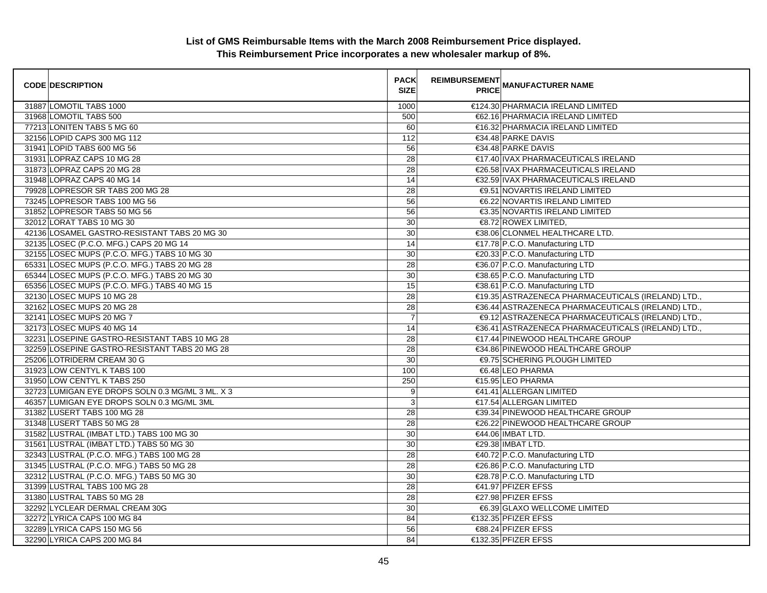| <b>CODE DESCRIPTION</b>                          | <b>PACK</b><br><b>SIZE</b> | <b>REIMBURSEMENT</b> | <b>PRICE MANUFACTURER NAME</b>                     |
|--------------------------------------------------|----------------------------|----------------------|----------------------------------------------------|
| 31887 LOMOTIL TABS 1000                          | 1000                       |                      | €124.30 PHARMACIA IRELAND LIMITED                  |
| 31968 LOMOTIL TABS 500                           | 500                        |                      | €62.16 PHARMACIA IRELAND LIMITED                   |
| 77213 LONITEN TABS 5 MG 60                       | 60                         |                      | €16.32 PHARMACIA IRELAND LIMITED                   |
| 32156 LOPID CAPS 300 MG 112                      | 112                        |                      | €34.48 PARKE DAVIS                                 |
| 31941 LOPID TABS 600 MG 56                       | 56                         |                      | €34.48 PARKE DAVIS                                 |
| 31931 LOPRAZ CAPS 10 MG 28                       | 28                         |                      | €17.40 IVAX PHARMACEUTICALS IRELAND                |
| 31873 LOPRAZ CAPS 20 MG 28                       | 28                         |                      | €26.58 IVAX PHARMACEUTICALS IRELAND                |
| 31948 LOPRAZ CAPS 40 MG 14                       | 14                         |                      | €32.59 IVAX PHARMACEUTICALS IRELAND                |
| 79928 LOPRESOR SR TABS 200 MG 28                 | 28                         |                      | <b>€9.51 NOVARTIS IRELAND LIMITED</b>              |
| 73245 LOPRESOR TABS 100 MG 56                    | 56                         |                      | €6.22 NOVARTIS IRELAND LIMITED                     |
| 31852 LOPRESOR TABS 50 MG 56                     | 56                         |                      | €3.35 NOVARTIS IRELAND LIMITED                     |
| 32012 LORAT TABS 10 MG 30                        | 30                         |                      | €8.72 ROWEX LIMITED,                               |
| 42136 LOSAMEL GASTRO-RESISTANT TABS 20 MG 30     | 30                         |                      | €38.06 CLONMEL HEALTHCARE LTD.                     |
| 32135 LOSEC (P.C.O. MFG.) CAPS 20 MG 14          | 14                         |                      | €17.78 P.C.O. Manufacturing LTD                    |
| 32155 LOSEC MUPS (P.C.O. MFG.) TABS 10 MG 30     | 30                         |                      | €20.33 P.C.O. Manufacturing LTD                    |
| 65331 LOSEC MUPS (P.C.O. MFG.) TABS 20 MG 28     | 28                         |                      | €36.07 P.C.O. Manufacturing LTD                    |
| 65344 LOSEC MUPS (P.C.O. MFG.) TABS 20 MG 30     | 30                         |                      | €38.65 P.C.O. Manufacturing LTD                    |
| 65356 LOSEC MUPS (P.C.O. MFG.) TABS 40 MG 15     | 15                         |                      | €38.61 P.C.O. Manufacturing LTD                    |
| 32130 LOSEC MUPS 10 MG 28                        | 28                         |                      | €19.35 ASTRAZENECA PHARMACEUTICALS (IRELAND) LTD., |
| 32162 LOSEC MUPS 20 MG 28                        | 28                         |                      | €36.44 ASTRAZENECA PHARMACEUTICALS (IRELAND) LTD., |
| 32141 LOSEC MUPS 20 MG 7                         | $\overline{7}$             |                      | €9.12 ASTRAZENECA PHARMACEUTICALS (IRELAND) LTD.,  |
| 32173 LOSEC MUPS 40 MG 14                        | 14                         |                      | €36.41 ASTRAZENECA PHARMACEUTICALS (IRELAND) LTD., |
| 32231 LOSEPINE GASTRO-RESISTANT TABS 10 MG 28    | 28                         |                      | €17.44 PINEWOOD HEALTHCARE GROUP                   |
| 32259 LOSEPINE GASTRO-RESISTANT TABS 20 MG 28    | 28                         |                      | €34.86 PINEWOOD HEALTHCARE GROUP                   |
| 25206 LOTRIDERM CREAM 30 G                       | 30                         |                      | <b>€9.75 SCHERING PLOUGH LIMITED</b>               |
| 31923 LOW CENTYL K TABS 100                      | 100                        |                      | €6.48 LEO PHARMA                                   |
| 31950 LOW CENTYL K TABS 250                      | 250                        |                      | €15.95 LEO PHARMA                                  |
| 32723 LUMIGAN EYE DROPS SOLN 0.3 MG/ML 3 ML. X 3 | 9                          |                      | €41.41 ALLERGAN LIMITED                            |
| 46357 LUMIGAN EYE DROPS SOLN 0.3 MG/ML 3ML       | 3                          |                      | €17.54 ALLERGAN LIMITED                            |
| 31382 LUSERT TABS 100 MG 28                      | $\overline{28}$            |                      | €39.34 PINEWOOD HEALTHCARE GROUP                   |
| 31348 LUSERT TABS 50 MG 28                       | 28                         |                      | €26.22 PINEWOOD HEALTHCARE GROUP                   |
| 31582 LUSTRAL (IMBAT LTD.) TABS 100 MG 30        | 30                         |                      | €44.06 IMBAT LTD.                                  |
| 31561 LUSTRAL (IMBAT LTD.) TABS 50 MG 30         | 30                         |                      | €29.38 IMBAT LTD.                                  |
| 32343 LUSTRAL (P.C.O. MFG.) TABS 100 MG 28       | 28                         |                      | €40.72 P.C.O. Manufacturing LTD                    |
| 31345 LUSTRAL (P.C.O. MFG.) TABS 50 MG 28        | $\overline{28}$            |                      | €26.86 P.C.O. Manufacturing LTD                    |
| 32312 LUSTRAL (P.C.O. MFG.) TABS 50 MG 30        | 30                         |                      | €28.78 P.C.O. Manufacturing LTD                    |
| 31399 LUSTRAL TABS 100 MG 28                     | 28                         |                      | €41.97 PFIZER EFSS                                 |
| 31380 LUSTRAL TABS 50 MG 28                      | 28                         |                      | €27.98 PFIZER EFSS                                 |
| 32292 LYCLEAR DERMAL CREAM 30G                   | 30                         |                      | €6.39 GLAXO WELLCOME LIMITED                       |
| 32272 LYRICA CAPS 100 MG 84                      | 84                         |                      | €132.35 PFIZER EFSS                                |
| 32289 LYRICA CAPS 150 MG 56                      | 56                         |                      | €88.24 PFIZER EFSS                                 |
| 32290 LYRICA CAPS 200 MG 84                      | 84                         |                      | €132.35 PFIZER EFSS                                |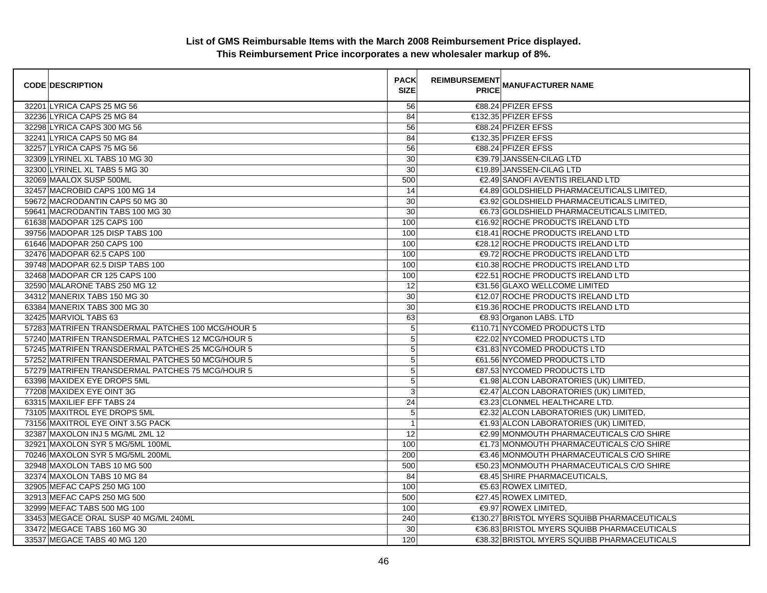| <b>CODE DESCRIPTION</b>                           | <b>PACK</b><br><b>SIZE</b> | <b>REIMBURSEMENT</b> | <b>PRICE MANUFACTURER NAME</b>               |
|---------------------------------------------------|----------------------------|----------------------|----------------------------------------------|
| 32201 LYRICA CAPS 25 MG 56                        | 56                         |                      | €88.24 PFIZER EFSS                           |
| 32236 LYRICA CAPS 25 MG 84                        | 84                         |                      | €132.35 PFIZER EFSS                          |
| 32298 LYRICA CAPS 300 MG 56                       | 56                         |                      | €88.24 PFIZER EFSS                           |
| 32241 LYRICA CAPS 50 MG 84                        | 84                         |                      | €132.35 PFIZER EFSS                          |
| 32257 LYRICA CAPS 75 MG 56                        | 56                         |                      | €88.24 PFIZER EFSS                           |
| 32309 LYRINEL XL TABS 10 MG 30                    | 30                         |                      | €39.79 JANSSEN-CILAG LTD                     |
| 32300 LYRINEL XL TABS 5 MG 30                     | 30                         |                      | €19.89 JANSSEN-CILAG LTD                     |
| 32069 MAALOX SUSP 500ML                           | 500                        |                      | €2.49 SANOFI AVENTIS IRELAND LTD             |
| 32457 MACROBID CAPS 100 MG 14                     | 14                         |                      | €4.89 GOLDSHIELD PHARMACEUTICALS LIMITED,    |
| 59672 MACRODANTIN CAPS 50 MG 30                   | 30                         |                      | €3.92 GOLDSHIELD PHARMACEUTICALS LIMITED,    |
| 59641 MACRODANTIN TABS 100 MG 30                  | 30                         |                      | €6.73 GOLDSHIELD PHARMACEUTICALS LIMITED,    |
| 61638 MADOPAR 125 CAPS 100                        | 100                        |                      | €16.92 ROCHE PRODUCTS IRELAND LTD            |
| 39756 MADOPAR 125 DISP TABS 100                   | 100                        |                      | €18.41 ROCHE PRODUCTS IRELAND LTD            |
| 61646 MADOPAR 250 CAPS 100                        | 100                        |                      | €28.12 ROCHE PRODUCTS IRELAND LTD            |
| 32476 MADOPAR 62.5 CAPS 100                       | 100                        |                      | <b>€9.72 ROCHE PRODUCTS IRELAND LTD</b>      |
| 39748 MADOPAR 62.5 DISP TABS 100                  | 100                        |                      | €10.38 ROCHE PRODUCTS IRELAND LTD            |
| 32468 MADOPAR CR 125 CAPS 100                     | 100                        |                      | €22.51 ROCHE PRODUCTS IRELAND LTD            |
| 32590 MALARONE TABS 250 MG 12                     | 12                         |                      | €31.56 GLAXO WELLCOME LIMITED                |
| 34312 MANERIX TABS 150 MG 30                      | 30                         |                      | €12.07 ROCHE PRODUCTS IRELAND LTD            |
| 63384 MANERIX TABS 300 MG 30                      | 30                         |                      | €19.36 ROCHE PRODUCTS IRELAND LTD            |
| 32425 MARVIOL TABS 63                             | 63                         |                      | €8.93 Organon LABS. LTD                      |
| 57283 MATRIFEN TRANSDERMAL PATCHES 100 MCG/HOUR 5 | 5                          |                      | €110.71 NYCOMED PRODUCTS LTD                 |
| 57240 MATRIFEN TRANSDERMAL PATCHES 12 MCG/HOUR 5  | 5                          |                      | €22.02 NYCOMED PRODUCTS LTD                  |
| 57245 MATRIFEN TRANSDERMAL PATCHES 25 MCG/HOUR 5  | $\mathbf 5$                |                      | €31.83 NYCOMED PRODUCTS LTD                  |
| 57252 MATRIFEN TRANSDERMAL PATCHES 50 MCG/HOUR 5  | 5                          |                      | €61.56 NYCOMED PRODUCTS LTD                  |
| 57279 MATRIFEN TRANSDERMAL PATCHES 75 MCG/HOUR 5  | $\mathbf 5$                |                      | €87.53 NYCOMED PRODUCTS LTD                  |
| 63398 MAXIDEX EYE DROPS 5ML                       | $\overline{5}$             |                      | €1.98 ALCON LABORATORIES (UK) LIMITED,       |
| 77208 MAXIDEX EYE OINT 3G                         | $\mathsf 3$                |                      | €2.47 ALCON LABORATORIES (UK) LIMITED,       |
| 63315 MAXILIEF EFF TABS 24                        | 24                         |                      | €3.23 CLONMEL HEALTHCARE LTD.                |
| 73105 MAXITROL EYE DROPS 5ML                      | $\mathbf 5$                |                      | €2.32 ALCON LABORATORIES (UK) LIMITED,       |
| 73156 MAXITROL EYE OINT 3.5G PACK                 | $\overline{1}$             |                      | €1.93 ALCON LABORATORIES (UK) LIMITED,       |
| 32387 MAXOLON INJ 5 MG/ML 2ML 12                  | 12                         |                      | €2.99 MONMOUTH PHARMACEUTICALS C/O SHIRE     |
| 32921 MAXOLON SYR 5 MG/5ML 100ML                  | 100                        |                      | €1.73 MONMOUTH PHARMACEUTICALS C/O SHIRE     |
| 70246 MAXOLON SYR 5 MG/5ML 200ML                  | 200                        |                      | €3.46 MONMOUTH PHARMACEUTICALS C/O SHIRE     |
| 32948 MAXOLON TABS 10 MG 500                      | 500                        |                      | €50.23 MONMOUTH PHARMACEUTICALS C/O SHIRE    |
| 32374 MAXOLON TABS 10 MG 84                       | 84                         |                      | €8.45 SHIRE PHARMACEUTICALS,                 |
| 32905 MEFAC CAPS 250 MG 100                       | 100                        |                      | €5.63 ROWEX LIMITED,                         |
| 32913 MEFAC CAPS 250 MG 500                       | 500                        |                      | €27.45 ROWEX LIMITED,                        |
| 32999 MEFAC TABS 500 MG 100                       | 100                        |                      | €9.97 ROWEX LIMITED.                         |
| 33453 MEGACE ORAL SUSP 40 MG/ML 240ML             | 240                        |                      | €130.27 BRISTOL MYERS SQUIBB PHARMACEUTICALS |
| 33472 MEGACE TABS 160 MG 30                       | 30                         |                      | €36.83 BRISTOL MYERS SQUIBB PHARMACEUTICALS  |
| 33537 MEGACE TABS 40 MG 120                       | 120                        |                      | €38.32 BRISTOL MYERS SQUIBB PHARMACEUTICALS  |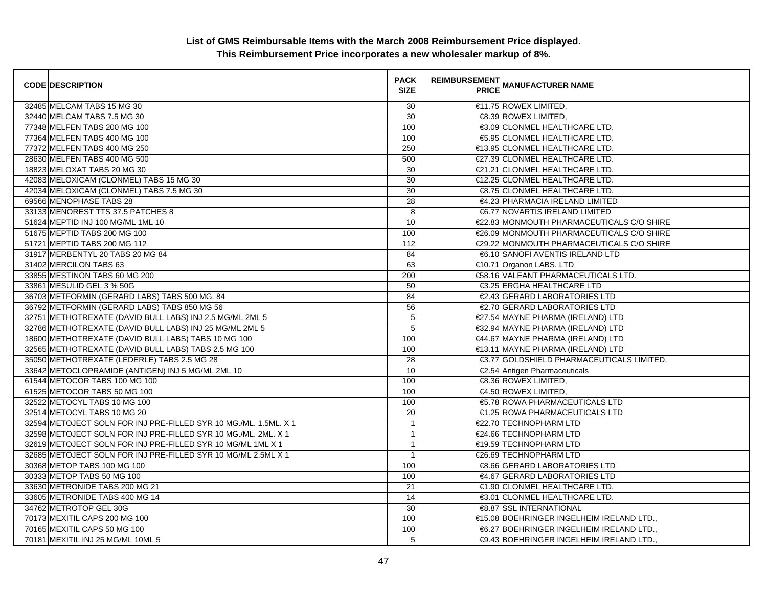| <b>CODE DESCRIPTION</b>                                          | <b>PACK</b><br><b>SIZE</b> | <b>REIMBURSEMENT</b><br><b>PRICE MANUFACTURER NAME</b> |
|------------------------------------------------------------------|----------------------------|--------------------------------------------------------|
| 32485 MELCAM TABS 15 MG 30                                       | 30                         | €11.75 ROWEX LIMITED,                                  |
| 32440 MELCAM TABS 7.5 MG 30                                      | 30                         | €8.39 ROWEX LIMITED,                                   |
| 77348 MELFEN TABS 200 MG 100                                     | 100                        | €3.09 CLONMEL HEALTHCARE LTD.                          |
| 77364 MELFEN TABS 400 MG 100                                     | 100                        | €5.95 CLONMEL HEALTHCARE LTD.                          |
| 77372 MELFEN TABS 400 MG 250                                     | 250                        | €13.95 CLONMEL HEALTHCARE LTD.                         |
| 28630 MELFEN TABS 400 MG 500                                     | 500                        | €27.39 CLONMEL HEALTHCARE LTD.                         |
| 18823 MELOXAT TABS 20 MG 30                                      | 30                         | €21.21 CLONMEL HEALTHCARE LTD.                         |
| 42083 MELOXICAM (CLONMEL) TABS 15 MG 30                          | 30                         | €12.25 CLONMEL HEALTHCARE LTD.                         |
| 42034 MELOXICAM (CLONMEL) TABS 7.5 MG 30                         | 30                         | €8.75 CLONMEL HEALTHCARE LTD.                          |
| 69566 MENOPHASE TABS 28                                          | $\overline{28}$            | €4.23 PHARMACIA IRELAND LIMITED                        |
| 33133 MENOREST TTS 37.5 PATCHES 8                                | 8                          | €6.77 NOVARTIS IRELAND LIMITED                         |
| 51624 MEPTID INJ 100 MG/ML 1ML 10                                | 10                         | €22.83 MONMOUTH PHARMACEUTICALS C/O SHIRE              |
| 51675 MEPTID TABS 200 MG 100                                     | 100                        | €26.09 MONMOUTH PHARMACEUTICALS C/O SHIRE              |
| 51721 MEPTID TABS 200 MG 112                                     | 112                        | €29.22 MONMOUTH PHARMACEUTICALS C/O SHIRE              |
| 31917 MERBENTYL 20 TABS 20 MG 84                                 | 84                         | €6.10 SANOFI AVENTIS IRELAND LTD                       |
| 31402 MERCILON TABS 63                                           | 63                         | €10.71 Organon LABS. LTD                               |
| 33855 MESTINON TABS 60 MG 200                                    | 200                        | €58.16 VALEANT PHARMACEUTICALS LTD.                    |
| 33861 MESULID GEL 3 % 50G                                        | 50                         | €3.25 ERGHA HEALTHCARE LTD                             |
| 36703 METFORMIN (GERARD LABS) TABS 500 MG. 84                    | 84                         | €2.43 GERARD LABORATORIES LTD                          |
| 36792 METFORMIN (GERARD LABS) TABS 850 MG 56                     | 56                         | €2.70 GERARD LABORATORIES LTD                          |
| 32751 METHOTREXATE (DAVID BULL LABS) INJ 2.5 MG/ML 2ML 5         | 5                          | €27.54 MAYNE PHARMA (IRELAND) LTD                      |
| 32786 METHOTREXATE (DAVID BULL LABS) INJ 25 MG/ML 2ML 5          | 5                          | €32.94 MAYNE PHARMA (IRELAND) LTD                      |
| 18600 METHOTREXATE (DAVID BULL LABS) TABS 10 MG 100              | 100                        | €44.67 MAYNE PHARMA (IRELAND) LTD                      |
| 32565 METHOTREXATE (DAVID BULL LABS) TABS 2.5 MG 100             | 100                        | €13.11 MAYNE PHARMA (IRELAND) LTD                      |
| 35050 METHOTREXATE (LEDERLE) TABS 2.5 MG 28                      | 28                         | €3.77 GOLDSHIELD PHARMACEUTICALS LIMITED,              |
| 33642 METOCLOPRAMIDE (ANTIGEN) INJ 5 MG/ML 2ML 10                | 10                         | €2.54 Antigen Pharmaceuticals                          |
| 61544 METOCOR TABS 100 MG 100                                    | 100                        | €8.36 ROWEX LIMITED,                                   |
| 61525 METOCOR TABS 50 MG 100                                     | 100                        | €4.50 ROWEX LIMITED,                                   |
| 32522 METOCYL TABS 10 MG 100                                     | 100                        | €5.78 ROWA PHARMACEUTICALS LTD                         |
| 32514 METOCYL TABS 10 MG 20                                      | 20                         | €1.25 ROWA PHARMACEUTICALS LTD                         |
| 32594 METOJECT SOLN FOR INJ PRE-FILLED SYR 10 MG./ML. 1.5ML. X 1 | $\mathbf{1}$               | €22.70 TECHNOPHARM LTD                                 |
| 32598 METOJECT SOLN FOR INJ PRE-FILLED SYR 10 MG./ML. 2ML. X 1   | $\mathbf{1}$               | €24.66 TECHNOPHARM LTD                                 |
| 32619 METOJECT SOLN FOR INJ PRE-FILLED SYR 10 MG/ML 1ML X 1      | $\mathbf{1}$               | €19.59 TECHNOPHARM LTD                                 |
| 32685 METOJECT SOLN FOR INJ PRE-FILLED SYR 10 MG/ML 2.5ML X 1    | $\mathbf{1}$               | €26.69 TECHNOPHARM LTD                                 |
| 30368 METOP TABS 100 MG 100                                      | 100                        | €8.66 GERARD LABORATORIES LTD                          |
| 30333 METOP TABS 50 MG 100                                       | 100                        | €4.67 GERARD LABORATORIES LTD                          |
| 33630 METRONIDE TABS 200 MG 21                                   | 21                         | €1.90 CLONMEL HEALTHCARE LTD.                          |
| 33605 METRONIDE TABS 400 MG 14                                   | 14                         | €3.01 CLONMEL HEALTHCARE LTD.                          |
| 34762 METROTOP GEL 30G                                           | 30                         | <b>€8.87 SSL INTERNATIONAL</b>                         |
| 70173 MEXITIL CAPS 200 MG 100                                    | 100                        | €15.08 BOEHRINGER INGELHEIM IRELAND LTD.,              |
| 70165 MEXITIL CAPS 50 MG 100                                     | 100                        | €6.27 BOEHRINGER INGELHEIM IRELAND LTD.,               |
| 70181 MEXITIL INJ 25 MG/ML 10ML 5                                | 5                          | €9.43 BOEHRINGER INGELHEIM IRELAND LTD.,               |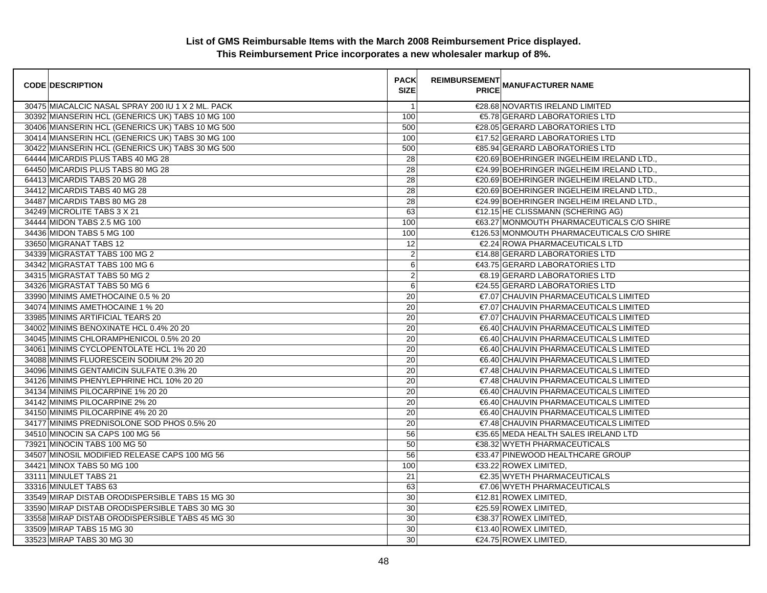| <b>CODE DESCRIPTION</b>                           | <b>PACK</b><br><b>SIZE</b> | <b>REIMBURSEMENT</b> | <b>---------</b><br>PRICE MANUFACTURER NAME |
|---------------------------------------------------|----------------------------|----------------------|---------------------------------------------|
| 30475 MIACALCIC NASAL SPRAY 200 IU 1 X 2 ML. PACK | $\overline{1}$             |                      | €28.68 NOVARTIS IRELAND LIMITED             |
| 30392 MIANSERIN HCL (GENERICS UK) TABS 10 MG 100  | 100                        |                      | €5.78 GERARD LABORATORIES LTD               |
| 30406 MIANSERIN HCL (GENERICS UK) TABS 10 MG 500  | 500                        |                      | €28.05 GERARD LABORATORIES LTD              |
| 30414 MIANSERIN HCL (GENERICS UK) TABS 30 MG 100  | 100                        |                      | €17.52 GERARD LABORATORIES LTD              |
| 30422 MIANSERIN HCL (GENERICS UK) TABS 30 MG 500  | 500                        |                      | €85.94 GERARD LABORATORIES LTD              |
| 64444 MICARDIS PLUS TABS 40 MG 28                 | 28                         |                      | €20.69 BOEHRINGER INGELHEIM IRELAND LTD.,   |
| 64450 MICARDIS PLUS TABS 80 MG 28                 | $\overline{28}$            |                      | €24.99 BOEHRINGER INGELHEIM IRELAND LTD.,   |
| 64413 MICARDIS TABS 20 MG 28                      | 28                         |                      | €20.69 BOEHRINGER INGELHEIM IRELAND LTD.,   |
| 34412 MICARDIS TABS 40 MG 28                      | 28                         |                      | €20.69 BOEHRINGER INGELHEIM IRELAND LTD.,   |
| 34487 MICARDIS TABS 80 MG 28                      | 28                         |                      | €24.99 BOEHRINGER INGELHEIM IRELAND LTD.,   |
| 34249 MICROLITE TABS 3 X 21                       | 63                         |                      | €12.15 HE CLISSMANN (SCHERING AG)           |
| 34444 MIDON TABS 2.5 MG 100                       | 100                        |                      | €63.27 MONMOUTH PHARMACEUTICALS C/O SHIRE   |
| 34436 MIDON TABS 5 MG 100                         | 100                        |                      | €126.53 MONMOUTH PHARMACEUTICALS C/O SHIRE  |
| 33650 MIGRANAT TABS 12                            | 12                         |                      | €2.24 ROWA PHARMACEUTICALS LTD              |
| 34339 MIGRASTAT TABS 100 MG 2                     | $\boldsymbol{2}$           |                      | €14.88 GERARD LABORATORIES LTD              |
| 34342 MIGRASTAT TABS 100 MG 6                     | 6                          |                      | €43.75 GERARD LABORATORIES LTD              |
| 34315 MIGRASTAT TABS 50 MG 2                      | $\overline{2}$             |                      | €8.19 GERARD LABORATORIES LTD               |
| 34326 MIGRASTAT TABS 50 MG 6                      | $\,6\,$                    |                      | €24.55 GERARD LABORATORIES LTD              |
| 33990 MINIMS AMETHOCAINE 0.5 % 20                 | 20                         |                      | €7.07 CHAUVIN PHARMACEUTICALS LIMITED       |
| 34074 MINIMS AMETHOCAINE 1 % 20                   | 20                         |                      | €7.07 CHAUVIN PHARMACEUTICALS LIMITED       |
| 33985 MINIMS ARTIFICIAL TEARS 20                  | 20                         |                      | €7.07 CHAUVIN PHARMACEUTICALS LIMITED       |
| 34002 MINIMS BENOXINATE HCL 0.4% 20 20            | 20                         |                      | €6.40 CHAUVIN PHARMACEUTICALS LIMITED       |
| 34045 MINIMS CHLORAMPHENICOL 0.5% 20 20           | 20                         |                      | €6.40 CHAUVIN PHARMACEUTICALS LIMITED       |
| 34061 MINIMS CYCLOPENTOLATE HCL 1% 20 20          | 20                         |                      | €6.40 CHAUVIN PHARMACEUTICALS LIMITED       |
| 34088 MINIMS FLUORESCEIN SODIUM 2% 20 20          | 20                         |                      | €6.40 CHAUVIN PHARMACEUTICALS LIMITED       |
| 34096 MINIMS GENTAMICIN SULFATE 0.3% 20           | 20                         |                      | €7.48 CHAUVIN PHARMACEUTICALS LIMITED       |
| 34126 MINIMS PHENYLEPHRINE HCL 10% 20 20          | 20                         |                      | €7.48 CHAUVIN PHARMACEUTICALS LIMITED       |
| 34134 MINIMS PILOCARPINE 1% 20 20                 | 20                         |                      | €6.40 CHAUVIN PHARMACEUTICALS LIMITED       |
| 34142 MINIMS PILOCARPINE 2% 20                    | 20                         |                      | €6.40 CHAUVIN PHARMACEUTICALS LIMITED       |
| 34150 MINIMS PILOCARPINE 4% 20 20                 | 20                         |                      | €6.40 CHAUVIN PHARMACEUTICALS LIMITED       |
| 34177 MINIMS PREDNISOLONE SOD PHOS 0.5% 20        | 20                         |                      | €7.48 CHAUVIN PHARMACEUTICALS LIMITED       |
| 34510 MINOCIN SA CAPS 100 MG 56                   | 56                         |                      | €35.65 MEDA HEALTH SALES IRELAND LTD        |
| 73921 MINOCIN TABS 100 MG 50                      | 50                         |                      | €38.32 WYETH PHARMACEUTICALS                |
| 34507 MINOSIL MODIFIED RELEASE CAPS 100 MG 56     | 56                         |                      | €33.47 PINEWOOD HEALTHCARE GROUP            |
| 34421 MINOX TABS 50 MG 100                        | 100                        |                      | €33.22 ROWEX LIMITED,                       |
| 33111 MINULET TABS 21                             | 21                         |                      | €2.35 WYETH PHARMACEUTICALS                 |
| 33316 MINULET TABS 63                             | 63                         |                      | €7.06 WYETH PHARMACEUTICALS                 |
| 33549 MIRAP DISTAB ORODISPERSIBLE TABS 15 MG 30   | 30                         |                      | €12.81 ROWEX LIMITED,                       |
| 33590 MIRAP DISTAB ORODISPERSIBLE TABS 30 MG 30   | 30                         |                      | €25.59 ROWEX LIMITED,                       |
| 33558 MIRAP DISTAB ORODISPERSIBLE TABS 45 MG 30   | 30                         |                      | €38.37 ROWEX LIMITED,                       |
| 33509 MIRAP TABS 15 MG 30                         | 30                         |                      | $€13.40$ ROWEX LIMITED,                     |
| 33523 MIRAP TABS 30 MG 30                         | $\overline{30}$            |                      | €24.75 ROWEX LIMITED.                       |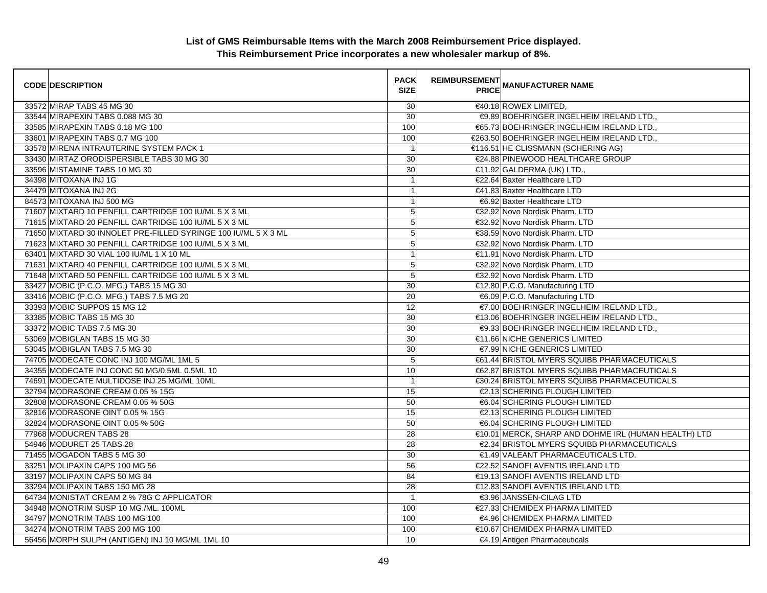| <b>CODE DESCRIPTION</b>                                        | <b>PACK</b><br><b>SIZE</b> | <b>REIMBURSEMENT</b><br><b>PRICE MANUFACTURER NAME</b> |
|----------------------------------------------------------------|----------------------------|--------------------------------------------------------|
| 33572 MIRAP TABS 45 MG 30                                      | 30                         | €40.18 ROWEX LIMITED,                                  |
| 33544 MIRAPEXIN TABS 0.088 MG 30                               | $\overline{30}$            | €9.89 BOEHRINGER INGELHEIM IRELAND LTD.,               |
| 33585 MIRAPEXIN TABS 0.18 MG 100                               | 100                        | €65.73 BOEHRINGER INGELHEIM IRELAND LTD.,              |
| 33601 MIRAPEXIN TABS 0.7 MG 100                                | 100                        | €263.50 BOEHRINGER INGELHEIM IRELAND LTD.,             |
| 33578 MIRENA INTRAUTERINE SYSTEM PACK 1                        | $\overline{1}$             | €116.51 HE CLISSMANN (SCHERING AG)                     |
| 33430 MIRTAZ ORODISPERSIBLE TABS 30 MG 30                      | 30                         | €24.88 PINEWOOD HEALTHCARE GROUP                       |
| 33596 MISTAMINE TABS 10 MG 30                                  | 30                         | €11.92 GALDERMA (UK) LTD.,                             |
| 34398 MITOXANA INJ 1G                                          | $\mathbf{1}$               | €22.64 Baxter Healthcare LTD                           |
| 34479 MITOXANA INJ 2G                                          | $\mathbf{1}$               | €41.83 Baxter Healthcare LTD                           |
| 84573 MITOXANA INJ 500 MG                                      | $\mathbf{1}$               | €6.92 Baxter Healthcare LTD                            |
| 71607 MIXTARD 10 PENFILL CARTRIDGE 100 IU/ML 5 X 3 ML          | 5                          | €32.92 Novo Nordisk Pharm. LTD                         |
| 71615 MIXTARD 20 PENFILL CARTRIDGE 100 IU/ML 5 X 3 ML          | $\overline{5}$             | €32.92 Novo Nordisk Pharm. LTD                         |
| 71650 MIXTARD 30 INNOLET PRE-FILLED SYRINGE 100 IU/ML 5 X 3 ML | $\mathbf 5$                | €38.59 Novo Nordisk Pharm. LTD                         |
| 71623 MIXTARD 30 PENFILL CARTRIDGE 100 IU/ML 5 X 3 ML          | 5                          | €32.92 Novo Nordisk Pharm. LTD                         |
| 63401 MIXTARD 30 VIAL 100 IU/ML 1 X 10 ML                      | $\mathbf{1}$               | €11.91 Novo Nordisk Pharm. LTD                         |
| 71631 MIXTARD 40 PENFILL CARTRIDGE 100 IU/ML 5 X 3 ML          | $\overline{5}$             | €32.92 Novo Nordisk Pharm. LTD                         |
| 71648 MIXTARD 50 PENFILL CARTRIDGE 100 IU/ML 5 X 3 ML          | 5                          | €32.92 Novo Nordisk Pharm. LTD                         |
| 33427 MOBIC (P.C.O. MFG.) TABS 15 MG 30                        | 30                         | €12.80 P.C.O. Manufacturing LTD                        |
| 33416 MOBIC (P.C.O. MFG.) TABS 7.5 MG 20                       | $\overline{20}$            | €6.09 P.C.O. Manufacturing LTD                         |
| 33393 MOBIC SUPPOS 15 MG 12                                    | 12                         | €7.00 BOEHRINGER INGELHEIM IRELAND LTD.,               |
| 33385 MOBIC TABS 15 MG 30                                      | 30                         | €13.06 BOEHRINGER INGELHEIM IRELAND LTD.,              |
| 33372 MOBIC TABS 7.5 MG 30                                     | 30                         | €9.33 BOEHRINGER INGELHEIM IRELAND LTD.,               |
| 53069 MOBIGLAN TABS 15 MG 30                                   | $30\,$                     | €11.66 NICHE GENERICS LIMITED                          |
| 53045 MOBIGLAN TABS 7.5 MG 30                                  | 30                         | €7.99 NICHE GENERICS LIMITED                           |
| 74705 MODECATE CONC INJ 100 MG/ML 1ML 5                        | 5                          | €61.44 BRISTOL MYERS SQUIBB PHARMACEUTICALS            |
| 34355 MODECATE INJ CONC 50 MG/0.5ML 0.5ML 10                   | 10                         | €62.87 BRISTOL MYERS SQUIBB PHARMACEUTICALS            |
| 74691 MODECATE MULTIDOSE INJ 25 MG/ML 10ML                     | $\mathbf{1}$               | €30.24 BRISTOL MYERS SQUIBB PHARMACEUTICALS            |
| 32794 MODRASONE CREAM 0.05 % 15G                               | 15                         | €2.13 SCHERING PLOUGH LIMITED                          |
| 32808 MODRASONE CREAM 0.05 % 50G                               | 50                         | €6.04 SCHERING PLOUGH LIMITED                          |
| 32816 MODRASONE OINT 0.05 % 15G                                | 15                         | €2.13 SCHERING PLOUGH LIMITED                          |
| 32824 MODRASONE OINT 0.05 % 50G                                | 50                         | €6.04 SCHERING PLOUGH LIMITED                          |
| 77968 MODUCREN TABS 28                                         | 28                         | €10.01 MERCK, SHARP AND DOHME IRL (HUMAN HEALTH) LTD   |
| 54946 MODURET 25 TABS 28                                       | 28                         | €2.34 BRISTOL MYERS SQUIBB PHARMACEUTICALS             |
| 71455 MOGADON TABS 5 MG 30                                     | 30                         | €1.49 VALEANT PHARMACEUTICALS LTD.                     |
| 33251 MOLIPAXIN CAPS 100 MG 56                                 | 56                         | €22.52 SANOFI AVENTIS IRELAND LTD                      |
| 33197 MOLIPAXIN CAPS 50 MG 84                                  | 84                         | €19.13 SANOFI AVENTIS IRELAND LTD                      |
| 33294 MOLIPAXIN TABS 150 MG 28                                 | $\overline{28}$            | €12.83 SANOFI AVENTIS IRELAND LTD                      |
| 64734 MONISTAT CREAM 2 % 78G C APPLICATOR                      | $\overline{1}$             | €3.96 JANSSEN-CILAG LTD                                |
| 34948 MONOTRIM SUSP 10 MG./ML. 100ML                           | 100                        | €27.33 CHEMIDEX PHARMA LIMITED                         |
| 34797 MONOTRIM TABS 100 MG 100                                 | 100                        | €4.96 CHEMIDEX PHARMA LIMITED                          |
| 34274 MONOTRIM TABS 200 MG 100                                 | 100                        | €10.67 CHEMIDEX PHARMA LIMITED                         |
| 56456 MORPH SULPH (ANTIGEN) INJ 10 MG/ML 1ML 10                | 10 <sup>1</sup>            | €4.19 Antigen Pharmaceuticals                          |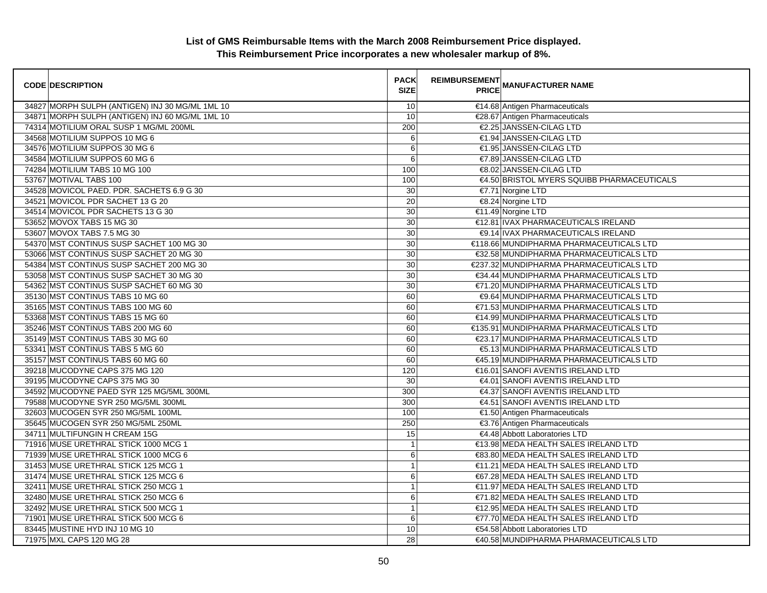| <b>CODE DESCRIPTION</b>                         | <b>PACK</b><br><b>SIZE</b> | <b>REIMBURSEMENT</b> | <b>PRICE MANUFACTURER NAME</b>             |
|-------------------------------------------------|----------------------------|----------------------|--------------------------------------------|
| 34827 MORPH SULPH (ANTIGEN) INJ 30 MG/ML 1ML 10 | 10                         |                      | €14.68 Antigen Pharmaceuticals             |
| 34871 MORPH SULPH (ANTIGEN) INJ 60 MG/ML 1ML 10 | 10                         |                      | €28.67 Antigen Pharmaceuticals             |
| 74314 MOTILIUM ORAL SUSP 1 MG/ML 200ML          | 200                        |                      | €2.25 JANSSEN-CILAG LTD                    |
| 34568 MOTILIUM SUPPOS 10 MG 6                   | 6                          |                      | €1.94 JANSSEN-CILAG LTD                    |
| 34576 MOTILIUM SUPPOS 30 MG 6                   | 6                          |                      | €1.95 JANSSEN-CILAG LTD                    |
| 34584 MOTILIUM SUPPOS 60 MG 6                   | 6                          |                      | €7.89 JANSSEN-CILAG LTD                    |
| 74284 MOTILIUM TABS 10 MG 100                   | 100                        |                      | €8.02 JANSSEN-CILAG LTD                    |
| 53767 MOTIVAL TABS 100                          | 100                        |                      | €4.50 BRISTOL MYERS SQUIBB PHARMACEUTICALS |
| 34528 MOVICOL PAED. PDR. SACHETS 6.9 G 30       | 30                         |                      | €7.71 Norgine LTD                          |
| 34521 MOVICOL PDR SACHET 13 G 20                | 20                         |                      | €8.24 Norgine LTD                          |
| 34514 MOVICOL PDR SACHETS 13 G 30               | $\overline{30}$            |                      | €11.49 Norgine LTD                         |
| 53652 MOVOX TABS 15 MG 30                       | 30                         |                      | €12.81 IVAX PHARMACEUTICALS IRELAND        |
| 53607 MOVOX TABS 7.5 MG 30                      | 30                         |                      | €9.14 IVAX PHARMACEUTICALS IRELAND         |
| 54370 MST CONTINUS SUSP SACHET 100 MG 30        | 30                         |                      | €118.66 MUNDIPHARMA PHARMACEUTICALS LTD    |
| 53066 MST CONTINUS SUSP SACHET 20 MG 30         | 30                         |                      | €32.58 MUNDIPHARMA PHARMACEUTICALS LTD     |
| 54384 MST CONTINUS SUSP SACHET 200 MG 30        | 30                         |                      | €237.32 MUNDIPHARMA PHARMACEUTICALS LTD    |
| 53058 MST CONTINUS SUSP SACHET 30 MG 30         | 30                         |                      | €34.44 MUNDIPHARMA PHARMACEUTICALS LTD     |
| 54362 MST CONTINUS SUSP SACHET 60 MG 30         | 30                         |                      | €71.20 MUNDIPHARMA PHARMACEUTICALS LTD     |
| 35130 MST CONTINUS TABS 10 MG 60                | 60                         |                      | €9.64 MUNDIPHARMA PHARMACEUTICALS LTD      |
| 35165 MST CONTINUS TABS 100 MG 60               | 60                         |                      | €71.53 MUNDIPHARMA PHARMACEUTICALS LTD     |
| 53368 MST CONTINUS TABS 15 MG 60                | 60                         |                      | €14.99 MUNDIPHARMA PHARMACEUTICALS LTD     |
| 35246 MST CONTINUS TABS 200 MG 60               | 60                         |                      | €135.91 MUNDIPHARMA PHARMACEUTICALS LTD    |
| 35149 MST CONTINUS TABS 30 MG 60                | 60                         |                      | €23.17 MUNDIPHARMA PHARMACEUTICALS LTD     |
| 53341 MST CONTINUS TABS 5 MG 60                 | 60                         |                      | €5.13 MUNDIPHARMA PHARMACEUTICALS LTD      |
| 35157 MST CONTINUS TABS 60 MG 60                | 60                         |                      | €45.19 MUNDIPHARMA PHARMACEUTICALS LTD     |
| 39218 MUCODYNE CAPS 375 MG 120                  | 120                        |                      | €16.01 SANOFI AVENTIS IRELAND LTD          |
| 39195 MUCODYNE CAPS 375 MG 30                   | 30                         |                      | €4.01 SANOFI AVENTIS IRELAND LTD           |
| 34592 MUCODYNE PAED SYR 125 MG/5ML 300ML        | 300                        |                      | €4.37 SANOFI AVENTIS IRELAND LTD           |
| 79588 MUCODYNE SYR 250 MG/5ML 300ML             | 300                        |                      | €4.51 SANOFI AVENTIS IRELAND LTD           |
| 32603 MUCOGEN SYR 250 MG/5ML 100ML              | 100                        |                      | €1.50 Antigen Pharmaceuticals              |
| 35645 MUCOGEN SYR 250 MG/5ML 250ML              | 250                        |                      | €3.76 Antigen Pharmaceuticals              |
| 34711 MULTIFUNGIN H CREAM 15G                   | 15                         |                      | €4.48 Abbott Laboratories LTD              |
| 71916 MUSE URETHRAL STICK 1000 MCG 1            | $\mathbf{1}$               |                      | €13.98 MEDA HEALTH SALES IRELAND LTD       |
| 71939 MUSE URETHRAL STICK 1000 MCG 6            | 6                          |                      | €83.80 MEDA HEALTH SALES IRELAND LTD       |
| 31453 MUSE URETHRAL STICK 125 MCG 1             | $\mathbf{1}$               |                      | €11.21 MEDA HEALTH SALES IRELAND LTD       |
| 31474 MUSE URETHRAL STICK 125 MCG 6             | 6                          |                      | €67.28 MEDA HEALTH SALES IRELAND LTD       |
| 32411 MUSE URETHRAL STICK 250 MCG 1             | $\mathbf{1}$               |                      | €11.97 MEDA HEALTH SALES IRELAND LTD       |
| 32480 MUSE URETHRAL STICK 250 MCG 6             | 6                          |                      | €71.82 MEDA HEALTH SALES IRELAND LTD       |
| 32492 MUSE URETHRAL STICK 500 MCG 1             | $\mathbf{1}$               |                      | €12.95 MEDA HEALTH SALES IRELAND LTD       |
| 71901 MUSE URETHRAL STICK 500 MCG 6             | 6                          |                      | €77.70 MEDA HEALTH SALES IRELAND LTD       |
| 83445 MUSTINE HYD INJ 10 MG 10                  | 10                         |                      | €54.58 Abbott Laboratories LTD             |
| 71975 MXL CAPS 120 MG 28                        | 28                         |                      | €40.58 MUNDIPHARMA PHARMACEUTICALS LTD     |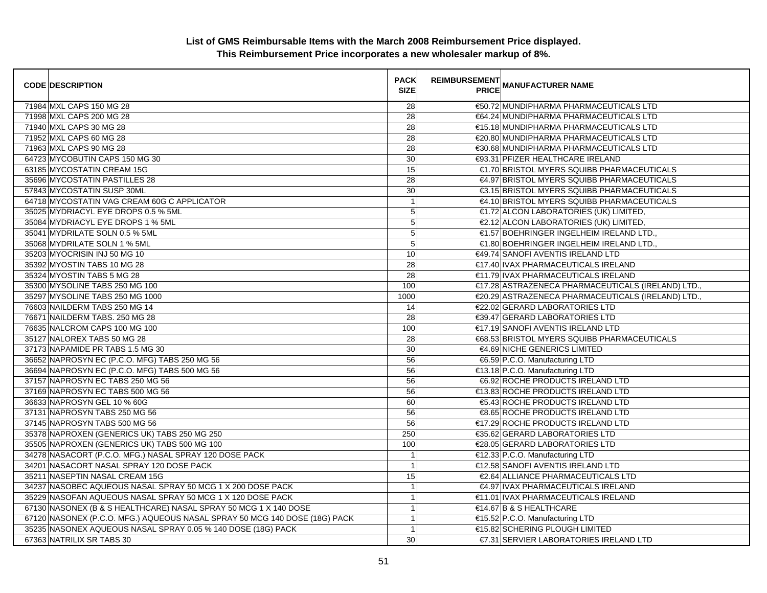| <b>CODE DESCRIPTION</b>                                                    | <b>PACK</b><br><b>SIZE</b> | <b>REIMBURSEMENT</b> | --------<br>PRICE MANUFACTURER NAME                |
|----------------------------------------------------------------------------|----------------------------|----------------------|----------------------------------------------------|
| 71984 MXL CAPS 150 MG 28                                                   | 28                         |                      | €50.72 MUNDIPHARMA PHARMACEUTICALS LTD             |
| 71998 MXL CAPS 200 MG 28                                                   | $\overline{28}$            |                      | €64.24 MUNDIPHARMA PHARMACEUTICALS LTD             |
| 71940 MXL CAPS 30 MG 28                                                    | 28                         |                      | €15.18 MUNDIPHARMA PHARMACEUTICALS LTD             |
| 71952 MXL CAPS 60 MG 28                                                    | 28                         |                      | €20.80 MUNDIPHARMA PHARMACEUTICALS LTD             |
| 71963 MXL CAPS 90 MG 28                                                    | 28                         |                      | €30.68 MUNDIPHARMA PHARMACEUTICALS LTD             |
| 64723 MYCOBUTIN CAPS 150 MG 30                                             | 30                         |                      | €93.31 PFIZER HEALTHCARE IRELAND                   |
| 63185 MYCOSTATIN CREAM 15G                                                 | 15                         |                      | €1.70 BRISTOL MYERS SQUIBB PHARMACEUTICALS         |
| 35696 MYCOSTATIN PASTILLES 28                                              | 28                         |                      | €4.97 BRISTOL MYERS SQUIBB PHARMACEUTICALS         |
| 57843 MYCOSTATIN SUSP 30ML                                                 | 30                         |                      | €3.15 BRISTOL MYERS SQUIBB PHARMACEUTICALS         |
| 64718 MYCOSTATIN VAG CREAM 60G C APPLICATOR                                | $\mathbf{1}$               |                      | €4.10 BRISTOL MYERS SQUIBB PHARMACEUTICALS         |
| 35025 MYDRIACYL EYE DROPS 0.5 % 5ML                                        | 5                          |                      | €1.72 ALCON LABORATORIES (UK) LIMITED,             |
| 35084 MYDRIACYL EYE DROPS 1 % 5ML                                          | $\overline{5}$             |                      | €2.12 ALCON LABORATORIES (UK) LIMITED,             |
| 35041 MYDRILATE SOLN 0.5 % 5ML                                             | $\mathbf 5$                |                      | €1.57 BOEHRINGER INGELHEIM IRELAND LTD.,           |
| 35068 MYDRILATE SOLN 1 % 5ML                                               | 5                          |                      | €1.80 BOEHRINGER INGELHEIM IRELAND LTD.,           |
| 35203 MYOCRISIN INJ 50 MG 10                                               | 10                         |                      | €49.74 SANOFI AVENTIS IRELAND LTD                  |
| 35392 MYOSTIN TABS 10 MG 28                                                | 28                         |                      | €17.40 IVAX PHARMACEUTICALS IRELAND                |
| 35324 MYOSTIN TABS 5 MG 28                                                 | 28                         |                      | €11.79 IVAX PHARMACEUTICALS IRELAND                |
| 35300 MYSOLINE TABS 250 MG 100                                             | 100                        |                      | €17.28 ASTRAZENECA PHARMACEUTICALS (IRELAND) LTD., |
| 35297 MYSOLINE TABS 250 MG 1000                                            | 1000                       |                      | €20.29 ASTRAZENECA PHARMACEUTICALS (IRELAND) LTD., |
| 76603 NAILDERM TABS 250 MG 14                                              | 14                         |                      | €22.02 GERARD LABORATORIES LTD                     |
| 76671 NAILDERM TABS. 250 MG 28                                             | 28                         |                      | €39.47 GERARD LABORATORIES LTD                     |
| 76635 NALCROM CAPS 100 MG 100                                              | 100                        |                      | €17.19 SANOFI AVENTIS IRELAND LTD                  |
| 35127 NALOREX TABS 50 MG 28                                                | 28                         |                      | €68.53 BRISTOL MYERS SQUIBB PHARMACEUTICALS        |
| 37173 NAPAMIDE PR TABS 1.5 MG 30                                           | $30\,$                     |                      | €4.69 NICHE GENERICS LIMITED                       |
| 36652 NAPROSYN EC (P.C.O. MFG) TABS 250 MG 56                              | 56                         |                      | €6.59 P.C.O. Manufacturing LTD                     |
| 36694 NAPROSYN EC (P.C.O. MFG) TABS 500 MG 56                              | 56                         |                      | €13.18 P.C.O. Manufacturing LTD                    |
| 37157 NAPROSYN EC TABS 250 MG 56                                           | 56                         |                      | €6.92 ROCHE PRODUCTS IRELAND LTD                   |
| 37169 NAPROSYN EC TABS 500 MG 56                                           | 56                         |                      | €13.83 ROCHE PRODUCTS IRELAND LTD                  |
| 36633 NAPROSYN GEL 10 % 60G                                                | 60                         |                      | €5.43 ROCHE PRODUCTS IRELAND LTD                   |
| 37131 NAPROSYN TABS 250 MG 56                                              | 56                         |                      | €8.65 ROCHE PRODUCTS IRELAND LTD                   |
| 37145 NAPROSYN TABS 500 MG 56                                              | 56                         |                      | €17.29 ROCHE PRODUCTS IRELAND LTD                  |
| 35378 NAPROXEN (GENERICS UK) TABS 250 MG 250                               | 250                        |                      | €35.62 GERARD LABORATORIES LTD                     |
| 35505 NAPROXEN (GENERICS UK) TABS 500 MG 100                               | 100                        |                      | €28.05 GERARD LABORATORIES LTD                     |
| 34278 NASACORT (P.C.O. MFG.) NASAL SPRAY 120 DOSE PACK                     | $\mathbf{1}$               |                      | €12.33 P.C.O. Manufacturing LTD                    |
| 34201 NASACORT NASAL SPRAY 120 DOSE PACK                                   | $\mathbf{1}$               |                      | €12.58 SANOFI AVENTIS IRELAND LTD                  |
| 35211 NASEPTIN NASAL CREAM 15G                                             | 15                         |                      | €2.64 ALLIANCE PHARMACEUTICALS LTD                 |
| 34237 NASOBEC AQUEOUS NASAL SPRAY 50 MCG 1 X 200 DOSE PACK                 | $\mathbf{1}$               |                      | €4.97 IVAX PHARMACEUTICALS IRELAND                 |
| 35229 NASOFAN AQUEOUS NASAL SPRAY 50 MCG 1 X 120 DOSE PACK                 | $\mathbf{1}$               |                      | €11.01   IVAX PHARMACEUTICALS IRELAND              |
| 67130 NASONEX (B & S HEALTHCARE) NASAL SPRAY 50 MCG 1 X 140 DOSE           | $\mathbf{1}$               |                      | €14.67 B & S HEALTHCARE                            |
| 67120 NASONEX (P.C.O. MFG.) AQUEOUS NASAL SPRAY 50 MCG 140 DOSE (18G) PACK | $\mathbf{1}$               |                      | €15.52 P.C.O. Manufacturing LTD                    |
| 35235 NASONEX AQUEOUS NASAL SPRAY 0.05 % 140 DOSE (18G) PACK               | $\mathbf{1}$               |                      | €15.82 SCHERING PLOUGH LIMITED                     |
| 67363 NATRILIX SR TABS 30                                                  | 30                         |                      | €7.31 SERVIER LABORATORIES IRELAND LTD             |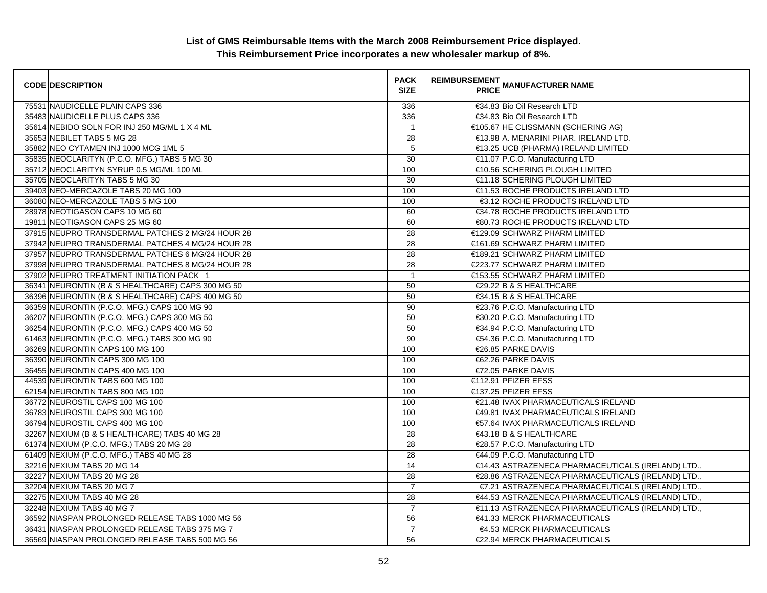| <b>CODE DESCRIPTION</b>                           | <b>PACK</b><br><b>SIZE</b> | <b>REIMBURSEMENT</b><br><b>PRICE MANUFACTURER NAME</b> |
|---------------------------------------------------|----------------------------|--------------------------------------------------------|
| 75531 NAUDICELLE PLAIN CAPS 336                   | 336                        | €34.83 Bio Oil Research LTD                            |
| 35483 NAUDICELLE PLUS CAPS 336                    | 336                        | €34.83 Bio Oil Research LTD                            |
| 35614 NEBIDO SOLN FOR INJ 250 MG/ML 1 X 4 ML      | $\overline{1}$             | €105.67 HE CLISSMANN (SCHERING AG)                     |
| 35653 NEBILET TABS 5 MG 28                        | 28                         | €13.98 A. MENARINI PHAR. IRELAND LTD.                  |
| 35882 NEO CYTAMEN INJ 1000 MCG 1ML 5              | 5                          | €13.25 UCB (PHARMA) IRELAND LIMITED                    |
| 35835 NEOCLARITYN (P.C.O. MFG.) TABS 5 MG 30      | 30                         | €11.07 P.C.O. Manufacturing LTD                        |
| 35712 NEOCLARITYN SYRUP 0.5 MG/ML 100 ML          | 100                        | €10.56 SCHERING PLOUGH LIMITED                         |
| 35705 NEOCLARITYN TABS 5 MG 30                    | 30                         | €11.18 SCHERING PLOUGH LIMITED                         |
| 39403 NEO-MERCAZOLE TABS 20 MG 100                | 100                        | €11.53 ROCHE PRODUCTS IRELAND LTD                      |
| 36080 NEO-MERCAZOLE TABS 5 MG 100                 | 100                        | €3.12 ROCHE PRODUCTS IRELAND LTD                       |
| 28978 NEOTIGASON CAPS 10 MG 60                    | 60                         | €34.78 ROCHE PRODUCTS IRELAND LTD                      |
| 19811 NEOTIGASON CAPS 25 MG 60                    | 60                         | €80.73 ROCHE PRODUCTS IRELAND LTD                      |
| 37915 NEUPRO TRANSDERMAL PATCHES 2 MG/24 HOUR 28  | 28                         | €129.09 SCHWARZ PHARM LIMITED                          |
| 37942 NEUPRO TRANSDERMAL PATCHES 4 MG/24 HOUR 28  | 28                         | €161.69 SCHWARZ PHARM LIMITED                          |
| 37957 NEUPRO TRANSDERMAL PATCHES 6 MG/24 HOUR 28  | 28                         | €189.21 SCHWARZ PHARM LIMITED                          |
| 37998 NEUPRO TRANSDERMAL PATCHES 8 MG/24 HOUR 28  | 28                         | €223.77 SCHWARZ PHARM LIMITED                          |
| 37902 NEUPRO TREATMENT INITIATION PACK 1          | $\mathbf{1}$               | €153.55 SCHWARZ PHARM LIMITED                          |
| 36341 NEURONTIN (B & S HEALTHCARE) CAPS 300 MG 50 | 50                         | €29.22 B & S HEALTHCARE                                |
| 36396 NEURONTIN (B & S HEALTHCARE) CAPS 400 MG 50 | 50                         | €34.15 B & S HEALTHCARE                                |
| 36359 NEURONTIN (P.C.O. MFG.) CAPS 100 MG 90      | 90                         | €23.76 P.C.O. Manufacturing LTD                        |
| 36207 NEURONTIN (P.C.O. MFG.) CAPS 300 MG 50      | 50                         | €30.20 P.C.O. Manufacturing LTD                        |
| 36254 NEURONTIN (P.C.O. MFG.) CAPS 400 MG 50      | 50                         | €34.94 P.C.O. Manufacturing LTD                        |
| 61463 NEURONTIN (P.C.O. MFG.) TABS 300 MG 90      | 90                         | €54.36 P.C.O. Manufacturing LTD                        |
| 36269 NEURONTIN CAPS 100 MG 100                   | 100                        | €26.85 PARKE DAVIS                                     |
| 36390 NEURONTIN CAPS 300 MG 100                   | 100                        | €62.26 PARKE DAVIS                                     |
| 36455 NEURONTIN CAPS 400 MG 100                   | 100                        | €72.05 PARKE DAVIS                                     |
| 44539 NEURONTIN TABS 600 MG 100                   | 100                        | €112.91 PFIZER EFSS                                    |
| 62154 NEURONTIN TABS 800 MG 100                   | 100                        | €137.25 PFIZER EFSS                                    |
| 36772 NEUROSTIL CAPS 100 MG 100                   | 100                        | €21.48 IVAX PHARMACEUTICALS IRELAND                    |
| 36783 NEUROSTIL CAPS 300 MG 100                   | 100                        | €49.81 IVAX PHARMACEUTICALS IRELAND                    |
| 36794 NEUROSTIL CAPS 400 MG 100                   | 100                        | €57.64 IVAX PHARMACEUTICALS IRELAND                    |
| 32267 NEXIUM (B & S HEALTHCARE) TABS 40 MG 28     | 28                         | €43.18 B & S HEALTHCARE                                |
| 61374 NEXIUM (P.C.O. MFG.) TABS 20 MG 28          | 28                         | €28.57 P.C.O. Manufacturing LTD                        |
| 61409 NEXIUM (P.C.O. MFG.) TABS 40 MG 28          | 28                         | €44.09 P.C.O. Manufacturing LTD                        |
| 32216 NEXIUM TABS 20 MG 14                        | 14                         | €14.43 ASTRAZENECA PHARMACEUTICALS (IRELAND) LTD.,     |
| 32227 NEXIUM TABS 20 MG 28                        | $\overline{28}$            | €28.86 ASTRAZENECA PHARMACEUTICALS (IRELAND) LTD.,     |
| 32204 NEXIUM TABS 20 MG 7                         | $\overline{7}$             | €7.21 ASTRAZENECA PHARMACEUTICALS (IRELAND) LTD.,      |
| 32275 NEXIUM TABS 40 MG 28                        | 28                         | €44.53 ASTRAZENECA PHARMACEUTICALS (IRELAND) LTD.,     |
| 32248 NEXIUM TABS 40 MG 7                         | $\overline{7}$             | €11.13 ASTRAZENECA PHARMACEUTICALS (IRELAND) LTD.,     |
| 36592 NIASPAN PROLONGED RELEASE TABS 1000 MG 56   | 56                         | €41.33 MERCK PHARMACEUTICALS                           |
| 36431 NIASPAN PROLONGED RELEASE TABS 375 MG 7     | $\overline{7}$             | €4.53 MERCK PHARMACEUTICALS                            |
| 36569 NIASPAN PROLONGED RELEASE TABS 500 MG 56    | 56                         | €22.94 MERCK PHARMACEUTICALS                           |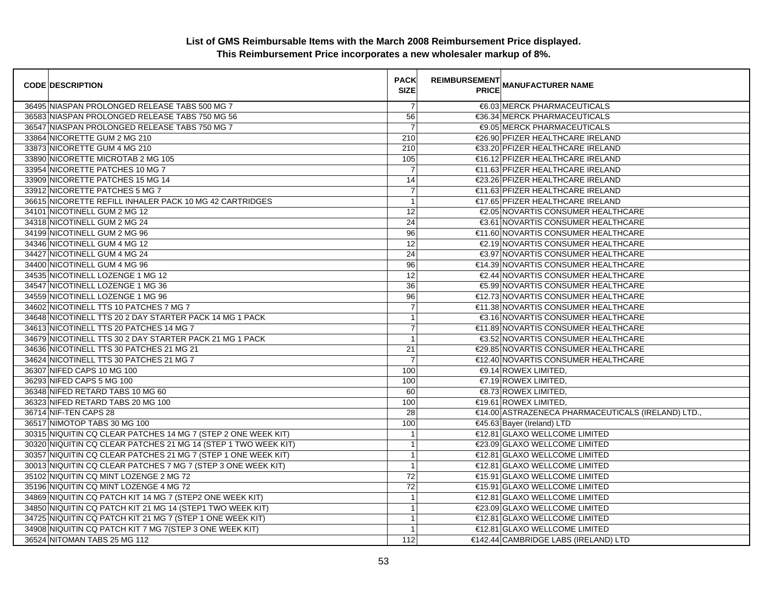| <b>CODE DESCRIPTION</b>                                        | <b>PACK</b><br><b>SIZE</b> | <b>REIMBURSEMENT</b> | __ MANUFACTURER NAME<br> PRICE                     |
|----------------------------------------------------------------|----------------------------|----------------------|----------------------------------------------------|
| 36495 NIASPAN PROLONGED RELEASE TABS 500 MG 7                  | $\overline{7}$             |                      | €6.03 MERCK PHARMACEUTICALS                        |
| 36583 NIASPAN PROLONGED RELEASE TABS 750 MG 56                 | 56                         |                      | €36.34 MERCK PHARMACEUTICALS                       |
| 36547 NIASPAN PROLONGED RELEASE TABS 750 MG 7                  | $\overline{7}$             |                      | <b>€9.05 MERCK PHARMACEUTICALS</b>                 |
| 33864 NICORETTE GUM 2 MG 210                                   | 210                        |                      | €26.90 PFIZER HEALTHCARE IRELAND                   |
| 33873 NICORETTE GUM 4 MG 210                                   | 210                        |                      | €33.20 PFIZER HEALTHCARE IRELAND                   |
| 33890 NICORETTE MICROTAB 2 MG 105                              | 105                        |                      | €16.12 PFIZER HEALTHCARE IRELAND                   |
| 33954 NICORETTE PATCHES 10 MG 7                                | $\overline{7}$             |                      | €11.63 PFIZER HEALTHCARE IRELAND                   |
| 33909 NICORETTE PATCHES 15 MG 14                               | 14                         |                      | €23.26 PFIZER HEALTHCARE IRELAND                   |
| 33912 NICORETTE PATCHES 5 MG 7                                 | $\overline{7}$             |                      | €11.63 PFIZER HEALTHCARE IRELAND                   |
| 36615 NICORETTE REFILL INHALER PACK 10 MG 42 CARTRIDGES        | $\overline{1}$             |                      | €17.65 PFIZER HEALTHCARE IRELAND                   |
| 34101 NICOTINELL GUM 2 MG 12                                   | 12                         |                      | €2.05 NOVARTIS CONSUMER HEALTHCARE                 |
| 34318 NICOTINELL GUM 2 MG 24                                   | 24                         |                      | €3.61 NOVARTIS CONSUMER HEALTHCARE                 |
| 34199 NICOTINELL GUM 2 MG 96                                   | 96                         |                      | €11.60 NOVARTIS CONSUMER HEALTHCARE                |
| 34346 NICOTINELL GUM 4 MG 12                                   | 12                         |                      | €2.19 NOVARTIS CONSUMER HEALTHCARE                 |
| 34427 NICOTINELL GUM 4 MG 24                                   | 24                         |                      | €3.97 NOVARTIS CONSUMER HEALTHCARE                 |
| 34400 NICOTINELL GUM 4 MG 96                                   | 96                         |                      | €14.39 NOVARTIS CONSUMER HEALTHCARE                |
| 34535 NICOTINELL LOZENGE 1 MG 12                               | 12                         |                      | €2.44 NOVARTIS CONSUMER HEALTHCARE                 |
| 34547 NICOTINELL LOZENGE 1 MG 36                               | 36                         |                      | €5.99 NOVARTIS CONSUMER HEALTHCARE                 |
| 34559 NICOTINELL LOZENGE 1 MG 96                               | 96                         |                      | €12.73 NOVARTIS CONSUMER HEALTHCARE                |
| 34602 NICOTINELL TTS 10 PATCHES 7 MG 7                         | $\overline{7}$             |                      | €11.38 NOVARTIS CONSUMER HEALTHCARE                |
| 34648 NICOTINELL TTS 20 2 DAY STARTER PACK 14 MG 1 PACK        | $\mathbf{1}$               |                      | €3.16 NOVARTIS CONSUMER HEALTHCARE                 |
| 34613 NICOTINELL TTS 20 PATCHES 14 MG 7                        | $\overline{7}$             |                      | €11.89 NOVARTIS CONSUMER HEALTHCARE                |
| 34679 NICOTINELL TTS 30 2 DAY STARTER PACK 21 MG 1 PACK        | $\overline{1}$             |                      | €3.52 NOVARTIS CONSUMER HEALTHCARE                 |
| 34636 NICOTINELL TTS 30 PATCHES 21 MG 21                       | 21                         |                      | €29.85 NOVARTIS CONSUMER HEALTHCARE                |
| 34624 NICOTINELL TTS 30 PATCHES 21 MG 7                        | $\overline{7}$             |                      | €12.40 NOVARTIS CONSUMER HEALTHCARE                |
| 36307 NIFED CAPS 10 MG 100                                     | 100                        |                      | €9.14 ROWEX LIMITED,                               |
| 36293 NIFED CAPS 5 MG 100                                      | 100                        |                      | €7.19 ROWEX LIMITED,                               |
| 36348 NIFED RETARD TABS 10 MG 60                               | 60                         |                      | €8.73 ROWEX LIMITED.                               |
| 36323 NIFED RETARD TABS 20 MG 100                              | 100                        |                      | €19.61 ROWEX LIMITED.                              |
| 36714 NIF-TEN CAPS 28                                          | 28                         |                      | €14.00 ASTRAZENECA PHARMACEUTICALS (IRELAND) LTD., |
| 36517 NIMOTOP TABS 30 MG 100                                   | 100                        |                      | €45.63 Bayer (Ireland) LTD                         |
| 30315 NIQUITIN CQ CLEAR PATCHES 14 MG 7 (STEP 2 ONE WEEK KIT)  | $\overline{1}$             |                      | €12.81 GLAXO WELLCOME LIMITED                      |
| 30320 NIQUITIN CQ CLEAR PATCHES 21 MG 14 (STEP 1 TWO WEEK KIT) | $\mathbf{1}$               |                      | €23.09 GLAXO WELLCOME LIMITED                      |
| 30357 NIQUITIN CQ CLEAR PATCHES 21 MG 7 (STEP 1 ONE WEEK KIT)  | $\mathbf{1}$               |                      | €12.81 GLAXO WELLCOME LIMITED                      |
| 30013 NIQUITIN CQ CLEAR PATCHES 7 MG 7 (STEP 3 ONE WEEK KIT)   | $\mathbf{1}$               |                      | €12.81 GLAXO WELLCOME LIMITED                      |
| 35102 NIQUITIN CQ MINT LOZENGE 2 MG 72                         | 72                         |                      | €15.91 GLAXO WELLCOME LIMITED                      |
| 35196 NIQUITIN CQ MINT LOZENGE 4 MG 72                         | 72                         |                      | €15.91 GLAXO WELLCOME LIMITED                      |
| 34869 NIQUITIN CQ PATCH KIT 14 MG 7 (STEP2 ONE WEEK KIT)       | $\overline{1}$             |                      | €12.81 GLAXO WELLCOME LIMITED                      |
| 34850 NIQUITIN CQ PATCH KIT 21 MG 14 (STEP1 TWO WEEK KIT)      | $\mathbf{1}$               |                      | €23.09 GLAXO WELLCOME LIMITED                      |
| 34725 NIQUITIN CQ PATCH KIT 21 MG 7 (STEP 1 ONE WEEK KIT)      | $\mathbf{1}$               |                      | €12.81 GLAXO WELLCOME LIMITED                      |
| 34908 NIQUITIN CQ PATCH KIT 7 MG 7 (STEP 3 ONE WEEK KIT)       | $\mathbf{1}$               |                      | €12.81 GLAXO WELLCOME LIMITED                      |
| 36524 NITOMAN TABS 25 MG 112                                   | 112                        |                      | €142.44 CAMBRIDGE LABS (IRELAND) LTD               |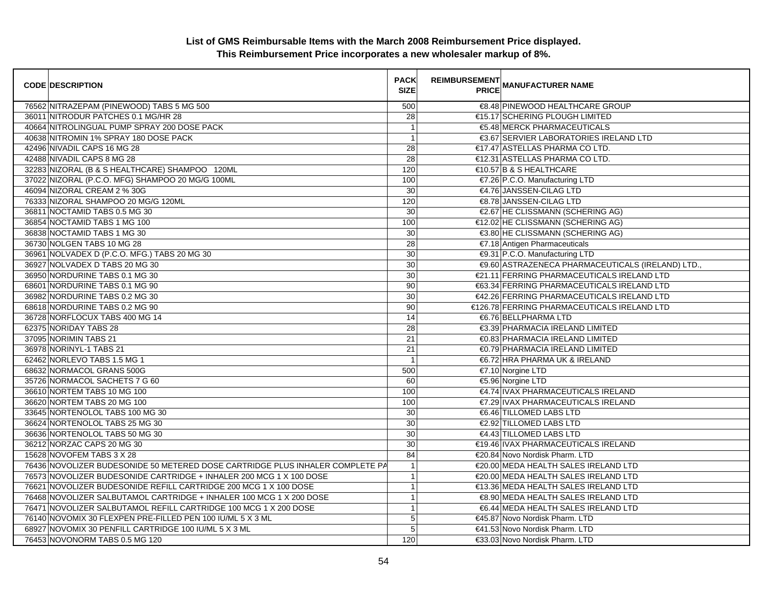| <b>CODE DESCRIPTION</b>                                                       | <b>PACK</b><br><b>SIZE</b> | <b>REIMBURSEMENT</b> | <b>---------</b><br>PRICE MANUFACTURER NAME      |
|-------------------------------------------------------------------------------|----------------------------|----------------------|--------------------------------------------------|
| 76562 NITRAZEPAM (PINEWOOD) TABS 5 MG 500                                     | 500                        |                      | €8.48 PINEWOOD HEALTHCARE GROUP                  |
| 36011 NITRODUR PATCHES 0.1 MG/HR 28                                           | 28                         |                      | €15.17 SCHERING PLOUGH LIMITED                   |
| 40664 NITROLINGUAL PUMP SPRAY 200 DOSE PACK                                   | $\mathbf{1}$               |                      | €5.48 MERCK PHARMACEUTICALS                      |
| 40638 NITROMIN 1% SPRAY 180 DOSE PACK                                         | $\mathbf{1}$               |                      | €3.67 SERVIER LABORATORIES IRELAND LTD           |
| 42496 NIVADIL CAPS 16 MG 28                                                   | 28                         |                      | €17.47 ASTELLAS PHARMA CO LTD.                   |
| 42488 NIVADIL CAPS 8 MG 28                                                    | $\overline{28}$            |                      | €12.31 ASTELLAS PHARMA CO LTD.                   |
| 32283 NIZORAL (B & S HEALTHCARE) SHAMPOO 120ML                                | 120                        |                      | €10.57 B & S HEALTHCARE                          |
| 37022 NIZORAL (P.C.O. MFG) SHAMPOO 20 MG/G 100ML                              | 100                        |                      | €7.26 P.C.O. Manufacturing LTD                   |
| 46094 NIZORAL CREAM 2 % 30G                                                   | 30                         |                      | €4.76 JANSSEN-CILAG LTD                          |
| 76333 NIZORAL SHAMPOO 20 MG/G 120ML                                           | 120                        |                      | €8.78 JANSSEN-CILAG LTD                          |
| 36811 NOCTAMID TABS 0.5 MG 30                                                 | 30                         |                      | €2.67 HE CLISSMANN (SCHERING AG)                 |
| 36854 NOCTAMID TABS 1 MG 100                                                  | 100                        |                      | €12.02 HE CLISSMANN (SCHERING AG)                |
| 36838 NOCTAMID TABS 1 MG 30                                                   | 30                         |                      | €3.80 HE CLISSMANN (SCHERING AG)                 |
| 36730 NOLGEN TABS 10 MG 28                                                    | 28                         |                      | €7.18 Antigen Pharmaceuticals                    |
| 36961 NOLVADEX D (P.C.O. MFG.) TABS 20 MG 30                                  | 30                         |                      | <b>€9.31 P.C.O. Manufacturing LTD</b>            |
| 36927 NOLVADEX D TABS 20 MG 30                                                | $\overline{30}$            |                      | €9.60 ASTRAZENECA PHARMACEUTICALS (IRELAND) LTD. |
| 36950 NORDURINE TABS 0.1 MG 30                                                | 30                         |                      | €21.11 FERRING PHARMACEUTICALS IRELAND LTD       |
| 68601 NORDURINE TABS 0.1 MG 90                                                | 90                         |                      | €63.34 FERRING PHARMACEUTICALS IRELAND LTD       |
| 36982 NORDURINE TABS 0.2 MG 30                                                | 30                         |                      | €42.26 FERRING PHARMACEUTICALS IRELAND LTD       |
| 68618 NORDURINE TABS 0.2 MG 90                                                | 90                         |                      | €126.78 FERRING PHARMACEUTICALS IRELAND LTD      |
| 36728 NORFLOCUX TABS 400 MG 14                                                | 14                         |                      | €6.76 BELLPHARMA LTD                             |
| 62375 NORIDAY TABS 28                                                         | 28                         |                      | €3.39 PHARMACIA IRELAND LIMITED                  |
| 37095 NORIMIN TABS 21                                                         | 21                         |                      | €0.83 PHARMACIA IRELAND LIMITED                  |
| 36978 NORINYL-1 TABS 21                                                       | $\overline{21}$            |                      | €0.79 PHARMACIA IRELAND LIMITED                  |
| 62462 NORLEVO TABS 1.5 MG 1                                                   | $\overline{1}$             |                      | €6.72 HRA PHARMA UK & IRELAND                    |
| 68632 NORMACOL GRANS 500G                                                     | 500                        |                      | €7.10 Norgine LTD                                |
| 35726 NORMACOL SACHETS 7 G 60                                                 | 60                         |                      | €5.96 Norgine LTD                                |
| 36610 NORTEM TABS 10 MG 100                                                   | 100                        |                      | €4.74 IVAX PHARMACEUTICALS IRELAND               |
| 36620 NORTEM TABS 20 MG 100                                                   | 100                        |                      | €7.29 IVAX PHARMACEUTICALS IRELAND               |
| 33645 NORTENOLOL TABS 100 MG 30                                               | 30                         |                      | €6.46 TILLOMED LABS LTD                          |
| 36624 NORTENOLOL TABS 25 MG 30                                                | $\overline{30}$            |                      | €2.92 TILLOMED LABS LTD                          |
| 36636 NORTENOLOL TABS 50 MG 30                                                | 30                         |                      | €4.43 TILLOMED LABS LTD                          |
| 36212 NORZAC CAPS 20 MG 30                                                    | 30                         |                      | €19.46 IVAX PHARMACEUTICALS IRELAND              |
| 15628 NOVOFEM TABS 3 X 28                                                     | 84                         |                      | €20.84 Novo Nordisk Pharm. LTD                   |
| 76436 NOVOLIZER BUDESONIDE 50 METERED DOSE CARTRIDGE PLUS INHALER COMPLETE PA | $\mathbf{1}$               |                      | €20.00 MEDA HEALTH SALES IRELAND LTD             |
| 76573 NOVOLIZER BUDESONIDE CARTRIDGE + INHALER 200 MCG 1 X 100 DOSE           | $\mathbf{1}$               |                      | €20.00 MEDA HEALTH SALES IRELAND LTD             |
| 76621 NOVOLIZER BUDESONIDE REFILL CARTRIDGE 200 MCG 1 X 100 DOSE              | $\mathbf{1}$               |                      | €13.36 MEDA HEALTH SALES IRELAND LTD             |
| 76468 NOVOLIZER SALBUTAMOL CARTRIDGE + INHALER 100 MCG 1 X 200 DOSE           | $\mathbf{1}$               |                      | €8.90 MEDA HEALTH SALES IRELAND LTD              |
| 76471 NOVOLIZER SALBUTAMOL REFILL CARTRIDGE 100 MCG 1 X 200 DOSE              | $\mathbf{1}$               |                      | €6.44 MEDA HEALTH SALES IRELAND LTD              |
| 76140 NOVOMIX 30 FLEXPEN PRE-FILLED PEN 100 IU/ML 5 X 3 ML                    | 5                          |                      | €45.87 Novo Nordisk Pharm. LTD                   |
| 68927 NOVOMIX 30 PENFILL CARTRIDGE 100 IU/ML 5 X 3 ML                         | 5                          |                      | €41.53 Novo Nordisk Pharm. LTD                   |
| 76453 NOVONORM TABS 0.5 MG 120                                                | 120                        |                      | €33.03 Novo Nordisk Pharm. LTD                   |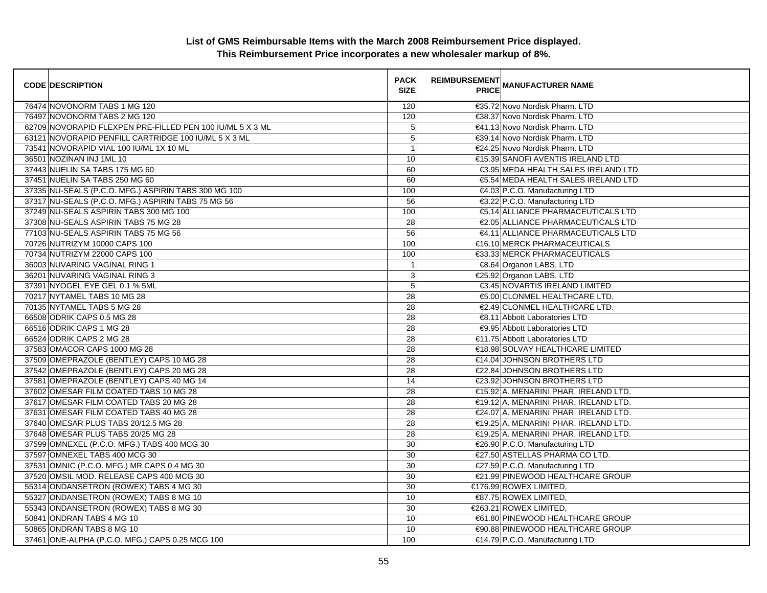| <b>CODE DESCRIPTION</b>                                   | <b>PACK</b><br><b>SIZE</b> | <b>REIMBURSEMENT</b> | <b>---------</b><br>PRICE MANUFACTURER NAME |
|-----------------------------------------------------------|----------------------------|----------------------|---------------------------------------------|
| 76474 NOVONORM TABS 1 MG 120                              | 120                        |                      | €35.72 Novo Nordisk Pharm. LTD              |
| 76497 NOVONORM TABS 2 MG 120                              | 120                        |                      | €38.37 Novo Nordisk Pharm. LTD              |
| 62709 NOVORAPID FLEXPEN PRE-FILLED PEN 100 IU/ML 5 X 3 ML | 5                          |                      | €41.13 Novo Nordisk Pharm. LTD              |
| 63121 NOVORAPID PENFILL CARTRIDGE 100 IU/ML 5 X 3 ML      | 5                          |                      | €39.14 Novo Nordisk Pharm. LTD              |
| 73541 NOVORAPID VIAL 100 IU/ML 1X 10 ML                   | $\overline{1}$             |                      | €24.25 Novo Nordisk Pharm. LTD              |
| 36501 NOZINAN INJ 1ML 10                                  | 10                         |                      | €15.39 SANOFI AVENTIS IRELAND LTD           |
| 37443 NUELIN SA TABS 175 MG 60                            | 60                         |                      | €3.95 MEDA HEALTH SALES IRELAND LTD         |
| 37451 NUELIN SA TABS 250 MG 60                            | 60                         |                      | €5.54 MEDA HEALTH SALES IRELAND LTD         |
| 37335 NU-SEALS (P.C.O. MFG.) ASPIRIN TABS 300 MG 100      | 100                        |                      | €4.03 P.C.O. Manufacturing LTD              |
| 37317 NU-SEALS (P.C.O. MFG.) ASPIRIN TABS 75 MG 56        | 56                         |                      | €3.22 P.C.O. Manufacturing LTD              |
| 37249 NU-SEALS ASPIRIN TABS 300 MG 100                    | 100                        |                      | €5.14 ALLIANCE PHARMACEUTICALS LTD          |
| 37308 NU-SEALS ASPIRIN TABS 75 MG 28                      | 28                         |                      | €2.05 ALLIANCE PHARMACEUTICALS LTD          |
| 77103 NU-SEALS ASPIRIN TABS 75 MG 56                      | 56                         |                      | €4.11 ALLIANCE PHARMACEUTICALS LTD          |
| 70726 NUTRIZYM 10000 CAPS 100                             | 100                        |                      | €16.10 MERCK PHARMACEUTICALS                |
| 70734 NUTRIZYM 22000 CAPS 100                             | 100                        |                      | €33.33 MERCK PHARMACEUTICALS                |
| 36003 NUVARING VAGINAL RING 1                             | $\mathbf{1}$               |                      | €8.64 Organon LABS. LTD                     |
| 36201 NUVARING VAGINAL RING 3                             | $\sqrt{3}$                 |                      | €25.92 Organon LABS. LTD                    |
| 37391 NYOGEL EYE GEL 0.1 % 5ML                            | 5                          |                      | €3.45 NOVARTIS IRELAND LIMITED              |
| 70217 NYTAMEL TABS 10 MG 28                               | $\overline{28}$            |                      | €5.00 CLONMEL HEALTHCARE LTD.               |
| 70135 NYTAMEL TABS 5 MG 28                                | 28                         |                      | €2.49 CLONMEL HEALTHCARE LTD.               |
| 66508 ODRIK CAPS 0.5 MG 28                                | $\overline{28}$            |                      | €8.11 Abbott Laboratories LTD               |
| 66516 ODRIK CAPS 1 MG 28                                  | $\overline{28}$            |                      | €9.95 Abbott Laboratories LTD               |
| 66524 ODRIK CAPS 2 MG 28                                  | 28                         |                      | €11.75 Abbott Laboratories LTD              |
| 37583 OMACOR CAPS 1000 MG 28                              | 28                         |                      | €18.98 SOLVAY HEALTHCARE LIMITED            |
| 37509 OMEPRAZOLE (BENTLEY) CAPS 10 MG 28                  | 28                         |                      | €14.04 JOHNSON BROTHERS LTD                 |
| 37542 OMEPRAZOLE (BENTLEY) CAPS 20 MG 28                  | 28                         |                      | €22.84 JOHNSON BROTHERS LTD                 |
| 37581 OMEPRAZOLE (BENTLEY) CAPS 40 MG 14                  | 14                         |                      | €23.92 JOHNSON BROTHERS LTD                 |
| 37602 OMESAR FILM COATED TABS 10 MG 28                    | 28                         |                      | €15.92 A. MENARINI PHAR. IRELAND LTD.       |
| 37617 OMESAR FILM COATED TABS 20 MG 28                    | 28                         |                      | €19.12 A. MENARINI PHAR. IRELAND LTD.       |
| 37631 OMESAR FILM COATED TABS 40 MG 28                    | 28                         |                      | €24.07 A. MENARINI PHAR. IRELAND LTD.       |
| 37640 OMESAR PLUS TABS 20/12.5 MG 28                      | 28                         |                      | €19.25 A. MENARINI PHAR. IRELAND LTD.       |
| 37648 OMESAR PLUS TABS 20/25 MG 28                        | 28                         |                      | €19.25 A. MENARINI PHAR. IRELAND LTD.       |
| 37599 OMNEXEL (P.C.O. MFG.) TABS 400 MCG 30               | 30                         |                      | €26.90 P.C.O. Manufacturing LTD             |
| 37597 OMNEXEL TABS 400 MCG 30                             | $\overline{30}$            |                      | €27.50 ASTELLAS PHARMA CO LTD.              |
| 37531 OMNIC (P.C.O. MFG.) MR CAPS 0.4 MG 30               | 30                         |                      | €27.59 P.C.O. Manufacturing LTD             |
| 37520 OMSIL MOD. RELEASE CAPS 400 MCG 30                  | 30                         |                      | €21.99 PINEWOOD HEALTHCARE GROUP            |
| 55314 ONDANSETRON (ROWEX) TABS 4 MG 30                    | 30                         |                      | €176.99 ROWEX LIMITED,                      |
| 55327 ONDANSETRON (ROWEX) TABS 8 MG 10                    | 10                         |                      | €87.75 ROWEX LIMITED,                       |
| 55343 ONDANSETRON (ROWEX) TABS 8 MG 30                    | 30                         |                      | €263.21 ROWEX LIMITED,                      |
| 50841 ONDRAN TABS 4 MG 10                                 | 10                         |                      | €61.80 PINEWOOD HEALTHCARE GROUP            |
| 50865 ONDRAN TABS 8 MG 10                                 | 10                         |                      | €90.88 PINEWOOD HEALTHCARE GROUP            |
| 37461 ONE-ALPHA (P.C.O. MFG.) CAPS 0.25 MCG 100           | 100                        |                      | €14.79 P.C.O. Manufacturing LTD             |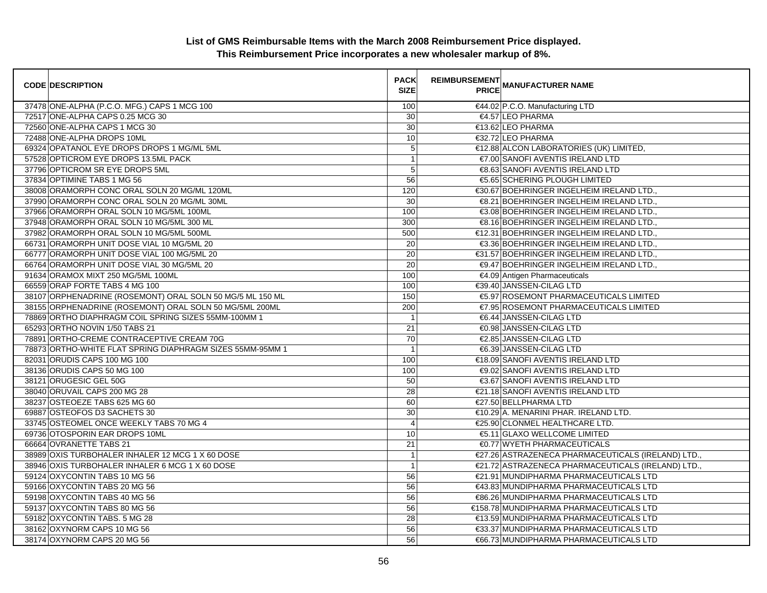| <b>CODE DESCRIPTION</b>                                   | <b>PACK</b><br><b>SIZE</b> | <b>REIMBURSEMENT</b><br><b>PRICE MANUFACTURER NAME</b> |  |
|-----------------------------------------------------------|----------------------------|--------------------------------------------------------|--|
| 37478 ONE-ALPHA (P.C.O. MFG.) CAPS 1 MCG 100              | 100                        | €44.02 P.C.O. Manufacturing LTD                        |  |
| 72517 ONE-ALPHA CAPS 0.25 MCG 30                          | $\overline{30}$            | €4.57 LEO PHARMA                                       |  |
| 72560 ONE-ALPHA CAPS 1 MCG 30                             | 30                         | €13.62 LEO PHARMA                                      |  |
| 72488 ONE-ALPHA DROPS 10ML                                | 10                         | €32.72 LEO PHARMA                                      |  |
| 69324 OPATANOL EYE DROPS DROPS 1 MG/ML 5ML                | 5                          | €12.88 ALCON LABORATORIES (UK) LIMITED,                |  |
| 57528 OPTICROM EYE DROPS 13.5ML PACK                      | $\mathbf{1}$               | €7.00 SANOFI AVENTIS IRELAND LTD                       |  |
| 37796 OPTICROM SR EYE DROPS 5ML                           | 5                          | €8.63 SANOFI AVENTIS IRELAND LTD                       |  |
| 37834 OPTIMINE TABS 1 MG 56                               | 56                         | €5.65 SCHERING PLOUGH LIMITED                          |  |
| 38008 ORAMORPH CONC ORAL SOLN 20 MG/ML 120ML              | 120                        | €30.67 BOEHRINGER INGELHEIM IRELAND LTD.,              |  |
| 37990 ORAMORPH CONC ORAL SOLN 20 MG/ML 30ML               | 30                         | €8.21 BOEHRINGER INGELHEIM IRELAND LTD.,               |  |
| 37966 ORAMORPH ORAL SOLN 10 MG/5ML 100ML                  | 100                        | €3.08 BOEHRINGER INGELHEIM IRELAND LTD.,               |  |
| 37948 ORAMORPH ORAL SOLN 10 MG/5ML 300 ML                 | 300                        | €8.16 BOEHRINGER INGELHEIM IRELAND LTD.,               |  |
| 37982 ORAMORPH ORAL SOLN 10 MG/5ML 500ML                  | 500                        | €12.31 BOEHRINGER INGELHEIM IRELAND LTD.,              |  |
| 66731 ORAMORPH UNIT DOSE VIAL 10 MG/5ML 20                | 20                         | €3.36 BOEHRINGER INGELHEIM IRELAND LTD.,               |  |
| 66777 ORAMORPH UNIT DOSE VIAL 100 MG/5ML 20               | 20                         | €31.57 BOEHRINGER INGELHEIM IRELAND LTD.,              |  |
| 66764 ORAMORPH UNIT DOSE VIAL 30 MG/5ML 20                | 20                         | €9.47 BOEHRINGER INGELHEIM IRELAND LTD.,               |  |
| 91634 ORAMOX MIXT 250 MG/5ML 100ML                        | 100                        | €4.09 Antigen Pharmaceuticals                          |  |
| 66559 ORAP FORTE TABS 4 MG 100                            | 100                        | €39.40 JANSSEN-CILAG LTD                               |  |
| 38107 ORPHENADRINE (ROSEMONT) ORAL SOLN 50 MG/5 ML 150 ML | 150                        | €5.97 ROSEMONT PHARMACEUTICALS LIMITED                 |  |
| 38155 ORPHENADRINE (ROSEMONT) ORAL SOLN 50 MG/5ML 200ML   | 200                        | €7.95 ROSEMONT PHARMACEUTICALS LIMITED                 |  |
| 78869 ORTHO DIAPHRAGM COIL SPRING SIZES 55MM-100MM 1      | $\overline{1}$             | €6.44 JANSSEN-CILAG LTD                                |  |
| 65293 ORTHO NOVIN 1/50 TABS 21                            | 21                         | <b>€0.98 JANSSEN-CILAG LTD</b>                         |  |
| 78891 ORTHO-CREME CONTRACEPTIVE CREAM 70G                 | 70                         | €2.85 JANSSEN-CILAG LTD                                |  |
| 78873 ORTHO-WHITE FLAT SPRING DIAPHRAGM SIZES 55MM-95MM 1 | $\overline{1}$             | <b>€6.39 JANSSEN-CILAG LTD</b>                         |  |
| 82031 ORUDIS CAPS 100 MG 100                              | 100                        | €18.09 SANOFI AVENTIS IRELAND LTD                      |  |
| 38136 ORUDIS CAPS 50 MG 100                               | 100                        | €9.02 SANOFI AVENTIS IRELAND LTD                       |  |
| 38121 ORUGESIC GEL 50G                                    | 50                         | €3.67 SANOFI AVENTIS IRELAND LTD                       |  |
| 38040 ORUVAIL CAPS 200 MG 28                              | 28                         | €21.18 SANOFI AVENTIS IRELAND LTD                      |  |
| 38237 OSTEOEZE TABS 625 MG 60                             | 60                         | €27.50 BELLPHARMA LTD                                  |  |
| 69887 OSTEOFOS D3 SACHETS 30                              | $30\,$                     | €10.29 A. MENARINI PHAR. IRELAND LTD.                  |  |
| 33745 OSTEOMEL ONCE WEEKLY TABS 70 MG 4                   | $\overline{4}$             | €25.90 CLONMEL HEALTHCARE LTD.                         |  |
| 69736 OTOSPORIN EAR DROPS 10ML                            | 10                         | €5.11 GLAXO WELLCOME LIMITED                           |  |
| 66664 OVRANETTE TABS 21                                   | 21                         | <b>€0.77 WYETH PHARMACEUTICALS</b>                     |  |
| 38989 OXIS TURBOHALER INHALER 12 MCG 1 X 60 DOSE          | $\mathbf{1}$               | €27.26 ASTRAZENECA PHARMACEUTICALS (IRELAND) LTD.,     |  |
| 38946 OXIS TURBOHALER INHALER 6 MCG 1 X 60 DOSE           | $\mathbf{1}$               | €21.72 ASTRAZENECA PHARMACEUTICALS (IRELAND) LTD.      |  |
| 59124 OXYCONTIN TABS 10 MG 56                             | 56                         | €21.91 MUNDIPHARMA PHARMACEUTICALS LTD                 |  |
| 59166 OXYCONTIN TABS 20 MG 56                             | 56                         | €43.83 MUNDIPHARMA PHARMACEUTICALS LTD                 |  |
| 59198 OXYCONTIN TABS 40 MG 56                             | 56                         | €86.26 MUNDIPHARMA PHARMACEUTICALS LTD                 |  |
| 59137 OXYCONTIN TABS 80 MG 56                             | 56                         | €158.78 MUNDIPHARMA PHARMACEUTICALS LTD                |  |
| 59182 OXYCONTIN TABS. 5 MG 28                             | 28                         | €13.59 MUNDIPHARMA PHARMACEUTICALS LTD                 |  |
| 38162 OXYNORM CAPS 10 MG 56                               | 56                         | €33.37 MUNDIPHARMA PHARMACEUTICALS LTD                 |  |
| 38174 OXYNORM CAPS 20 MG 56                               | 56                         | €66.73 MUNDIPHARMA PHARMACEUTICALS LTD                 |  |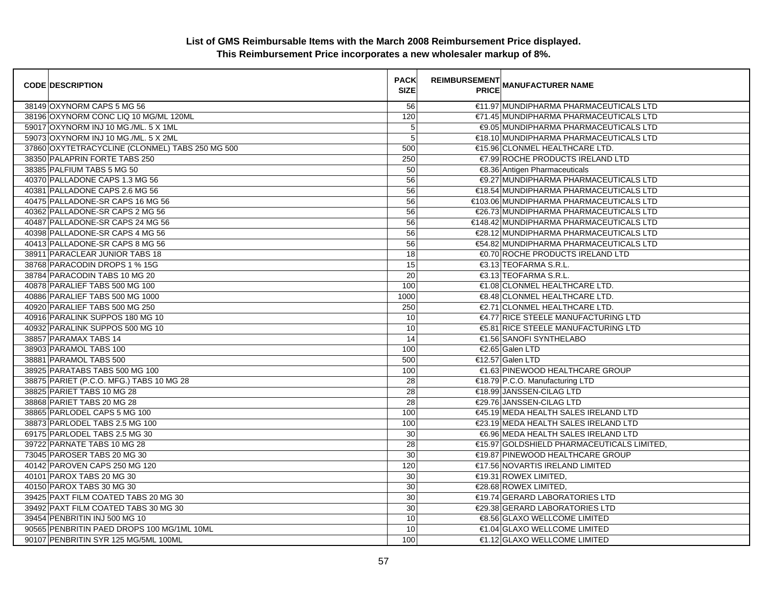| <b>CODE DESCRIPTION</b>                         | <b>PACK</b><br><b>SIZE</b> | <b>REIMBURSEMENT</b> | --------<br>PRICE MANUFACTURER NAME        |
|-------------------------------------------------|----------------------------|----------------------|--------------------------------------------|
| 38149 OXYNORM CAPS 5 MG 56                      | 56                         |                      | €11.97 MUNDIPHARMA PHARMACEUTICALS LTD     |
| 38196 OXYNORM CONC LIQ 10 MG/ML 120ML           | 120                        |                      | €71.45 MUNDIPHARMA PHARMACEUTICALS LTD     |
| 59017 OXYNORM INJ 10 MG./ML. 5 X 1ML            | 5                          |                      | €9.05 MUNDIPHARMA PHARMACEUTICALS LTD      |
| 59073 OXYNORM INJ 10 MG./ML. 5 X 2ML            | 5                          |                      | €18.10 MUNDIPHARMA PHARMACEUTICALS LTD     |
| 37860 OXYTETRACYCLINE (CLONMEL) TABS 250 MG 500 | 500                        |                      | €15.96 CLONMEL HEALTHCARE LTD.             |
| 38350 PALAPRIN FORTE TABS 250                   | 250                        |                      | €7.99 ROCHE PRODUCTS IRELAND LTD           |
| 38385 PALFIUM TABS 5 MG 50                      | 50                         |                      | €8.36 Antigen Pharmaceuticals              |
| 40370 PALLADONE CAPS 1.3 MG 56                  | 56                         |                      | €9.27 MUNDIPHARMA PHARMACEUTICALS LTD      |
| 40381 PALLADONE CAPS 2.6 MG 56                  | 56                         |                      | €18.54 MUNDIPHARMA PHARMACEUTICALS LTD     |
| 40475 PALLADONE-SR CAPS 16 MG 56                | 56                         |                      | €103.06 MUNDIPHARMA PHARMACEUTICALS LTD    |
| 40362 PALLADONE-SR CAPS 2 MG 56                 | 56                         |                      | €26.73 MUNDIPHARMA PHARMACEUTICALS LTD     |
| 40487 PALLADONE-SR CAPS 24 MG 56                | 56                         |                      | €148.42 MUNDIPHARMA PHARMACEUTICALS LTD    |
| 40398 PALLADONE-SR CAPS 4 MG 56                 | 56                         |                      | €28.12 MUNDIPHARMA PHARMACEUTICALS LTD     |
| 40413 PALLADONE-SR CAPS 8 MG 56                 | 56                         |                      | €54.82 MUNDIPHARMA PHARMACEUTICALS LTD     |
| 38911 PARACLEAR JUNIOR TABS 18                  | 18                         |                      | €0.70 ROCHE PRODUCTS IRELAND LTD           |
| 38768 PARACODIN DROPS 1 % 15G                   | 15                         |                      | €3.13 TEOFARMA S.R.L.                      |
| 38784 PARACODIN TABS 10 MG 20                   | 20                         |                      | €3.13 TEOFARMA S.R.L.                      |
| 40878 PARALIEF TABS 500 MG 100                  | 100                        |                      | €1.08 CLONMEL HEALTHCARE LTD.              |
| 40886 PARALIEF TABS 500 MG 1000                 | 1000                       |                      | €8.48 CLONMEL HEALTHCARE LTD.              |
| 40920 PARALIEF TABS 500 MG 250                  | 250                        |                      | €2.71 CLONMEL HEALTHCARE LTD.              |
| 40916 PARALINK SUPPOS 180 MG 10                 | 10                         |                      | €4.77 RICE STEELE MANUFACTURING LTD        |
| 40932 PARALINK SUPPOS 500 MG 10                 | 10                         |                      | €5.81 RICE STEELE MANUFACTURING LTD        |
| 38857 PARAMAX TABS 14                           | 14                         |                      | €1.56 SANOFI SYNTHELABO                    |
| 38903 PARAMOL TABS 100                          | 100                        |                      | €2.65 Galen LTD                            |
| 38881 PARAMOL TABS 500                          | 500                        |                      | €12.57 Galen LTD                           |
| 38925 PARATABS TABS 500 MG 100                  | 100                        |                      | €1.63 PINEWOOD HEALTHCARE GROUP            |
| 38875 PARIET (P.C.O. MFG.) TABS 10 MG 28        | 28                         |                      | €18.79 P.C.O. Manufacturing LTD            |
| 38825 PARIET TABS 10 MG 28                      | 28                         |                      | €18.99 JANSSEN-CILAG LTD                   |
| 38868 PARIET TABS 20 MG 28                      | 28                         |                      | €29.76 JANSSEN-CILAG LTD                   |
| 38865 PARLODEL CAPS 5 MG 100                    | 100                        |                      | €45.19 MEDA HEALTH SALES IRELAND LTD       |
| 38873 PARLODEL TABS 2.5 MG 100                  | 100                        |                      | €23.19 MEDA HEALTH SALES IRELAND LTD       |
| 69175 PARLODEL TABS 2.5 MG 30                   | 30                         |                      | €6.96 MEDA HEALTH SALES IRELAND LTD        |
| 39722 PARNATE TABS 10 MG 28                     | 28                         |                      | €15.97 GOLDSHIELD PHARMACEUTICALS LIMITED. |
| 73045 PAROSER TABS 20 MG 30                     | 30                         |                      | €19.87 PINEWOOD HEALTHCARE GROUP           |
| 40142 PAROVEN CAPS 250 MG 120                   | 120                        |                      | €17.56 NOVARTIS IRELAND LIMITED            |
| 40101 PAROX TABS 20 MG 30                       | 30                         |                      | €19.31 ROWEX LIMITED,                      |
| 40150 PAROX TABS 30 MG 30                       | 30                         |                      | €28.68 ROWEX LIMITED,                      |
| 39425 PAXT FILM COATED TABS 20 MG 30            | 30                         |                      | €19.74 GERARD LABORATORIES LTD             |
| 39492 PAXT FILM COATED TABS 30 MG 30            | 30                         |                      | €29.38 GERARD LABORATORIES LTD             |
| 39454 PENBRITIN INJ 500 MG 10                   | 10                         |                      | €8.56 GLAXO WELLCOME LIMITED               |
| 90565 PENBRITIN PAED DROPS 100 MG/1ML 10ML      | 10                         |                      | €1.04 GLAXO WELLCOME LIMITED               |
| 90107 PENBRITIN SYR 125 MG/5ML 100ML            | 100                        |                      | €1.12 GLAXO WELLCOME LIMITED               |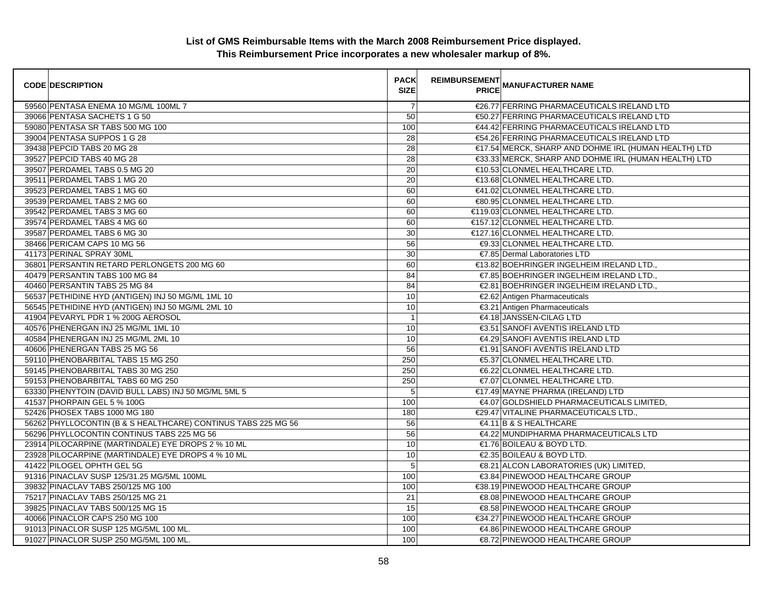| <b>CODE DESCRIPTION</b>                                       | <b>PACK</b><br><b>SIZE</b> | REIMBURSEMENT<br>ANANUFACTURER NAME                  |
|---------------------------------------------------------------|----------------------------|------------------------------------------------------|
| 59560 PENTASA ENEMA 10 MG/ML 100ML 7                          | 7                          | €26.77 FERRING PHARMACEUTICALS IRELAND LTD           |
| 39066 PENTASA SACHETS 1 G 50                                  | 50                         | €50.27 FERRING PHARMACEUTICALS IRELAND LTD           |
| 59080 PENTASA SR TABS 500 MG 100                              | 100                        | €44.42 FERRING PHARMACEUTICALS IRELAND LTD           |
| 39004 PENTASA SUPPOS 1 G 28                                   | 28                         | €54.26 FERRING PHARMACEUTICALS IRELAND LTD           |
| 39438 PEPCID TABS 20 MG 28                                    | 28                         | €17.54 MERCK, SHARP AND DOHME IRL (HUMAN HEALTH) LTD |
| 39527 PEPCID TABS 40 MG 28                                    | 28                         | €33.33 MERCK, SHARP AND DOHME IRL (HUMAN HEALTH) LTD |
| 39507 PERDAMEL TABS 0.5 MG 20                                 | 20                         | €10.53 CLONMEL HEALTHCARE LTD.                       |
| 39511 PERDAMEL TABS 1 MG 20                                   | 20                         | €13.68 CLONMEL HEALTHCARE LTD.                       |
| 39523 PERDAMEL TABS 1 MG 60                                   | 60                         | €41.02 CLONMEL HEALTHCARE LTD.                       |
| 39539 PERDAMEL TABS 2 MG 60                                   | 60                         | €80.95 CLONMEL HEALTHCARE LTD.                       |
| 39542 PERDAMEL TABS 3 MG 60                                   | 60                         | €119.03 CLONMEL HEALTHCARE LTD.                      |
| 39574 PERDAMEL TABS 4 MG 60                                   | 60                         | €157.12 CLONMEL HEALTHCARE LTD.                      |
| 39587 PERDAMEL TABS 6 MG 30                                   | 30                         | €127.16 CLONMEL HEALTHCARE LTD.                      |
| 38466 PERICAM CAPS 10 MG 56                                   | 56                         | €9.33 CLONMEL HEALTHCARE LTD.                        |
| 41173 PERINAL SPRAY 30ML                                      | 30                         | €7.85 Dermal Laboratories LTD                        |
| 36801 PERSANTIN RETARD PERLONGETS 200 MG 60                   | 60                         | €13.82 BOEHRINGER INGELHEIM IRELAND LTD.,            |
| 40479 PERSANTIN TABS 100 MG 84                                | 84                         | €7.85 BOEHRINGER INGELHEIM IRELAND LTD.,             |
| 40460 PERSANTIN TABS 25 MG 84                                 | 84                         | €2.81 BOEHRINGER INGELHEIM IRELAND LTD.,             |
| 56537 PETHIDINE HYD (ANTIGEN) INJ 50 MG/ML 1ML 10             | 10                         | €2.62 Antigen Pharmaceuticals                        |
| 56545 PETHIDINE HYD (ANTIGEN) INJ 50 MG/ML 2ML 10             | 10                         | €3.21 Antigen Pharmaceuticals                        |
| 41904 PEVARYL PDR 1 % 200G AEROSOL                            | $\overline{1}$             | €4.18 JANSSEN-CILAG LTD                              |
| 40576 PHENERGAN INJ 25 MG/ML 1ML 10                           | 10                         | €3.51 SANOFI AVENTIS IRELAND LTD                     |
| 40584 PHENERGAN INJ 25 MG/ML 2ML 10                           | 10                         | €4.29 SANOFI AVENTIS IRELAND LTD                     |
| 40606 PHENERGAN TABS 25 MG 56                                 | 56                         | €1.91 SANOFI AVENTIS IRELAND LTD                     |
| 59110 PHENOBARBITAL TABS 15 MG 250                            | 250                        | €5.37 CLONMEL HEALTHCARE LTD.                        |
| 59145 PHENOBARBITAL TABS 30 MG 250                            | 250                        | €6.22 CLONMEL HEALTHCARE LTD.                        |
| 59153 PHENOBARBITAL TABS 60 MG 250                            | 250                        | €7.07 CLONMEL HEALTHCARE LTD.                        |
| 63330 PHENYTOIN (DAVID BULL LABS) INJ 50 MG/ML 5ML 5          | 5                          | €17.49 MAYNE PHARMA (IRELAND) LTD                    |
| 41537 PHORPAIN GEL 5 % 100G                                   | 100                        | €4.07 GOLDSHIELD PHARMACEUTICALS LIMITED,            |
| 52426 PHOSEX TABS 1000 MG 180                                 | 180                        | €29.47 VITALINE PHARMACEUTICALS LTD.                 |
| 56262 PHYLLOCONTIN (B & S HEALTHCARE) CONTINUS TABS 225 MG 56 | 56                         | $64.11$ B & S HEALTHCARE                             |
| 56296 PHYLLOCONTIN CONTINUS TABS 225 MG 56                    | 56                         | €4.22 MUNDIPHARMA PHARMACEUTICALS LTD                |
| 23914 PILOCARPINE (MARTINDALE) EYE DROPS 2 % 10 ML            | 10                         | €1.76 BOILEAU & BOYD LTD.                            |
| 23928 PILOCARPINE (MARTINDALE) EYE DROPS 4 % 10 ML            | 10                         | €2.35 BOILEAU & BOYD LTD.                            |
| 41422 PILOGEL OPHTH GEL 5G                                    | 5                          | €8.21 ALCON LABORATORIES (UK) LIMITED,               |
| 91316 PINACLAV SUSP 125/31.25 MG/5ML 100ML                    | 100                        | €3.84 PINEWOOD HEALTHCARE GROUP                      |
| 39832 PINACLAV TABS 250/125 MG 100                            | 100                        | €38.19 PINEWOOD HEALTHCARE GROUP                     |
| 75217 PINACLAV TABS 250/125 MG 21                             | 21                         | €8.08 PINEWOOD HEALTHCARE GROUP                      |
| 39825 PINACLAV TABS 500/125 MG 15                             | 15                         | €8.58 PINEWOOD HEALTHCARE GROUP                      |
| 40066 PINACLOR CAPS 250 MG 100                                | 100                        | €34.27 PINEWOOD HEALTHCARE GROUP                     |
| 91013 PINACLOR SUSP 125 MG/5ML 100 ML.                        | 100                        | €4.86 PINEWOOD HEALTHCARE GROUP                      |
| 91027 PINACLOR SUSP 250 MG/5ML 100 ML.                        | 100                        | €8.72 PINEWOOD HEALTHCARE GROUP                      |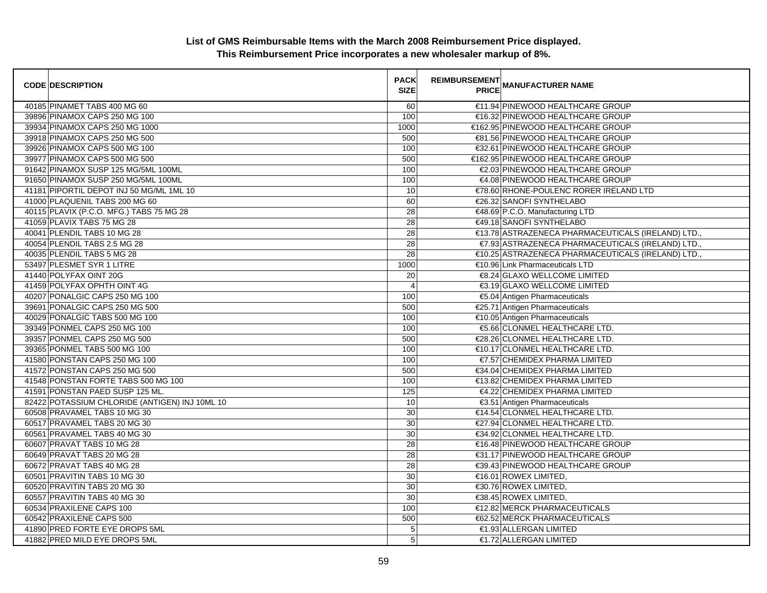| <b>CODE DESCRIPTION</b>                        | <b>PACK</b><br><b>SIZE</b> | <b>REIMBURSEMENT</b> | <b>---------</b><br>PRICE MANUFACTURER NAME        |
|------------------------------------------------|----------------------------|----------------------|----------------------------------------------------|
| 40185 PINAMET TABS 400 MG 60                   | 60                         |                      | €11.94 PINEWOOD HEALTHCARE GROUP                   |
| 39896 PINAMOX CAPS 250 MG 100                  | 100                        |                      | €16.32 PINEWOOD HEALTHCARE GROUP                   |
| 39934 PINAMOX CAPS 250 MG 1000                 | 1000                       |                      | €162.95 PINEWOOD HEALTHCARE GROUP                  |
| 39918 PINAMOX CAPS 250 MG 500                  | 500                        |                      | €81.56 PINEWOOD HEALTHCARE GROUP                   |
| 39926 PINAMOX CAPS 500 MG 100                  | 100                        |                      | €32.61 PINEWOOD HEALTHCARE GROUP                   |
| 39977 PINAMOX CAPS 500 MG 500                  | 500                        |                      | €162.95 PINEWOOD HEALTHCARE GROUP                  |
| 91642 PINAMOX SUSP 125 MG/5ML 100ML            | 100                        |                      | €2.03 PINEWOOD HEALTHCARE GROUP                    |
| 91650 PINAMOX SUSP 250 MG/5ML 100ML            | 100                        |                      | €4.08 PINEWOOD HEALTHCARE GROUP                    |
| 41181 PIPORTIL DEPOT INJ 50 MG/ML 1ML 10       | 10                         |                      | €78.60 RHONE-POULENC RORER IRELAND LTD             |
| 41000 PLAQUENIL TABS 200 MG 60                 | 60                         |                      | €26.32 SANOFI SYNTHELABO                           |
| 40115 PLAVIX (P.C.O. MFG.) TABS 75 MG 28       | $\overline{28}$            |                      | €48.69 P.C.O. Manufacturing LTD                    |
| 41059 PLAVIX TABS 75 MG 28                     | 28                         |                      | €49.18 SANOFI SYNTHELABO                           |
| 40041 PLENDIL TABS 10 MG 28                    | 28                         |                      | €13.78 ASTRAZENECA PHARMACEUTICALS (IRELAND) LTD.  |
| 40054 PLENDIL TABS 2.5 MG 28                   | 28                         |                      | €7.93 ASTRAZENECA PHARMACEUTICALS (IRELAND) LTD.,  |
| 40035 PLENDIL TABS 5 MG 28                     | $\overline{28}$            |                      | €10.25 ASTRAZENECA PHARMACEUTICALS (IRELAND) LTD., |
| 53497 PLESMET SYR 1 LITRE                      | 1000                       |                      | €10.96 Link Pharmaceuticals LTD                    |
| 41440 POLYFAX OINT 20G                         | 20                         |                      | €8.24 GLAXO WELLCOME LIMITED                       |
| 41459 POLYFAX OPHTH OINT 4G                    | $\overline{4}$             |                      | €3.19 GLAXO WELLCOME LIMITED                       |
| 40207 PONALGIC CAPS 250 MG 100                 | 100                        |                      | €5.04 Antigen Pharmaceuticals                      |
| 39691 PONALGIC CAPS 250 MG 500                 | 500                        |                      | €25.71 Antigen Pharmaceuticals                     |
| 40029 PONALGIC TABS 500 MG 100                 | 100                        |                      | €10.05 Antigen Pharmaceuticals                     |
| 39349 PONMEL CAPS 250 MG 100                   | 100                        |                      | €5.66 CLONMEL HEALTHCARE LTD.                      |
| 39357 PONMEL CAPS 250 MG 500                   | 500                        |                      | €28.26 CLONMEL HEALTHCARE LTD.                     |
| 39365 PONMEL TABS 500 MG 100                   | 100                        |                      | €10.17 CLONMEL HEALTHCARE LTD.                     |
| 41580 PONSTAN CAPS 250 MG 100                  | 100                        |                      | €7.57 CHEMIDEX PHARMA LIMITED                      |
| 41572 PONSTAN CAPS 250 MG 500                  | 500                        |                      | €34.04 CHEMIDEX PHARMA LIMITED                     |
| 41548 PONSTAN FORTE TABS 500 MG 100            | 100                        |                      | €13.82 CHEMIDEX PHARMA LIMITED                     |
| 41591 PONSTAN PAED SUSP 125 ML.                | 125                        |                      | €4.22 CHEMIDEX PHARMA LIMITED                      |
| 82422 POTASSIUM CHLORIDE (ANTIGEN) INJ 10ML 10 | 10                         |                      | €3.51 Antigen Pharmaceuticals                      |
| 60508 PRAVAMEL TABS 10 MG 30                   | 30                         |                      | €14.54 CLONMEL HEALTHCARE LTD.                     |
| 60517 PRAVAMEL TABS 20 MG 30                   | 30                         |                      | €27.94 CLONMEL HEALTHCARE LTD.                     |
| 60561 PRAVAMEL TABS 40 MG 30                   | 30                         |                      | €34.92 CLONMEL HEALTHCARE LTD.                     |
| 60607 PRAVAT TABS 10 MG 28                     | 28                         |                      | €16.48 PINEWOOD HEALTHCARE GROUP                   |
| 60649 PRAVAT TABS 20 MG 28                     | 28                         |                      | €31.17 PINEWOOD HEALTHCARE GROUP                   |
| 60672 PRAVAT TABS 40 MG 28                     | $\overline{28}$            |                      | €39.43 PINEWOOD HEALTHCARE GROUP                   |
| 60501 PRAVITIN TABS 10 MG 30                   | 30                         |                      | €16.01 ROWEX LIMITED,                              |
| 60520 PRAVITIN TABS 20 MG 30                   | 30                         |                      | €30.76 ROWEX LIMITED,                              |
| 60557 PRAVITIN TABS 40 MG 30                   | 30                         |                      | €38.45 ROWEX LIMITED.                              |
| 60534 PRAXILENE CAPS 100                       | 100                        |                      | €12.82 MERCK PHARMACEUTICALS                       |
| 60542 PRAXILENE CAPS 500                       | 500                        |                      | €62.52 MERCK PHARMACEUTICALS                       |
| 41890 PRED FORTE EYE DROPS 5ML                 | $\mathbf 5$                |                      | €1.93 ALLERGAN LIMITED                             |
| 41882 PRED MILD EYE DROPS 5ML                  | $\overline{5}$             |                      | €1.72 ALLERGAN LIMITED                             |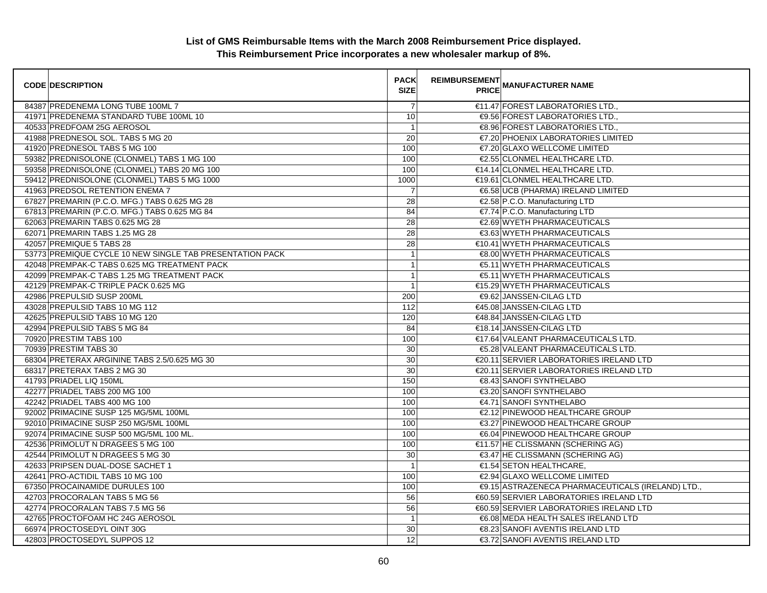| <b>CODE DESCRIPTION</b>                                  | <b>PACK</b><br><b>SIZE</b> | <b>REIMBURSEMENT</b> | <b>---------</b><br>PRICE MANUFACTURER NAME       |
|----------------------------------------------------------|----------------------------|----------------------|---------------------------------------------------|
| 84387 PREDENEMA LONG TUBE 100ML 7                        | $\overline{7}$             |                      | €11.47 FOREST LABORATORIES LTD.,                  |
| 41971 PREDENEMA STANDARD TUBE 100ML 10                   | 10                         |                      | €9.56 FOREST LABORATORIES LTD.,                   |
| 40533 PREDFOAM 25G AEROSOL                               | $\mathbf{1}$               |                      | €8.96 FOREST LABORATORIES LTD.                    |
| 41988 PREDNESOL SOL. TABS 5 MG 20                        | 20                         |                      | €7.20 PHOENIX LABORATORIES LIMITED                |
| 41920 PREDNESOL TABS 5 MG 100                            | 100                        |                      | €7.20 GLAXO WELLCOME LIMITED                      |
| 59382 PREDNISOLONE (CLONMEL) TABS 1 MG 100               | 100                        |                      | €2.55 CLONMEL HEALTHCARE LTD.                     |
| 59358 PREDNISOLONE (CLONMEL) TABS 20 MG 100              | 100                        |                      | €14.14 CLONMEL HEALTHCARE LTD.                    |
| 59412 PREDNISOLONE (CLONMEL) TABS 5 MG 1000              | 1000                       |                      | €19.61 CLONMEL HEALTHCARE LTD.                    |
| 41963 PREDSOL RETENTION ENEMA 7                          | $\overline{7}$             |                      | €6.58 UCB (PHARMA) IRELAND LIMITED                |
| 67827 PREMARIN (P.C.O. MFG.) TABS 0.625 MG 28            | 28                         |                      | €2.58 P.C.O. Manufacturing LTD                    |
| 67813 PREMARIN (P.C.O. MFG.) TABS 0.625 MG 84            | 84                         |                      | €7.74 P.C.O. Manufacturing LTD                    |
| 62063 PREMARIN TABS 0.625 MG 28                          | $\overline{28}$            |                      | €2.69 WYETH PHARMACEUTICALS                       |
| 62071 PREMARIN TABS 1.25 MG 28                           | 28                         |                      | €3.63 WYETH PHARMACEUTICALS                       |
| 42057 PREMIQUE 5 TABS 28                                 | 28                         |                      | €10.41 WYETH PHARMACEUTICALS                      |
| 53773 PREMIQUE CYCLE 10 NEW SINGLE TAB PRESENTATION PACK | $\mathbf{1}$               |                      | €8.00 WYETH PHARMACEUTICALS                       |
| 42048 PREMPAK-C TABS 0.625 MG TREATMENT PACK             | $\mathbf{1}$               |                      | <b>€5.11 WYETH PHARMACEUTICALS</b>                |
| 42099 PREMPAK-C TABS 1.25 MG TREATMENT PACK              | $\mathbf{1}$               |                      | €5.11 WYETH PHARMACEUTICALS                       |
| 42129 PREMPAK-C TRIPLE PACK 0.625 MG                     | $\overline{1}$             |                      | €15.29 WYETH PHARMACEUTICALS                      |
| 42986 PREPULSID SUSP 200ML                               | 200                        |                      | €9.62 JANSSEN-CILAG LTD                           |
| 43028 PREPULSID TABS 10 MG 112                           | 112                        |                      | €45.08 JANSSEN-CILAG LTD                          |
| 42625 PREPULSID TABS 10 MG 120                           | 120                        |                      | €48.84 JANSSEN-CILAG LTD                          |
| 42994 PREPULSID TABS 5 MG 84                             | 84                         |                      | €18.14 JANSSEN-CILAG LTD                          |
| 70920 PRESTIM TABS 100                                   | 100                        |                      | €17.64 VALEANT PHARMACEUTICALS LTD.               |
| 70939 PRESTIM TABS 30                                    | 30                         |                      | €5.28 VALEANT PHARMACEUTICALS LTD.                |
| 68304 PRETERAX ARGININE TABS 2.5/0.625 MG 30             | 30                         |                      | €20.11 SERVIER LABORATORIES IRELAND LTD           |
| 68317 PRETERAX TABS 2 MG 30                              | 30                         |                      | €20.11 SERVIER LABORATORIES IRELAND LTD           |
| 41793 PRIADEL LIQ 150ML                                  | 150                        |                      | €8.43 SANOFI SYNTHELABO                           |
| 42277 PRIADEL TABS 200 MG 100                            | 100                        |                      | €3.20 SANOFI SYNTHELABO                           |
| 42242 PRIADEL TABS 400 MG 100                            | 100                        |                      | €4.71 SANOFI SYNTHELABO                           |
| 92002 PRIMACINE SUSP 125 MG/5ML 100ML                    | 100                        |                      | €2.12 PINEWOOD HEALTHCARE GROUP                   |
| 92010 PRIMACINE SUSP 250 MG/5ML 100ML                    | 100                        |                      | €3.27 PINEWOOD HEALTHCARE GROUP                   |
| 92074 PRIMACINE SUSP 500 MG/5ML 100 ML                   | 100                        |                      | €6.04 PINEWOOD HEALTHCARE GROUP                   |
| 42536 PRIMOLUT N DRAGEES 5 MG 100                        | 100                        |                      | €11.57 HE CLISSMANN (SCHERING AG)                 |
| 42544 PRIMOLUT N DRAGEES 5 MG 30                         | 30                         |                      | €3.47 HE CLISSMANN (SCHERING AG)                  |
| 42633 PRIPSEN DUAL-DOSE SACHET 1                         | $\overline{1}$             |                      | €1.54 SETON HEALTHCARE,                           |
| 42641 PRO-ACTIDIL TABS 10 MG 100                         | 100                        |                      | €2.94 GLAXO WELLCOME LIMITED                      |
| 67350 PROCAINAMIDE DURULES 100                           | 100                        |                      | €9.15 ASTRAZENECA PHARMACEUTICALS (IRELAND) LTD., |
| 42703 PROCORALAN TABS 5 MG 56                            | 56                         |                      | €60.59 SERVIER LABORATORIES IRELAND LTD           |
| 42774 PROCORALAN TABS 7.5 MG 56                          | 56                         |                      | €60.59 SERVIER LABORATORIES IRELAND LTD           |
| 42765 PROCTOFOAM HC 24G AEROSOL                          | $\overline{1}$             |                      | €6.08 MEDA HEALTH SALES IRELAND LTD               |
| 66974 PROCTOSEDYL OINT 30G                               | 30                         |                      | €8.23 SANOFI AVENTIS IRELAND LTD                  |
| 42803 PROCTOSEDYL SUPPOS 12                              | 12                         |                      | €3.72 SANOFI AVENTIS IRELAND LTD                  |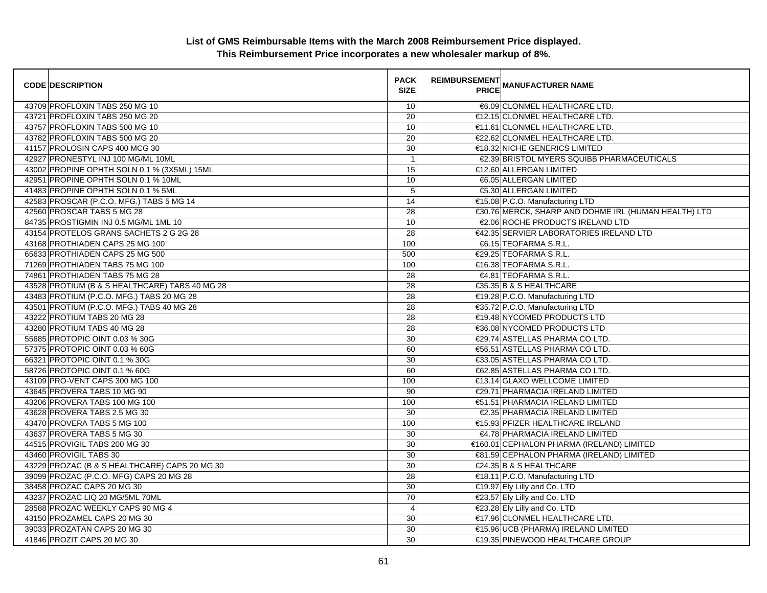| <b>CODE DESCRIPTION</b>                        | <b>PACK</b><br><b>SIZE</b> | REIMBURSEMENT<br>PRICE MANUFACTURER NAME             |
|------------------------------------------------|----------------------------|------------------------------------------------------|
| 43709 PROFLOXIN TABS 250 MG 10                 | 10                         | €6.09 CLONMEL HEALTHCARE LTD.                        |
| 43721 PROFLOXIN TABS 250 MG 20                 | 20                         | €12.15 CLONMEL HEALTHCARE LTD.                       |
| 43757 PROFLOXIN TABS 500 MG 10                 | 10                         | €11.61 CLONMEL HEALTHCARE LTD.                       |
| 43782 PROFLOXIN TABS 500 MG 20                 | $\overline{20}$            | €22.62 CLONMEL HEALTHCARE LTD.                       |
| 41157 PROLOSIN CAPS 400 MCG 30                 | 30                         | €18.32 NICHE GENERICS LIMITED                        |
| 42927 PRONESTYL INJ 100 MG/ML 10ML             | $\overline{1}$             | €2.39 BRISTOL MYERS SQUIBB PHARMACEUTICALS           |
| 43002 PROPINE OPHTH SOLN 0.1 % (3X5ML) 15ML    | 15                         | €12.60 ALLERGAN LIMITED                              |
| 42951 PROPINE OPHTH SOLN 0.1 % 10ML            | 10                         | €6.05 ALLERGAN LIMITED                               |
| 41483 PROPINE OPHTH SOLN 0.1 % 5ML             | $\sqrt{5}$                 | €5.30 ALLERGAN LIMITED                               |
| 42583 PROSCAR (P.C.O. MFG.) TABS 5 MG 14       | 14                         | €15.08 P.C.O. Manufacturing LTD                      |
| 42560 PROSCAR TABS 5 MG 28                     | 28                         | €30.76 MERCK, SHARP AND DOHME IRL (HUMAN HEALTH) LTD |
| 84735 PROSTIGMIN INJ 0.5 MG/ML 1ML 10          | 10                         | €2.06 ROCHE PRODUCTS IRELAND LTD                     |
| 43154 PROTELOS GRANS SACHETS 2 G 2G 28         | $\overline{28}$            | €42.35 SERVIER LABORATORIES IRELAND LTD              |
| 43168 PROTHIADEN CAPS 25 MG 100                | 100                        | €6.15 TEOFARMA S.R.L.                                |
| 65633 PROTHIADEN CAPS 25 MG 500                | 500                        | €29.25 TEOFARMA S.R.L.                               |
| 71269 PROTHIADEN TABS 75 MG 100                | 100                        | €16.38 TEOFARMA S.R.L.                               |
| 74861 PROTHIADEN TABS 75 MG 28                 | 28                         | €4.81 TEOFARMA S.R.L.                                |
| 43528 PROTIUM (B & S HEALTHCARE) TABS 40 MG 28 | 28                         | €35.35 B & S HEALTHCARE                              |
| 43483 PROTIUM (P.C.O. MFG.) TABS 20 MG 28      | 28                         | €19.28 P.C.O. Manufacturing LTD                      |
| 43501 PROTIUM (P.C.O. MFG.) TABS 40 MG 28      | 28                         | €35.72 P.C.O. Manufacturing LTD                      |
| 43222 PROTIUM TABS 20 MG 28                    | $\overline{28}$            | €19.48 NYCOMED PRODUCTS LTD                          |
| 43280 PROTIUM TABS 40 MG 28                    | $\overline{28}$            | €36.08 NYCOMED PRODUCTS LTD                          |
| 55685 PROTOPIC OINT 0.03 % 30G                 | 30                         | €29.74 ASTELLAS PHARMA CO LTD.                       |
| 57375 PROTOPIC OINT 0.03 % 60G                 | 60                         | €56.51 ASTELLAS PHARMA CO LTD.                       |
| 66321 PROTOPIC OINT 0.1 % 30G                  | 30                         | <b>€33.05 ASTELLAS PHARMA CO LTD.</b>                |
| 58726 PROTOPIC OINT 0.1 % 60G                  | 60                         | €62.85 ASTELLAS PHARMA CO LTD.                       |
| 43109 PRO-VENT CAPS 300 MG 100                 | 100                        | €13.14 GLAXO WELLCOME LIMITED                        |
| 43645 PROVERA TABS 10 MG 90                    | 90                         | €29.71 PHARMACIA IRELAND LIMITED                     |
| 43206 PROVERA TABS 100 MG 100                  | 100                        | €51.51 PHARMACIA IRELAND LIMITED                     |
| 43628 PROVERA TABS 2.5 MG 30                   | 30                         | €2.35 PHARMACIA IRELAND LIMITED                      |
| 43470 PROVERA TABS 5 MG 100                    | 100                        | €15.93 PFIZER HEALTHCARE IRELAND                     |
| 43637 PROVERA TABS 5 MG 30                     | 30                         | €4.78 PHARMACIA IRELAND LIMITED                      |
| 44515 PROVIGIL TABS 200 MG 30                  | $\overline{30}$            | €160.01 CEPHALON PHARMA (IRELAND) LIMITED            |
| 43460 PROVIGIL TABS 30                         | 30                         | €81.59 CEPHALON PHARMA (IRELAND) LIMITED             |
| 43229 PROZAC (B & S HEALTHCARE) CAPS 20 MG 30  | $\overline{30}$            | €24.35 B & S HEALTHCARE                              |
| 39099 PROZAC (P.C.O. MFG) CAPS 20 MG 28        | 28                         | €18.11 P.C.O. Manufacturing LTD                      |
| 38458 PROZAC CAPS 20 MG 30                     | 30                         | €19.97 Ely Lilly and Co. LTD                         |
| 43237 PROZAC LIQ 20 MG/5ML 70ML                | 70                         | €23.57 Ely Lilly and Co. LTD                         |
| 28588 PROZAC WEEKLY CAPS 90 MG 4               | $\overline{4}$             | €23.28 Ely Lilly and Co. LTD                         |
| 43150 PROZAMEL CAPS 20 MG 30                   | 30                         | €17.96 CLONMEL HEALTHCARE LTD.                       |
| 39033 PROZATAN CAPS 20 MG 30                   | 30                         | €15.96 UCB (PHARMA) IRELAND LIMITED                  |
| 41846 PROZIT CAPS 20 MG 30                     | 30                         | €19.35 PINEWOOD HEALTHCARE GROUP                     |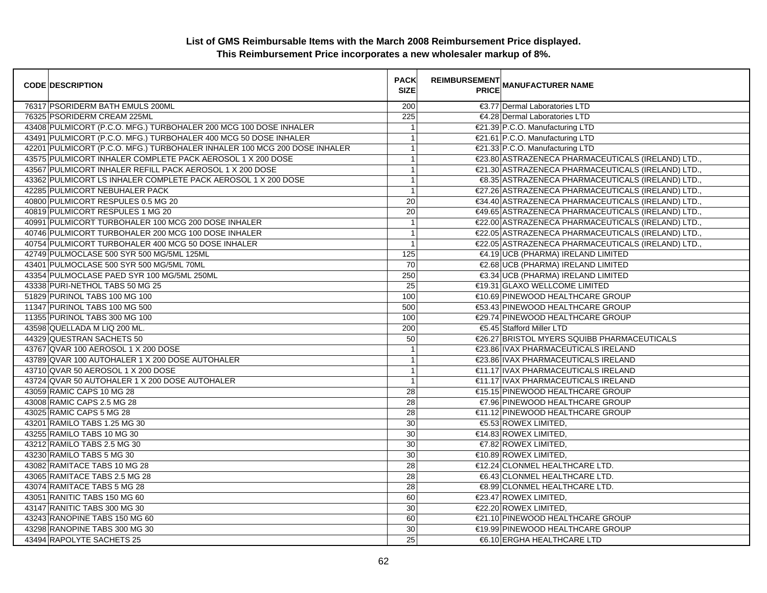| <b>CODE DESCRIPTION</b>                                                   | <b>PACK</b><br><b>SIZE</b> | <b>REIMBURSEMENT</b><br><b>PRICE</b> | <b>MANUFACTURER NAME</b>                           |
|---------------------------------------------------------------------------|----------------------------|--------------------------------------|----------------------------------------------------|
| 76317 PSORIDERM BATH EMULS 200ML                                          | 200                        |                                      | €3.77 Dermal Laboratories LTD                      |
| 76325 PSORIDERM CREAM 225ML                                               | 225                        |                                      | €4.28 Dermal Laboratories LTD                      |
| 43408 PULMICORT (P.C.O. MFG.) TURBOHALER 200 MCG 100 DOSE INHALER         | $\mathbf{1}$               |                                      | €21.39 P.C.O. Manufacturing LTD                    |
| 43491 PULMICORT (P.C.O. MFG.) TURBOHALER 400 MCG 50 DOSE INHALER          | $\overline{1}$             |                                      | €21.61 P.C.O. Manufacturing LTD                    |
| 42201 PULMICORT (P.C.O. MFG.) TURBOHALER INHALER 100 MCG 200 DOSE INHALER | $\overline{1}$             |                                      | €21.33 P.C.O. Manufacturing LTD                    |
| 43575 PULMICORT INHALER COMPLETE PACK AEROSOL 1 X 200 DOSE                | $\mathbf{1}$               |                                      | €23.80 ASTRAZENECA PHARMACEUTICALS (IRELAND) LTD.  |
| 43567 PULMICORT INHALER REFILL PACK AEROSOL 1 X 200 DOSE                  | $\overline{1}$             |                                      | €21.30 ASTRAZENECA PHARMACEUTICALS (IRELAND) LTD., |
| 43362 PULMICORT LS INHALER COMPLETE PACK AEROSOL 1 X 200 DOSE             | $\overline{1}$             |                                      | €8.35 ASTRAZENECA PHARMACEUTICALS (IRELAND) LTD.,  |
| 42285 PULMICORT NEBUHALER PACK                                            | $\overline{1}$             |                                      | €27.26 ASTRAZENECA PHARMACEUTICALS (IRELAND) LTD., |
| 40800 PULMICORT RESPULES 0.5 MG 20                                        | 20                         |                                      | €34.40 ASTRAZENECA PHARMACEUTICALS (IRELAND) LTD.  |
| 40819 PULMICORT RESPULES 1 MG 20                                          | 20                         |                                      | €49.65 ASTRAZENECA PHARMACEUTICALS (IRELAND) LTD., |
| 40991 PULMICORT TURBOHALER 100 MCG 200 DOSE INHALER                       | $\overline{1}$             |                                      | €22.00 ASTRAZENECA PHARMACEUTICALS (IRELAND) LTD., |
| 40746 PULMICORT TURBOHALER 200 MCG 100 DOSE INHALER                       | $\overline{1}$             |                                      | €22.05 ASTRAZENECA PHARMACEUTICALS (IRELAND) LTD.  |
| 40754 PULMICORT TURBOHALER 400 MCG 50 DOSE INHALER                        | $\overline{1}$             |                                      | €22.05 ASTRAZENECA PHARMACEUTICALS (IRELAND) LTD., |
| 42749 PULMOCLASE 500 SYR 500 MG/5ML 125ML                                 | 125                        |                                      | €4.19 UCB (PHARMA) IRELAND LIMITED                 |
| 43401 PULMOCLASE 500 SYR 500 MG/5ML 70ML                                  | 70                         |                                      | €2.68 UCB (PHARMA) IRELAND LIMITED                 |
| 43354 PULMOCLASE PAED SYR 100 MG/5ML 250ML                                | 250                        |                                      | €3.34 UCB (PHARMA) IRELAND LIMITED                 |
| 43338 PURI-NETHOL TABS 50 MG 25                                           | 25                         |                                      | €19.31 GLAXO WELLCOME LIMITED                      |
| 51829 PURINOL TABS 100 MG 100                                             | 100                        |                                      | €10.69 PINEWOOD HEALTHCARE GROUP                   |
| 11347 PURINOL TABS 100 MG 500                                             | 500                        |                                      | €53.43 PINEWOOD HEALTHCARE GROUP                   |
| 11355 PURINOL TABS 300 MG 100                                             | 100                        |                                      | €29.74 PINEWOOD HEALTHCARE GROUP                   |
| 43598 QUELLADA M LIQ 200 ML.                                              | 200                        |                                      | €5.45 Stafford Miller LTD                          |
| 44329 QUESTRAN SACHETS 50                                                 | 50                         |                                      | €26.27 BRISTOL MYERS SQUIBB PHARMACEUTICALS        |
| 43767 QVAR 100 AEROSOL 1 X 200 DOSE                                       | $\overline{1}$             |                                      | €23.86 IVAX PHARMACEUTICALS IRELAND                |
| 43789 QVAR 100 AUTOHALER 1 X 200 DOSE AUTOHALER                           | $\mathbf{1}$               |                                      | €23.86 IVAX PHARMACEUTICALS IRELAND                |
| 43710 QVAR 50 AEROSOL 1 X 200 DOSE                                        | $\overline{1}$             |                                      | €11.17 IVAX PHARMACEUTICALS IRELAND                |
| 43724 QVAR 50 AUTOHALER 1 X 200 DOSE AUTOHALER                            | $\overline{1}$             |                                      | €11.17 IVAX PHARMACEUTICALS IRELAND                |
| 43059 RAMIC CAPS 10 MG 28                                                 | 28                         |                                      | €15.15 PINEWOOD HEALTHCARE GROUP                   |
| 43008 RAMIC CAPS 2.5 MG 28                                                | 28                         |                                      | €7.96 PINEWOOD HEALTHCARE GROUP                    |
| 43025 RAMIC CAPS 5 MG 28                                                  | $\overline{28}$            |                                      | €11.12 PINEWOOD HEALTHCARE GROUP                   |
| 43201 RAMILO TABS 1.25 MG 30                                              | 30                         |                                      | €5.53 ROWEX LIMITED,                               |
| 43255 RAMILO TABS 10 MG 30                                                | 30                         |                                      | €14.83 ROWEX LIMITED,                              |
| 43212 RAMILO TABS 2.5 MG 30                                               | 30                         |                                      | €7.82 ROWEX LIMITED,                               |
| 43230 RAMILO TABS 5 MG 30                                                 | 30                         |                                      | $€10.89$ ROWEX LIMITED,                            |
| 43082 RAMITACE TABS 10 MG 28                                              | 28                         |                                      | €12.24 CLONMEL HEALTHCARE LTD.                     |
| 43065 RAMITACE TABS 2.5 MG 28                                             | $\overline{28}$            |                                      | €6.43 CLONMEL HEALTHCARE LTD.                      |
| 43074 RAMITACE TABS 5 MG 28                                               | 28                         |                                      | €8.99 CLONMEL HEALTHCARE LTD.                      |
| 43051 RANITIC TABS 150 MG 60                                              | 60                         |                                      | €23.47 ROWEX LIMITED,                              |
| 43147 RANITIC TABS 300 MG 30                                              | 30                         |                                      | €22.20 ROWEX LIMITED.                              |
| 43243 RANOPINE TABS 150 MG 60                                             | 60                         |                                      | €21.10 PINEWOOD HEALTHCARE GROUP                   |
| 43298 RANOPINE TABS 300 MG 30                                             | 30                         |                                      | €19.99 PINEWOOD HEALTHCARE GROUP                   |
| 43494 RAPOLYTE SACHETS 25                                                 | 25                         |                                      | €6.10 ERGHA HEALTHCARE LTD                         |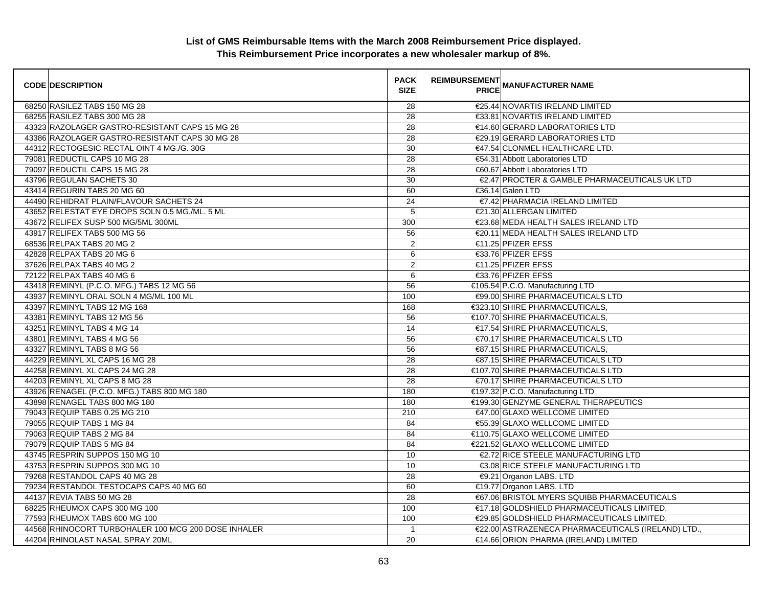| <b>CODE DESCRIPTION</b>                             | <b>PACK</b><br><b>SIZE</b> | <b>REIMBURSEMENT</b> | <b>---------</b><br>PRICE MANUFACTURER NAME        |
|-----------------------------------------------------|----------------------------|----------------------|----------------------------------------------------|
| 68250 RASILEZ TABS 150 MG 28                        | 28                         |                      | €25.44 NOVARTIS IRELAND LIMITED                    |
| 68255 RASILEZ TABS 300 MG 28                        | 28                         |                      | €33.81 NOVARTIS IRELAND LIMITED                    |
| 43323 RAZOLAGER GASTRO-RESISTANT CAPS 15 MG 28      | 28                         |                      | €14.60 GERARD LABORATORIES LTD                     |
| 43386 RAZOLAGER GASTRO-RESISTANT CAPS 30 MG 28      | 28                         |                      | €29.19 GERARD LABORATORIES LTD                     |
| 44312 RECTOGESIC RECTAL OINT 4 MG./G. 30G           | 30                         |                      | €47.54 CLONMEL HEALTHCARE LTD.                     |
| 79081 REDUCTIL CAPS 10 MG 28                        | $\overline{28}$            |                      | €54.31 Abbott Laboratories LTD                     |
| 79097 REDUCTIL CAPS 15 MG 28                        | 28                         |                      | €60.67 Abbott Laboratories LTD                     |
| 43796 REGULAN SACHETS 30                            | 30                         |                      | €2.47 PROCTER & GAMBLE PHARMACEUTICALS UK LTD      |
| 43414 REGURIN TABS 20 MG 60                         | 60                         |                      | €36.14 Galen LTD                                   |
| 44490 REHIDRAT PLAIN/FLAVOUR SACHETS 24             | 24                         |                      | €7.42 PHARMACIA IRELAND LIMITED                    |
| 43652 RELESTAT EYE DROPS SOLN 0.5 MG./ML. 5 ML      | 5                          |                      | €21.30 ALLERGAN LIMITED                            |
| 43672 RELIFEX SUSP 500 MG/5ML 300ML                 | 300                        |                      | €23.68 MEDA HEALTH SALES IRELAND LTD               |
| 43917 RELIFEX TABS 500 MG 56                        | 56                         |                      | €20.11 MEDA HEALTH SALES IRELAND LTD               |
| 68536 RELPAX TABS 20 MG 2                           | $\overline{c}$             |                      | €11.25 PFIZER EFSS                                 |
| 42828 RELPAX TABS 20 MG 6                           | 6                          |                      | €33.76 PFIZER EFSS                                 |
| 37626 RELPAX TABS 40 MG 2                           | $\overline{2}$             |                      | €11.25 PFIZER EFSS                                 |
| 72122 RELPAX TABS 40 MG 6                           | 6                          |                      | €33.76 PFIZER EFSS                                 |
| 43418 REMINYL (P.C.O. MFG.) TABS 12 MG 56           | 56                         |                      | €105.54 P.C.O. Manufacturing LTD                   |
| 43937 REMINYL ORAL SOLN 4 MG/ML 100 ML              | 100                        |                      | €99.00 SHIRE PHARMACEUTICALS LTD                   |
| 43397 REMINYL TABS 12 MG 168                        | 168                        |                      | €323.10 SHIRE PHARMACEUTICALS,                     |
| 43381 REMINYL TABS 12 MG 56                         | 56                         |                      | €107.70 SHIRE PHARMACEUTICALS.                     |
| 43251 REMINYL TABS 4 MG 14                          | 14                         |                      | €17.54 SHIRE PHARMACEUTICALS.                      |
| 43801 REMINYL TABS 4 MG 56                          | 56                         |                      | €70.17 SHIRE PHARMACEUTICALS LTD                   |
| 43327 REMINYL TABS 8 MG 56                          | 56                         |                      | €87.15 SHIRE PHARMACEUTICALS,                      |
| 44229 REMINYL XL CAPS 16 MG 28                      | 28                         |                      | €87.15 SHIRE PHARMACEUTICALS LTD                   |
| 44258 REMINYL XL CAPS 24 MG 28                      | 28                         |                      | €107.70 SHIRE PHARMACEUTICALS LTD                  |
| 44203 REMINYL XL CAPS 8 MG 28                       | 28                         |                      | €70.17 SHIRE PHARMACEUTICALS LTD                   |
| 43926 RENAGEL (P.C.O. MFG.) TABS 800 MG 180         | 180                        |                      | €197.32 P.C.O. Manufacturing LTD                   |
| 43898 RENAGEL TABS 800 MG 180                       | 180                        |                      | €199.30 GENZYME GENERAL THERAPEUTICS               |
| 79043 REQUIP TABS 0.25 MG 210                       | 210                        |                      | €47.00 GLAXO WELLCOME LIMITED                      |
| 79055 REQUIP TABS 1 MG 84                           | 84                         |                      | €55.39 GLAXO WELLCOME LIMITED                      |
| 79063 REQUIP TABS 2 MG 84                           | 84                         |                      | €110.75 GLAXO WELLCOME LIMITED                     |
| 79079 REQUIP TABS 5 MG 84                           | 84                         |                      | €221.52 GLAXO WELLCOME LIMITED                     |
| 43745 RESPRIN SUPPOS 150 MG 10                      | 10                         |                      | €2.72 RICE STEELE MANUFACTURING LTD                |
| 43753 RESPRIN SUPPOS 300 MG 10                      | 10                         |                      | €3.08 RICE STEELE MANUFACTURING LTD                |
| 79268 RESTANDOL CAPS 40 MG 28                       | 28                         |                      | €9.21 Organon LABS. LTD                            |
| 79234 RESTANDOL TESTOCAPS CAPS 40 MG 60             | 60                         |                      | €19.77 Organon LABS. LTD                           |
| 44137 REVIA TABS 50 MG 28                           | 28                         |                      | €67.06 BRISTOL MYERS SQUIBB PHARMACEUTICALS        |
| 68225 RHEUMOX CAPS 300 MG 100                       | 100                        |                      | €17.18 GOLDSHIELD PHARMACEUTICALS LIMITED,         |
| 77593 RHEUMOX TABS 600 MG 100                       | 100                        |                      | €29.85 GOLDSHIELD PHARMACEUTICALS LIMITED,         |
| 44568 RHINOCORT TURBOHALER 100 MCG 200 DOSE INHALER | $\overline{1}$             |                      | €22.00 ASTRAZENECA PHARMACEUTICALS (IRELAND) LTD., |
| 44204 RHINOLAST NASAL SPRAY 20ML                    | 20                         |                      | €14.66 ORION PHARMA (IRELAND) LIMITED              |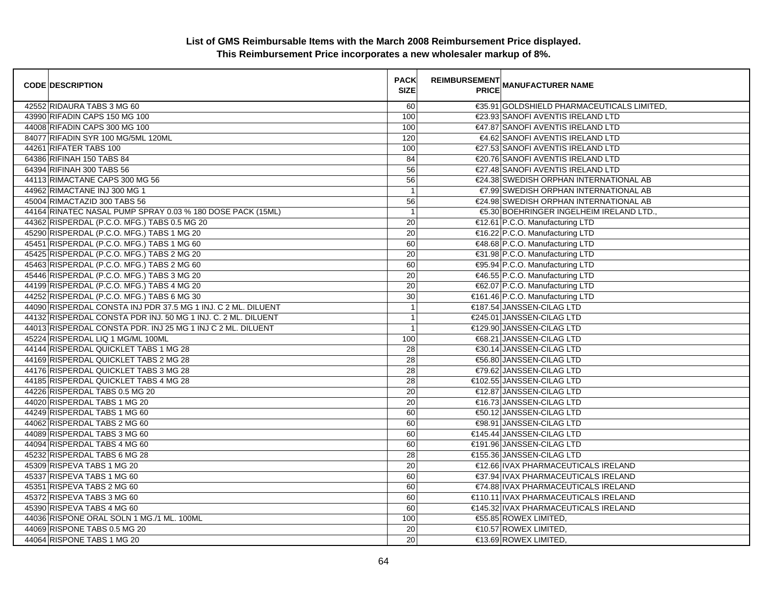| <b>CODE DESCRIPTION</b>                                       | <b>PACK</b><br><b>SIZE</b> | REIMBURSEMENT<br>PRICE MANUFACTURER NAME   |
|---------------------------------------------------------------|----------------------------|--------------------------------------------|
| 42552 RIDAURA TABS 3 MG 60                                    | 60                         | €35.91 GOLDSHIELD PHARMACEUTICALS LIMITED, |
| 43990 RIFADIN CAPS 150 MG 100                                 | 100                        | €23.93 SANOFI AVENTIS IRELAND LTD          |
| 44008 RIFADIN CAPS 300 MG 100                                 | 100                        | €47.87 SANOFI AVENTIS IRELAND LTD          |
| 84077 RIFADIN SYR 100 MG/5ML 120ML                            | 120                        | €4.62 SANOFI AVENTIS IRELAND LTD           |
| 44261 RIFATER TABS 100                                        | 100                        | €27.53 SANOFI AVENTIS IRELAND LTD          |
| 64386 RIFINAH 150 TABS 84                                     | 84                         | €20.76 SANOFI AVENTIS IRELAND LTD          |
| 64394 RIFINAH 300 TABS 56                                     | 56                         | €27.48 SANOFI AVENTIS IRELAND LTD          |
| 44113 RIMACTANE CAPS 300 MG 56                                | 56                         | €24.38 SWEDISH ORPHAN INTERNATIONAL AB     |
| 44962 RIMACTANE INJ 300 MG 1                                  | $\mathbf{1}$               | €7.99 SWEDISH ORPHAN INTERNATIONAL AB      |
| 45004 RIMACTAZID 300 TABS 56                                  | 56                         | €24.98 SWEDISH ORPHAN INTERNATIONAL AB     |
| 44164 RINATEC NASAL PUMP SPRAY 0.03 % 180 DOSE PACK (15ML)    | $\overline{1}$             | €5.30 BOEHRINGER INGELHEIM IRELAND LTD.,   |
| 44362 RISPERDAL (P.C.O. MFG.) TABS 0.5 MG 20                  | $\overline{20}$            | €12.61 P.C.O. Manufacturing LTD            |
| 45290 RISPERDAL (P.C.O. MFG.) TABS 1 MG 20                    | 20                         | €16.22 P.C.O. Manufacturing LTD            |
| 45451 RISPERDAL (P.C.O. MFG.) TABS 1 MG 60                    | 60                         | €48.68 P.C.O. Manufacturing LTD            |
| 45425 RISPERDAL (P.C.O. MFG.) TABS 2 MG 20                    | $\overline{20}$            | €31.98 P.C.O. Manufacturing LTD            |
| 45463 RISPERDAL (P.C.O. MFG.) TABS 2 MG 60                    | 60                         | €95.94 P.C.O. Manufacturing LTD            |
| 45446 RISPERDAL (P.C.O. MFG.) TABS 3 MG 20                    | 20                         | €46.55 P.C.O. Manufacturing LTD            |
| 44199 RISPERDAL (P.C.O. MFG.) TABS 4 MG 20                    | 20                         | €62.07 P.C.O. Manufacturing LTD            |
| 44252 RISPERDAL (P.C.O. MFG.) TABS 6 MG 30                    | $\overline{30}$            | €161.46 P.C.O. Manufacturing LTD           |
| 44090 RISPERDAL CONSTA INJ PDR 37.5 MG 1 INJ. C 2 ML. DILUENT | $\mathbf{1}$               | €187.54 JANSSEN-CILAG LTD                  |
| 44132 RISPERDAL CONSTA PDR INJ. 50 MG 1 INJ. C. 2 ML. DILUENT | $\mathbf{1}$               | €245.01 JANSSEN-CILAG LTD                  |
| 44013 RISPERDAL CONSTA PDR. INJ 25 MG 1 INJ C 2 ML. DILUENT   | $\mathbf{1}$               | €129.90 JANSSEN-CILAG LTD                  |
| 45224 RISPERDAL LIQ 1 MG/ML 100ML                             | 100                        | €68.21 JANSSEN-CILAG LTD                   |
| 44144 RISPERDAL QUICKLET TABS 1 MG 28                         | 28                         | €30.14 JANSSEN-CILAG LTD                   |
| 44169 RISPERDAL QUICKLET TABS 2 MG 28                         | 28                         | €56.80 JANSSEN-CILAG LTD                   |
| 44176 RISPERDAL QUICKLET TABS 3 MG 28                         | 28                         | €79.62 JANSSEN-CILAG LTD                   |
| 44185 RISPERDAL QUICKLET TABS 4 MG 28                         | 28                         | €102.55 JANSSEN-CILAG LTD                  |
| 44226 RISPERDAL TABS 0.5 MG 20                                | 20                         | €12.87 JANSSEN-CILAG LTD                   |
| 44020 RISPERDAL TABS 1 MG 20                                  | 20                         | €16.73 JANSSEN-CILAG LTD                   |
| 44249 RISPERDAL TABS 1 MG 60                                  | 60                         | €50.12 JANSSEN-CILAG LTD                   |
| 44062 RISPERDAL TABS 2 MG 60                                  | 60                         | €98.91 JANSSEN-CILAG LTD                   |
| 44089 RISPERDAL TABS 3 MG 60                                  | 60                         | €145.44 JANSSEN-CILAG LTD                  |
| 44094 RISPERDAL TABS 4 MG 60                                  | 60                         | €191.96 JANSSEN-CILAG LTD                  |
| 45232 RISPERDAL TABS 6 MG 28                                  | 28                         | €155.36 JANSSEN-CILAG LTD                  |
| 45309 RISPEVA TABS 1 MG 20                                    | 20                         | €12.66 IVAX PHARMACEUTICALS IRELAND        |
| 45337 RISPEVA TABS 1 MG 60                                    | 60                         | €37.94 IVAX PHARMACEUTICALS IRELAND        |
| 45351 RISPEVA TABS 2 MG 60                                    | 60                         | €74.88 IVAX PHARMACEUTICALS IRELAND        |
| 45372 RISPEVA TABS 3 MG 60                                    | 60                         | €110.11 IVAX PHARMACEUTICALS IRELAND       |
| 45390 RISPEVA TABS 4 MG 60                                    | 60                         | €145.32 IVAX PHARMACEUTICALS IRELAND       |
| 44036 RISPONE ORAL SOLN 1 MG./1 ML. 100ML                     | 100                        | €55.85 ROWEX LIMITED,                      |
| 44069 RISPONE TABS 0.5 MG 20                                  | 20                         | $€10.57$ ROWEX LIMITED,                    |
| 44064 RISPONE TABS 1 MG 20                                    | 20                         | €13.69 ROWEX LIMITED,                      |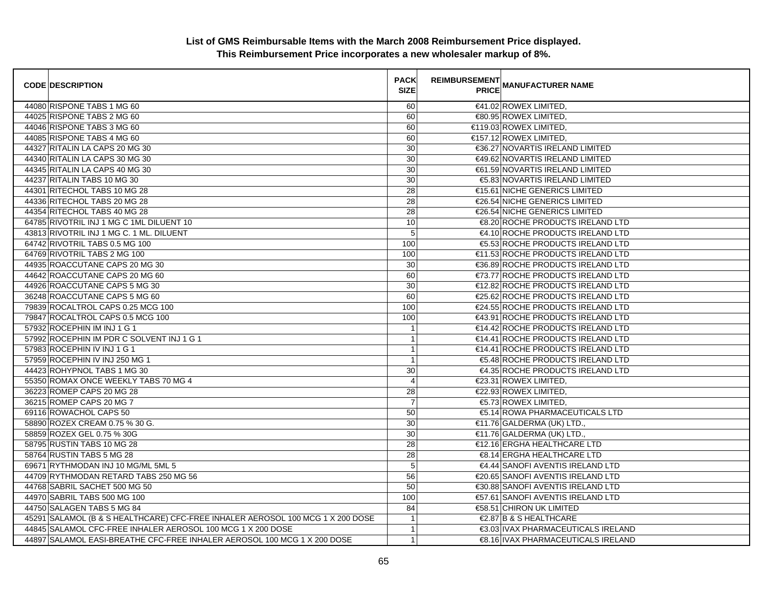| <b>CODE DESCRIPTION</b>                                                        | <b>PACK</b><br><b>SIZE</b> | <b>REIMBURSEMENT</b> | PRICE MANUFACTURER NAME               |
|--------------------------------------------------------------------------------|----------------------------|----------------------|---------------------------------------|
| 44080 RISPONE TABS 1 MG 60                                                     | 60                         |                      | €41.02 ROWEX LIMITED,                 |
| 44025 RISPONE TABS 2 MG 60                                                     | 60                         |                      | €80.95 ROWEX LIMITED,                 |
| 44046 RISPONE TABS 3 MG 60                                                     | 60                         |                      | €119.03 ROWEX LIMITED.                |
| 44085 RISPONE TABS 4 MG 60                                                     | 60                         |                      | €157.12 ROWEX LIMITED.                |
| 44327 RITALIN LA CAPS 20 MG 30                                                 | 30                         |                      | €36.27 NOVARTIS IRELAND LIMITED       |
| 44340 RITALIN LA CAPS 30 MG 30                                                 | 30                         |                      | €49.62 NOVARTIS IRELAND LIMITED       |
| 44345 RITALIN LA CAPS 40 MG 30                                                 | 30                         |                      | €61.59 NOVARTIS IRELAND LIMITED       |
| 44237 RITALIN TABS 10 MG 30                                                    | 30                         |                      | <b>€5.83 NOVARTIS IRELAND LIMITED</b> |
| 44301 RITECHOL TABS 10 MG 28                                                   | 28                         |                      | €15.61 NICHE GENERICS LIMITED         |
| 44336 RITECHOL TABS 20 MG 28                                                   | 28                         |                      | €26.54 NICHE GENERICS LIMITED         |
| 44354 RITECHOL TABS 40 MG 28                                                   | 28                         |                      | €26.54 NICHE GENERICS LIMITED         |
| 64785 RIVOTRIL INJ 1 MG C 1ML DILUENT 10                                       | 10                         |                      | €8.20 ROCHE PRODUCTS IRELAND LTD      |
| 43813 RIVOTRIL INJ 1 MG C. 1 ML. DILUENT                                       | 5                          |                      | €4.10 ROCHE PRODUCTS IRELAND LTD      |
| 64742 RIVOTRIL TABS 0.5 MG 100                                                 | 100                        |                      | €5.53 ROCHE PRODUCTS IRELAND LTD      |
| 64769 RIVOTRIL TABS 2 MG 100                                                   | 100                        |                      | €11.53 ROCHE PRODUCTS IRELAND LTD     |
| 44935 ROACCUTANE CAPS 20 MG 30                                                 | 30                         |                      | €36.89 ROCHE PRODUCTS IRELAND LTD     |
| 44642 ROACCUTANE CAPS 20 MG 60                                                 | 60                         |                      | €73.77 ROCHE PRODUCTS IRELAND LTD     |
| 44926 ROACCUTANE CAPS 5 MG 30                                                  | 30                         |                      | €12.82 ROCHE PRODUCTS IRELAND LTD     |
| 36248 ROACCUTANE CAPS 5 MG 60                                                  | 60                         |                      | €25.62 ROCHE PRODUCTS IRELAND LTD     |
| 79839 ROCALTROL CAPS 0.25 MCG 100                                              | 100                        |                      | €24.55 ROCHE PRODUCTS IRELAND LTD     |
| 79847 ROCALTROL CAPS 0.5 MCG 100                                               | 100                        |                      | €43.91 ROCHE PRODUCTS IRELAND LTD     |
| 57932 ROCEPHIN IM INJ 1 G 1                                                    | $\mathbf{1}$               |                      | €14.42 ROCHE PRODUCTS IRELAND LTD     |
| 57992 ROCEPHIN IM PDR C SOLVENT INJ 1 G 1                                      | $\mathbf{1}$               |                      | €14.41 ROCHE PRODUCTS IRELAND LTD     |
| 57983 ROCEPHIN IV INJ 1 G 1                                                    | $\mathbf{1}$               |                      | €14.41 ROCHE PRODUCTS IRELAND LTD     |
| 57959 ROCEPHIN IV INJ 250 MG 1                                                 | $\overline{1}$             |                      | €5.48 ROCHE PRODUCTS IRELAND LTD      |
| 44423 ROHYPNOL TABS 1 MG 30                                                    | 30                         |                      | €4.35 ROCHE PRODUCTS IRELAND LTD      |
| 55350 ROMAX ONCE WEEKLY TABS 70 MG 4                                           | $\overline{4}$             |                      | €23.31 ROWEX LIMITED,                 |
| 36223 ROMEP CAPS 20 MG 28                                                      | 28                         |                      | €22.93 ROWEX LIMITED,                 |
| 36215 ROMEP CAPS 20 MG 7                                                       | $\overline{7}$             |                      | €5.73 ROWEX LIMITED,                  |
| 69116 ROWACHOL CAPS 50                                                         | 50                         |                      | €5.14 ROWA PHARMACEUTICALS LTD        |
| 58890 ROZEX CREAM 0.75 % 30 G.                                                 | 30                         |                      | €11.76 GALDERMA (UK) LTD.,            |
| 58859 ROZEX GEL 0.75 % 30G                                                     | 30                         |                      | $\in$ 1.76 GALDERMA (UK) LTD.,        |
| 58795 RUSTIN TABS 10 MG 28                                                     | $\overline{28}$            |                      | €12.16 ERGHA HEALTHCARE LTD           |
| 58764 RUSTIN TABS 5 MG 28                                                      | 28                         |                      | €8.14 ERGHA HEALTHCARE LTD            |
| 69671 RYTHMODAN INJ 10 MG/ML 5ML 5                                             | 5                          |                      | €4.44 SANOFI AVENTIS IRELAND LTD      |
| 44709 RYTHMODAN RETARD TABS 250 MG 56                                          | 56                         |                      | €20.65 SANOFI AVENTIS IRELAND LTD     |
| 44768 SABRIL SACHET 500 MG 50                                                  | 50                         |                      | €30.88 SANOFI AVENTIS IRELAND LTD     |
| 44970 SABRIL TABS 500 MG 100                                                   | 100                        |                      | €57.61 SANOFI AVENTIS IRELAND LTD     |
| 44750 SALAGEN TABS 5 MG 84                                                     | 84                         |                      | <b>€58.51 CHIRON UK LIMITED</b>       |
| 45291 SALAMOL (B & S HEALTHCARE) CFC-FREE INHALER AEROSOL 100 MCG 1 X 200 DOSE | $\overline{1}$             |                      | €2.87 B & S HEALTHCARE                |
|                                                                                | $\mathbf{1}$               |                      | €3.03 IVAX PHARMACEUTICALS IRELAND    |
| 44897 SALAMOL EASI-BREATHE CFC-FREE INHALER AEROSOL 100 MCG 1 X 200 DOSE       | 1                          |                      | €8.16 IVAX PHARMACEUTICALS IRELAND    |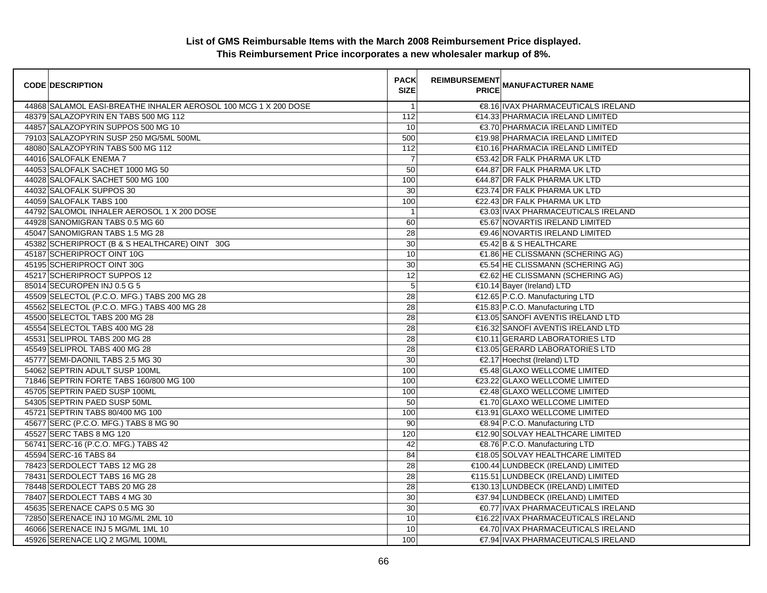| <b>CODE DESCRIPTION</b>                                         | <b>PACK</b><br><b>SIZE</b> | <b>REIMBURSEMENT</b> | <b>CITATION</b><br>PRICE MANUFACTURER NAME |
|-----------------------------------------------------------------|----------------------------|----------------------|--------------------------------------------|
| 44868 SALAMOL EASI-BREATHE INHALER AEROSOL 100 MCG 1 X 200 DOSE | $\overline{1}$             |                      | €8.16 IVAX PHARMACEUTICALS IRELAND         |
| 48379 SALAZOPYRIN EN TABS 500 MG 112                            | 112                        |                      | €14.33 PHARMACIA IRELAND LIMITED           |
| 44857 SALAZOPYRIN SUPPOS 500 MG 10                              | 10                         |                      | €3.70 PHARMACIA IRELAND LIMITED            |
| 79103 SALAZOPYRIN SUSP 250 MG/5ML 500ML                         | 500                        |                      | €19.98 PHARMACIA IRELAND LIMITED           |
| 48080 SALAZOPYRIN TABS 500 MG 112                               | 112                        |                      | €10.16 PHARMACIA IRELAND LIMITED           |
| 44016 SALOFALK ENEMA 7                                          | $\overline{7}$             |                      | €53.42 DR FALK PHARMA UK LTD               |
| 44053 SALOFALK SACHET 1000 MG 50                                | 50                         |                      | €44.87 DR FALK PHARMA UK LTD               |
| 44028 SALOFALK SACHET 500 MG 100                                | 100                        |                      | €44.87 DR FALK PHARMA UK LTD               |
| 44032 SALOFALK SUPPOS 30                                        | 30                         |                      | €23.74 DR FALK PHARMA UK LTD               |
| 44059 SALOFALK TABS 100                                         | 100                        |                      | €22.43 DR FALK PHARMA UK LTD               |
| 44792 SALOMOL INHALER AEROSOL 1 X 200 DOSE                      | $\overline{1}$             |                      | €3.03 IVAX PHARMACEUTICALS IRELAND         |
| 44928 SANOMIGRAN TABS 0.5 MG 60                                 | 60                         |                      | €5.67 NOVARTIS IRELAND LIMITED             |
| 45047 SANOMIGRAN TABS 1.5 MG 28                                 | 28                         |                      | €9.46 NOVARTIS IRELAND LIMITED             |
| 45382 SCHERIPROCT (B & S HEALTHCARE) OINT 30G                   | 30                         |                      | €5.42 B & S HEALTHCARE                     |
| 45187 SCHERIPROCT OINT 10G                                      | 10                         |                      | €1.86 HE CLISSMANN (SCHERING AG)           |
| 45195 SCHERIPROCT OINT 30G                                      | 30                         |                      | €5.54 HE CLISSMANN (SCHERING AG)           |
| 45217 SCHERIPROCT SUPPOS 12                                     | $\overline{12}$            |                      | €2.62 HE CLISSMANN (SCHERING AG)           |
| 85014 SECUROPEN INJ 0.5 G 5                                     | $\overline{5}$             |                      | €10.14 Bayer (Ireland) LTD                 |
| 45509 SELECTOL (P.C.O. MFG.) TABS 200 MG 28                     | $\overline{28}$            |                      | €12.65 P.C.O. Manufacturing LTD            |
| 45562 SELECTOL (P.C.O. MFG.) TABS 400 MG 28                     | $\overline{28}$            |                      | €15.83 P.C.O. Manufacturing LTD            |
| 45500 SELECTOL TABS 200 MG 28                                   | $\overline{28}$            |                      | €13.05 SANOFI AVENTIS IRELAND LTD          |
| 45554 SELECTOL TABS 400 MG 28                                   | $\overline{28}$            |                      | €16.32 SANOFI AVENTIS IRELAND LTD          |
| 45531 SELIPROL TABS 200 MG 28                                   | 28                         |                      | €10.11 GERARD LABORATORIES LTD             |
| 45549 SELIPROL TABS 400 MG 28                                   | 28                         |                      | €13.05 GERARD LABORATORIES LTD             |
| 45777 SEMI-DAONIL TABS 2.5 MG 30                                | 30                         |                      | €2.17 Hoechst (Ireland) LTD                |
| 54062 SEPTRIN ADULT SUSP 100ML                                  | 100                        |                      | €5.48 GLAXO WELLCOME LIMITED               |
| 71846 SEPTRIN FORTE TABS 160/800 MG 100                         | 100                        |                      | €23.22 GLAXO WELLCOME LIMITED              |
| 45705 SEPTRIN PAED SUSP 100ML                                   | 100                        |                      | €2.48 GLAXO WELLCOME LIMITED               |
| 54305 SEPTRIN PAED SUSP 50ML                                    | 50                         |                      | €1.70 GLAXO WELLCOME LIMITED               |
| 45721 SEPTRIN TABS 80/400 MG 100                                | 100                        |                      | €13.91 GLAXO WELLCOME LIMITED              |
| 45677 SERC (P.C.O. MFG.) TABS 8 MG 90                           | 90                         |                      | €8.94 P.C.O. Manufacturing LTD             |
| 45527 SERC TABS 8 MG 120                                        | 120                        |                      | €12.90 SOLVAY HEALTHCARE LIMITED           |
| 56741 SERC-16 (P.C.O. MFG.) TABS 42                             | 42                         |                      | €8.76 P.C.O. Manufacturing LTD             |
| 45594 SERC-16 TABS 84                                           | 84                         |                      | €18.05 SOLVAY HEALTHCARE LIMITED           |
| 78423 SERDOLECT TABS 12 MG 28                                   | 28                         |                      | €100.44 LUNDBECK (IRELAND) LIMITED         |
| 78431 SERDOLECT TABS 16 MG 28                                   | $\overline{28}$            |                      | €115.51 LUNDBECK (IRELAND) LIMITED         |
| 78448 SERDOLECT TABS 20 MG 28                                   | 28                         |                      | €130.13 LUNDBECK (IRELAND) LIMITED         |
| 78407 SERDOLECT TABS 4 MG 30                                    | 30                         |                      | €37.94 LUNDBECK (IRELAND) LIMITED          |
| 45635 SERENACE CAPS 0.5 MG 30                                   | 30                         |                      | €0.77 IVAX PHARMACEUTICALS IRELAND         |
| 72850 SERENACE INJ 10 MG/ML 2ML 10                              | 10                         |                      | €16.22 IVAX PHARMACEUTICALS IRELAND        |
| 46066 SERENACE INJ 5 MG/ML 1ML 10                               | 10                         |                      | €4.70 IVAX PHARMACEUTICALS IRELAND         |
| 45926 SERENACE LIQ 2 MG/ML 100ML                                | 100                        |                      | €7.94 IVAX PHARMACEUTICALS IRELAND         |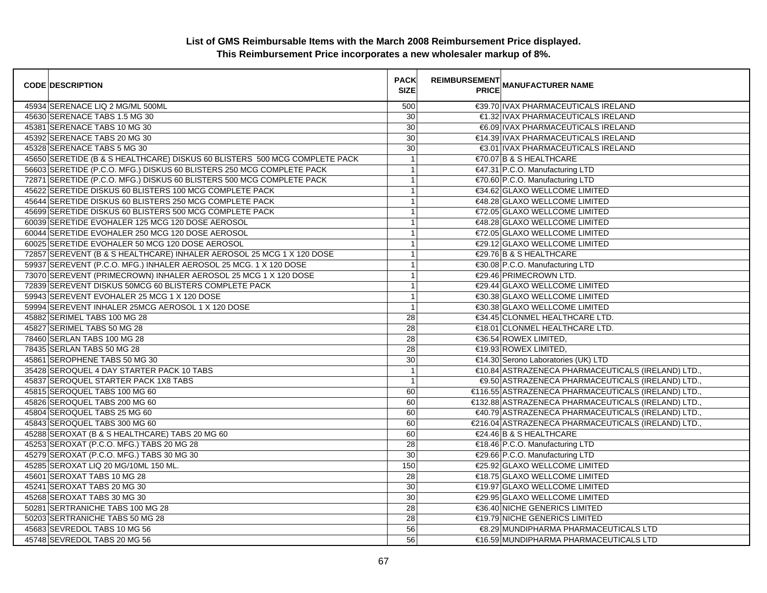| <b>CODE DESCRIPTION</b>                                                    | <b>PACK</b><br><b>SIZE</b> | REIMBURSEMENT<br>PRICE MANUFACTURER NAME            |
|----------------------------------------------------------------------------|----------------------------|-----------------------------------------------------|
| 45934 SERENACE LIQ 2 MG/ML 500ML                                           | 500                        | €39.70 IVAX PHARMACEUTICALS IRELAND                 |
| 45630 SERENACE TABS 1.5 MG 30                                              | 30                         | €1.32 IVAX PHARMACEUTICALS IRELAND                  |
| 45381 SERENACE TABS 10 MG 30                                               | 30                         | €6.09 IVAX PHARMACEUTICALS IRELAND                  |
| 45392 SERENACE TABS 20 MG 30                                               | 30                         | €14.39 IVAX PHARMACEUTICALS IRELAND                 |
| 45328 SERENACE TABS 5 MG 30                                                | 30                         | €3.01 IVAX PHARMACEUTICALS IRELAND                  |
| 45650 SERETIDE (B & S HEALTHCARE) DISKUS 60 BLISTERS 500 MCG COMPLETE PACK | $\mathbf{1}$               | €70.07 B & S HEALTHCARE                             |
| 56603 SERETIDE (P.C.O. MFG.) DISKUS 60 BLISTERS 250 MCG COMPLETE PACK      | $\mathbf{1}$               | €47.31 P.C.O. Manufacturing LTD                     |
| 72871 SERETIDE (P.C.O. MFG.) DISKUS 60 BLISTERS 500 MCG COMPLETE PACK      | $\mathbf{1}$               | €70.60 P.C.O. Manufacturing LTD                     |
| 45622 SERETIDE DISKUS 60 BLISTERS 100 MCG COMPLETE PACK                    | $\mathbf{1}$               | €34.62 GLAXO WELLCOME LIMITED                       |
| 45644 SERETIDE DISKUS 60 BLISTERS 250 MCG COMPLETE PACK                    | $\mathbf{1}$               | €48.28 GLAXO WELLCOME LIMITED                       |
| 45699 SERETIDE DISKUS 60 BLISTERS 500 MCG COMPLETE PACK                    | $\overline{1}$             | €72.05 GLAXO WELLCOME LIMITED                       |
| 60039 SERETIDE EVOHALER 125 MCG 120 DOSE AEROSOL                           | $\mathbf{1}$               | €48.28 GLAXO WELLCOME LIMITED                       |
| 60044 SERETIDE EVOHALER 250 MCG 120 DOSE AEROSOL                           | $\mathbf{1}$               | €72.05 GLAXO WELLCOME LIMITED                       |
| 60025 SERETIDE EVOHALER 50 MCG 120 DOSE AEROSOL                            | $\overline{1}$             | €29.12 GLAXO WELLCOME LIMITED                       |
| 72857 SEREVENT (B & S HEALTHCARE) INHALER AEROSOL 25 MCG 1 X 120 DOSE      | $\mathbf{1}$               | €29.76 B & S HEALTHCARE                             |
| 59937 SEREVENT (P.C.O. MFG.) INHALER AEROSOL 25 MCG. 1 X 120 DOSE          | $\mathbf{1}$               | €30.08 P.C.O. Manufacturing LTD                     |
| 73070 SEREVENT (PRIMECROWN) INHALER AEROSOL 25 MCG 1 X 120 DOSE            | $\mathbf{1}$               | €29.46 PRIMECROWN LTD.                              |
| 72839 SEREVENT DISKUS 50MCG 60 BLISTERS COMPLETE PACK                      | $\mathbf{1}$               | €29.44 GLAXO WELLCOME LIMITED                       |
| 59943 SEREVENT EVOHALER 25 MCG 1 X 120 DOSE                                | $\mathbf{1}$               | €30.38 GLAXO WELLCOME LIMITED                       |
| 59994 SEREVENT INHALER 25MCG AEROSOL 1 X 120 DOSE                          | $\mathbf{1}$               | €30.38 GLAXO WELLCOME LIMITED                       |
| 45882 SERIMEL TABS 100 MG 28                                               | 28                         | €34.45 CLONMEL HEALTHCARE LTD.                      |
| 45827 SERIMEL TABS 50 MG 28                                                | $\overline{28}$            | €18.01 CLONMEL HEALTHCARE LTD.                      |
| 78460 SERLAN TABS 100 MG 28                                                | 28                         | €36.54 ROWEX LIMITED,                               |
| 78435 SERLAN TABS 50 MG 28                                                 | 28                         | $€19.93$ ROWEX LIMITED,                             |
| 45861 SEROPHENE TABS 50 MG 30                                              | $\overline{30}$            | €14.30 Serono Laboratories (UK) LTD                 |
| 35428 SEROQUEL 4 DAY STARTER PACK 10 TABS                                  | $\mathbf{1}$               | €10.84 ASTRAZENECA PHARMACEUTICALS (IRELAND) LTD.,  |
| 45837 SEROQUEL STARTER PACK 1X8 TABS                                       | $\mathbf{1}$               | €9.50 ASTRAZENECA PHARMACEUTICALS (IRELAND) LTD.,   |
| 45815 SEROQUEL TABS 100 MG 60                                              | 60                         | €116.55 ASTRAZENECA PHARMACEUTICALS (IRELAND) LTD., |
| 45826 SEROQUEL TABS 200 MG 60                                              | 60                         | €132.88 ASTRAZENECA PHARMACEUTICALS (IRELAND) LTD., |
| 45804 SEROQUEL TABS 25 MG 60                                               | 60                         | €40.79 ASTRAZENECA PHARMACEUTICALS (IRELAND) LTD.,  |
| 45843 SEROQUEL TABS 300 MG 60                                              | 60                         | €216.04 ASTRAZENECA PHARMACEUTICALS (IRELAND) LTD., |
| 45288 SEROXAT (B & S HEALTHCARE) TABS 20 MG 60                             | 60                         | €24.46 B & S HEALTHCARE                             |
| 45253 SEROXAT (P.C.O. MFG.) TABS 20 MG 28                                  | 28                         | €18.46 P.C.O. Manufacturing LTD                     |
| 45279 SEROXAT (P.C.O. MFG.) TABS 30 MG 30                                  | 30                         | €29.66 P.C.O. Manufacturing LTD                     |
| 45285 SEROXAT LIQ 20 MG/10ML 150 ML.                                       | 150                        | €25.92 GLAXO WELLCOME LIMITED                       |
| 45601 SEROXAT TABS 10 MG 28                                                | $\overline{28}$            | €18.75 GLAXO WELLCOME LIMITED                       |
| 45241 SEROXAT TABS 20 MG 30                                                | 30                         | €19.97 GLAXO WELLCOME LIMITED                       |
| 45268 SEROXAT TABS 30 MG 30                                                | 30                         | €29.95 GLAXO WELLCOME LIMITED                       |
| 50281 SERTRANICHE TABS 100 MG 28                                           | $\overline{28}$            | €36.40 NICHE GENERICS LIMITED                       |
| 50203 SERTRANICHE TABS 50 MG 28                                            | 28                         | €19.79 NICHE GENERICS LIMITED                       |
| 45683 SEVREDOL TABS 10 MG 56                                               | 56                         | €8.29 MUNDIPHARMA PHARMACEUTICALS LTD               |
| 45748 SEVREDOL TABS 20 MG 56                                               | 56                         | €16.59 MUNDIPHARMA PHARMACEUTICALS LTD              |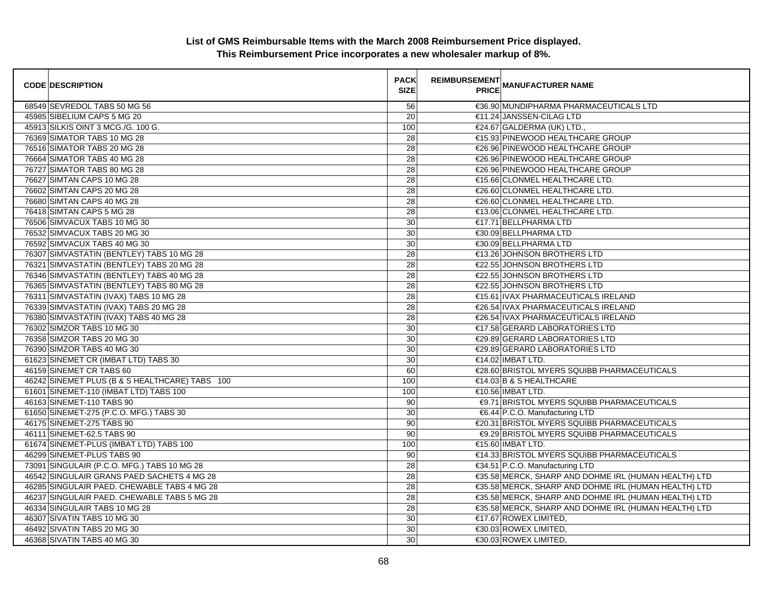| <b>CODE DESCRIPTION</b>                        | <b>PACK</b><br><b>SIZE</b> | <b>REIMBURSEMENT</b> | <b>---------</b><br>PRICE MANUFACTURER NAME          |
|------------------------------------------------|----------------------------|----------------------|------------------------------------------------------|
| 68549 SEVREDOL TABS 50 MG 56                   | 56                         |                      | €36.90 MUNDIPHARMA PHARMACEUTICALS LTD               |
| 45985 SIBELIUM CAPS 5 MG 20                    | 20                         |                      | €11.24 JANSSEN-CILAG LTD                             |
| 45913 SILKIS OINT 3 MCG./G. 100 G.             | 100                        |                      | €24.67 GALDERMA (UK) LTD.                            |
| 76369 SIMATOR TABS 10 MG 28                    | 28                         |                      | €15.93 PINEWOOD HEALTHCARE GROUP                     |
| 76516 SIMATOR TABS 20 MG 28                    | 28                         |                      | €26.96 PINEWOOD HEALTHCARE GROUP                     |
| 76664 SIMATOR TABS 40 MG 28                    | 28                         |                      | €26.96 PINEWOOD HEALTHCARE GROUP                     |
| 76727 SIMATOR TABS 80 MG 28                    | 28                         |                      | €26.96 PINEWOOD HEALTHCARE GROUP                     |
| 76627 SIMTAN CAPS 10 MG 28                     | $\overline{28}$            |                      | €15.66 CLONMEL HEALTHCARE LTD.                       |
| 76602 SIMTAN CAPS 20 MG 28                     | 28                         |                      | €26.60 CLONMEL HEALTHCARE LTD.                       |
| 76680 SIMTAN CAPS 40 MG 28                     | 28                         |                      | €26.60 CLONMEL HEALTHCARE LTD.                       |
| 76418 SIMTAN CAPS 5 MG 28                      | 28                         |                      | €13.06 CLONMEL HEALTHCARE LTD.                       |
| 76506 SIMVACUX TABS 10 MG 30                   | 30                         |                      | €17.71 BELLPHARMA LTD                                |
| 76532 SIMVACUX TABS 20 MG 30                   | 30                         |                      | €30.09 BELLPHARMA LTD                                |
| 76592 SIMVACUX TABS 40 MG 30                   | 30                         |                      | €30.09 BELLPHARMA LTD                                |
| 76307 SIMVASTATIN (BENTLEY) TABS 10 MG 28      | 28                         |                      | €13.26 JOHNSON BROTHERS LTD                          |
| 76321 SIMVASTATIN (BENTLEY) TABS 20 MG 28      | 28                         |                      | €22.55 JOHNSON BROTHERS LTD                          |
| 76346 SIMVASTATIN (BENTLEY) TABS 40 MG 28      | $\overline{28}$            |                      | €22.55 JOHNSON BROTHERS LTD                          |
| 76365 SIMVASTATIN (BENTLEY) TABS 80 MG 28      | 28                         |                      | €22.55 JOHNSON BROTHERS LTD                          |
| 76311 SIMVASTATIN (IVAX) TABS 10 MG 28         | $\overline{28}$            |                      | €15.61 IVAX PHARMACEUTICALS IRELAND                  |
| 76339 SIMVASTATIN (IVAX) TABS 20 MG 28         | 28                         |                      | €26.54 IVAX PHARMACEUTICALS IRELAND                  |
| 76380 SIMVASTATIN (IVAX) TABS 40 MG 28         | $\overline{28}$            |                      | €26.54 IVAX PHARMACEUTICALS IRELAND                  |
| 76302 SIMZOR TABS 10 MG 30                     | 30                         |                      | €17.58 GERARD LABORATORIES LTD                       |
| 76358 SIMZOR TABS 20 MG 30                     | 30                         |                      | €29.89 GERARD LABORATORIES LTD                       |
| 76390 SIMZOR TABS 40 MG 30                     | 30                         |                      | €29.89 GERARD LABORATORIES LTD                       |
| 61623 SINEMET CR (IMBAT LTD) TABS 30           | 30                         |                      | $€14.02$ IMBAT LTD.                                  |
| 46159 SINEMET CR TABS 60                       | 60                         |                      | €28.60 BRISTOL MYERS SQUIBB PHARMACEUTICALS          |
| 46242 SINEMET PLUS (B & S HEALTHCARE) TABS 100 | 100                        |                      | €14.03 B & S HEALTHCARE                              |
| 61601 SINEMET-110 (IMBAT LTD) TABS 100         | 100                        |                      | €10.56 IMBAT LTD.                                    |
| 46163 SINEMET-110 TABS 90                      | 90                         |                      | <b>€9.71 BRISTOL MYERS SQUIBB PHARMACEUTICALS</b>    |
| 61650 SINEMET-275 (P.C.O. MFG.) TABS 30        | 30                         |                      | €6.44 P.C.O. Manufacturing LTD                       |
| 46175 SINEMET-275 TABS 90                      | 90                         |                      | €20.31 BRISTOL MYERS SQUIBB PHARMACEUTICALS          |
| 46111 SINEMET-62.5 TABS 90                     | 90                         |                      | €9.29 BRISTOL MYERS SQUIBB PHARMACEUTICALS           |
| 61674 SINEMET-PLUS (IMBAT LTD) TABS 100        | 100                        |                      | €15.60 IMBAT LTD.                                    |
| 46299 SINEMET-PLUS TABS 90                     | 90                         |                      | €14.33 BRISTOL MYERS SQUIBB PHARMACEUTICALS          |
| 73091 SINGULAIR (P.C.O. MFG.) TABS 10 MG 28    | 28                         |                      | €34.51 P.C.O. Manufacturing LTD                      |
| 46542 SINGULAIR GRANS PAED SACHETS 4 MG 28     | $\overline{28}$            |                      | €35.58 MERCK, SHARP AND DOHME IRL (HUMAN HEALTH) LTD |
| 46285 SINGULAIR PAED. CHEWABLE TABS 4 MG 28    | 28                         |                      | €35.58 MERCK, SHARP AND DOHME IRL (HUMAN HEALTH) LTD |
| 46237 SINGULAIR PAED. CHEWABLE TABS 5 MG 28    | 28                         |                      | €35.58 MERCK, SHARP AND DOHME IRL (HUMAN HEALTH) LTD |
| 46334 SINGULAIR TABS 10 MG 28                  | $\overline{28}$            |                      | €35.58 MERCK, SHARP AND DOHME IRL (HUMAN HEALTH) LTD |
| 46307 SIVATIN TABS 10 MG 30                    | 30                         |                      | €17.67 ROWEX LIMITED,                                |
| 46492 SIVATIN TABS 20 MG 30                    | 30                         |                      | €30.03 ROWEX LIMITED.                                |
| 46368 SIVATIN TABS 40 MG 30                    | 30                         |                      | €30.03 ROWEX LIMITED.                                |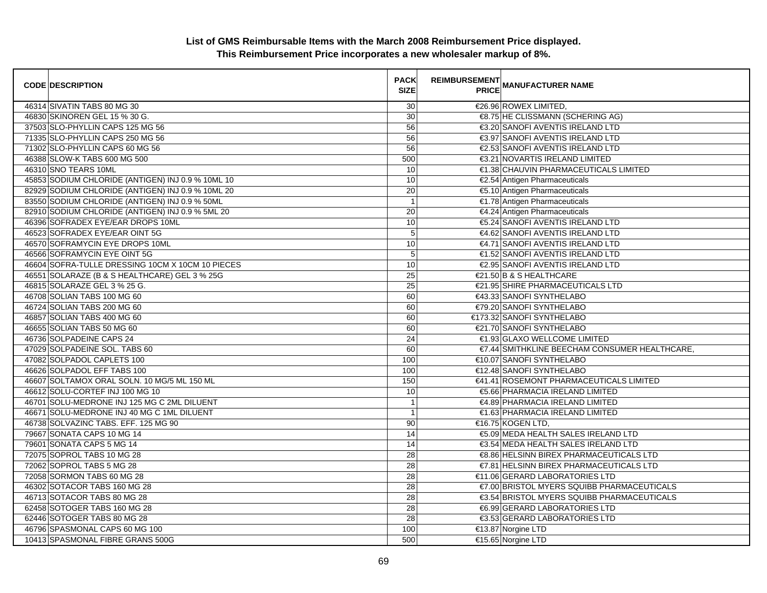| <b>CODE DESCRIPTION</b>                           | <b>PACK</b><br><b>SIZE</b> | <b>REIMBURSEMENT</b> | <b>PRICE MANUFACTURER NAME</b>                |
|---------------------------------------------------|----------------------------|----------------------|-----------------------------------------------|
| 46314 SIVATIN TABS 80 MG 30                       | 30                         |                      | €26.96 ROWEX LIMITED,                         |
| 46830 SKINOREN GEL 15 % 30 G.                     | 30                         |                      | €8.75 HE CLISSMANN (SCHERING AG)              |
| 37503 SLO-PHYLLIN CAPS 125 MG 56                  | 56                         |                      | €3.20 SANOFI AVENTIS IRELAND LTD              |
| 71335 SLO-PHYLLIN CAPS 250 MG 56                  | 56                         |                      | €3.97 SANOFI AVENTIS IRELAND LTD              |
| 71302 SLO-PHYLLIN CAPS 60 MG 56                   | 56                         |                      | €2.53 SANOFI AVENTIS IRELAND LTD              |
| 46388 SLOW-K TABS 600 MG 500                      | 500                        |                      | €3.21 NOVARTIS IRELAND LIMITED                |
| 46310 SNO TEARS 10ML                              | 10                         |                      | €1.38 CHAUVIN PHARMACEUTICALS LIMITED         |
| 45853 SODIUM CHLORIDE (ANTIGEN) INJ 0.9 % 10ML 10 | 10                         |                      | €2.54 Antigen Pharmaceuticals                 |
| 82929 SODIUM CHLORIDE (ANTIGEN) INJ 0.9 % 10ML 20 | $\overline{20}$            |                      | €5.10 Antigen Pharmaceuticals                 |
| 83550 SODIUM CHLORIDE (ANTIGEN) INJ 0.9 % 50ML    | $\overline{1}$             |                      | €1.78 Antigen Pharmaceuticals                 |
| 82910 SODIUM CHLORIDE (ANTIGEN) INJ 0.9 % 5ML 20  | 20                         |                      | €4.24 Antigen Pharmaceuticals                 |
| 46396 SOFRADEX EYE/EAR DROPS 10ML                 | 10                         |                      | €5.24 SANOFI AVENTIS IRELAND LTD              |
| 46523 SOFRADEX EYE/EAR OINT 5G                    | 5                          |                      | €4.62 SANOFI AVENTIS IRELAND LTD              |
| 46570 SOFRAMYCIN EYE DROPS 10ML                   | $10$                       |                      | €4.71 SANOFI AVENTIS IRELAND LTD              |
| 46566 SOFRAMYCIN EYE OINT 5G                      | $\sqrt{5}$                 |                      | €1.52 SANOFI AVENTIS IRELAND LTD              |
| 46604 SOFRA-TULLE DRESSING 10CM X 10CM 10 PIECES  | 10                         |                      | €2.95 SANOFI AVENTIS IRELAND LTD              |
| 46551 SOLARAZE (B & S HEALTHCARE) GEL 3 % 25G     | $\overline{25}$            |                      | €21.50 B & S HEALTHCARE                       |
| 46815 SOLARAZE GEL 3 % 25 G.                      | 25                         |                      | €21.95 SHIRE PHARMACEUTICALS LTD              |
| 46708 SOLIAN TABS 100 MG 60                       | 60                         |                      | €43.33 SANOFI SYNTHELABO                      |
| 46724 SOLIAN TABS 200 MG 60                       | 60                         |                      | €79.20 SANOFI SYNTHELABO                      |
| 46857 SOLIAN TABS 400 MG 60                       | 60                         |                      | €173.32 SANOFI SYNTHELABO                     |
| 46655 SOLIAN TABS 50 MG 60                        | 60                         |                      | €21.70 SANOFI SYNTHELABO                      |
| 46736 SOLPADEINE CAPS 24                          | 24                         |                      | €1.93 GLAXO WELLCOME LIMITED                  |
| 47029 SOLPADEINE SOL. TABS 60                     | 60                         |                      | €7.44 SMITHKLINE BEECHAM CONSUMER HEALTHCARE. |
| 47082 SOLPADOL CAPLETS 100                        | 100                        |                      | €10.07 SANOFI SYNTHELABO                      |
| 46626 SOLPADOL EFF TABS 100                       | 100                        |                      | €12.48 SANOFI SYNTHELABO                      |
| 46607 SOLTAMOX ORAL SOLN. 10 MG/5 ML 150 ML       | 150                        |                      | €41.41 ROSEMONT PHARMACEUTICALS LIMITED       |
| 46612 SOLU-CORTEF INJ 100 MG 10                   | 10                         |                      | €5.66 PHARMACIA IRELAND LIMITED               |
| 46701 SOLU-MEDRONE INJ 125 MG C 2ML DILUENT       | $\overline{1}$             |                      | €4.89 PHARMACIA IRELAND LIMITED               |
| 46671 SOLU-MEDRONE INJ 40 MG C 1ML DILUENT        | $\mathbf{1}$               |                      | €1.63 PHARMACIA IRELAND LIMITED               |
| 46738 SOLVAZINC TABS. EFF. 125 MG 90              | 90                         |                      | €16.75 KOGEN LTD,                             |
| 79667 SONATA CAPS 10 MG 14                        | 14                         |                      | €5.09 MEDA HEALTH SALES IRELAND LTD           |
| 79601 SONATA CAPS 5 MG 14                         | 14                         |                      | €3.54 MEDA HEALTH SALES IRELAND LTD           |
| 72075 SOPROL TABS 10 MG 28                        | 28                         |                      | €8.86 HELSINN BIREX PHARMACEUTICALS LTD       |
| 72062 SOPROL TABS 5 MG 28                         | $\overline{28}$            |                      | €7.81 HELSINN BIREX PHARMACEUTICALS LTD       |
| 72058 SORMON TABS 60 MG 28                        | 28                         |                      | €11.06 GERARD LABORATORIES LTD                |
| 46302 SOTACOR TABS 160 MG 28                      | 28                         |                      | €7.00 BRISTOL MYERS SQUIBB PHARMACEUTICALS    |
| 46713 SOTACOR TABS 80 MG 28                       | 28                         |                      | €3.54 BRISTOL MYERS SQUIBB PHARMACEUTICALS    |
| 62458 SOTOGER TABS 160 MG 28                      | $\overline{28}$            |                      | €6.99 GERARD LABORATORIES LTD                 |
| 62446 SOTOGER TABS 80 MG 28                       | 28                         |                      | €3.53 GERARD LABORATORIES LTD                 |
| 46796 SPASMONAL CAPS 60 MG 100                    | 100                        |                      | €13.87 Norgine LTD                            |
| 10413 SPASMONAL FIBRE GRANS 500G                  | 500                        |                      | €15.65 Norgine LTD                            |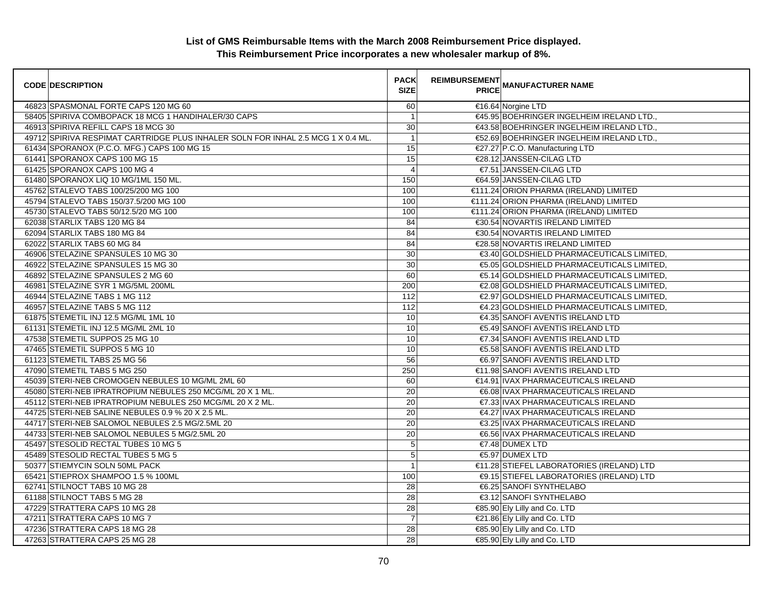| <b>CODE DESCRIPTION</b>                                                          | <b>PACK</b><br><b>SIZE</b> | <b>REIMBURSEMENT</b><br><b>PRICE MANUFACTURER NAME</b> |
|----------------------------------------------------------------------------------|----------------------------|--------------------------------------------------------|
| 46823 SPASMONAL FORTE CAPS 120 MG 60                                             | 60                         | €16.64 Norgine LTD                                     |
| 58405 SPIRIVA COMBOPACK 18 MCG 1 HANDIHALER/30 CAPS                              | $\overline{1}$             | €45.95 BOEHRINGER INGELHEIM IRELAND LTD.,              |
| 46913 SPIRIVA REFILL CAPS 18 MCG 30                                              | 30                         | €43.58 BOEHRINGER INGELHEIM IRELAND LTD.,              |
| 49712 SPIRIVA RESPIMAT CARTRIDGE PLUS INHALER SOLN FOR INHAL 2.5 MCG 1 X 0.4 ML. | $\overline{1}$             | €52.69 BOEHRINGER INGELHEIM IRELAND LTD.               |
| 61434 SPORANOX (P.C.O. MFG.) CAPS 100 MG 15                                      | 15                         | €27.27 P.C.O. Manufacturing LTD                        |
| 61441 SPORANOX CAPS 100 MG 15                                                    | 15                         | €28.12 JANSSEN-CILAG LTD                               |
| 61425 SPORANOX CAPS 100 MG 4                                                     | $\overline{4}$             | €7.51 JANSSEN-CILAG LTD                                |
| 61480 SPORANOX LIQ 10 MG/1ML 150 ML.                                             | 150                        | €64.59 JANSSEN-CILAG LTD                               |
| 45762 STALEVO TABS 100/25/200 MG 100                                             | 100                        | €111.24 ORION PHARMA (IRELAND) LIMITED                 |
| 45794 STALEVO TABS 150/37.5/200 MG 100                                           | 100                        | €111.24 ORION PHARMA (IRELAND) LIMITED                 |
| 45730 STALEVO TABS 50/12.5/20 MG 100                                             | 100                        | €111.24 ORION PHARMA (IRELAND) LIMITED                 |
| 62038 STARLIX TABS 120 MG 84                                                     | 84                         | €30.54 NOVARTIS IRELAND LIMITED                        |
| 62094 STARLIX TABS 180 MG 84                                                     | 84                         | €30.54 NOVARTIS IRELAND LIMITED                        |
| 62022 STARLIX TABS 60 MG 84                                                      | 84                         | €28.58 NOVARTIS IRELAND LIMITED                        |
| 46906 STELAZINE SPANSULES 10 MG 30                                               | 30                         | €3.40 GOLDSHIELD PHARMACEUTICALS LIMITED,              |
| 46922 STELAZINE SPANSULES 15 MG 30                                               | 30                         | €5.05 GOLDSHIELD PHARMACEUTICALS LIMITED,              |
| 46892 STELAZINE SPANSULES 2 MG 60                                                | 60                         | €5.14 GOLDSHIELD PHARMACEUTICALS LIMITED,              |
| 46981 STELAZINE SYR 1 MG/5ML 200ML                                               | 200                        | €2.08 GOLDSHIELD PHARMACEUTICALS LIMITED,              |
| 46944 STELAZINE TABS 1 MG 112                                                    | 112                        | €2.97 GOLDSHIELD PHARMACEUTICALS LIMITED,              |
| 46957 STELAZINE TABS 5 MG 112                                                    | 112                        | €4.23 GOLDSHIELD PHARMACEUTICALS LIMITED,              |
| 61875 STEMETIL INJ 12.5 MG/ML 1ML 10                                             | 10                         | €4.35 SANOFI AVENTIS IRELAND LTD                       |
| 61131 STEMETIL INJ 12.5 MG/ML 2ML 10                                             | 10                         | €5.49 SANOFI AVENTIS IRELAND LTD                       |
| 47538 STEMETIL SUPPOS 25 MG 10                                                   | 10                         | €7.34 SANOFI AVENTIS IRELAND LTD                       |
| 47465 STEMETIL SUPPOS 5 MG 10                                                    | 10                         | €5.58 SANOFI AVENTIS IRELAND LTD                       |
| 61123 STEMETIL TABS 25 MG 56                                                     | 56                         | €6.97 SANOFI AVENTIS IRELAND LTD                       |
| 47090 STEMETIL TABS 5 MG 250                                                     | 250                        | €11.98 SANOFI AVENTIS IRELAND LTD                      |
| 45039 STERI-NEB CROMOGEN NEBULES 10 MG/ML 2ML 60                                 | 60                         | €14.91 IVAX PHARMACEUTICALS IRELAND                    |
| 45080 STERI-NEB IPRATROPIUM NEBULES 250 MCG/ML 20 X 1 ML.                        | 20                         | €6.08 IVAX PHARMACEUTICALS IRELAND                     |
| 45112 STERI-NEB IPRATROPIUM NEBULES 250 MCG/ML 20 X 2 ML.                        | 20                         | €7.33 IVAX PHARMACEUTICALS IRELAND                     |
| 44725 STERI-NEB SALINE NEBULES 0.9 % 20 X 2.5 ML.                                | 20                         | €4.27 IVAX PHARMACEUTICALS IRELAND                     |
| 44717 STERI-NEB SALOMOL NEBULES 2.5 MG/2.5ML 20                                  | $\overline{20}$            | €3.25 IVAX PHARMACEUTICALS IRELAND                     |
| 44733 STERI-NEB SALOMOL NEBULES 5 MG/2.5ML 20                                    | 20                         | €6.56 IVAX PHARMACEUTICALS IRELAND                     |
| 45497 STESOLID RECTAL TUBES 10 MG 5                                              | 5                          | €7.48 DUMEX LTD                                        |
| 45489 STESOLID RECTAL TUBES 5 MG 5                                               | 5                          | €5.97 DUMEX LTD                                        |
| 50377 STIEMYCIN SOLN 50ML PACK                                                   | $\mathbf{1}$               | €11.28 STIEFEL LABORATORIES (IRELAND) LTD              |
| 65421 STIEPROX SHAMPOO 1.5 % 100ML                                               | 100                        | €9.15 STIEFEL LABORATORIES (IRELAND) LTD               |
| 62741 STILNOCT TABS 10 MG 28                                                     | 28                         | €6.25 SANOFI SYNTHELABO                                |
| 61188 STILNOCT TABS 5 MG 28                                                      | 28                         | €3.12 SANOFI SYNTHELABO                                |
| 47229 STRATTERA CAPS 10 MG 28                                                    | 28                         | €85.90 Ely Lilly and Co. LTD                           |
| 47211 STRATTERA CAPS 10 MG 7                                                     | $\overline{7}$             | €21.86 Ely Lilly and Co. LTD                           |
| 47236 STRATTERA CAPS 18 MG 28                                                    | 28                         | €85.90 Ely Lilly and Co. LTD                           |
| 47263 STRATTERA CAPS 25 MG 28                                                    | 28                         | €85.90 Ely Lilly and Co. LTD                           |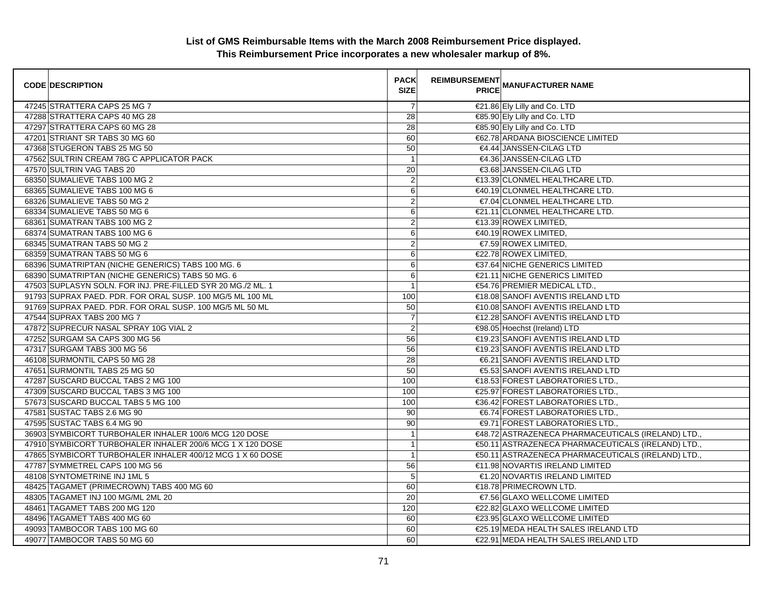| <b>CODE DESCRIPTION</b>                                     | <b>PACK</b><br><b>SIZE</b> | <b>REIMBURSEMENT</b> | <b>PRICE MANUFACTURER NAME</b>                     |
|-------------------------------------------------------------|----------------------------|----------------------|----------------------------------------------------|
| 47245 STRATTERA CAPS 25 MG 7                                | $\overline{7}$             |                      | €21.86 Ely Lilly and Co. LTD                       |
| 47288 STRATTERA CAPS 40 MG 28                               | $\overline{28}$            |                      | €85.90 Ely Lilly and Co. LTD                       |
| 47297 STRATTERA CAPS 60 MG 28                               | 28                         |                      | €85.90 Ely Lilly and Co. LTD                       |
| 47201 STRIANT SR TABS 30 MG 60                              | 60                         |                      | €62.78 ARDANA BIOSCIENCE LIMITED                   |
| 47368 STUGERON TABS 25 MG 50                                | 50                         |                      | €4.44 JANSSEN-CILAG LTD                            |
| 47562 SULTRIN CREAM 78G C APPLICATOR PACK                   | $\overline{1}$             |                      | €4.36 JANSSEN-CILAG LTD                            |
| 47570 SULTRIN VAG TABS 20                                   | 20                         |                      | €3.68 JANSSEN-CILAG LTD                            |
| 68350 SUMALIEVE TABS 100 MG 2                               | $\overline{2}$             |                      | €13.39 CLONMEL HEALTHCARE LTD.                     |
| 68365 SUMALIEVE TABS 100 MG 6                               | 6                          |                      | €40.19 CLONMEL HEALTHCARE LTD.                     |
| 68326 SUMALIEVE TABS 50 MG 2                                | $\overline{2}$             |                      | €7.04 CLONMEL HEALTHCARE LTD.                      |
| 68334 SUMALIEVE TABS 50 MG 6                                | 6                          |                      | €21.11 CLONMEL HEALTHCARE LTD.                     |
| 68361 SUMATRAN TABS 100 MG 2                                | $\overline{2}$             |                      | €13.39 ROWEX LIMITED,                              |
| 68374 SUMATRAN TABS 100 MG 6                                | 6                          |                      | €40.19 ROWEX LIMITED,                              |
| 68345 SUMATRAN TABS 50 MG 2                                 | $\overline{\mathbf{c}}$    |                      | €7.59 ROWEX LIMITED,                               |
| 68359 SUMATRAN TABS 50 MG 6                                 | 6                          |                      | €22.78 ROWEX LIMITED,                              |
| 68396 SUMATRIPTAN (NICHE GENERICS) TABS 100 MG. 6           | 6                          |                      | €37.64 NICHE GENERICS LIMITED                      |
| 68390 SUMATRIPTAN (NICHE GENERICS) TABS 50 MG. 6            | 6                          |                      | €21.11 NICHE GENERICS LIMITED                      |
| 47503 SUPLASYN SOLN. FOR INJ. PRE-FILLED SYR 20 MG./2 ML. 1 | $\mathbf{1}$               |                      | €54.76 PREMIER MEDICAL LTD.,                       |
| 91793 SUPRAX PAED, PDR, FOR ORAL SUSP, 100 MG/5 ML 100 ML   | 100                        |                      | €18.08 SANOFI AVENTIS IRELAND LTD                  |
| 91769 SUPRAX PAED. PDR. FOR ORAL SUSP. 100 MG/5 ML 50 ML    | 50                         |                      | €10.08 SANOFI AVENTIS IRELAND LTD                  |
| 47544 SUPRAX TABS 200 MG 7                                  | $\overline{7}$             |                      | €12.28 SANOFI AVENTIS IRELAND LTD                  |
| 47872 SUPRECUR NASAL SPRAY 10G VIAL 2                       | $\overline{2}$             |                      | €98.05 Hoechst (Ireland) LTD                       |
| 47252 SURGAM SA CAPS 300 MG 56                              | 56                         |                      | €19.23 SANOFI AVENTIS IRELAND LTD                  |
| 47317 SURGAM TABS 300 MG 56                                 | 56                         |                      | €19.23 SANOFI AVENTIS IRELAND LTD                  |
| 46108 SURMONTIL CAPS 50 MG 28                               | 28                         |                      | €6.21 SANOFI AVENTIS IRELAND LTD                   |
| 47651 SURMONTIL TABS 25 MG 50                               | 50                         |                      | €5.53 SANOFI AVENTIS IRELAND LTD                   |
| 47287 SUSCARD BUCCAL TABS 2 MG 100                          | 100                        |                      | €18.53 FOREST LABORATORIES LTD.,                   |
| 47309 SUSCARD BUCCAL TABS 3 MG 100                          | 100                        |                      | €25.97 FOREST LABORATORIES LTD.,                   |
| 57673 SUSCARD BUCCAL TABS 5 MG 100                          | 100                        |                      | €36.42 FOREST LABORATORIES LTD.,                   |
| 47581 SUSTAC TABS 2.6 MG 90                                 | 90                         |                      | €6.74 FOREST LABORATORIES LTD.,                    |
| 47595 SUSTAC TABS 6.4 MG 90                                 | 90                         |                      | <b>€9.71 FOREST LABORATORIES LTD.,</b>             |
| 36903 SYMBICORT TURBOHALER INHALER 100/6 MCG 120 DOSE       | $\mathbf{1}$               |                      | €48.72 ASTRAZENECA PHARMACEUTICALS (IRELAND) LTD., |
| 47910 SYMBICORT TURBOHALER INHALER 200/6 MCG 1 X 120 DOSE   | $\mathbf{1}$               |                      | €50.11 ASTRAZENECA PHARMACEUTICALS (IRELAND) LTD., |
| 47865 SYMBICORT TURBOHALER INHALER 400/12 MCG 1 X 60 DOSE   | $\mathbf{1}$               |                      | €50.11 ASTRAZENECA PHARMACEUTICALS (IRELAND) LTD., |
| 47787 SYMMETREL CAPS 100 MG 56                              | 56                         |                      | €11.98 NOVARTIS IRELAND LIMITED                    |
| 48108 SYNTOMETRINE INJ 1ML 5                                | 5                          |                      | €1.20 NOVARTIS IRELAND LIMITED                     |
| 48425 TAGAMET (PRIMECROWN) TABS 400 MG 60                   | 60                         |                      | €18.78 PRIMECROWN LTD.                             |
| 48305 TAGAMET INJ 100 MG/ML 2ML 20                          | 20                         |                      | €7.56 GLAXO WELLCOME LIMITED                       |
| 48461 TAGAMET TABS 200 MG 120                               | 120                        |                      | €22.82 GLAXO WELLCOME LIMITED                      |
| 48496 TAGAMET TABS 400 MG 60                                | 60                         |                      | €23.95 GLAXO WELLCOME LIMITED                      |
| 49093 TAMBOCOR TABS 100 MG 60                               | 60                         |                      | €25.19 MEDA HEALTH SALES IRELAND LTD               |
| 49077 TAMBOCOR TABS 50 MG 60                                | 60                         |                      | €22.91 MEDA HEALTH SALES IRELAND LTD               |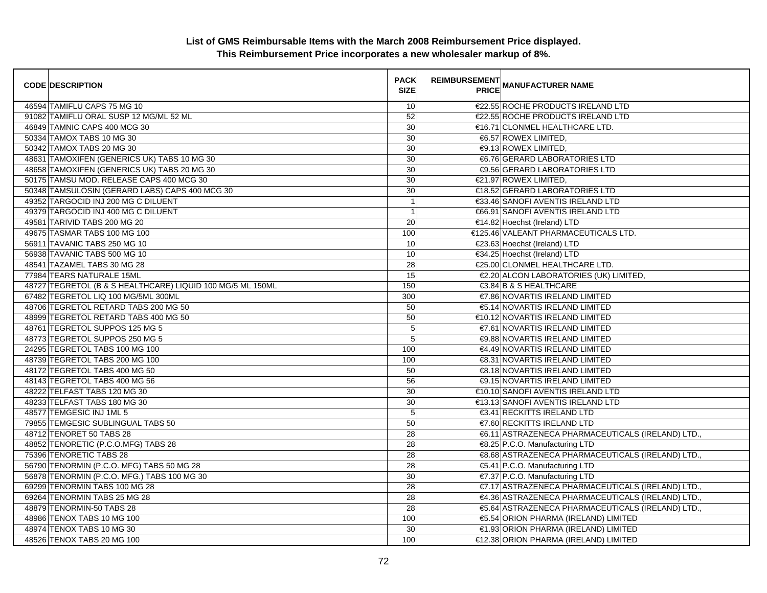| <b>CODE DESCRIPTION</b>                                    | <b>PACK</b><br><b>SIZE</b> | <b>REIMBURSEMENT</b> | <b>---------</b><br>PRICE MANUFACTURER NAME       |
|------------------------------------------------------------|----------------------------|----------------------|---------------------------------------------------|
| 46594 TAMIFLU CAPS 75 MG 10                                | 10                         |                      | €22.55 ROCHE PRODUCTS IRELAND LTD                 |
| 91082 TAMIFLU ORAL SUSP 12 MG/ML 52 ML                     | 52                         |                      | €22.55 ROCHE PRODUCTS IRELAND LTD                 |
| 46849 TAMNIC CAPS 400 MCG 30                               | 30                         |                      | €16.71 CLONMEL HEALTHCARE LTD.                    |
| 50334 TAMOX TABS 10 MG 30                                  | 30                         |                      | €6.57 ROWEX LIMITED.                              |
| 50342 TAMOX TABS 20 MG 30                                  | 30                         |                      | €9.13 ROWEX LIMITED,                              |
| 48631 TAMOXIFEN (GENERICS UK) TABS 10 MG 30                | 30                         |                      | €6.76 GERARD LABORATORIES LTD                     |
| 48658 TAMOXIFEN (GENERICS UK) TABS 20 MG 30                | 30                         |                      | <b>€9.56 GERARD LABORATORIES LTD</b>              |
| 50175 TAMSU MOD. RELEASE CAPS 400 MCG 30                   | 30                         |                      | €21.97 ROWEX LIMITED,                             |
| 50348 TAMSULOSIN (GERARD LABS) CAPS 400 MCG 30             | 30                         |                      | €18.52 GERARD LABORATORIES LTD                    |
| 49352 TARGOCID INJ 200 MG C DILUENT                        | $\overline{1}$             |                      | €33.46 SANOFI AVENTIS IRELAND LTD                 |
| 49379 TARGOCID INJ 400 MG C DILUENT                        | $\overline{1}$             |                      | €66.91 SANOFI AVENTIS IRELAND LTD                 |
| 49581 TARIVID TABS 200 MG 20                               | 20                         |                      | €14.82 Hoechst (Ireland) LTD                      |
| 49675 TASMAR TABS 100 MG 100                               | 100                        |                      | €125.46 VALEANT PHARMACEUTICALS LTD               |
| 56911 TAVANIC TABS 250 MG 10                               | 10                         |                      | €23.63 Hoechst (Ireland) LTD                      |
| 56938 TAVANIC TABS 500 MG 10                               | 10                         |                      | €34.25 Hoechst (Ireland) LTD                      |
| 48541 TAZAMEL TABS 30 MG 28                                | 28                         |                      | €25.00 CLONMEL HEALTHCARE LTD.                    |
| 77984 TEARS NATURALE 15ML                                  | 15                         |                      | €2.20 ALCON LABORATORIES (UK) LIMITED             |
| 48727 TEGRETOL (B & S HEALTHCARE) LIQUID 100 MG/5 ML 150ML | 150                        |                      | €3.84 B & S HEALTHCARE                            |
| 67482 TEGRETOL LIQ 100 MG/5ML 300ML                        | 300                        |                      | €7.86 NOVARTIS IRELAND LIMITED                    |
| 48706 TEGRETOL RETARD TABS 200 MG 50                       | 50                         |                      | €5.14 NOVARTIS IRELAND LIMITED                    |
| 48999 TEGRETOL RETARD TABS 400 MG 50                       | 50                         |                      | €10.12 NOVARTIS IRELAND LIMITED                   |
| 48761 TEGRETOL SUPPOS 125 MG 5                             | 5                          |                      | €7.61 NOVARTIS IRELAND LIMITED                    |
| 48773 TEGRETOL SUPPOS 250 MG 5                             | 5                          |                      | <b>€9.88 NOVARTIS IRELAND LIMITED</b>             |
| 24295 TEGRETOL TABS 100 MG 100                             | 100                        |                      | €4.49 NOVARTIS IRELAND LIMITED                    |
| 48739 TEGRETOL TABS 200 MG 100                             | 100                        |                      | <b>€8.31 NOVARTIS IRELAND LIMITED</b>             |
| 48172 TEGRETOL TABS 400 MG 50                              | 50                         |                      | €8.18 NOVARTIS IRELAND LIMITED                    |
| 48143 TEGRETOL TABS 400 MG 56                              | 56                         |                      | <b>€9.15 NOVARTIS IRELAND LIMITED</b>             |
| 48222 TELFAST TABS 120 MG 30                               | 30                         |                      | €10.10 SANOFI AVENTIS IRELAND LTD                 |
| 48233 TELFAST TABS 180 MG 30                               | 30                         |                      | €13.13 SANOFI AVENTIS IRELAND LTD                 |
| 48577 TEMGESIC INJ 1ML 5                                   | 5                          |                      | €3.41 RECKITTS IRELAND LTD                        |
| 79855 TEMGESIC SUBLINGUAL TABS 50                          | 50                         |                      | €7.60 RECKITTS IRELAND LTD                        |
| 48712 TENORET 50 TABS 28                                   | 28                         |                      | €6.11 ASTRAZENECA PHARMACEUTICALS (IRELAND) LTD.  |
| 48852 TENORETIC (P.C.O.MFG) TABS 28                        | 28                         |                      | €8.25 P.C.O. Manufacturing LTD                    |
| 75396 TENORETIC TABS 28                                    | 28                         |                      | €8.68 ASTRAZENECA PHARMACEUTICALS (IRELAND) LTD., |
| 56790 TENORMIN (P.C.O. MFG) TABS 50 MG 28                  | $\overline{28}$            |                      | €5.41 P.C.O. Manufacturing LTD                    |
| 56878 TENORMIN (P.C.O. MFG.) TABS 100 MG 30                | 30                         |                      | €7.37 P.C.O. Manufacturing LTD                    |
| 69299 TENORMIN TABS 100 MG 28                              | 28                         |                      | €7.17 ASTRAZENECA PHARMACEUTICALS (IRELAND) LTD., |
| 69264 TENORMIN TABS 25 MG 28                               | 28                         |                      | €4.36 ASTRAZENECA PHARMACEUTICALS (IRELAND) LTD.  |
| 48879 TENORMIN-50 TABS 28                                  | 28                         |                      | €5.64 ASTRAZENECA PHARMACEUTICALS (IRELAND) LTD., |
| 48986 TENOX TABS 10 MG 100                                 | 100                        |                      | €5.54 ORION PHARMA (IRELAND) LIMITED              |
| 48974 TENOX TABS 10 MG 30                                  | 30                         |                      | €1.93 ORION PHARMA (IRELAND) LIMITED              |
| 48526 TENOX TABS 20 MG 100                                 | 100                        |                      | €12.38 ORION PHARMA (IRELAND) LIMITED             |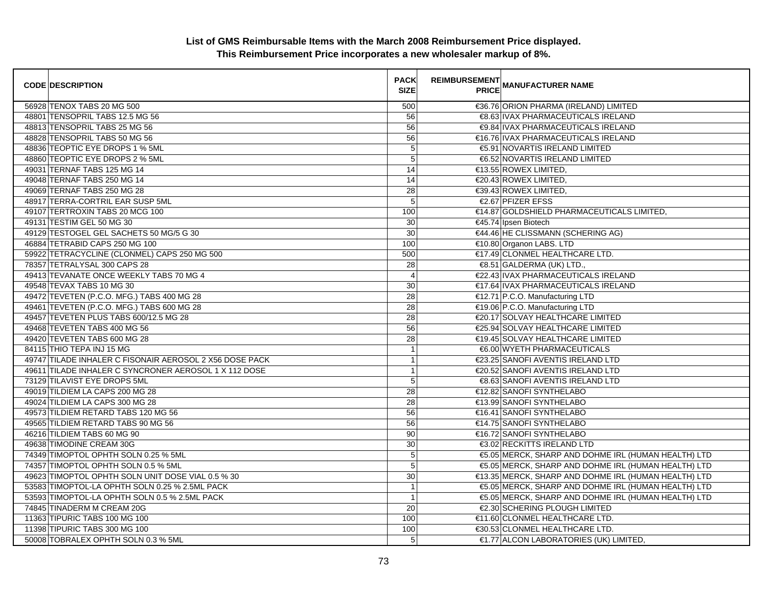| <b>CODE DESCRIPTION</b>                                 | <b>PACK</b><br><b>SIZE</b> | <b>REIMBURSEMENT</b> | <b>PRICE MANUFACTURER NAME</b>                       |
|---------------------------------------------------------|----------------------------|----------------------|------------------------------------------------------|
| 56928 TENOX TABS 20 MG 500                              | 500                        |                      | €36.76 ORION PHARMA (IRELAND) LIMITED                |
| 48801 TENSOPRIL TABS 12.5 MG 56                         | 56                         |                      | €8.63 IVAX PHARMACEUTICALS IRELAND                   |
| 48813 TENSOPRIL TABS 25 MG 56                           | 56                         |                      | €9.84 IVAX PHARMACEUTICALS IRELAND                   |
| 48828 TENSOPRIL TABS 50 MG 56                           | 56                         |                      | €16.76 IVAX PHARMACEUTICALS IRELAND                  |
| 48836 TEOPTIC EYE DROPS 1 % 5ML                         | $\mathbf 5$                |                      | €5.91 NOVARTIS IRELAND LIMITED                       |
| 48860 TEOPTIC EYE DROPS 2 % 5ML                         | 5                          |                      | €6.52 NOVARTIS IRELAND LIMITED                       |
| 49031 TERNAF TABS 125 MG 14                             | 14                         |                      | €13.55 ROWEX LIMITED,                                |
| 49048 TERNAF TABS 250 MG 14                             | 14                         |                      | €20.43 ROWEX LIMITED,                                |
| 49069 TERNAF TABS 250 MG 28                             | 28                         |                      | €39.43 ROWEX LIMITED,                                |
| 48917 TERRA-CORTRIL EAR SUSP 5ML                        | 5                          |                      | €2.67 PFIZER EFSS                                    |
| 49107 TERTROXIN TABS 20 MCG 100                         | 100                        |                      | €14.87 GOLDSHIELD PHARMACEUTICALS LIMITED.           |
| 49131 TESTIM GEL 50 MG 30                               | 30                         |                      | €45.74 Ipsen Biotech                                 |
| 49129 TESTOGEL GEL SACHETS 50 MG/5 G 30                 | 30                         |                      | €44.46 HE CLISSMANN (SCHERING AG)                    |
| 46884 TETRABID CAPS 250 MG 100                          | 100                        |                      | €10.80 Organon LABS. LTD                             |
| 59922 TETRACYCLINE (CLONMEL) CAPS 250 MG 500            | 500                        |                      | €17.49 CLONMEL HEALTHCARE LTD.                       |
| 78357 TETRALYSAL 300 CAPS 28                            | 28                         |                      | €8.51 GALDERMA (UK) LTD.,                            |
| 49413 TEVANATE ONCE WEEKLY TABS 70 MG 4                 | 4                          |                      | €22.43 IVAX PHARMACEUTICALS IRELAND                  |
| 49548 TEVAX TABS 10 MG 30                               | 30                         |                      | €17.64 IVAX PHARMACEUTICALS IRELAND                  |
| 49472 TEVETEN (P.C.O. MFG.) TABS 400 MG 28              | $\overline{28}$            |                      | €12.71 P.C.O. Manufacturing LTD                      |
| 49461 TEVETEN (P.C.O. MFG.) TABS 600 MG 28              | 28                         |                      | €19.06 P.C.O. Manufacturing LTD                      |
| 49457 TEVETEN PLUS TABS 600/12.5 MG 28                  | $\overline{28}$            |                      | €20.17 SOLVAY HEALTHCARE LIMITED                     |
| 49468 TEVETEN TABS 400 MG 56                            | 56                         |                      | €25.94 SOLVAY HEALTHCARE LIMITED                     |
| 49420 TEVETEN TABS 600 MG 28                            | 28                         |                      | €19.45 SOLVAY HEALTHCARE LIMITED                     |
| 84115 THIO TEPA INJ 15 MG                               | $\overline{1}$             |                      | €6.00 WYETH PHARMACEUTICALS                          |
| 49747 TILADE INHALER C FISONAIR AEROSOL 2 X56 DOSE PACK | $\mathbf{1}$               |                      | €23.25 SANOFI AVENTIS IRELAND LTD                    |
| 49611 TILADE INHALER C SYNCRONER AEROSOL 1 X 112 DOSE   | $\mathbf{1}$               |                      | €20.52 SANOFI AVENTIS IRELAND LTD                    |
| 73129 TILAVIST EYE DROPS 5ML                            | $\sqrt{5}$                 |                      | €8.63 SANOFI AVENTIS IRELAND LTD                     |
| 49019 TILDIEM LA CAPS 200 MG 28                         | 28                         |                      | €12.82 SANOFI SYNTHELABO                             |
| 49024 TILDIEM LA CAPS 300 MG 28                         | 28                         |                      | €13.99 SANOFI SYNTHELABO                             |
| 49573 TILDIEM RETARD TABS 120 MG 56                     | 56                         |                      | €16.41 SANOFI SYNTHELABO                             |
| 49565 TILDIEM RETARD TABS 90 MG 56                      | 56                         |                      | €14.75 SANOFI SYNTHELABO                             |
| 46216 TILDIEM TABS 60 MG 90                             | 90                         |                      | €16.72 SANOFI SYNTHELABO                             |
| 49638 TIMODINE CREAM 30G                                | $\overline{30}$            |                      | €3.02 RECKITTS IRELAND LTD                           |
| 74349 TIMOPTOL OPHTH SOLN 0.25 % 5ML                    | $\mathbf 5$                |                      | €5.05 MERCK, SHARP AND DOHME IRL (HUMAN HEALTH) LTD  |
| 74357 TIMOPTOL OPHTH SOLN 0.5 % 5ML                     | 5                          |                      | €5.05 MERCK, SHARP AND DOHME IRL (HUMAN HEALTH) LTD  |
| 49623 TIMOPTOL OPHTH SOLN UNIT DOSE VIAL 0.5 % 30       | $\overline{30}$            |                      | €13.35 MERCK, SHARP AND DOHME IRL (HUMAN HEALTH) LTD |
| 53583 TIMOPTOL-LA OPHTH SOLN 0.25 % 2.5ML PACK          | $\mathbf{1}$               |                      | €5.05 MERCK, SHARP AND DOHME IRL (HUMAN HEALTH) LTD  |
| 53593 TIMOPTOL-LA OPHTH SOLN 0.5 % 2.5ML PACK           | $\overline{1}$             |                      | €5.05 MERCK, SHARP AND DOHME IRL (HUMAN HEALTH) LTD  |
| 74845 TINADERM M CREAM 20G                              | $\overline{20}$            |                      | €2.30 SCHERING PLOUGH LIMITED                        |
| 11363 TIPURIC TABS 100 MG 100                           | 100                        |                      | €11.60 CLONMEL HEALTHCARE LTD.                       |
| 11398 TIPURIC TABS 300 MG 100                           | 100                        |                      | €30.53 CLONMEL HEALTHCARE LTD.                       |
| 50008 TOBRALEX OPHTH SOLN 0.3 % 5ML                     | 5                          |                      | €1.77 ALCON LABORATORIES (UK) LIMITED,               |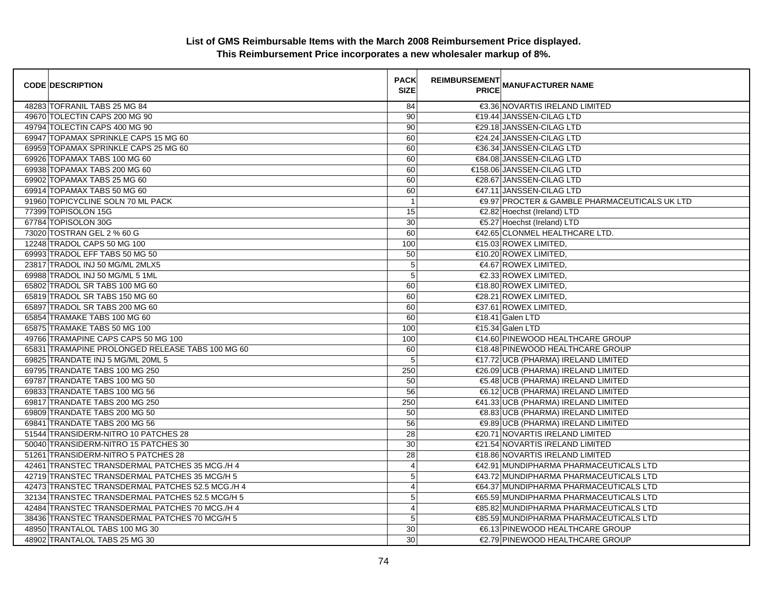| <b>CODE DESCRIPTION</b>                          | <b>PACK</b><br><b>SIZE</b> | <b>REIMBURSEMENT</b> | PRICE MANUFACTURER NAME                       |
|--------------------------------------------------|----------------------------|----------------------|-----------------------------------------------|
| 48283 TOFRANIL TABS 25 MG 84                     | 84                         |                      | €3.36 NOVARTIS IRELAND LIMITED                |
| 49670 TOLECTIN CAPS 200 MG 90                    | 90                         |                      | €19.44 JANSSEN-CILAG LTD                      |
| 49794 TOLECTIN CAPS 400 MG 90                    | 90                         |                      | €29.18 JANSSEN-CILAG LTD                      |
| 69947 TOPAMAX SPRINKLE CAPS 15 MG 60             | 60                         |                      | €24.24 JANSSEN-CILAG LTD                      |
| 69959 TOPAMAX SPRINKLE CAPS 25 MG 60             | 60                         |                      | €36.34 JANSSEN-CILAG LTD                      |
| 69926 TOPAMAX TABS 100 MG 60                     | 60                         |                      | €84.08 JANSSEN-CILAG LTD                      |
| 69938 TOPAMAX TABS 200 MG 60                     | 60                         |                      | €158.06 JANSSEN-CILAG LTD                     |
| 69902 TOPAMAX TABS 25 MG 60                      | 60                         |                      | €28.67 JANSSEN-CILAG LTD                      |
| 69914 TOPAMAX TABS 50 MG 60                      | 60                         |                      | €47.11 JANSSEN-CILAG LTD                      |
| 91960 TOPICYCLINE SOLN 70 ML PACK                | $\overline{1}$             |                      | €9.97 PROCTER & GAMBLE PHARMACEUTICALS UK LTD |
| 77399 TOPISOLON 15G                              | 15                         |                      | €2.82 Hoechst (Ireland) LTD                   |
| 67784 TOPISOLON 30G                              | 30                         |                      | €5.27 Hoechst (Ireland) LTD                   |
| 73020 TOSTRAN GEL 2 % 60 G                       | 60                         |                      | €42.65 CLONMEL HEALTHCARE LTD.                |
| 12248 TRADOL CAPS 50 MG 100                      | 100                        |                      | €15.03 ROWEX LIMITED,                         |
| 69993 TRADOL EFF TABS 50 MG 50                   | 50                         |                      | $€10.20$ ROWEX LIMITED,                       |
| 23817 TRADOL INJ 50 MG/ML 2MLX5                  | $\overline{5}$             |                      | €4.67 ROWEX LIMITED,                          |
| 69988 TRADOL INJ 50 MG/ML 5 1ML                  | 5                          |                      | €2.33 ROWEX LIMITED,                          |
| 65802 TRADOL SR TABS 100 MG 60                   | 60                         |                      | €18.80 ROWEX LIMITED,                         |
| 65819 TRADOL SR TABS 150 MG 60                   | 60                         |                      | €28.21 ROWEX LIMITED.                         |
| 65897 TRADOL SR TABS 200 MG 60                   | 60                         |                      | €37.61 ROWEX LIMITED,                         |
| 65854 TRAMAKE TABS 100 MG 60                     | 60                         |                      | €18.41 Galen LTD                              |
| 65875 TRAMAKE TABS 50 MG 100                     | 100                        |                      | €15.34 Galen LTD                              |
| 49766 TRAMAPINE CAPS CAPS 50 MG 100              | 100                        |                      | €14.60 PINEWOOD HEALTHCARE GROUP              |
| 65831 TRAMAPINE PROLONGED RELEASE TABS 100 MG 60 | 60                         |                      | €18.48 PINEWOOD HEALTHCARE GROUP              |
| 69825 TRANDATE INJ 5 MG/ML 20ML 5                | 5                          |                      | €17.72 UCB (PHARMA) IRELAND LIMITED           |
| 69795 TRANDATE TABS 100 MG 250                   | 250                        |                      | €26.09 UCB (PHARMA) IRELAND LIMITED           |
| 69787 TRANDATE TABS 100 MG 50                    | 50                         |                      | €5.48 UCB (PHARMA) IRELAND LIMITED            |
| 69833 TRANDATE TABS 100 MG 56                    | 56                         |                      | €6.12 UCB (PHARMA) IRELAND LIMITED            |
| 69817 TRANDATE TABS 200 MG 250                   | 250                        |                      | €41.33 UCB (PHARMA) IRELAND LIMITED           |
| 69809 TRANDATE TABS 200 MG 50                    | 50                         |                      | €8.83 UCB (PHARMA) IRELAND LIMITED            |
| 69841 TRANDATE TABS 200 MG 56                    | 56                         |                      | €9.89 UCB (PHARMA) IRELAND LIMITED            |
| 51544 TRANSIDERM-NITRO 10 PATCHES 28             | 28                         |                      | €20.71 NOVARTIS IRELAND LIMITED               |
| 50040 TRANSIDERM-NITRO 15 PATCHES 30             | 30                         |                      | €21.54 NOVARTIS IRELAND LIMITED               |
| 51261 TRANSIDERM-NITRO 5 PATCHES 28              | 28                         |                      | €18.86 NOVARTIS IRELAND LIMITED               |
| 42461 TRANSTEC TRANSDERMAL PATCHES 35 MCG./H 4   | 4                          |                      | €42.91 MUNDIPHARMA PHARMACEUTICALS LTD        |
| 42719 TRANSTEC TRANSDERMAL PATCHES 35 MCG/H 5    | $\overline{5}$             |                      | €43.72 MUNDIPHARMA PHARMACEUTICALS LTD        |
| 42473 TRANSTEC TRANSDERMAL PATCHES 52.5 MCG./H 4 | $\overline{\mathbf{4}}$    |                      | €64.37 MUNDIPHARMA PHARMACEUTICALS LTD        |
| 32134 TRANSTEC TRANSDERMAL PATCHES 52.5 MCG/H 5  | 5                          |                      | €65.59 MUNDIPHARMA PHARMACEUTICALS LTD        |
| 42484 TRANSTEC TRANSDERMAL PATCHES 70 MCG./H 4   | 4                          |                      | €85.82 MUNDIPHARMA PHARMACEUTICALS LTD        |
| 38436 TRANSTEC TRANSDERMAL PATCHES 70 MCG/H 5    | 5                          |                      | €85.59 MUNDIPHARMA PHARMACEUTICALS LTD        |
| 48950 TRANTALOL TABS 100 MG 30                   | 30                         |                      | €6.13 PINEWOOD HEALTHCARE GROUP               |
| 48902 TRANTALOL TABS 25 MG 30                    | 30                         |                      | €2.79 PINEWOOD HEALTHCARE GROUP               |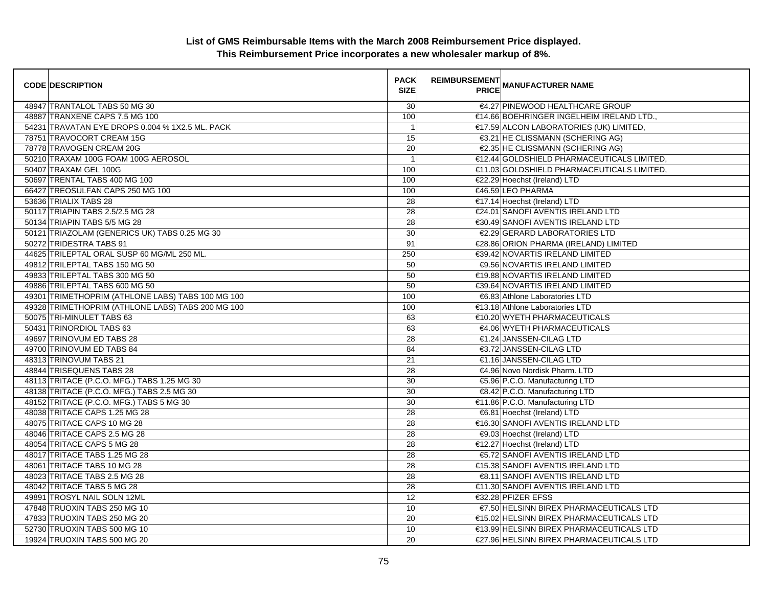| <b>CODE DESCRIPTION</b>                           | <b>PACK</b><br><b>SIZE</b> | REIMBURSEMENT<br>PRICE MANUFACTURER NAME   |
|---------------------------------------------------|----------------------------|--------------------------------------------|
| 48947 TRANTALOL TABS 50 MG 30                     | 30                         | €4.27 PINEWOOD HEALTHCARE GROUP            |
| 48887 TRANXENE CAPS 7.5 MG 100                    | 100                        | €14.66 BOEHRINGER INGELHEIM IRELAND LTD.,  |
| 54231 TRAVATAN EYE DROPS 0.004 % 1X2.5 ML. PACK   | $\mathbf{1}$               | €17.59 ALCON LABORATORIES (UK) LIMITED,    |
| 78751 TRAVOCORT CREAM 15G                         | 15                         | €3.21 HE CLISSMANN (SCHERING AG)           |
| 78778 TRAVOGEN CREAM 20G                          | 20                         | €2.35 HE CLISSMANN (SCHERING AG)           |
| 50210 TRAXAM 100G FOAM 100G AEROSOL               | $\mathbf{1}$               | €12.44 GOLDSHIELD PHARMACEUTICALS LIMITED, |
| 50407 TRAXAM GEL 100G                             | 100                        | €11.03 GOLDSHIELD PHARMACEUTICALS LIMITED. |
| 50697 TRENTAL TABS 400 MG 100                     | 100                        | €22.29 Hoechst (Ireland) LTD               |
| 66427 TREOSULFAN CAPS 250 MG 100                  | 100                        | €46.59 LEO PHARMA                          |
| 53636 TRIALIX TABS 28                             | 28                         | €17.14 Hoechst (Ireland) LTD               |
| 50117 TRIAPIN TABS 2.5/2.5 MG 28                  | $\overline{28}$            | €24.01 SANOFI AVENTIS IRELAND LTD          |
| 50134 TRIAPIN TABS 5/5 MG 28                      | 28                         | €30.49 SANOFI AVENTIS IRELAND LTD          |
| 50121 TRIAZOLAM (GENERICS UK) TABS 0.25 MG 30     | 30                         | €2.29 GERARD LABORATORIES LTD              |
| 50272 TRIDESTRA TABS 91                           | 91                         | €28.86 ORION PHARMA (IRELAND) LIMITED      |
| 44625 TRILEPTAL ORAL SUSP 60 MG/ML 250 ML.        | 250                        | €39.42 NOVARTIS IRELAND LIMITED            |
| 49812 TRILEPTAL TABS 150 MG 50                    | 50                         | €9.56 NOVARTIS IRELAND LIMITED             |
| 49833 TRILEPTAL TABS 300 MG 50                    | 50                         | €19.88 NOVARTIS IRELAND LIMITED            |
| 49886 TRILEPTAL TABS 600 MG 50                    | $\overline{50}$            | €39.64 NOVARTIS IRELAND LIMITED            |
| 49301 TRIMETHOPRIM (ATHLONE LABS) TABS 100 MG 100 | 100                        | €6.83 Athlone Laboratories LTD             |
| 49328 TRIMETHOPRIM (ATHLONE LABS) TABS 200 MG 100 | 100                        | €13.18 Athlone Laboratories LTD            |
| 50075 TRI-MINULET TABS 63                         | 63                         | €10.20 WYETH PHARMACEUTICALS               |
| 50431 TRINORDIOL TABS 63                          | 63                         | €4.06 WYETH PHARMACEUTICALS                |
| 49697 TRINOVUM ED TABS 28                         | 28                         | €1.24 JANSSEN-CILAG LTD                    |
| 49700 TRINOVUM ED TABS 84                         | 84                         | €3.72 JANSSEN-CILAG LTD                    |
| 48313 TRINOVUM TABS 21                            | 21                         | €1.16 JANSSEN-CILAG LTD                    |
| 48844 TRISEQUENS TABS 28                          | 28                         | €4.96 Novo Nordisk Pharm. LTD              |
| 48113 TRITACE (P.C.O. MFG.) TABS 1.25 MG 30       | 30                         | €5.96 P.C.O. Manufacturing LTD             |
| 48138 TRITACE (P.C.O. MFG.) TABS 2.5 MG 30        | 30                         | €8.42 P.C.O. Manufacturing LTD             |
| 48152 TRITACE (P.C.O. MFG.) TABS 5 MG 30          | 30                         | €11.86 P.C.O. Manufacturing LTD            |
| 48038 TRITACE CAPS 1.25 MG 28                     | $\overline{28}$            | €6.81 Hoechst (Ireland) LTD                |
| 48075 TRITACE CAPS 10 MG 28                       | 28                         | €16.30 SANOFI AVENTIS IRELAND LTD          |
| 48046 TRITACE CAPS 2.5 MG 28                      | 28                         | €9.03 Hoechst (Ireland) LTD                |
| 48054 TRITACE CAPS 5 MG 28                        | 28                         | €12.27 Hoechst (Ireland) LTD               |
| 48017 TRITACE TABS 1.25 MG 28                     | 28                         | €5.72 SANOFI AVENTIS IRELAND LTD           |
| 48061 TRITACE TABS 10 MG 28                       | 28                         | €15.38 SANOFI AVENTIS IRELAND LTD          |
| 48023 TRITACE TABS 2.5 MG 28                      | $\overline{28}$            | <b>€8.11 SANOFI AVENTIS IRELAND LTD</b>    |
| 48042 TRITACE TABS 5 MG 28                        | 28                         | €11.30 SANOFI AVENTIS IRELAND LTD          |
| 49891 TROSYL NAIL SOLN 12ML                       | 12                         | €32.28 PFIZER EFSS                         |
| 47848 TRUOXIN TABS 250 MG 10                      | 10                         | €7.50 HELSINN BIREX PHARMACEUTICALS LTD    |
| 47833 TRUOXIN TABS 250 MG 20                      | 20                         | €15.02 HELSINN BIREX PHARMACEUTICALS LTD   |
| 52730 TRUOXIN TABS 500 MG 10                      | 10                         | €13.99 HELSINN BIREX PHARMACEUTICALS LTD   |
| 19924 TRUOXIN TABS 500 MG 20                      | 20                         | €27.96 HELSINN BIREX PHARMACEUTICALS LTD   |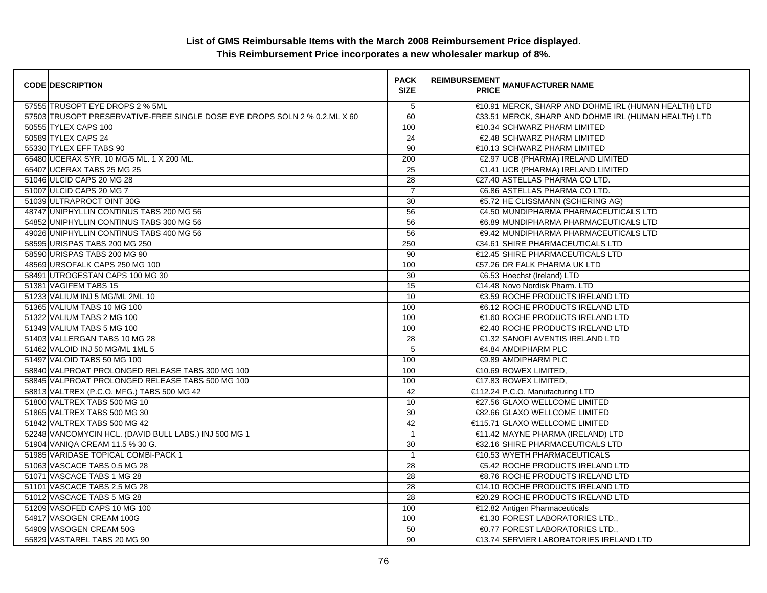| <b>CODE DESCRIPTION</b>                                                    | <b>PACK</b><br><b>SIZE</b> | <b>REIMBURSEMENT</b><br><b>PRICE MANUFACTURER NAME</b> |
|----------------------------------------------------------------------------|----------------------------|--------------------------------------------------------|
| 57555 TRUSOPT EYE DROPS 2 % 5ML                                            | $5\phantom{.0}$            | €10.91 MERCK, SHARP AND DOHME IRL (HUMAN HEALTH) LTD   |
| 57503 TRUSOPT PRESERVATIVE-FREE SINGLE DOSE EYE DROPS SOLN 2 % 0.2.ML X 60 | 60                         | €33.51 MERCK, SHARP AND DOHME IRL (HUMAN HEALTH) LTD   |
| 50555 TYLEX CAPS 100                                                       | 100                        | €10.34 SCHWARZ PHARM LIMITED                           |
| 50589 TYLEX CAPS 24                                                        | 24                         | €2.48 SCHWARZ PHARM LIMITED                            |
| 55330 TYLEX EFF TABS 90                                                    | 90                         | €10.13 SCHWARZ PHARM LIMITED                           |
| 65480 UCERAX SYR. 10 MG/5 ML. 1 X 200 ML.                                  | 200                        | €2.97 UCB (PHARMA) IRELAND LIMITED                     |
| 65407 UCERAX TABS 25 MG 25                                                 | 25                         | €1.41 UCB (PHARMA) IRELAND LIMITED                     |
| 51046 ULCID CAPS 20 MG 28                                                  | 28                         | €27.40 ASTELLAS PHARMA CO LTD.                         |
| 51007 ULCID CAPS 20 MG 7                                                   | $\overline{7}$             | €6.86 ASTELLAS PHARMA CO LTD.                          |
| 51039 ULTRAPROCT OINT 30G                                                  | 30                         | €5.72 HE CLISSMANN (SCHERING AG)                       |
| 48747 UNIPHYLLIN CONTINUS TABS 200 MG 56                                   | 56                         | €4.50 MUNDIPHARMA PHARMACEUTICALS LTD                  |
| 54852 UNIPHYLLIN CONTINUS TABS 300 MG 56                                   | 56                         | €6.89 MUNDIPHARMA PHARMACEUTICALS LTD                  |
| 49026 UNIPHYLLIN CONTINUS TABS 400 MG 56                                   | 56                         | €9.42 MUNDIPHARMA PHARMACEUTICALS LTD                  |
| 58595 URISPAS TABS 200 MG 250                                              | 250                        | €34.61 SHIRE PHARMACEUTICALS LTD                       |
| 58590 URISPAS TABS 200 MG 90                                               | 90                         | €12.45 SHIRE PHARMACEUTICALS LTD                       |
| 48569 URSOFALK CAPS 250 MG 100                                             | 100                        | €57.26 DR FALK PHARMA UK LTD                           |
| 58491 UTROGESTAN CAPS 100 MG 30                                            | 30                         | €6.53 Hoechst (Ireland) LTD                            |
| 51381 VAGIFEM TABS 15                                                      | 15                         | €14.48 Novo Nordisk Pharm. LTD                         |
| 51233 VALIUM INJ 5 MG/ML 2ML 10                                            | 10                         | €3.59 ROCHE PRODUCTS IRELAND LTD                       |
| 51365 VALIUM TABS 10 MG 100                                                | 100                        | €6.12 ROCHE PRODUCTS IRELAND LTD                       |
| 51322 VALIUM TABS 2 MG 100                                                 | 100                        | €1.60 ROCHE PRODUCTS IRELAND LTD                       |
| 51349 VALIUM TABS 5 MG 100                                                 | 100                        | €2.40 ROCHE PRODUCTS IRELAND LTD                       |
| 51403 VALLERGAN TABS 10 MG 28                                              | 28                         | €1.32 SANOFI AVENTIS IRELAND LTD                       |
| 51462 VALOID INJ 50 MG/ML 1ML 5                                            | $5\phantom{.0}$            | €4.84 AMDIPHARM PLC                                    |
| 51497 VALOID TABS 50 MG 100                                                | 100                        | €9.89 AMDIPHARM PLC                                    |
| 58840 VALPROAT PROLONGED RELEASE TABS 300 MG 100                           | 100                        | €10.69 ROWEX LIMITED,                                  |
| 58845 VALPROAT PROLONGED RELEASE TABS 500 MG 100                           | 100                        | €17.83 ROWEX LIMITED,                                  |
| 58813 VALTREX (P.C.O. MFG.) TABS 500 MG 42                                 | 42                         | €112.24 P.C.O. Manufacturing LTD                       |
| 51800 VALTREX TABS 500 MG 10                                               | 10                         | €27.56 GLAXO WELLCOME LIMITED                          |
| 51865 VALTREX TABS 500 MG 30                                               | 30                         | €82.66 GLAXO WELLCOME LIMITED                          |
| 51842 VALTREX TABS 500 MG 42                                               | 42                         | €115.71 GLAXO WELLCOME LIMITED                         |
| 52248 VANCOMYCIN HCL. (DAVID BULL LABS.) INJ 500 MG 1                      | $\overline{1}$             | €11.42 MAYNE PHARMA (IRELAND) LTD                      |
| 51904 VANIQA CREAM 11.5 % 30 G.                                            | 30                         | €32.16 SHIRE PHARMACEUTICALS LTD                       |
| 51985 VARIDASE TOPICAL COMBI-PACK 1                                        | $\overline{1}$             | €10.53 WYETH PHARMACEUTICALS                           |
| 51063 VASCACE TABS 0.5 MG 28                                               | 28                         | €5.42 ROCHE PRODUCTS IRELAND LTD                       |
| 51071 VASCACE TABS 1 MG 28                                                 | 28                         | €8.76 ROCHE PRODUCTS IRELAND LTD                       |
| 51101 VASCACE TABS 2.5 MG 28                                               | 28                         | €14.10 ROCHE PRODUCTS IRELAND LTD                      |
| 51012 VASCACE TABS 5 MG 28                                                 | 28                         | €20.29 ROCHE PRODUCTS IRELAND LTD                      |
| 51209 VASOFED CAPS 10 MG 100                                               | 100                        | €12.82 Antigen Pharmaceuticals                         |
| 54917 VASOGEN CREAM 100G                                                   | 100                        | €1.30 FOREST LABORATORIES LTD.,                        |
| 54909 VASOGEN CREAM 50G                                                    | 50                         | €0.77 FOREST LABORATORIES LTD.,                        |
| 55829 VASTAREL TABS 20 MG 90                                               | 90                         | €13.74 SERVIER LABORATORIES IRELAND LTD                |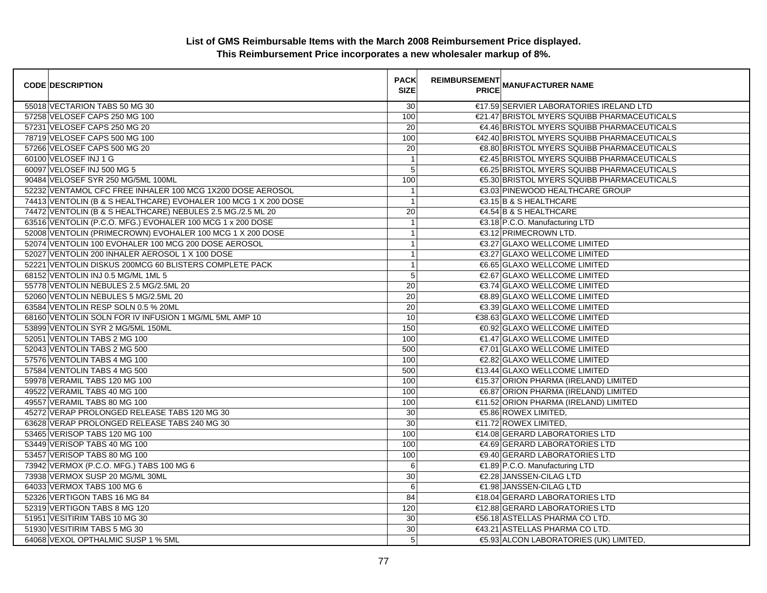| <b>CODE DESCRIPTION</b>                                         | <b>PACK</b><br><b>SIZE</b> | REIMBURSEMENT<br>PRICE MANUFACTURER NAME    |
|-----------------------------------------------------------------|----------------------------|---------------------------------------------|
| 55018 VECTARION TABS 50 MG 30                                   | 30                         | €17.59 SERVIER LABORATORIES IRELAND LTD     |
| 57258 VELOSEF CAPS 250 MG 100                                   | 100                        | €21.47 BRISTOL MYERS SQUIBB PHARMACEUTICALS |
| 57231 VELOSEF CAPS 250 MG 20                                    | 20                         | €4.46 BRISTOL MYERS SQUIBB PHARMACEUTICALS  |
| 78719 VELOSEF CAPS 500 MG 100                                   | 100                        | €42.40 BRISTOL MYERS SQUIBB PHARMACEUTICALS |
| 57266 VELOSEF CAPS 500 MG 20                                    | 20                         | €8.80 BRISTOL MYERS SQUIBB PHARMACEUTICALS  |
| 60100 VELOSEF INJ 1 G                                           | $\mathbf{1}$               | €2.45 BRISTOL MYERS SQUIBB PHARMACEUTICALS  |
| 60097 VELOSEF INJ 500 MG 5                                      | 5                          | €6.25 BRISTOL MYERS SQUIBB PHARMACEUTICALS  |
| 90484 VELOSEF SYR 250 MG/5ML 100ML                              | 100                        | €5.30 BRISTOL MYERS SQUIBB PHARMACEUTICALS  |
| 52232 VENTAMOL CFC FREE INHALER 100 MCG 1X200 DOSE AEROSOL      | $\mathbf{1}$               | €3.03 PINEWOOD HEALTHCARE GROUP             |
| 74413 VENTOLIN (B & S HEALTHCARE) EVOHALER 100 MCG 1 X 200 DOSE | $\mathbf{1}$               | €3.15 B & S HEALTHCARE                      |
| 74472 VENTOLIN (B & S HEALTHCARE) NEBULES 2.5 MG./2.5 ML 20     | 20                         | €4.54 B & S HEALTHCARE                      |
| 63516 VENTOLIN (P.C.O. MFG.) EVOHALER 100 MCG 1 x 200 DOSE      | $\mathbf{1}$               | €3.18 P.C.O. Manufacturing LTD              |
| 52008 VENTOLIN (PRIMECROWN) EVOHALER 100 MCG 1 X 200 DOSE       | $\mathbf{1}$               | €3.12 PRIMECROWN LTD.                       |
| 52074 VENTOLIN 100 EVOHALER 100 MCG 200 DOSE AEROSOL            | $\overline{1}$             | €3.27 GLAXO WELLCOME LIMITED                |
| 52027 VENTOLIN 200 INHALER AEROSOL 1 X 100 DOSE                 | $\mathbf{1}$               | €3.27 GLAXO WELLCOME LIMITED                |
| 52221 VENTOLIN DISKUS 200MCG 60 BLISTERS COMPLETE PACK          | $\mathbf{1}$               | €6.65 GLAXO WELLCOME LIMITED                |
| 68152 VENTOLIN INJ 0.5 MG/ML 1ML 5                              | 5                          | €2.67 GLAXO WELLCOME LIMITED                |
| 55778 VENTOLIN NEBULES 2.5 MG/2.5ML 20                          | $\overline{20}$            | €3.74 GLAXO WELLCOME LIMITED                |
| 52060 VENTOLIN NEBULES 5 MG/2.5ML 20                            | 20                         | €8.89 GLAXO WELLCOME LIMITED                |
| 63584 VENTOLIN RESP SOLN 0.5 % 20ML                             | 20                         | €3.39 GLAXO WELLCOME LIMITED                |
| 68160 VENTOLIN SOLN FOR IV INFUSION 1 MG/ML 5ML AMP 10          | 10                         | €38.63 GLAXO WELLCOME LIMITED               |
| 53899 VENTOLIN SYR 2 MG/5ML 150ML                               | 150                        | €0.92 GLAXO WELLCOME LIMITED                |
| 52051 VENTOLIN TABS 2 MG 100                                    | 100                        | €1.47 GLAXO WELLCOME LIMITED                |
| 52043 VENTOLIN TABS 2 MG 500                                    | 500                        | €7.01 GLAXO WELLCOME LIMITED                |
| 57576 VENTOLIN TABS 4 MG 100                                    | 100                        | €2.82 GLAXO WELLCOME LIMITED                |
| 57584 VENTOLIN TABS 4 MG 500                                    | 500                        | €13.44 GLAXO WELLCOME LIMITED               |
| 59978 VERAMIL TABS 120 MG 100                                   | 100                        | €15.37 ORION PHARMA (IRELAND) LIMITED       |
| 49522 VERAMIL TABS 40 MG 100                                    | 100                        | €6.87 ORION PHARMA (IRELAND) LIMITED        |
| 49557 VERAMIL TABS 80 MG 100                                    | 100                        | €11.52 ORION PHARMA (IRELAND) LIMITED       |
| 45272 VERAP PROLONGED RELEASE TABS 120 MG 30                    | 30                         | €5.86 ROWEX LIMITED,                        |
| 63628 VERAP PROLONGED RELEASE TABS 240 MG 30                    | 30                         | €11.72 ROWEX LIMITED,                       |
| 53465 VERISOP TABS 120 MG 100                                   | 100                        | €14.08 GERARD LABORATORIES LTD              |
| 53449 VERISOP TABS 40 MG 100                                    | 100                        | €4.69 GERARD LABORATORIES LTD               |
| 53457 VERISOP TABS 80 MG 100                                    | 100                        | <b>€9.40 GERARD LABORATORIES LTD</b>        |
| 73942 VERMOX (P.C.O. MFG.) TABS 100 MG 6                        | 6                          | €1.89 P.C.O. Manufacturing LTD              |
| 73938 VERMOX SUSP 20 MG/ML 30ML                                 | 30                         | €2.28 JANSSEN-CILAG LTD                     |
| 64033 VERMOX TABS 100 MG 6                                      | 6                          | €1.98 JANSSEN-CILAG LTD                     |
| 52326 VERTIGON TABS 16 MG 84                                    | 84                         | €18.04 GERARD LABORATORIES LTD              |
| 52319 VERTIGON TABS 8 MG 120                                    | 120                        | €12.88 GERARD LABORATORIES LTD              |
| 51951 VESITIRIM TABS 10 MG 30                                   | 30                         | €56.18 ASTELLAS PHARMA CO LTD.              |
| 51930 VESITIRIM TABS 5 MG 30                                    | 30                         | €43.21 ASTELLAS PHARMA CO LTD.              |
| 64068 VEXOL OPTHALMIC SUSP 1 % 5ML                              | $\overline{5}$             | €5.93 ALCON LABORATORIES (UK) LIMITED,      |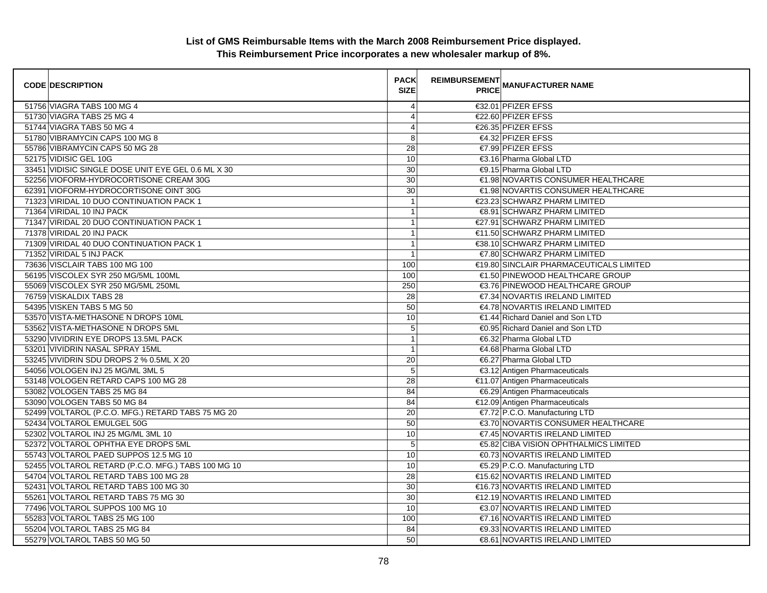| <b>CODE DESCRIPTION</b>                            | <b>PACK</b><br><b>SIZE</b> | <b>REIMBURSEMENT</b> | <b>PRICE MANUFACTURER NAME</b>          |
|----------------------------------------------------|----------------------------|----------------------|-----------------------------------------|
| 51756 VIAGRA TABS 100 MG 4                         | $\overline{4}$             |                      | €32.01 PFIZER EFSS                      |
| 51730 VIAGRA TABS 25 MG 4                          | $\overline{4}$             |                      | €22.60 PFIZER EFSS                      |
| 51744 VIAGRA TABS 50 MG 4                          | $\overline{4}$             |                      | €26.35 PFIZER EFSS                      |
| 51780 VIBRAMYCIN CAPS 100 MG 8                     | 8                          |                      | €4.32 PFIZER EFSS                       |
| 55786 VIBRAMYCIN CAPS 50 MG 28                     | 28                         |                      | €7.99 PFIZER EFSS                       |
| 52175 VIDISIC GEL 10G                              | 10                         |                      | €3.16 Pharma Global LTD                 |
| 33451 VIDISIC SINGLE DOSE UNIT EYE GEL 0.6 ML X 30 | 30                         |                      | €9.15 Pharma Global LTD                 |
| 52256 VIOFORM-HYDROCORTISONE CREAM 30G             | 30                         |                      | €1.98 NOVARTIS CONSUMER HEALTHCARE      |
| 62391 VIOFORM-HYDROCORTISONE OINT 30G              | 30                         |                      | €1.98 NOVARTIS CONSUMER HEALTHCARE      |
| 71323 VIRIDAL 10 DUO CONTINUATION PACK 1           | $\overline{1}$             |                      | €23.23 SCHWARZ PHARM LIMITED            |
| 71364 VIRIDAL 10 INJ PACK                          | 1                          |                      | €8.91 SCHWARZ PHARM LIMITED             |
| 71347 VIRIDAL 20 DUO CONTINUATION PACK 1           | $\mathbf{1}$               |                      | €27.91 SCHWARZ PHARM LIMITED            |
| 71378 VIRIDAL 20 INJ PACK                          | $\mathbf{1}$               |                      | €11.50 SCHWARZ PHARM LIMITED            |
| 71309 VIRIDAL 40 DUO CONTINUATION PACK 1           | $\overline{1}$             |                      | €38.10 SCHWARZ PHARM LIMITED            |
| 71352 VIRIDAL 5 INJ PACK                           | $\overline{1}$             |                      | €7.80 SCHWARZ PHARM LIMITED             |
| 73636 VISCLAIR TABS 100 MG 100                     | 100                        |                      | €19.80 SINCLAIR PHARMACEUTICALS LIMITED |
| 56195 VISCOLEX SYR 250 MG/5ML 100ML                | 100                        |                      | €1.50 PINEWOOD HEALTHCARE GROUP         |
| 55069 VISCOLEX SYR 250 MG/5ML 250ML                | 250                        |                      | €3.76 PINEWOOD HEALTHCARE GROUP         |
| 76759 VISKALDIX TABS 28                            | 28                         |                      | €7.34 NOVARTIS IRELAND LIMITED          |
| 54395 VISKEN TABS 5 MG 50                          | 50                         |                      | €4.78 NOVARTIS IRELAND LIMITED          |
| 53570 VISTA-METHASONE N DROPS 10ML                 | 10                         |                      | €1.44 Richard Daniel and Son LTD        |
| 53562 VISTA-METHASONE N DROPS 5ML                  | 5                          |                      | €0.95 Richard Daniel and Son LTD        |
| 53290 VIVIDRIN EYE DROPS 13.5ML PACK               | $\overline{1}$             |                      | €6.32 Pharma Global LTD                 |
| 53201 VIVIDRIN NASAL SPRAY 15ML                    | $\overline{1}$             |                      | €4.68 Pharma Global LTD                 |
| 53245 VIVIDRIN SDU DROPS 2 % 0.5ML X 20            | 20                         |                      | €6.27 Pharma Global LTD                 |
| 54056 VOLOGEN INJ 25 MG/ML 3ML 5                   | 5                          |                      | €3.12 Antigen Pharmaceuticals           |
| 53148 VOLOGEN RETARD CAPS 100 MG 28                | 28                         |                      | €11.07 Antigen Pharmaceuticals          |
| 53082 VOLOGEN TABS 25 MG 84                        | 84                         |                      | €6.29 Antigen Pharmaceuticals           |
| 53090 VOLOGEN TABS 50 MG 84                        | 84                         |                      | €12.09 Antigen Pharmaceuticals          |
| 52499 VOLTAROL (P.C.O. MFG.) RETARD TABS 75 MG 20  | 20                         |                      | €7.72 P.C.O. Manufacturing LTD          |
| 52434 VOLTAROL EMULGEL 50G                         | 50                         |                      | €3.70 NOVARTIS CONSUMER HEALTHCARE      |
| 52302 VOLTAROL INJ 25 MG/ML 3ML 10                 | 10                         |                      | €7.45 NOVARTIS IRELAND LIMITED          |
| 52372 VOLTAROL OPHTHA EYE DROPS 5ML                | $\sqrt{5}$                 |                      | €5.82 CIBA VISION OPHTHALMICS LIMITED   |
| 55743 VOLTAROL PAED SUPPOS 12.5 MG 10              | 10                         |                      | €0.73 NOVARTIS IRELAND LIMITED          |
| 52455 VOLTAROL RETARD (P.C.O. MFG.) TABS 100 MG 10 | 10                         |                      | €5.29 P.C.O. Manufacturing LTD          |
| 54704 VOLTAROL RETARD TABS 100 MG 28               | 28                         |                      | €15.62 NOVARTIS IRELAND LIMITED         |
| 52431 VOLTAROL RETARD TABS 100 MG 30               | 30                         |                      | €16.73 NOVARTIS IRELAND LIMITED         |
| 55261 VOLTAROL RETARD TABS 75 MG 30                | 30                         |                      | €12.19 NOVARTIS IRELAND LIMITED         |
| 77496 VOLTAROL SUPPOS 100 MG 10                    | 10                         |                      | €3.07 NOVARTIS IRELAND LIMITED          |
| 55283 VOLTAROL TABS 25 MG 100                      | 100                        |                      | €7.16 NOVARTIS IRELAND LIMITED          |
| 55204 VOLTAROL TABS 25 MG 84                       | 84                         |                      | <b>€9.33 NOVARTIS IRELAND LIMITED</b>   |
| 55279 VOLTAROL TABS 50 MG 50                       | 50                         |                      | €8.61 NOVARTIS IRELAND LIMITED          |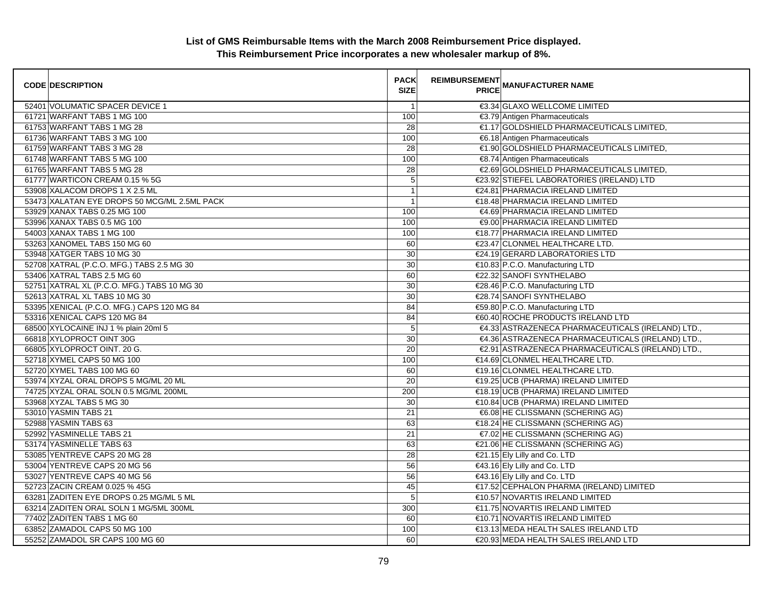| <b>CODE DESCRIPTION</b>                      | <b>PACK</b><br><b>SIZE</b> | <b>REIMBURSEMENT</b> | <b>---------</b><br>PRICE MANUFACTURER NAME       |
|----------------------------------------------|----------------------------|----------------------|---------------------------------------------------|
| 52401 VOLUMATIC SPACER DEVICE 1              | $\overline{1}$             |                      | €3.34 GLAXO WELLCOME LIMITED                      |
| 61721 WARFANT TABS 1 MG 100                  | 100                        |                      | €3.79 Antigen Pharmaceuticals                     |
| 61753 WARFANT TABS 1 MG 28                   | 28                         |                      | €1.17 GOLDSHIELD PHARMACEUTICALS LIMITED,         |
| 61736 WARFANT TABS 3 MG 100                  | 100                        |                      | €6.18 Antigen Pharmaceuticals                     |
| 61759 WARFANT TABS 3 MG 28                   | 28                         |                      | €1.90 GOLDSHIELD PHARMACEUTICALS LIMITED,         |
| 61748 WARFANT TABS 5 MG 100                  | 100                        |                      | €8.74 Antigen Pharmaceuticals                     |
| 61765 WARFANT TABS 5 MG 28                   | 28                         |                      | €2.69 GOLDSHIELD PHARMACEUTICALS LIMITED,         |
| 61777 WARTICON CREAM 0.15 % 5G               | $\overline{5}$             |                      | €23.92 STIEFEL LABORATORIES (IRELAND) LTD         |
| 53908 XALACOM DROPS 1 X 2.5 ML               | $\overline{1}$             |                      | €24.81 PHARMACIA IRELAND LIMITED                  |
| 53473 XALATAN EYE DROPS 50 MCG/ML 2.5ML PACK | 1                          |                      | €18.48 PHARMACIA IRELAND LIMITED                  |
| 53929 XANAX TABS 0.25 MG 100                 | 100                        |                      | €4.69 PHARMACIA IRELAND LIMITED                   |
| 53996 XANAX TABS 0.5 MG 100                  | 100                        |                      | €9.00 PHARMACIA IRELAND LIMITED                   |
| 54003 XANAX TABS 1 MG 100                    | 100                        |                      | €18.77 PHARMACIA IRELAND LIMITED                  |
| 53263 XANOMEL TABS 150 MG 60                 | 60                         |                      | €23.47 CLONMEL HEALTHCARE LTD.                    |
| 53948 XATGER TABS 10 MG 30                   | 30                         |                      | €24.19 GERARD LABORATORIES LTD                    |
| 52708 XATRAL (P.C.O. MFG.) TABS 2.5 MG 30    | $\overline{30}$            |                      | €10.83 P.C.O. Manufacturing LTD                   |
| 53406 XATRAL TABS 2.5 MG 60                  | 60                         |                      | €22.32 SANOFI SYNTHELABO                          |
| 52751 XATRAL XL (P.C.O. MFG.) TABS 10 MG 30  | 30                         |                      | €28.46 P.C.O. Manufacturing LTD                   |
| 52613 XATRAL XL TABS 10 MG 30                | 30                         |                      | €28.74 SANOFI SYNTHELABO                          |
| 53395 XENICAL (P.C.O. MFG.) CAPS 120 MG 84   | 84                         |                      | €59.80 P.C.O. Manufacturing LTD                   |
| 53316 XENICAL CAPS 120 MG 84                 | 84                         |                      | €60.40 ROCHE PRODUCTS IRELAND LTD                 |
| 68500 XYLOCAINE INJ 1 % plain 20ml 5         | 5                          |                      | €4.33 ASTRAZENECA PHARMACEUTICALS (IRELAND) LTD., |
| 66818 XYLOPROCT OINT 30G                     | 30                         |                      | €4.36 ASTRAZENECA PHARMACEUTICALS (IRELAND) LTD., |
| 66805 XYLOPROCT OINT. 20 G.                  | $\overline{20}$            |                      | €2.91 ASTRAZENECA PHARMACEUTICALS (IRELAND) LTD., |
| 52718 XYMEL CAPS 50 MG 100                   | 100                        |                      | €14.69 CLONMEL HEALTHCARE LTD.                    |
| 52720 XYMEL TABS 100 MG 60                   | 60                         |                      | €19.16 CLONMEL HEALTHCARE LTD.                    |
| 53974 XYZAL ORAL DROPS 5 MG/ML 20 ML         | 20                         |                      | €19.25 UCB (PHARMA) IRELAND LIMITED               |
| 74725 XYZAL ORAL SOLN 0.5 MG/ML 200ML        | 200                        |                      | €18.19 UCB (PHARMA) IRELAND LIMITED               |
| 53968 XYZAL TABS 5 MG 30                     | 30                         |                      | €10.84 UCB (PHARMA) IRELAND LIMITED               |
| 53010 YASMIN TABS 21                         | 21                         |                      | €6.08 HE CLISSMANN (SCHERING AG)                  |
| 52988 YASMIN TABS 63                         | 63                         |                      | €18.24 HE CLISSMANN (SCHERING AG)                 |
| 52992 YASMINELLE TABS 21                     | 21                         |                      | €7.02 HE CLISSMANN (SCHERING AG)                  |
| 53174 YASMINELLE TABS 63                     | 63                         |                      | €21.06 HE CLISSMANN (SCHERING AG)                 |
| 53085 YENTREVE CAPS 20 MG 28                 | 28                         |                      | €21.15 Ely Lilly and Co. LTD                      |
| 53004 YENTREVE CAPS 20 MG 56                 | 56                         |                      | €43.16 Ely Lilly and Co. LTD                      |
| 53027 YENTREVE CAPS 40 MG 56                 | 56                         |                      | €43.16 Ely Lilly and Co. LTD                      |
| 52723 ZACIN CREAM 0.025 % 45G                | 45                         |                      | €17.52 CEPHALON PHARMA (IRELAND) LIMITED          |
| 63281 ZADITEN EYE DROPS 0.25 MG/ML 5 ML      | 5                          |                      | €10.57 NOVARTIS IRELAND LIMITED                   |
| 63214 ZADITEN ORAL SOLN 1 MG/5ML 300ML       | 300                        |                      | €11.75 NOVARTIS IRELAND LIMITED                   |
| 77402 ZADITEN TABS 1 MG 60                   | 60                         |                      | €10.71 NOVARTIS IRELAND LIMITED                   |
| 63852 ZAMADOL CAPS 50 MG 100                 | 100                        |                      | €13.13 MEDA HEALTH SALES IRELAND LTD              |
| 55252 ZAMADOL SR CAPS 100 MG 60              | 60                         |                      | €20.93 MEDA HEALTH SALES IRELAND LTD              |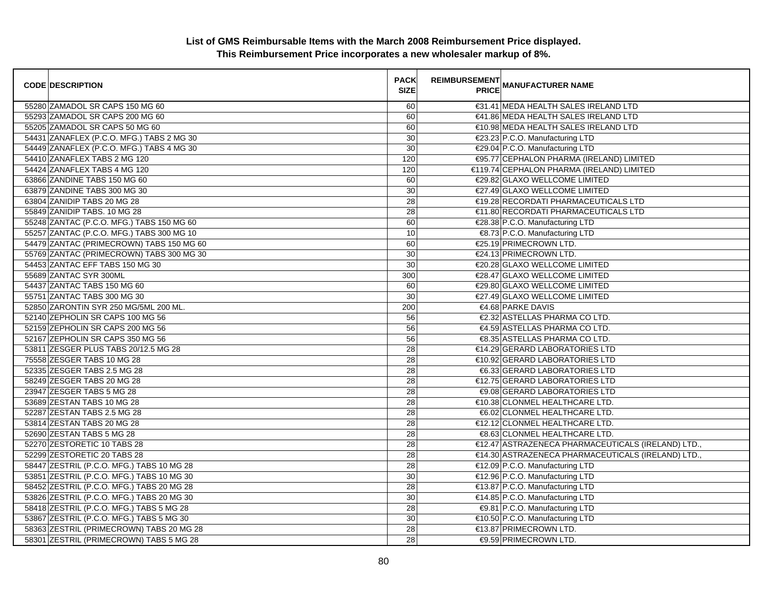| <b>CODE DESCRIPTION</b>                   | <b>PACK</b><br><b>SIZE</b> | <b>REIMBURSEMENT</b> | <b>PRICE MANUFACTURER NAME</b>                     |
|-------------------------------------------|----------------------------|----------------------|----------------------------------------------------|
| 55280 ZAMADOL SR CAPS 150 MG 60           | 60                         |                      | €31.41 MEDA HEALTH SALES IRELAND LTD               |
| 55293 ZAMADOL SR CAPS 200 MG 60           | 60                         |                      | €41.86 MEDA HEALTH SALES IRELAND LTD               |
| 55205 ZAMADOL SR CAPS 50 MG 60            | 60                         |                      | €10.98 MEDA HEALTH SALES IRELAND LTD               |
| 54431 ZANAFLEX (P.C.O. MFG.) TABS 2 MG 30 | 30                         |                      | €23.23 P.C.O. Manufacturing LTD                    |
| 54449 ZANAFLEX (P.C.O. MFG.) TABS 4 MG 30 | 30                         |                      | €29.04 P.C.O. Manufacturing LTD                    |
| 54410 ZANAFLEX TABS 2 MG 120              | 120                        |                      | €95.77 CEPHALON PHARMA (IRELAND) LIMITED           |
| 54424 ZANAFLEX TABS 4 MG 120              | 120                        |                      | €119.74 CEPHALON PHARMA (IRELAND) LIMITED          |
| 63866 ZANDINE TABS 150 MG 60              | 60                         |                      | €29.82 GLAXO WELLCOME LIMITED                      |
| 63879 ZANDINE TABS 300 MG 30              | 30                         |                      | €27.49 GLAXO WELLCOME LIMITED                      |
| 63804 ZANIDIP TABS 20 MG 28               | 28                         |                      | €19.28 RECORDATI PHARMACEUTICALS LTD               |
| 55849 ZANIDIP TABS. 10 MG 28              | 28                         |                      | €11.80 RECORDATI PHARMACEUTICALS LTD               |
| 55248 ZANTAC (P.C.O. MFG.) TABS 150 MG 60 | 60                         |                      | €28.38 P.C.O. Manufacturing LTD                    |
| 55257 ZANTAC (P.C.O. MFG.) TABS 300 MG 10 | 10                         |                      | €8.73 P.C.O. Manufacturing LTD                     |
| 54479 ZANTAC (PRIMECROWN) TABS 150 MG 60  | 60                         |                      | €25.19 PRIMECROWN LTD.                             |
| 55769 ZANTAC (PRIMECROWN) TABS 300 MG 30  | 30                         |                      | €24.13 PRIMECROWN LTD.                             |
| 54453 ZANTAC EFF TABS 150 MG 30           | 30                         |                      | €20.28 GLAXO WELLCOME LIMITED                      |
| 55689 ZANTAC SYR 300ML                    | 300                        |                      | €28.47 GLAXO WELLCOME LIMITED                      |
| 54437 ZANTAC TABS 150 MG 60               | 60                         |                      | €29.80 GLAXO WELLCOME LIMITED                      |
| 55751 ZANTAC TABS 300 MG 30               | 30                         |                      | €27.49 GLAXO WELLCOME LIMITED                      |
| 52850 ZARONTIN SYR 250 MG/5ML 200 ML.     | 200                        |                      | €4.68 PARKE DAVIS                                  |
| 52140 ZEPHOLIN SR CAPS 100 MG 56          | 56                         |                      | €2.32 ASTELLAS PHARMA CO LTD.                      |
| 52159 ZEPHOLIN SR CAPS 200 MG 56          | 56                         |                      | €4.59 ASTELLAS PHARMA CO LTD.                      |
| 52167 ZEPHOLIN SR CAPS 350 MG 56          | 56                         |                      | €8.35 ASTELLAS PHARMA CO LTD.                      |
| 53811 ZESGER PLUS TABS 20/12.5 MG 28      | 28                         |                      | €14.29 GERARD LABORATORIES LTD                     |
| 75558 ZESGER TABS 10 MG 28                | 28                         |                      | €10.92 GERARD LABORATORIES LTD                     |
| 52335 ZESGER TABS 2.5 MG 28               | 28                         |                      | €6.33 GERARD LABORATORIES LTD                      |
| 58249 ZESGER TABS 20 MG 28                | 28                         |                      | €12.75 GERARD LABORATORIES LTD                     |
| 23947 ZESGER TABS 5 MG 28                 | 28                         |                      | <b>€9.08 GERARD LABORATORIES LTD</b>               |
| 53689 ZESTAN TABS 10 MG 28                | 28                         |                      | €10.38 CLONMEL HEALTHCARE LTD.                     |
| 52287 ZESTAN TABS 2.5 MG 28               | 28                         |                      | €6.02 CLONMEL HEALTHCARE LTD.                      |
| 53814 ZESTAN TABS 20 MG 28                | 28                         |                      | €12.12 CLONMEL HEALTHCARE LTD.                     |
| 52690 ZESTAN TABS 5 MG 28                 | 28                         |                      | €8.63 CLONMEL HEALTHCARE LTD.                      |
| 52270 ZESTORETIC 10 TABS 28               | 28                         |                      | €12.47 ASTRAZENECA PHARMACEUTICALS (IRELAND) LTD., |
| 52299 ZESTORETIC 20 TABS 28               | $\overline{28}$            |                      | €14.30 ASTRAZENECA PHARMACEUTICALS (IRELAND) LTD., |
| 58447 ZESTRIL (P.C.O. MFG.) TABS 10 MG 28 | 28                         |                      | €12.09 P.C.O. Manufacturing LTD                    |
| 53851 ZESTRIL (P.C.O. MFG.) TABS 10 MG 30 | 30                         |                      | €12.96 P.C.O. Manufacturing LTD                    |
| 58452 ZESTRIL (P.C.O. MFG.) TABS 20 MG 28 | 28                         |                      | €13.87 P.C.O. Manufacturing LTD                    |
| 53826 ZESTRIL (P.C.O. MFG.) TABS 20 MG 30 | 30                         |                      | €14.85 P.C.O. Manufacturing LTD                    |
| 58418 ZESTRIL (P.C.O. MFG.) TABS 5 MG 28  | $\overline{28}$            |                      | €9.81 P.C.O. Manufacturing LTD                     |
| 53867 ZESTRIL (P.C.O. MFG.) TABS 5 MG 30  | 30                         |                      | €10.50 P.C.O. Manufacturing LTD                    |
| 58363 ZESTRIL (PRIMECROWN) TABS 20 MG 28  | 28                         |                      | €13.87 PRIMECROWN LTD.                             |
| 58301 ZESTRIL (PRIMECROWN) TABS 5 MG 28   | 28                         |                      | €9.59 PRIMECROWN LTD.                              |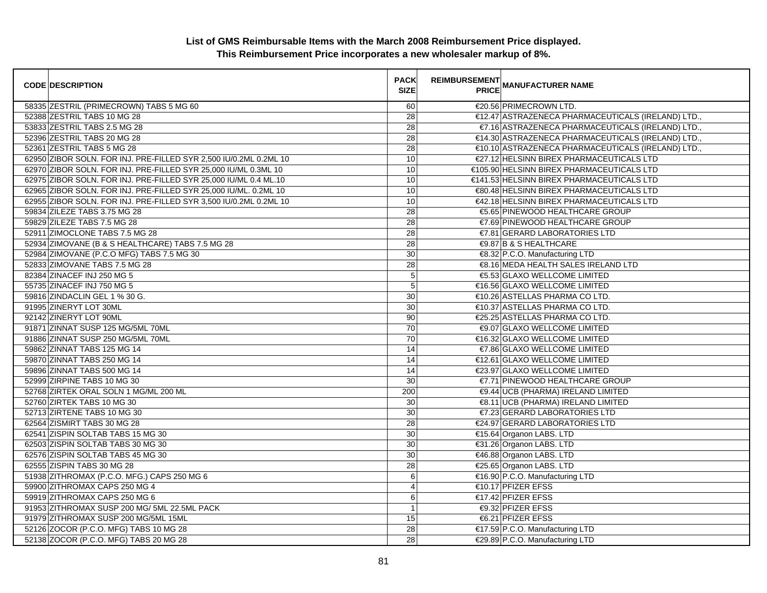| <b>CODE DESCRIPTION</b>                                           | <b>PACK</b><br><b>SIZE</b> | <b>REIMBURSEMENT</b> | _________<br>PRICE MANUFACTURER NAME               |
|-------------------------------------------------------------------|----------------------------|----------------------|----------------------------------------------------|
| 58335 ZESTRIL (PRIMECROWN) TABS 5 MG 60                           | 60                         |                      | €20.56 PRIMECROWN LTD.                             |
| 52388 ZESTRIL TABS 10 MG 28                                       | 28                         |                      | €12.47 ASTRAZENECA PHARMACEUTICALS (IRELAND) LTD., |
| 53833 ZESTRIL TABS 2.5 MG 28                                      | 28                         |                      | €7.16 ASTRAZENECA PHARMACEUTICALS (IRELAND) LTD.,  |
| 52396 ZESTRIL TABS 20 MG 28                                       | 28                         |                      | €14.30 ASTRAZENECA PHARMACEUTICALS (IRELAND) LTD., |
| 52361 ZESTRIL TABS 5 MG 28                                        | 28                         |                      | €10.10 ASTRAZENECA PHARMACEUTICALS (IRELAND) LTD., |
| 62950 ZIBOR SOLN. FOR INJ. PRE-FILLED SYR 2,500 IU/0.2ML 0.2ML 10 | 10                         |                      | €27.12 HELSINN BIREX PHARMACEUTICALS LTD           |
| 62970 ZIBOR SOLN. FOR INJ. PRE-FILLED SYR 25,000 IU/ML 0.3ML 10   | 10                         |                      | €105.90 HELSINN BIREX PHARMACEUTICALS LTD          |
| 62975 ZIBOR SOLN. FOR INJ. PRE-FILLED SYR 25,000 IU/ML 0.4 ML.10  | 10                         |                      | €141.53 HELSINN BIREX PHARMACEUTICALS LTD          |
| 62965 ZIBOR SOLN. FOR INJ. PRE-FILLED SYR 25,000 IU/ML. 0.2ML 10  | 10                         |                      | €80.48 HELSINN BIREX PHARMACEUTICALS LTD           |
| 62955 ZIBOR SOLN. FOR INJ. PRE-FILLED SYR 3,500 IU/0.2ML 0.2ML 10 | 10                         |                      | €42.18 HELSINN BIREX PHARMACEUTICALS LTD           |
| 59834 ZILEZE TABS 3.75 MG 28                                      | 28                         |                      | €5.65 PINEWOOD HEALTHCARE GROUP                    |
| 59829 ZILEZE TABS 7.5 MG 28                                       | 28                         |                      | €7.69 PINEWOOD HEALTHCARE GROUP                    |
| 52911 ZIMOCLONE TABS 7.5 MG 28                                    | 28                         |                      | €7.81 GERARD LABORATORIES LTD                      |
| 52934 ZIMOVANE (B & S HEALTHCARE) TABS 7.5 MG 28                  | 28                         |                      | <b>€9.87 B &amp; S HEALTHCARE</b>                  |
| 52984 ZIMOVANE (P.C.O MFG) TABS 7.5 MG 30                         | 30                         |                      | €8.32 P.C.O. Manufacturing LTD                     |
| 52833 ZIMOVANE TABS 7.5 MG 28                                     | 28                         |                      | €8.16 MEDA HEALTH SALES IRELAND LTD                |
| 82384 ZINACEF INJ 250 MG 5                                        | $5\phantom{.0}$            |                      | €5.53 GLAXO WELLCOME LIMITED                       |
| 55735 ZINACEF INJ 750 MG 5                                        | $5\phantom{.0}$            |                      | €16.56 GLAXO WELLCOME LIMITED                      |
| 59816 ZINDACLIN GEL 1 % 30 G.                                     | 30                         |                      | €10.26 ASTELLAS PHARMA CO LTD.                     |
| 91995 ZINERYT LOT 30ML                                            | 30                         |                      | €10.37 ASTELLAS PHARMA CO LTD.                     |
| 92142 ZINERYT LOT 90ML                                            | 90                         |                      | €25.25 ASTELLAS PHARMA CO LTD.                     |
| 91871 ZINNAT SUSP 125 MG/5ML 70ML                                 | 70                         |                      | €9.07 GLAXO WELLCOME LIMITED                       |
| 91886 ZINNAT SUSP 250 MG/5ML 70ML                                 | 70                         |                      | €16.32 GLAXO WELLCOME LIMITED                      |
| 59862 ZINNAT TABS 125 MG 14                                       | 14                         |                      | €7.86 GLAXO WELLCOME LIMITED                       |
| 59870 ZINNAT TABS 250 MG 14                                       | 14                         |                      | €12.61 GLAXO WELLCOME LIMITED                      |
| 59896 ZINNAT TABS 500 MG 14                                       | 14                         |                      | €23.97 GLAXO WELLCOME LIMITED                      |
| 52999 ZIRPINE TABS 10 MG 30                                       | 30                         |                      | €7.71 PINEWOOD HEALTHCARE GROUP                    |
| 52768 ZIRTEK ORAL SOLN 1 MG/ML 200 ML                             | 200                        |                      | €9.44 UCB (PHARMA) IRELAND LIMITED                 |
| 52760 ZIRTEK TABS 10 MG 30                                        | 30                         |                      | €8.11 UCB (PHARMA) IRELAND LIMITED                 |
| 52713 ZIRTENE TABS 10 MG 30                                       | 30                         |                      | €7.23 GERARD LABORATORIES LTD                      |
| 62564 ZISMIRT TABS 30 MG 28                                       | 28                         |                      | €24.97 GERARD LABORATORIES LTD                     |
| 62541 ZISPIN SOLTAB TABS 15 MG 30                                 | 30                         |                      | €15.64 Organon LABS. LTD                           |
| 62503 ZISPIN SOLTAB TABS 30 MG 30                                 | 30                         |                      | €31.26 Organon LABS. LTD                           |
| 62576 ZISPIN SOLTAB TABS 45 MG 30                                 | 30                         |                      | €46.88 Organon LABS. LTD                           |
| 62555 ZISPIN TABS 30 MG 28                                        | 28                         |                      | €25.65 Organon LABS. LTD                           |
| 51938 ZITHROMAX (P.C.O. MFG.) CAPS 250 MG 6                       | $\,6$                      |                      | €16.90 P.C.O. Manufacturing LTD                    |
| 59900 ZITHROMAX CAPS 250 MG 4                                     | $\overline{4}$             |                      | €10.17 PFIZER EFSS                                 |
| 59919 ZITHROMAX CAPS 250 MG 6                                     | 6                          |                      | €17.42 PFIZER EFSS                                 |
| 91953 ZITHROMAX SUSP 200 MG/ 5ML 22.5ML PACK                      | $\mathbf{1}$               |                      | <b>€9.32 PFIZER EFSS</b>                           |
| 91979 ZITHROMAX SUSP 200 MG/5ML 15ML                              | 15                         |                      | €6.21 PFIZER EFSS                                  |
| 52126 ZOCOR (P.C.O. MFG) TABS 10 MG 28                            | 28                         |                      | €17.59 P.C.O. Manufacturing LTD                    |
| 52138 ZOCOR (P.C.O. MFG) TABS 20 MG 28                            | 28                         |                      | €29.89 P.C.O. Manufacturing LTD                    |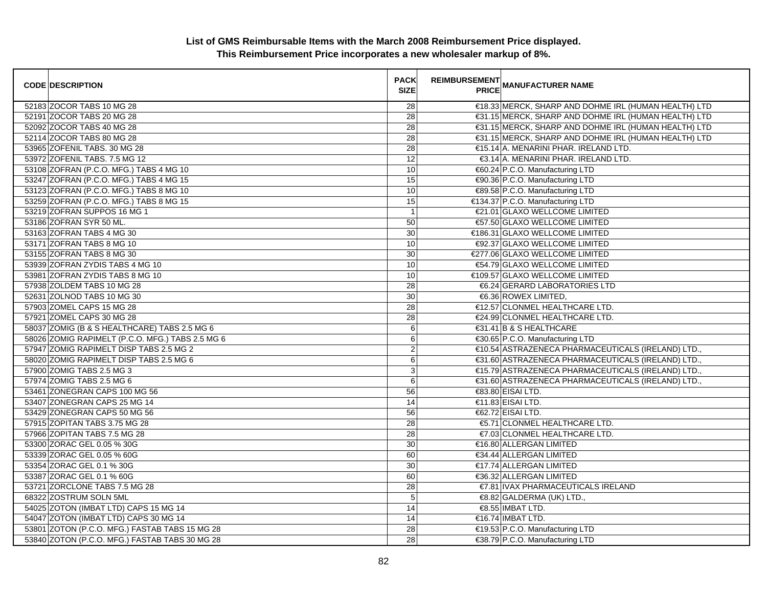| <b>CODE DESCRIPTION</b>                          | <b>PACK</b><br><b>SIZE</b> | <b>REIMBURSEMENT</b><br><b>PRICE</b> | <b>MANUFACTURER NAME</b>                             |
|--------------------------------------------------|----------------------------|--------------------------------------|------------------------------------------------------|
| 52183 ZOCOR TABS 10 MG 28                        | 28                         |                                      | €18.33 MERCK, SHARP AND DOHME IRL (HUMAN HEALTH) LTD |
| 52191 ZOCOR TABS 20 MG 28                        | 28                         |                                      | €31.15 MERCK, SHARP AND DOHME IRL (HUMAN HEALTH) LTD |
| 52092 ZOCOR TABS 40 MG 28                        | 28                         |                                      | €31.15 MERCK, SHARP AND DOHME IRL (HUMAN HEALTH) LTD |
| 52114 ZOCOR TABS 80 MG 28                        | 28                         |                                      | €31.15 MERCK, SHARP AND DOHME IRL (HUMAN HEALTH) LTD |
| 53965 ZOFENIL TABS. 30 MG 28                     | 28                         |                                      | €15.14 A. MENARINI PHAR. IRELAND LTD.                |
| 53972 ZOFENIL TABS. 7.5 MG 12                    | 12                         |                                      | €3.14 A. MENARINI PHAR. IRELAND LTD.                 |
| 53108 ZOFRAN (P.C.O. MFG.) TABS 4 MG 10          | 10                         |                                      | €60.24 P.C.O. Manufacturing LTD                      |
| 53247 ZOFRAN (P.C.O. MFG.) TABS 4 MG 15          | 15                         |                                      | €90.36 P.C.O. Manufacturing LTD                      |
| 53123 ZOFRAN (P.C.O. MFG.) TABS 8 MG 10          | 10                         |                                      | €89.58 P.C.O. Manufacturing LTD                      |
| 53259 ZOFRAN (P.C.O. MFG.) TABS 8 MG 15          | 15                         |                                      | €134.37 P.C.O. Manufacturing LTD                     |
| 53219 ZOFRAN SUPPOS 16 MG 1                      | $\overline{1}$             |                                      | €21.01 GLAXO WELLCOME LIMITED                        |
| 53186 ZOFRAN SYR 50 ML.                          | 50                         |                                      | €57.50 GLAXO WELLCOME LIMITED                        |
| 53163 ZOFRAN TABS 4 MG 30                        | 30                         |                                      | €186.31 GLAXO WELLCOME LIMITED                       |
| 53171 ZOFRAN TABS 8 MG 10                        | 10                         |                                      | €92.37 GLAXO WELLCOME LIMITED                        |
| 53155 ZOFRAN TABS 8 MG 30                        | 30                         |                                      | €277.06 GLAXO WELLCOME LIMITED                       |
| 53939 ZOFRAN ZYDIS TABS 4 MG 10                  | 10                         |                                      | €54.79 GLAXO WELLCOME LIMITED                        |
| 53981 ZOFRAN ZYDIS TABS 8 MG 10                  | 10                         |                                      | €109.57 GLAXO WELLCOME LIMITED                       |
| 57938 ZOLDEM TABS 10 MG 28                       | 28                         |                                      | €6.24 GERARD LABORATORIES LTD                        |
| 52631 ZOLNOD TABS 10 MG 30                       | 30                         |                                      | €6.36 ROWEX LIMITED,                                 |
| 57903 ZOMEL CAPS 15 MG 28                        | 28                         |                                      | €12.57 CLONMEL HEALTHCARE LTD.                       |
| 57921 ZOMEL CAPS 30 MG 28                        | 28                         |                                      | €24.99 CLONMEL HEALTHCARE LTD.                       |
| 58037 ZOMIG (B & S HEALTHCARE) TABS 2.5 MG 6     | 6                          |                                      | €31.41 B & S HEALTHCARE                              |
| 58026 ZOMIG RAPIMELT (P.C.O. MFG.) TABS 2.5 MG 6 | $\,6\,$                    |                                      | €30.65 P.C.O. Manufacturing LTD                      |
| 57947 ZOMIG RAPIMELT DISP TABS 2.5 MG 2          | $\overline{2}$             |                                      | €10.54 ASTRAZENECA PHARMACEUTICALS (IRELAND) LTD.,   |
| 58020 ZOMIG RAPIMELT DISP TABS 2.5 MG 6          | 6                          |                                      | €31.60 ASTRAZENECA PHARMACEUTICALS (IRELAND) LTD.,   |
| 57900 ZOMIG TABS 2.5 MG 3                        | $\ensuremath{\mathsf{3}}$  |                                      | €15.79 ASTRAZENECA PHARMACEUTICALS (IRELAND) LTD.,   |
| 57974 ZOMIG TABS 2.5 MG 6                        | 6                          |                                      | €31.60 ASTRAZENECA PHARMACEUTICALS (IRELAND) LTD.,   |
| 53461 ZONEGRAN CAPS 100 MG 56                    | 56                         |                                      | €83.80 EISAI LTD.                                    |
| 53407 ZONEGRAN CAPS 25 MG 14                     | 14                         |                                      | €11.83 EISAI LTD.                                    |
| 53429 ZONEGRAN CAPS 50 MG 56                     | 56                         |                                      | €62.72 EISAI LTD.                                    |
| 57915 ZOPITAN TABS 3.75 MG 28                    | 28                         |                                      | €5.71 CLONMEL HEALTHCARE LTD.                        |
| 57966 ZOPITAN TABS 7.5 MG 28                     | 28                         |                                      | €7.03 CLONMEL HEALTHCARE LTD.                        |
| 53300 ZORAC GEL 0.05 % 30G                       | 30                         |                                      | €16.80 ALLERGAN LIMITED                              |
| 53339 ZORAC GEL 0.05 % 60G                       | 60                         |                                      | €34.44 ALLERGAN LIMITED                              |
| 53354 ZORAC GEL 0.1 % 30G                        | 30                         |                                      | €17.74 ALLERGAN LIMITED                              |
| 53387 ZORAC GEL 0.1 % 60G                        | 60                         |                                      | €36.32 ALLERGAN LIMITED                              |
| 53721 ZORCLONE TABS 7.5 MG 28                    | 28                         |                                      | €7.81 IVAX PHARMACEUTICALS IRELAND                   |
| 68322 ZOSTRUM SOLN 5ML                           | $5\overline{5}$            |                                      | €8.82 GALDERMA (UK) LTD.,                            |
| 54025 ZOTON (IMBAT LTD) CAPS 15 MG 14            | 14                         |                                      | €8.55 IMBAT LTD.                                     |
| 54047 ZOTON (IMBAT LTD) CAPS 30 MG 14            | 14                         |                                      | €16.74 IMBAT LTD.                                    |
| 53801 ZOTON (P.C.O. MFG.) FASTAB TABS 15 MG 28   | 28                         |                                      | €19.53 P.C.O. Manufacturing LTD                      |
| 53840 ZOTON (P.C.O. MFG.) FASTAB TABS 30 MG 28   | 28                         |                                      | €38.79 P.C.O. Manufacturing LTD                      |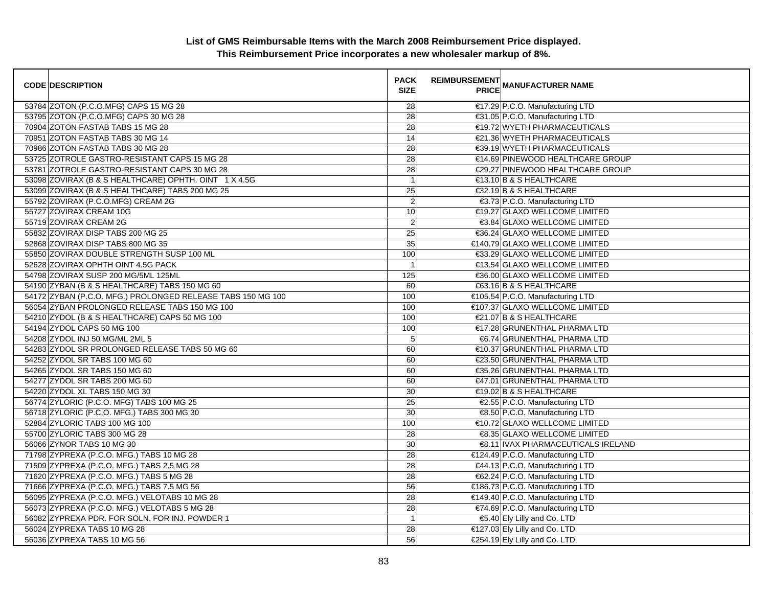| <b>CODE DESCRIPTION</b>                                     | <b>PACK</b><br><b>SIZE</b> | <b>REIMBURSEMENT</b><br><b>PRICE</b> | <b>MANUFACTURER NAME</b>           |
|-------------------------------------------------------------|----------------------------|--------------------------------------|------------------------------------|
| 53784 ZOTON (P.C.O.MFG) CAPS 15 MG 28                       | 28                         |                                      | €17.29 P.C.O. Manufacturing LTD    |
| 53795 ZOTON (P.C.O.MFG) CAPS 30 MG 28                       | 28                         |                                      | €31.05 P.C.O. Manufacturing LTD    |
| 70904 ZOTON FASTAB TABS 15 MG 28                            | 28                         |                                      | €19.72 WYETH PHARMACEUTICALS       |
| 70951 ZOTON FASTAB TABS 30 MG 14                            | 14                         |                                      | €21.36 WYETH PHARMACEUTICALS       |
| 70986 ZOTON FASTAB TABS 30 MG 28                            | 28                         |                                      | €39.19 WYETH PHARMACEUTICALS       |
| 53725 ZOTROLE GASTRO-RESISTANT CAPS 15 MG 28                | 28                         |                                      | €14.69 PINEWOOD HEALTHCARE GROUP   |
| 53781 ZOTROLE GASTRO-RESISTANT CAPS 30 MG 28                | 28                         |                                      | €29.27 PINEWOOD HEALTHCARE GROUP   |
| 53098 ZOVIRAX (B & S HEALTHCARE) OPHTH. OINT 1 X 4.5G       | $\overline{1}$             |                                      | €13.10 B & S HEALTHCARE            |
| 53099 ZOVIRAX (B & S HEALTHCARE) TABS 200 MG 25             | 25                         |                                      | €32.19 B & S HEALTHCARE            |
| 55792 ZOVIRAX (P.C.O.MFG) CREAM 2G                          | $\overline{\mathbf{c}}$    |                                      | €3.73 P.C.O. Manufacturing LTD     |
| 55727 ZOVIRAX CREAM 10G                                     | 10                         |                                      | €19.27 GLAXO WELLCOME LIMITED      |
| 55719 ZOVIRAX CREAM 2G                                      | $\overline{c}$             |                                      | €3.84 GLAXO WELLCOME LIMITED       |
| 55832 ZOVIRAX DISP TABS 200 MG 25                           | $\overline{25}$            |                                      | €36.24 GLAXO WELLCOME LIMITED      |
| 52868 ZOVIRAX DISP TABS 800 MG 35                           | 35                         |                                      | €140.79 GLAXO WELLCOME LIMITED     |
| 55850 ZOVIRAX DOUBLE STRENGTH SUSP 100 ML                   | 100                        |                                      | €33.29 GLAXO WELLCOME LIMITED      |
| 52628 ZOVIRAX OPHTH OINT 4.5G PACK                          | $\overline{1}$             |                                      | €13.54 GLAXO WELLCOME LIMITED      |
| 54798 ZOVIRAX SUSP 200 MG/5ML 125ML                         | 125                        |                                      | €36.00 GLAXO WELLCOME LIMITED      |
| 54190 ZYBAN (B & S HEALTHCARE) TABS 150 MG 60               | 60                         |                                      | €63.16 B & S HEALTHCARE            |
| 54172 ZYBAN (P.C.O. MFG.) PROLONGED RELEASE TABS 150 MG 100 | 100                        |                                      | €105.54 P.C.O. Manufacturing LTD   |
| 56054 ZYBAN PROLONGED RELEASE TABS 150 MG 100               | 100                        |                                      | €107.37 GLAXO WELLCOME LIMITED     |
| 54210 ZYDOL (B & S HEALTHCARE) CAPS 50 MG 100               | 100                        |                                      | €21.07 B & S HEALTHCARE            |
| 54194 ZYDOL CAPS 50 MG 100                                  | 100                        |                                      | €17.28 GRUNENTHAL PHARMA LTD       |
| 54208 ZYDOL INJ 50 MG/ML 2ML 5                              | 5                          |                                      | €6.74 GRUNENTHAL PHARMA LTD        |
| 54283 ZYDOL SR PROLONGED RELEASE TABS 50 MG 60              | 60                         |                                      | €10.37 GRUNENTHAL PHARMA LTD       |
| 54252 ZYDOL SR TABS 100 MG 60                               | 60                         |                                      | €23.50 GRUNENTHAL PHARMA LTD       |
| 54265 ZYDOL SR TABS 150 MG 60                               | 60                         |                                      | €35.26 GRUNENTHAL PHARMA LTD       |
| 54277 ZYDOL SR TABS 200 MG 60                               | 60                         |                                      | €47.01 GRUNENTHAL PHARMA LTD       |
| 54220 ZYDOL XL TABS 150 MG 30                               | 30                         |                                      | €19.02 B & S HEALTHCARE            |
| 56774 ZYLORIC (P.C.O. MFG) TABS 100 MG 25                   | 25                         |                                      | €2.55 P.C.O. Manufacturing LTD     |
| 56718 ZYLORIC (P.C.O. MFG.) TABS 300 MG 30                  | 30                         |                                      | €8.50 P.C.O. Manufacturing LTD     |
| 52884 ZYLORIC TABS 100 MG 100                               | 100                        |                                      | €10.72 GLAXO WELLCOME LIMITED      |
| 55700 ZYLORIC TABS 300 MG 28                                | 28                         |                                      | €8.35 GLAXO WELLCOME LIMITED       |
| 56066 ZYNOR TABS 10 MG 30                                   | 30                         |                                      | €8.11 IVAX PHARMACEUTICALS IRELAND |
| 71798 ZYPREXA (P.C.O. MFG.) TABS 10 MG 28                   | 28                         |                                      | €124.49 P.C.O. Manufacturing LTD   |
| 71509 ZYPREXA (P.C.O. MFG.) TABS 2.5 MG 28                  | 28                         |                                      | €44.13 P.C.O. Manufacturing LTD    |
| 71620 ZYPREXA (P.C.O. MFG.) TABS 5 MG 28                    | 28                         |                                      | €62.24 P.C.O. Manufacturing LTD    |
| 71666 ZYPREXA (P.C.O. MFG.) TABS 7.5 MG 56                  | 56                         |                                      | €186.73 P.C.O. Manufacturing LTD   |
| 56095 ZYPREXA (P.C.O. MFG.) VELOTABS 10 MG 28               | 28                         |                                      | €149.40 P.C.O. Manufacturing LTD   |
| 56073 ZYPREXA (P.C.O. MFG.) VELOTABS 5 MG 28                | 28                         |                                      | €74.69 P.C.O. Manufacturing LTD    |
| 56082 ZYPREXA PDR. FOR SOLN. FOR INJ. POWDER 1              | $\overline{1}$             |                                      | €5.40 Ely Lilly and Co. LTD        |
| 56024 ZYPREXA TABS 10 MG 28                                 | 28                         |                                      | €127.03 Ely Lilly and Co. LTD      |
| 56036 ZYPREXA TABS 10 MG 56                                 | 56                         |                                      | €254.19 Ely Lilly and Co. LTD      |